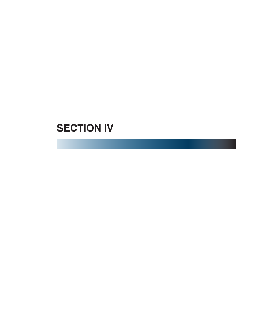# **SECTION IV**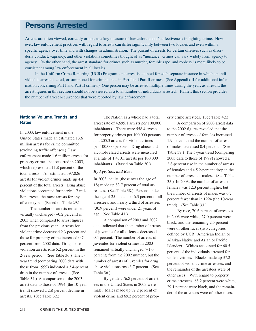# **Persons Arrested**

Arrests are often viewed, correctly or not, as a key measure of law enforcement's effectiveness in fighting crime. However, law enforcement practices with regard to arrests can differ significantly between two locales and even within a specific agency over time and with changes in administration. The pursuit of arrests for certain offenses such as disorderly conduct, vagrancy, and other violations sometimes thought of as "nuisance" crimes can vary widely from agency to agency. On the other hand, the arrest standard for crimes such as murder, forcible rape, and robbery is more likely to be consistent among law enforcement in all locales.

 In the Uniform Crime Reporting (UCR) Program, one arrest is counted for each separate instance in which an individual is arrested, cited, or summoned for criminal acts in Part I and Part II crimes. (See Appendix II for additional information concerning Part I and Part II crimes.) One person may be arrested multiple times during the year; as a result, the arrest figures in this section should not be viewed as a total number of individuals arrested. Rather, this section provides the number of arrest occurrences that were reported by law enforcement.

# **National Volume, Trends, and Rates**

In 2003, law enforcement in the United States made an estimated 13.6 million arrests for crime committed (excluding traffic offenses.) Law enforcement made 1.6 million arrests for property crimes that occurred in 2003, which represented 11.8 percent of the total arrests. An estimated 597,026 arrests for violent crimes made up 4.4 percent of the total arrests. Drug abuse violations accounted for nearly 1.7 million arrests, the most arrests for any offense type. (Based on Table 29.)

 The number of arrests remained virtually unchanged (+0.2 percent) in 2003 when compared to arrest figures from the previous year. Arrests for violent crime decreased 2.3 percent and those for property crime increased 0.7 percent from 2002 data. Drug abuse violation arrests rose 5.2 percent in the 2-year period. (See Table 36.) The 5 year trend (comparing 2003 data with those from 1999) indicated a 3.4-percent drop in the number of arrests. (See Table 34.) A comparison of the 2003 arrest data to those of 1994 (the 10-year trend) showed a 2.8-percent decline in arrests. (See Table 32.)

 The Nation as a whole had a total arrest rate of 4,695.1 arrests per 100,000 inhabitants. There were 558.4 arrests for property crimes per 100,000 persons and 205.3 arrests for violent crimes per 100,000 persons. Drug abuse and alcohol-related arrests were measured at a rate of 1,470.1 arrests per 100,000 inhabitants. (Based on Table 30.)

# *By Age, Sex, and Race*

In 2003, adults (those over the age of 18) made up 83.7 percent of total arrestees. (See Table 38.) Persons under the age of 25 made up 46.3 percent of all arrestees, and nearly a third of arrestees (30.9 percent) were under 21 years of age. (See Table 41.)

 A comparison of 2003 and 2002 data indicated that the number of arrests of juveniles for all offenses decreased 0.4 percent. The number of arrests of juveniles for violent crimes in 2003 remained virtually unchanged (+1.0 percent) from the 2002 number, but the number of arrests of juveniles for drug abuse violations rose 3.7 percent. (See Table 36.)

 By gender, 76.8 percent of arrestees in the United States in 2003 were male. Males made up 82.2 percent of violent crime and 69.2 percent of property crime arrestees. (See Table 42.)

 A comparison of 2003 arrest data to the 2002 figures revealed that the number of arrests of females increased 1.9 percent, and the number of arrests of males decreased 0.4 percent. (See Table 37.) The 5-year trend (comparing 2003 data to those of 1999) showed a 2.8-percent rise in the number of arrests of females and a 5.2-percent drop in the number of arrests of males. (See Table 35.) In 2003, the number of arrests of females was 12.3 percent higher, but the number of arrests of males was 6.7 percent fewer than in 1994 (the 10-year trend). (See Table 33.)

 By race, 70.6 percent of arrestees in 2003 were white, 27.0 percent were black, and the remaining 2.5 percent were of other races (two categories defined by UCR: American Indian or Alaskan Native and Asian or Pacific Islander). Whites accounted for 60.5 percent of the individuals arrested for violent crimes. Blacks made up 37.2 percent of violent crime arrestees, and the remainder of the arrestees were of other races. With regard to property crime arrestees, 68.2 percent were white, 29.1 percent were black, and the remainder of the arrestees were of other races.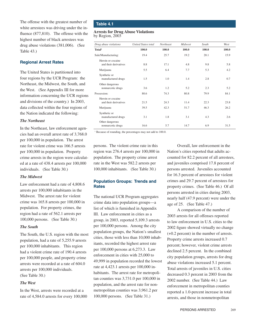The offense with the greatest number of white arrestees was driving under the influence (877,810). The offense with the highest number of black arrestees was drug abuse violations (381,006). (See Table 43.)

# **Regional Arrest Rates**

The United States is partitioned into four regions by the UCR Program: the Northeast, the Midwest, the South, and the West. (See Appendix III for more information concerning the UCR regions and divisions of the country.) In 2003, data collected within the four regions of the Nation indicated the following:

# *The Northeast*

In the Northeast, law enforcement agencies had an overall arrest rate of 3,768.0 per 100,000 in population. The arrest rate for violent crime was 166.5 arrests per 100,000 in population. Property crime arrests in the region were calculated at a rate of 438.4 arrests per 100,000 individuals. (See Table 30.)

# *The Midwest*

Law enforcement had a rate of 4,808.6 arrests per 100,000 inhabitants in the Midwest. The arrest rate for violent crime was 165.8 arrests per 100,000 in population. For property crimes, the region had a rate of 562.1 arrests per 100,000 persons. (See Table 30.)

# *The South*

The South, the U.S. region with the most population, had a rate of 5,255.9 arrests per 100,000 inhabitants. This region had a violent crime rate of 190.4 arrests per 100,000 people, and property crime arrests were recorded at a rate of 604.0 arrests per 100,000 individuals. (See Table 30.)

# *The West*

In the West, arrests were recorded at a rate of 4,584.0 arrests for every 100,000

# **Table 4.1**

#### **Arrests for Drug Abuse Violations** by Region, 2003

| Drug abuse violations                      | <b>United States total</b> | Northeast | Midwest | South | West  |
|--------------------------------------------|----------------------------|-----------|---------|-------|-------|
| Total <sup>1</sup>                         | 100.0                      | 100.0     | 100.0   | 100.0 | 100.0 |
| Sale/Manufacturing:                        | 19.4                       | 25.7      | 19.2    | 20.1  | 15.9  |
| Heroin or cocaine<br>and their derivatives | 8.8                        | 17.1      | 4.8     | 9.8   | 5.8   |
| Marijuana                                  | 5.5                        | 6.4       | 7.7     | 5.3   | 4.2   |
| Synthetic or<br>manufactured drugs         | 1.5                        | 1.0       | 1.4     | 2.8   | 0.7   |
| Other dangerous<br>nonnarcotic drugs       | 3.6                        | 1.2       | 5.2     | 2.3   | 5.2   |
| Possession:                                | 80.6                       | 74.3      | 80.8    | 79.9  | 84.1  |
| Heroin or cocaine<br>and their derivatives | 21.5                       | 24.3      | 11.4    | 22.3  | 23.8  |
| Marijuana                                  | 39.5                       | 42.3      | 51.7    | 46.3  | 26.2  |
| Synthetic or<br>manufactured drugs         | 3.1                        | 1.8       | 3.1     | 4.3   | 2.6   |
| Other dangerous<br>nonnarcotic drugs       | 16.6                       | 5.7       | 14.7    | 6.9   | 31.5  |

<sup>1</sup> Because of rounding, the percentages may not add to 100.0.

persons. The violent crime rate in this region was 276.4 arrests per 100,000 in population. The property crime arrest rate in the West was 582.2 arrests per 100,000 inhabitants. (See Table 30.)

# **Population Groups: Trends and Rates**

The national UCR Program aggregates crime data into population groups—a list of which is furnished in Appendix III. Law enforcement in cities as a group, in 2003, reported 5,109.3 arrests per 100,000 persons. Among the city population groups, the Nation's smallest cities, those with less than 10,000 inhabitants, recorded the highest arrest rate per 100,000 persons at 6,273.3. Law enforcement in cities with 25,000 to 49,999 in population recorded the lowest rate at 4,423.1 arrests per 100,000 inhabitants. The arrest rate for metropolitan counties was 3,731.0 per 100,000 in population, and the arrest rate for nonmetropolitan counties was 3,961.2 per 100,000 persons. (See Table 31.)

 Overall, law enforcement in the Nation's cities reported that adults accounted for 82.2 percent of all arrestees, and juveniles comprised 17.8 percent of persons arrested. Juveniles accounted for 16.3 percent of arrestees for violent crimes and 29.7 percent of arrestees for property crimes. (See Table 46.) Of all persons arrested in cities during 2003, nearly half (47.9 percent) were under the age of 25. (See Table 47.)

 A comparison of the number of 2003 arrests for all offenses reported to law enforcement in U.S. cities to the 2002 figure showed virtually no change (+0.2 percent) in the number of arrests. Property crime arrests increased 0.7 percent; however, violent crime arrests declined 2.5 percent. In the combined city population groups, arrests for drug abuse violations increased 5.1 percent. Total arrests of juveniles in U.S. cities decreased 0.3 percent in 2003 from the 2002 number. (See Table 44.) Law enforcement in metropolitan counties reported a 1.0-percent increase in total arrests, and those in nonmetropolitan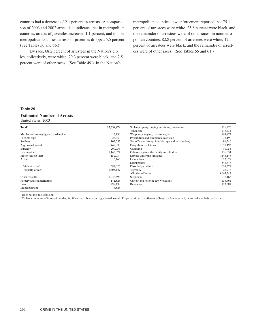counties had a decrease of 2.1 percent in arrests. A comparison of 2003 and 2002 arrest data indicates that in metropolitan counties, arrests of juveniles increased 1.1 percent, and in nonmetropolitan counties, arrests of juveniles dropped 5.5 percent. (See Tables 50 and 56.)

 By race, 68.2 percent of arrestees in the Nation's cities, collectively, were white, 29.3 percent were black, and 2.5 percent were of other races. (See Table 49.) In the Nation's

metropolitan counties, law enforcement reported that 75.1 percent of arrestees were white, 23.6 percent were black, and the remainder of arrestees were of other races; in nonmetropolitan counties, 82.8 percent of arrestees were white, 12.5 percent of arrestees were black, and the remainder of arrestees were of other races. (See Tables 55 and 61.)

# **Table 29**

# **Estimated Number of Arrests**

United States, 2003

| Total <sup>1</sup>                   | 13,639,479 | Stolen property; buying, receiving, possessing       | 126,775   |
|--------------------------------------|------------|------------------------------------------------------|-----------|
|                                      |            | Vandalism                                            | 273,431   |
| Murder and nonnegligent manslaughter | 13,190     | Weapons; carrying, possessing, etc.                  | 167,972   |
| Forcible rape                        | 26,350     | Prostitution and commercialized vice                 | 75,190    |
| Robbery                              | 107,553    | Sex offenses (except forcible rape and prostitution) | 91,546    |
| Aggravated assault                   | 449,933    | Drug abuse violations                                | 1,678,192 |
| Burglary                             | 290,956    | Gambling                                             | 10.954    |
| Larceny-theft                        | 1,145,074  | Offenses against the family and children             | 136,034   |
| Motor vehicle theft                  | 152,934    | Driving under the influence                          | 1,448,148 |
| Arson                                | 16,163     | Liquor laws                                          | 612,079   |
|                                      |            | Drunkenness                                          | 548,616   |
| Violent crime <sup>2</sup>           | 597,026    | Disorderly conduct                                   | 639.371   |
| Property crime <sup>2</sup>          | 1,605,127  | Vagrancy                                             | 28,948    |
|                                      |            | All other offenses                                   | 3,665,543 |
| Other assaults                       | 1,246,698  | Suspicion                                            | 7.163     |
| Forgery and counterfeiting           | 111,823    | Curfew and loitering law violations                  | 136,461   |
| Fraud                                | 299,138    | Runaways                                             | 123,581   |
| Embezzlement                         | 16,826     |                                                      |           |

<sup>1</sup> Does not include suspicion.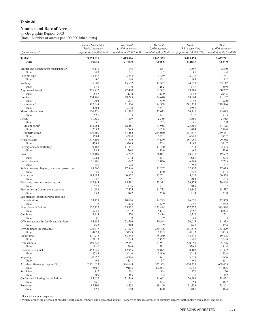# **Number and Rate of Arrests**

by Geographic Region, 2003 [Rate: Number of arrests per 100,000 inhabitants]

|                                                | <b>United States total</b><br>$(10,843$ agencies; | Northeast<br>$(2,450$ agencies; | Midwest<br>$(2,920$ agencies; | South<br>$(3,814$ agencies;  | West<br>$(1,659$ agencies:    |
|------------------------------------------------|---------------------------------------------------|---------------------------------|-------------------------------|------------------------------|-------------------------------|
| Offense charged                                | population 204,034,545)                           | <i>population</i> 37,522,549)   | <i>population 43,412,431)</i> | <i>population</i> 64,793,077 | <i>population</i> 58,306,488) |
| <b>TOTAL1</b><br>Rate                          | 9,579,611<br>4,695.1                              | 1,413,866<br>3,768.0            | 2,087,525<br>4,808.6          | 3,405,479<br>5,255.9         | 2,672,741<br>4,584.0          |
| Murder and nonnegligent manslaughter           | 9,119                                             | 1,145                           | 1,837                         | 3,597                        | 2,540                         |
| Rate                                           | 4.5<br>18,446                                     | 3.1<br>3,244                    | 4.2                           | 5.6<br>6,072                 | 4.4                           |
| Forcible rape<br>Rate                          | 9.0                                               | 8.6                             | 4,369<br>10.1                 | 9.4                          | 4,761<br>8.2                  |
| Robbery                                        | 75,667                                            | 15,612                          | 12,365                        | 24,573                       | 23,117                        |
| Rate                                           | 37.1                                              | 41.6                            | 28.5                          | 37.9                         | 39.6                          |
| Aggravated assault                             | 315,732                                           | 42,480                          | 53,387                        | 89,108                       | 130,757                       |
| Rate                                           | 154.7                                             | 113.2                           | 123.0                         | 137.5                        | 224.3                         |
| Burglary                                       | 204,761                                           | 29,295                          | 34,670                        | 69,664                       | 71.132                        |
| Rate<br>Larceny-theft                          | 100.4<br>817,048                                  | 78.1<br>121,506                 | 79.9<br>184,359               | 107.5<br>291,337             | 122.0<br>219,846              |
| Rate                                           | 400.4                                             | 323.8                           | 424.7                         | 449.6                        | 377.1                         |
| Motor vehicle theft                            | 106,221                                           | 11,782                          | 22,625                        | 26,716                       | 45,098                        |
| Rate                                           | 52.1                                              | 31.4                            | 52.1                          | 41.2                         | 77.3                          |
| Arson                                          | 11,330                                            | 1,899                           | 2,386                         | 3,660                        | 3,385                         |
| Rate                                           | 5.6                                               | 5.1                             | 5.5                           | 5.6                          | 5.8                           |
| Violent crime <sup>2</sup>                     | 418,964<br>205.3                                  | 62,481                          | 71,958                        | 123,350<br>190.4             | 161,175<br>276.4              |
| Rate<br>Property crime <sup>2</sup>            | 1,139,360                                         | 166.5<br>164,482                | 165.8<br>244,040              | 391,377                      | 339,461                       |
| Rate                                           | 558.4                                             | 438.4                           | 562.1                         | 604.0                        | 582.2                         |
| Other assaults                                 | 877,105                                           | 141,202                         | 184,689                       | 351,956                      | 199,258                       |
| Rate                                           | 429.9                                             | 376.3                           | 425.4                         | 543.2                        | 341.7                         |
| Forgery and counterfeiting                     | 79,188                                            | 11,391                          | 13,430                        | 31,874                       | 22,493                        |
| Rate                                           | 38.8                                              | 30.4                            | 30.9                          | 49.2                         | 38.6                          |
| Fraud<br>Rate                                  | 208,469<br>102.2                                  | 34,207<br>91.2                  | 36,067<br>83.1                | 118,513<br>182.9             | 19,682<br>33.8                |
| Embezzlement                                   | 11,986                                            | 1,047                           | 2,036                         | 6,168                        | 2,735                         |
| Rate                                           | 5.9                                               | 2.8                             | 4.7                           | 9.5                          | 4.7                           |
| Stolen property; buying, receiving, possessing | 89,560                                            | 17,846                          | 21,267                        | 22,832                       | 27,615                        |
| Rate                                           | 43.9                                              | 47.6                            | 49.0                          | 35.2                         | 47.4                          |
| Vandalism                                      | 193,083                                           | 40,932                          | 45,701                        | 45,612                       | 60,838                        |
| Rate                                           | 94.6                                              | 109.1                           | 105.3                         | 70.4                         | 104.3                         |
| Weapons; carrying, possessing, etc.<br>Rate    | 117,844<br>57.8                                   | 15,591<br>41.6                  | 23,311<br>53.7                | 39,478<br>60.9               | 39,464<br>67.7                |
| Prostitution and commercialized vice           | 51,686                                            | 7,575                           | 11,732                        | 13,842                       | 18,537                        |
| Rate                                           | 25.3                                              | 20.2                            | 27.0                          | 21.4                         | 31.8                          |
| Sex offenses (except forcible rape and         |                                                   |                                 |                               |                              |                               |
| prostitution)                                  | 63,759                                            | 10,616                          | 14,283                        | 16,021                       | 22,839                        |
| Rate                                           | 31.2                                              | 28.3                            | 32.9                          | 24.7                         | 39.2                          |
| Drug abuse violations<br>Rate                  | 1,172,222<br>574.5                                | 175,322<br>467.2                | 235,444<br>542.3              | 377,572<br>582.7             | 383,884<br>658.4              |
| Gambling                                       | 7,414                                             | 720                             | 3,414                         | 2,519                        | 761                           |
| Rate                                           | 3.6                                               | 1.9                             | 7.9                           | 3.9                          | 1.3                           |
| Offenses against the family and children       | 94,488                                            | 22,796                          | 30,344                        | 30,015                       | 11,333                        |
| Rate                                           | 46.3                                              | 60.8                            | 69.9                          | 46.3                         | 19.4                          |
| Driving under the influence                    | 1,005,777                                         | 121,327                         | 239,406                       | 311,815                      | 333,229                       |
| Rate<br>Liquor laws                            | 492.9<br>431,912                                  | 323.3<br>53,844                 | 551.5<br>165,260              | 481.2<br>93,313              | 571.5<br>119,495              |
| Rate                                           | 211.7                                             | 143.5                           | 380.7                         | 144.0                        | 204.9                         |
| Drunkenness                                    | 389,626                                           | 29,851                          | 33,921                        | 220,058                      | 105,796                       |
| Rate                                           | 191.0                                             | 79.6                            | 78.1                          | 339.6                        | 181.4                         |
| Disorderly conduct                             | 453,645                                           | 112,955                         | 138,895                       | 130,403                      | 71,392                        |
| Rate                                           | 222.3                                             | 301.0                           | 319.9                         | 201.3                        | 122.4                         |
| Vagrancy                                       | 20,052                                            | 4,906<br>13.1                   | 1,601                         | 5,879                        | 7,666<br>13.1                 |
| Rate<br>All other offenses (except traffic)    | 9.8<br>2,571,023                                  | 344,648                         | 3.7<br>537,555                | 9.1<br>1,020,355             | 668,465                       |
| Rate                                           | 1,260.1                                           | 918.5                           | 1,238.3                       | 1,574.8                      | 1,146.5                       |
| Suspicion                                      | 1,812                                             | 201                             | 504                           | 971                          | 136                           |
| Rate                                           | 0.9                                               | 0.5                             | 1.2                           | 1.5                          | 0.2                           |
| Curfew and loitering law violations            | 95,052                                            | 31,569                          | 14,062                        | 20,999                       | 28,422                        |
| Rate                                           | 46.6                                              | 84.1                            | 32.4                          | 32.4                         | 48.7                          |
| Runaways<br>Rate                               | 87,396<br>42.8                                    | 8,558<br>22.8                   | 19,109<br>44.0                | 31,528<br>48.7               | 28,201<br>48.4                |

<sup>1</sup> Does not include suspicion.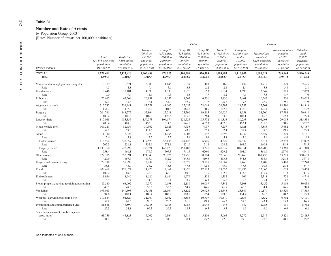| Offense charged<br><b>TOTAL3</b><br>Rate<br>Murder and nonnegligent manslaughter<br>Rate<br>Forcible rape<br>Rate<br>Robbery<br>Rate<br>Aggravated assault<br>Rate<br>Burglary<br>Rate<br>Larceny-theft<br>Rate<br>Motor vehicle theft<br>Rate<br>Arson<br>Rate<br>Violent crime <sup>4</sup><br>Rate<br>Property crime <sup>4</sup><br>Rate<br>Other assaults<br>Rate<br>Forgery and counterfeiting<br>Rate<br>Fraud<br>Rate<br>Embezzlement<br>Rate<br>Stolen property; buying, receiving, possessing<br>Rate | Total<br>$(10, 843$ agencies;<br>population<br>204,034,545)<br>9,579,611<br>4,695.1<br>9,119<br>4.5<br>18,446<br>9.0<br>75,667<br>37.1<br>315,732<br>154.7<br>204,761<br>100.4<br>817,048 | Total cities<br>(7,898 cities;<br>population<br>139,498,658)<br>7,127,426<br>5,109.3<br>6,671<br>4.8<br>13,181<br>9.4<br>63,564<br>45.6<br>239,941<br>172.0<br>148,277<br>106.3<br>683,335 | Group I<br>$(50 \text{ cities})$<br>250,000<br>and over;<br>population<br>35,303,730)<br>1,900,698<br>5,383.8<br>3,308<br>9.4<br>4,098<br>11.6<br>26,851<br>76.1<br>83,271<br>235.9<br>37,864<br>107.3 | Group II<br>$(135 \text{ cities},$<br>100,000 to<br>249,999;<br>population<br>20,341,032)<br>976,023<br>4,798.3<br>1,146<br>5.6<br>1,933<br>9.5<br>11,052<br>54.3<br>41,005<br>201.6<br>25,518 | Group III<br>$(323 \; cities,$<br>50,000 to<br>99,999;<br>population<br>22,274,208)<br>1,100,984<br>4,942.9<br>837<br>3.8<br>1,970<br>8.8<br>9,563<br>42.9<br>37,052<br>166.3 | <b>Cities</b><br>Group IV<br>$(618 \text{ cities},$<br>25,000 to<br>49,999;<br>population<br>21,486,840)<br>950,389<br>4,423.1<br>483<br>2.2<br>1,653<br>7.7<br>6,701<br>31.2<br>28,068 | Group V<br>$(1,412 \text{ cities},$<br>10,000 to<br>24,999;<br>population<br>22,385,366)<br>1,088,487<br>4,862.5<br>465<br>2.1<br>1,834<br>8.2<br>5,936<br>26.5 | Group VI<br>$(5,360 \text{ cities},$<br>under<br>10,000;<br>population<br>17,707,482)<br>1,110,845<br>6,273.3<br>432<br>2.4<br>1,693<br>9.6<br>3,461<br>19.5 | Metropolitan<br>counties <sup>1</sup><br>$(1,158$ agencies;<br>population<br>45,269,822)<br>1,689,021<br>3,731.0<br>1,719<br>3.8<br>3,547<br>7.8<br>10,347 | Counties<br>Nonmetropolitan<br>counties<br>(1,787)<br>agencies;<br>population<br>19,266,065)<br>763,164<br>3,961.2<br>729<br>3.8<br>1,718<br>8.9<br>1,756 |                                                                                   |
|-----------------------------------------------------------------------------------------------------------------------------------------------------------------------------------------------------------------------------------------------------------------------------------------------------------------------------------------------------------------------------------------------------------------------------------------------------------------------------------------------------------------|-------------------------------------------------------------------------------------------------------------------------------------------------------------------------------------------|--------------------------------------------------------------------------------------------------------------------------------------------------------------------------------------------|--------------------------------------------------------------------------------------------------------------------------------------------------------------------------------------------------------|------------------------------------------------------------------------------------------------------------------------------------------------------------------------------------------------|-------------------------------------------------------------------------------------------------------------------------------------------------------------------------------|-----------------------------------------------------------------------------------------------------------------------------------------------------------------------------------------|-----------------------------------------------------------------------------------------------------------------------------------------------------------------|--------------------------------------------------------------------------------------------------------------------------------------------------------------|------------------------------------------------------------------------------------------------------------------------------------------------------------|-----------------------------------------------------------------------------------------------------------------------------------------------------------|-----------------------------------------------------------------------------------|
|                                                                                                                                                                                                                                                                                                                                                                                                                                                                                                                 |                                                                                                                                                                                           |                                                                                                                                                                                            |                                                                                                                                                                                                        |                                                                                                                                                                                                |                                                                                                                                                                               |                                                                                                                                                                                         |                                                                                                                                                                 |                                                                                                                                                              |                                                                                                                                                            |                                                                                                                                                           | Suburban<br>area <sup>2</sup><br>(5,889)<br>agencies;<br>population<br>92,793,659 |
|                                                                                                                                                                                                                                                                                                                                                                                                                                                                                                                 |                                                                                                                                                                                           |                                                                                                                                                                                            |                                                                                                                                                                                                        |                                                                                                                                                                                                |                                                                                                                                                                               |                                                                                                                                                                                         |                                                                                                                                                                 |                                                                                                                                                              |                                                                                                                                                            |                                                                                                                                                           | 3,890,249                                                                         |
|                                                                                                                                                                                                                                                                                                                                                                                                                                                                                                                 |                                                                                                                                                                                           |                                                                                                                                                                                            |                                                                                                                                                                                                        |                                                                                                                                                                                                |                                                                                                                                                                               |                                                                                                                                                                                         |                                                                                                                                                                 |                                                                                                                                                              |                                                                                                                                                            |                                                                                                                                                           | 4,192.4                                                                           |
|                                                                                                                                                                                                                                                                                                                                                                                                                                                                                                                 |                                                                                                                                                                                           |                                                                                                                                                                                            |                                                                                                                                                                                                        |                                                                                                                                                                                                |                                                                                                                                                                               |                                                                                                                                                                                         |                                                                                                                                                                 |                                                                                                                                                              |                                                                                                                                                            |                                                                                                                                                           | 2,625<br>2.8<br>7,059                                                             |
|                                                                                                                                                                                                                                                                                                                                                                                                                                                                                                                 |                                                                                                                                                                                           |                                                                                                                                                                                            |                                                                                                                                                                                                        |                                                                                                                                                                                                |                                                                                                                                                                               |                                                                                                                                                                                         |                                                                                                                                                                 |                                                                                                                                                              |                                                                                                                                                            |                                                                                                                                                           |                                                                                   |
|                                                                                                                                                                                                                                                                                                                                                                                                                                                                                                                 |                                                                                                                                                                                           |                                                                                                                                                                                            |                                                                                                                                                                                                        |                                                                                                                                                                                                |                                                                                                                                                                               |                                                                                                                                                                                         |                                                                                                                                                                 |                                                                                                                                                              |                                                                                                                                                            |                                                                                                                                                           |                                                                                   |
|                                                                                                                                                                                                                                                                                                                                                                                                                                                                                                                 |                                                                                                                                                                                           |                                                                                                                                                                                            |                                                                                                                                                                                                        |                                                                                                                                                                                                |                                                                                                                                                                               |                                                                                                                                                                                         |                                                                                                                                                                 |                                                                                                                                                              |                                                                                                                                                            |                                                                                                                                                           |                                                                                   |
|                                                                                                                                                                                                                                                                                                                                                                                                                                                                                                                 |                                                                                                                                                                                           |                                                                                                                                                                                            |                                                                                                                                                                                                        |                                                                                                                                                                                                |                                                                                                                                                                               |                                                                                                                                                                                         |                                                                                                                                                                 |                                                                                                                                                              |                                                                                                                                                            |                                                                                                                                                           | 7.6                                                                               |
|                                                                                                                                                                                                                                                                                                                                                                                                                                                                                                                 |                                                                                                                                                                                           |                                                                                                                                                                                            |                                                                                                                                                                                                        |                                                                                                                                                                                                |                                                                                                                                                                               |                                                                                                                                                                                         |                                                                                                                                                                 |                                                                                                                                                              |                                                                                                                                                            |                                                                                                                                                           | 23,065                                                                            |
|                                                                                                                                                                                                                                                                                                                                                                                                                                                                                                                 |                                                                                                                                                                                           |                                                                                                                                                                                            |                                                                                                                                                                                                        |                                                                                                                                                                                                |                                                                                                                                                                               |                                                                                                                                                                                         |                                                                                                                                                                 |                                                                                                                                                              | 22.9                                                                                                                                                       | 9.1                                                                                                                                                       | 24.9                                                                              |
|                                                                                                                                                                                                                                                                                                                                                                                                                                                                                                                 |                                                                                                                                                                                           |                                                                                                                                                                                            |                                                                                                                                                                                                        |                                                                                                                                                                                                |                                                                                                                                                                               |                                                                                                                                                                                         | 26,292                                                                                                                                                          | 24,253                                                                                                                                                       | 57,201                                                                                                                                                     | 18,590                                                                                                                                                    | 114,343                                                                           |
|                                                                                                                                                                                                                                                                                                                                                                                                                                                                                                                 |                                                                                                                                                                                           |                                                                                                                                                                                            |                                                                                                                                                                                                        |                                                                                                                                                                                                |                                                                                                                                                                               | 130.6                                                                                                                                                                                   | 117.5                                                                                                                                                           | 137.0                                                                                                                                                        | 126.4                                                                                                                                                      | 96.5                                                                                                                                                      | 123.2                                                                             |
|                                                                                                                                                                                                                                                                                                                                                                                                                                                                                                                 |                                                                                                                                                                                           |                                                                                                                                                                                            |                                                                                                                                                                                                        |                                                                                                                                                                                                | 25,796                                                                                                                                                                        | 19,215                                                                                                                                                                                  | 20,926                                                                                                                                                          | 18,958                                                                                                                                                       | 38,700                                                                                                                                                     | 17,784                                                                                                                                                    | 79,648                                                                            |
|                                                                                                                                                                                                                                                                                                                                                                                                                                                                                                                 |                                                                                                                                                                                           |                                                                                                                                                                                            |                                                                                                                                                                                                        | 125.5                                                                                                                                                                                          | 115.8                                                                                                                                                                         | 89.4                                                                                                                                                                                    | 93.5                                                                                                                                                            | 107.1                                                                                                                                                        | 85.5                                                                                                                                                       | 92.3                                                                                                                                                      | 85.8                                                                              |
|                                                                                                                                                                                                                                                                                                                                                                                                                                                                                                                 |                                                                                                                                                                                           |                                                                                                                                                                                            | 159,573                                                                                                                                                                                                | 104,674                                                                                                                                                                                        | 121,725                                                                                                                                                                       | 105,772                                                                                                                                                                                 | 111,358                                                                                                                                                         | 80,233                                                                                                                                                       | 104,698                                                                                                                                                    | 29,015                                                                                                                                                    | 313,334                                                                           |
|                                                                                                                                                                                                                                                                                                                                                                                                                                                                                                                 | 400.4                                                                                                                                                                                     | 489.9                                                                                                                                                                                      | 452.0                                                                                                                                                                                                  | 514.6                                                                                                                                                                                          | 546.5                                                                                                                                                                         | 492.3                                                                                                                                                                                   | 497.5                                                                                                                                                           | 453.1                                                                                                                                                        | 231.3                                                                                                                                                      | 150.6                                                                                                                                                     | 337.7                                                                             |
|                                                                                                                                                                                                                                                                                                                                                                                                                                                                                                                 | 106,221                                                                                                                                                                                   | 82,656                                                                                                                                                                                     | 39,362                                                                                                                                                                                                 | 12,621                                                                                                                                                                                         | 9,758                                                                                                                                                                         | 7,037                                                                                                                                                                                   | 7,257                                                                                                                                                           | 6,621                                                                                                                                                        | 17,883                                                                                                                                                     | 5,682                                                                                                                                                     | 33,187                                                                            |
|                                                                                                                                                                                                                                                                                                                                                                                                                                                                                                                 | 52.1                                                                                                                                                                                      | 59.3                                                                                                                                                                                       | 111.5                                                                                                                                                                                                  | 62.0                                                                                                                                                                                           | 43.8                                                                                                                                                                          | 32.8                                                                                                                                                                                    | 32.4                                                                                                                                                            | 37.4                                                                                                                                                         | 39.5                                                                                                                                                       | 29.5                                                                                                                                                      | 35.8                                                                              |
|                                                                                                                                                                                                                                                                                                                                                                                                                                                                                                                 | 11,330                                                                                                                                                                                    | 8,024                                                                                                                                                                                      | 2,022                                                                                                                                                                                                  | 1,065                                                                                                                                                                                          | 1,203                                                                                                                                                                         | 1,197                                                                                                                                                                                   | 1,298                                                                                                                                                           | 1,239                                                                                                                                                        | 2,427                                                                                                                                                      | 879                                                                                                                                                       | 5,141                                                                             |
|                                                                                                                                                                                                                                                                                                                                                                                                                                                                                                                 | 5.6                                                                                                                                                                                       | 5.8                                                                                                                                                                                        | 5.7                                                                                                                                                                                                    | 5.2                                                                                                                                                                                            | 5.4                                                                                                                                                                           | 5.6                                                                                                                                                                                     | 5.8                                                                                                                                                             | 7.0                                                                                                                                                          | 5.4                                                                                                                                                        | 4.6                                                                                                                                                       | 5.5                                                                               |
|                                                                                                                                                                                                                                                                                                                                                                                                                                                                                                                 | 418,964                                                                                                                                                                                   | 323,357                                                                                                                                                                                    | 117,528                                                                                                                                                                                                | 55,136                                                                                                                                                                                         | 49.422                                                                                                                                                                        | 36,905                                                                                                                                                                                  | 34,527                                                                                                                                                          | 29,839                                                                                                                                                       | 72,814                                                                                                                                                     | 22,793                                                                                                                                                    | 147,092                                                                           |
|                                                                                                                                                                                                                                                                                                                                                                                                                                                                                                                 | 205.3                                                                                                                                                                                     | 231.8                                                                                                                                                                                      | 332.9                                                                                                                                                                                                  | 271.1                                                                                                                                                                                          | 221.9                                                                                                                                                                         | 171.8                                                                                                                                                                                   | 154.2                                                                                                                                                           | 168.5                                                                                                                                                        | 160.8                                                                                                                                                      | 118.3                                                                                                                                                     | 158.5                                                                             |
|                                                                                                                                                                                                                                                                                                                                                                                                                                                                                                                 | 1,139,360                                                                                                                                                                                 | 922,292                                                                                                                                                                                    | 238,821                                                                                                                                                                                                | 143,878                                                                                                                                                                                        | 158,482                                                                                                                                                                       | 133,221                                                                                                                                                                                 | 140,839                                                                                                                                                         | 107,051                                                                                                                                                      | 163,708                                                                                                                                                    | 53,360                                                                                                                                                    | 431,310                                                                           |
|                                                                                                                                                                                                                                                                                                                                                                                                                                                                                                                 | 558.4                                                                                                                                                                                     | 661.1                                                                                                                                                                                      | 676.5                                                                                                                                                                                                  | 707.3                                                                                                                                                                                          | 711.5                                                                                                                                                                         | 620.0                                                                                                                                                                                   | 629.2                                                                                                                                                           | 604.6                                                                                                                                                        | 361.6                                                                                                                                                      | 277.0                                                                                                                                                     | 464.8                                                                             |
|                                                                                                                                                                                                                                                                                                                                                                                                                                                                                                                 | 877,105                                                                                                                                                                                   | 652,391                                                                                                                                                                                    | 171,940                                                                                                                                                                                                | 98,076                                                                                                                                                                                         | 98,756                                                                                                                                                                        | 90,104                                                                                                                                                                                  | 97,046                                                                                                                                                          | 96,469                                                                                                                                                       | 161,436                                                                                                                                                    | 63,278                                                                                                                                                    | 350,603                                                                           |
|                                                                                                                                                                                                                                                                                                                                                                                                                                                                                                                 | 429.9                                                                                                                                                                                     | 467.7                                                                                                                                                                                      | 487.0                                                                                                                                                                                                  | 482.2                                                                                                                                                                                          | 443.4                                                                                                                                                                         | 419.3                                                                                                                                                                                   | 433.5                                                                                                                                                           | 544.8                                                                                                                                                        | 356.6                                                                                                                                                      | 328.4                                                                                                                                                     | 377.8                                                                             |
|                                                                                                                                                                                                                                                                                                                                                                                                                                                                                                                 | 79,188                                                                                                                                                                                    | 59,999                                                                                                                                                                                     | 12,787                                                                                                                                                                                                 | 8,912                                                                                                                                                                                          | 10,575                                                                                                                                                                        | 9,195                                                                                                                                                                                   | 10,067                                                                                                                                                          | 8,463                                                                                                                                                        | 13,709                                                                                                                                                     | 5,480                                                                                                                                                     | 32,240                                                                            |
|                                                                                                                                                                                                                                                                                                                                                                                                                                                                                                                 | 38.8                                                                                                                                                                                      | 43.0                                                                                                                                                                                       | 36.2                                                                                                                                                                                                   | 43.8                                                                                                                                                                                           | 47.5                                                                                                                                                                          | 42.8                                                                                                                                                                                    | 45.0                                                                                                                                                            | 47.8                                                                                                                                                         | 30.3                                                                                                                                                       | 28.4                                                                                                                                                      | 34.7                                                                              |
|                                                                                                                                                                                                                                                                                                                                                                                                                                                                                                                 | 208,469                                                                                                                                                                                   | 125,024                                                                                                                                                                                    | 14,925                                                                                                                                                                                                 | 12,361                                                                                                                                                                                         | 19,826                                                                                                                                                                        | 17,523                                                                                                                                                                                  | 29,653                                                                                                                                                          | 30,736                                                                                                                                                       | 52,366                                                                                                                                                     | 31,079                                                                                                                                                    | 103,458                                                                           |
|                                                                                                                                                                                                                                                                                                                                                                                                                                                                                                                 | 102.2                                                                                                                                                                                     | 89.6                                                                                                                                                                                       | 42.3                                                                                                                                                                                                   | 60.8                                                                                                                                                                                           | 89.0                                                                                                                                                                          | 81.6                                                                                                                                                                                    | 132.5                                                                                                                                                           | 173.6                                                                                                                                                        | 115.7                                                                                                                                                      | 161.3                                                                                                                                                     | 111.5                                                                             |
|                                                                                                                                                                                                                                                                                                                                                                                                                                                                                                                 | 11,986                                                                                                                                                                                    | 8,946                                                                                                                                                                                      | 1,620                                                                                                                                                                                                  | 1,644                                                                                                                                                                                          | 1,979                                                                                                                                                                         | 1,352                                                                                                                                                                                   | 1,382                                                                                                                                                           | 969                                                                                                                                                          | 2,318                                                                                                                                                      | 722                                                                                                                                                       | 4,744                                                                             |
|                                                                                                                                                                                                                                                                                                                                                                                                                                                                                                                 | 5.9                                                                                                                                                                                       | 6.4                                                                                                                                                                                        | 4.6                                                                                                                                                                                                    | 8.1                                                                                                                                                                                            | 8.9                                                                                                                                                                           | 6.3                                                                                                                                                                                     | 6.2                                                                                                                                                             | 5.5                                                                                                                                                          | 5.1                                                                                                                                                        | 3.7                                                                                                                                                       | 5.1                                                                               |
|                                                                                                                                                                                                                                                                                                                                                                                                                                                                                                                 | 89,560                                                                                                                                                                                    | 68,992                                                                                                                                                                                     | 19,579                                                                                                                                                                                                 | 10,698                                                                                                                                                                                         | 12,186                                                                                                                                                                        | 10,019                                                                                                                                                                                  | 9,342                                                                                                                                                           | 7,168                                                                                                                                                        | 15,452                                                                                                                                                     | 5,116                                                                                                                                                     | 36,034                                                                            |
|                                                                                                                                                                                                                                                                                                                                                                                                                                                                                                                 | 43.9                                                                                                                                                                                      | 49.5                                                                                                                                                                                       | 55.5                                                                                                                                                                                                   | 52.6                                                                                                                                                                                           | 54.7                                                                                                                                                                          | 46.6                                                                                                                                                                                    | 41.7                                                                                                                                                            | 40.5                                                                                                                                                         | 34.1                                                                                                                                                       | 26.6                                                                                                                                                      | 38.8                                                                              |
| Vandalism                                                                                                                                                                                                                                                                                                                                                                                                                                                                                                       | 193,083                                                                                                                                                                                   | 149,393                                                                                                                                                                                    | 35,451                                                                                                                                                                                                 | 21,504                                                                                                                                                                                         | 23,122                                                                                                                                                                        | 20,925                                                                                                                                                                                  | 24,545                                                                                                                                                          | 23,846                                                                                                                                                       | 30,170                                                                                                                                                     | 13,520                                                                                                                                                    | 77,313                                                                            |
| Rate                                                                                                                                                                                                                                                                                                                                                                                                                                                                                                            |                                                                                                                                                                                           | 107.1                                                                                                                                                                                      | 100.4                                                                                                                                                                                                  | 105.7                                                                                                                                                                                          | 103.8                                                                                                                                                                         | 97.4                                                                                                                                                                                    | 109.6                                                                                                                                                           | 134.7                                                                                                                                                        | 66.6                                                                                                                                                       | 70.2                                                                                                                                                      | 83.3                                                                              |
| Weapons; carrying, possessing, etc.                                                                                                                                                                                                                                                                                                                                                                                                                                                                             | 94.6                                                                                                                                                                                      | 91,520                                                                                                                                                                                     | 31,960                                                                                                                                                                                                 | 14,362                                                                                                                                                                                         | 13,588                                                                                                                                                                        | 10,707                                                                                                                                                                                  | 10,370                                                                                                                                                          | 10,533                                                                                                                                                       | 19,532                                                                                                                                                     | 6,792                                                                                                                                                     | 43,191                                                                            |
| Rate                                                                                                                                                                                                                                                                                                                                                                                                                                                                                                            | 117,844                                                                                                                                                                                   | 65.6<br>48,590                                                                                                                                                                             | 90.5                                                                                                                                                                                                   | 70.6                                                                                                                                                                                           | 61.0                                                                                                                                                                          | 49.8                                                                                                                                                                                    | 46.3                                                                                                                                                            | 59.5                                                                                                                                                         | 43.1                                                                                                                                                       | 35.3                                                                                                                                                      | 46.5                                                                              |
| Prostitution and commercialized vice                                                                                                                                                                                                                                                                                                                                                                                                                                                                            | 57.8                                                                                                                                                                                      |                                                                                                                                                                                            | 33,985                                                                                                                                                                                                 | 7,388                                                                                                                                                                                          | 4,086                                                                                                                                                                         | 2,046                                                                                                                                                                                   | 743                                                                                                                                                             | 342                                                                                                                                                          | 2,985                                                                                                                                                      | 111                                                                                                                                                       | 5,762                                                                             |
| Rate                                                                                                                                                                                                                                                                                                                                                                                                                                                                                                            | 51,686                                                                                                                                                                                    |                                                                                                                                                                                            | 96.3                                                                                                                                                                                                   | 36.3                                                                                                                                                                                           | 18.3                                                                                                                                                                          | 9.5                                                                                                                                                                                     | 3.3                                                                                                                                                             | 1.9                                                                                                                                                          | 6.6                                                                                                                                                        | 0.6                                                                                                                                                       | 6.2                                                                               |
| Sex offenses (except forcible rape and                                                                                                                                                                                                                                                                                                                                                                                                                                                                          | 25.3                                                                                                                                                                                      | 34.8                                                                                                                                                                                       |                                                                                                                                                                                                        |                                                                                                                                                                                                |                                                                                                                                                                               |                                                                                                                                                                                         | 5,065                                                                                                                                                           |                                                                                                                                                              |                                                                                                                                                            |                                                                                                                                                           | 23,885                                                                            |
| prostitution)<br>Rate                                                                                                                                                                                                                                                                                                                                                                                                                                                                                           | 63,759                                                                                                                                                                                    | 45,823                                                                                                                                                                                     | 17,002                                                                                                                                                                                                 | 6,364                                                                                                                                                                                          | 6,714                                                                                                                                                                         | 5,406                                                                                                                                                                                   |                                                                                                                                                                 | 5,272                                                                                                                                                        | 12,515                                                                                                                                                     | 5,421                                                                                                                                                     |                                                                                   |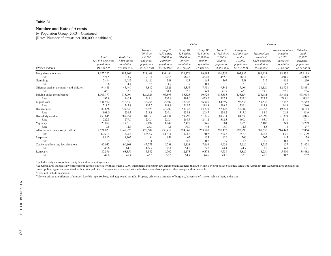#### **Number and Rate of Arrests**

by Population Group, 2003—Continued

[Rate: Number of arrests per 100,000 inhabitants]

|                                          |                                                             |                                                              |                                                                                       |                                                                                      | <b>Cities</b>                                                                  |                                                                                         | Counties                                                                          |                                                                                       |                                                                                          |                                                                                  |                                                                                    |
|------------------------------------------|-------------------------------------------------------------|--------------------------------------------------------------|---------------------------------------------------------------------------------------|--------------------------------------------------------------------------------------|--------------------------------------------------------------------------------|-----------------------------------------------------------------------------------------|-----------------------------------------------------------------------------------|---------------------------------------------------------------------------------------|------------------------------------------------------------------------------------------|----------------------------------------------------------------------------------|------------------------------------------------------------------------------------|
| Offense charged                          | Total<br>$(10, 843$ agencies;<br>population<br>204,034,545) | Total cities<br>(7,898 cities;<br>population<br>139,498,658) | Group I<br>$(50 \text{ cities})$<br>250,000<br>and over:<br>population<br>35,303,730) | Group II<br>$(135 \; cities.$<br>100,000 to<br>249,999;<br>population<br>20,341,032) | Group III<br>(323 cities,<br>50,000 to<br>99,999;<br>population<br>22,274,208) | Group IV<br>$(618 \text{ cities},$<br>25,000 to<br>49.999:<br>population<br>21,486,840) | Group V<br>$(1, 412$ cities,<br>10,000 to<br>24,999;<br>population<br>22,385,366) | Group VI<br>$(5,360 \text{ cities},$<br>under<br>10,000;<br>population<br>17,707,482) | Metropolitan<br>counties <sup>1</sup><br>$(1,158$ agencies;<br>population<br>45,269,822) | Nonmetropolitan<br>counties<br>(1,787)<br>agencies;<br>population<br>19,266,065) | Suburban<br>area <sup>2</sup><br>(5,889)<br>agencies;<br>population<br>92,793,659) |
| Drug abuse violations                    | 1,172,222                                                   | 883,969                                                      | 321,408                                                                               | 131,496                                                                              | 126,174                                                                        | 99,695                                                                                  | 101,359                                                                           | 103,837                                                                               | 199,921                                                                                  | 88,332                                                                           | 425,193                                                                            |
| Rate                                     | 574.5                                                       | 633.7                                                        | 910.4                                                                                 | 646.5                                                                                | 566.5                                                                          | 464.0                                                                                   | 452.8                                                                             | 586.4                                                                                 | 441.6                                                                                    | 458.5                                                                            | 458.2                                                                              |
| Gambling                                 | 7,414                                                       | 6,085                                                        | 4,426                                                                                 | 348                                                                                  | 423                                                                            | 165                                                                                     | 365                                                                               | 358                                                                                   | 717                                                                                      | 612                                                                              | 1,296                                                                              |
| Rate                                     | 3.6                                                         | 4.4                                                          | 12.5                                                                                  | 1.7                                                                                  | 1.9                                                                            | 0.8                                                                                     | 1.6                                                                               | 2.0                                                                                   | 1.6                                                                                      | 3.2                                                                              | 1.4                                                                                |
| Offenses against the family and children | 94,488                                                      | 45,440                                                       | 5,887                                                                                 | 6,321                                                                                | 8,355                                                                          | 7,931                                                                                   | 9,342                                                                             | 7,604                                                                                 | 36,120                                                                                   | 12,928                                                                           | 53,431                                                                             |
| Rate                                     | 46.3                                                        | 32.6                                                         | 16.7                                                                                  | 31.1                                                                                 | 37.5                                                                           | 36.9                                                                                    | 41.7                                                                              | 42.9                                                                                  | 79.8                                                                                     | 67.1                                                                             | 57.6                                                                               |
| Driving under the influence              | 1,005,777                                                   | 613,904                                                      | 120,525                                                                               | 67,893                                                                               | 85,523                                                                         | 90,926                                                                                  | 115,883                                                                           | 133,154                                                                               | 238,681                                                                                  | 153,192                                                                          | 478,094                                                                            |
| Rate                                     | 492.9                                                       | 440.1                                                        | 341.4                                                                                 | 333.8                                                                                | 384.0                                                                          | 423.2                                                                                   | 517.7                                                                             | 752.0                                                                                 | 527.2                                                                                    | 795.1                                                                            | 515.2                                                                              |
| Liquor laws                              | 431,912                                                     | 342,832                                                      | 46,764                                                                                | 38,407                                                                               | 47,323                                                                         | 46,906                                                                                  | 64,899                                                                            | 98,533                                                                                | 51,533                                                                                   | 37,547                                                                           | 185,562                                                                            |
| Rate                                     | 211.7                                                       | 245.8                                                        | 132.5                                                                                 | 188.8                                                                                | 212.5                                                                          | 218.3                                                                                   | 289.9                                                                             | 556.4                                                                                 | 113.8                                                                                    | 194.9                                                                            | 200.0                                                                              |
| <b>Drunkenness</b>                       | 389,626                                                     | 329,648                                                      | 75,828                                                                                | 48,702                                                                               | 53,043                                                                         | 43,770                                                                                  | 52,423                                                                            | 55,882                                                                                | 40,255                                                                                   | 19,723                                                                           | 138,143                                                                            |
| Rate                                     | 191.0                                                       | 236.3                                                        | 214.8                                                                                 | 239.4                                                                                | 238.1                                                                          | 203.7                                                                                   | 234.2                                                                             | 315.6                                                                                 | 88.9                                                                                     | 102.4                                                                            | 148.9                                                                              |
| Disorderly conduct                       | 453,645                                                     | 389,254                                                      | 81,353                                                                                | 44,834                                                                               | 59.798                                                                         | 51,825                                                                                  | 69.914                                                                            | 81,530                                                                                | 42,992                                                                                   | 21,399                                                                           | 183,845                                                                            |
| Rate                                     | 222.3                                                       | 279.0                                                        | 230.4                                                                                 | 220.4                                                                                | 268.5                                                                          | 241.2                                                                                   | 312.3                                                                             | 460.4                                                                                 | 95.0                                                                                     | 111.1                                                                            | 198.1                                                                              |
| Vagrancy                                 | 20,052                                                      | 17,518                                                       | 9,192                                                                                 | 1,847                                                                                | 2,429                                                                          | 946                                                                                     | 884                                                                               | 2,220                                                                                 | 2,185                                                                                    | 349                                                                              | 5,289                                                                              |
| Rate                                     | 9.8                                                         | 12.6                                                         | 26.0                                                                                  | 9.1                                                                                  | 10.9                                                                           | 4.4                                                                                     | 3.9                                                                               | 12.5                                                                                  | 4.8                                                                                      | 1.8                                                                              | 5.7                                                                                |
| All other offenses (except traffic)      | 2,571,023                                                   | 1,848,925                                                    | 478,602                                                                               | 238,412                                                                              | 294,869                                                                        | 253,580                                                                                 | 290,172                                                                           | 293,290                                                                               | 507,655                                                                                  | 214,443                                                                          | 1,107,854                                                                          |
| Rate                                     | 1,260.1                                                     | 1,325.4                                                      | 1,355.7                                                                               | 1,172.1                                                                              | 1,323.8                                                                        | 1,180.2                                                                                 | 1,296.3                                                                           | 1,656.3                                                                               | 1,121.4                                                                                  | 1,113.1                                                                          | 1,193.9                                                                            |
| Suspicion                                | 1,812                                                       | 1,105                                                        | 34                                                                                    | 159                                                                                  | 65                                                                             | 155                                                                                     | 426                                                                               | 266                                                                                   | 562                                                                                      | 145                                                                              | 1,139                                                                              |
| Rate                                     | 0.9                                                         | 0.8                                                          | 0.1                                                                                   | 0.8                                                                                  | 0.3                                                                            | 0.7                                                                                     | 1.9                                                                               | 1.5                                                                                   | 1.2                                                                                      | 0.8                                                                              | 1.2                                                                                |
| Curfew and loitering law violations      | 95,052                                                      | 90,168                                                       | 45,773                                                                                | 6,738                                                                                | 12,138                                                                         | 7,668                                                                                   | 9,931                                                                             | 7,920                                                                                 | 3,727                                                                                    | 1,157                                                                            | 21,428                                                                             |
| Rate                                     | 46.6                                                        | 64.6                                                         | 129.7                                                                                 | 33.1                                                                                 | 54.5                                                                           | 35.7                                                                                    | 44.4                                                                              | 44.7                                                                                  | 8.2                                                                                      | 6.0                                                                              | 23.1                                                                               |
| Runaways                                 | 87,396                                                      | 63,356                                                       | 15,342                                                                                | 10,702                                                                               | 12,173                                                                         | 9,574                                                                                   | 9,736                                                                             | 5,829                                                                                 | 18,230                                                                                   | 5,810                                                                            | 34,482                                                                             |
| Rate                                     | 42.8                                                        | 45.4                                                         | 43.5                                                                                  | 52.6                                                                                 | 54.7                                                                           | 44.6                                                                                    | 43.5                                                                              | 32.9                                                                                  | 40.3                                                                                     | 30.2                                                                             | 37.2                                                                               |

<sup>1</sup> Includes only metropolitan county law enforcement agencies.

2 Suburban area includes law enforcement agencies in cities with less than 50,000 inhabitants and county law enforcement agencies that are within a Metropolitan Statistical Area (see Appendix III). Suburban area excludes all metropolitan agencies associated with a principal city. The agencies associated with suburban areas also appear in other groups within this table.

<sup>3</sup> Does not include suspicion.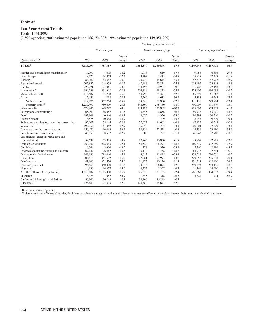# **Ten-Year Arrest Trends**

Totals, 1994-2003

[7,592 agencies; 2003 estimated population 166,154,387; 1994 estimated population 149,051,209]

|                                                |           |                |                   |           | Number of persons arrested |                   |           |                          |                   |
|------------------------------------------------|-----------|----------------|-------------------|-----------|----------------------------|-------------------|-----------|--------------------------|-------------------|
|                                                |           | Total all ages |                   |           | Under 18 years of age      |                   |           | 18 years of age and over |                   |
| Offense charged                                | 1994      | 2003           | Percent<br>change | 1994      | 2003                       | Percent<br>change | 1994      | 2003                     | Percent<br>change |
| TOTAL <sup>1</sup>                             | 8,013,794 | 7,787,587      | $-2.8$            | 1,564,349 | 1,289,876                  | $-17.5$           | 6,449,445 | 6,497,711                | $+0.7$            |
| Murder and nonnegligent manslaughter           | 10,999    | 7,015          | $-36.2$           | 1,913     | 619                        | $-67.6$           | 9,086     | 6,396                    | $-29.6$           |
| Forcible rape                                  | 19,125    | 14,863         | $-22.3$           | 3,207     | 2,415                      | $-24.7$           | 15,918    | 12,448                   | $-21.8$           |
| Robbery                                        | 83,369    | 62,547         | $-25.0$           | 25,732    | 14,645                     | $-43.1$           | 57,637    | 47,902                   | $-16.9$           |
| Aggravated assault                             | 305,983   | 268,339        | $-12.3$           | 47,488    | 35,221                     | $-25.8$           | 258,495   | 233.118                  | $-9.8$            |
| Burglary                                       | 226,221   | 173,061        | $-23.5$           | 84,494    | 50,903                     | $-39.8$           | 141,727   | 122,158                  | $-13.8$           |
| Larceny-theft                                  | 884,239   | 682,312        | $-22.8$           | 305,834   | 198,223                    | $-35.2$           | 578,405   | 484,089                  | $-16.3$           |
| Motor vehicle theft                            | 116,587   | 85,738         | $-26.5$           | 50,996    | 24,371                     | $-52.2$           | 65,591    | 61,367                   | $-6.4$            |
| Arson                                          | 12,450    | 8,898          | $-28.5$           | 7,266     | 4,633                      | $-36.2$           | 5,184     | 4,265                    | $-17.7$           |
| Violent crime <sup>2</sup>                     | 419,476   | 352,764        | $-15.9$           | 78,340    | 52,900                     | $-32.5$           | 341,136   | 299,864                  | $-12.1$           |
| Property crime <sup>2</sup>                    | 1,239,497 | 950,009        | $-23.4$           | 448,590   | 278,130                    | $-38.0$           | 790,907   | 671,879                  | $-15.0$           |
| Other assaults                                 | 678,846   | 699,287        | $+3.0$            | 123,184   | 135,908                    | $+10.3$           | 555,662   | 563,379                  | $+1.4$            |
| Forgery and counterfeiting                     | 65,092    | 66,057         | $+1.5$            | 5,355     | 2,856                      | $-46.7$           | 59,737    | 63,201                   | $+5.8$            |
| Fraud                                          | 192,869   | 160,646        | $-16.7$           | 6,075     | 4,336                      | $-28.6$           | 186,794   | 156,310                  | $-16.3$           |
| Embezzlement                                   | 8,875     | 10,548         | $+18.9$           | 632       | 729                        | $+15.3$           | 8,243     | 9,819                    | $+19.1$           |
| Stolen property; buying, receiving, possessing | 95,002    | 75,145         | $-20.9$           | 27,077    | 14,602                     | $-46.1$           | 67,925    | 60,543                   | $-10.9$           |
| Vandalism                                      | 196,056   | 161,052        | $-17.9$           | 95,252    | 63,723                     | $-33.1$           | 100,804   | 97,329                   | $-3.4$            |
| Weapons; carrying, possessing, etc.            | 150,470   | 96,063         | $-36.2$           | 38,134    | 22,573                     | $-40.8$           | 112,336   | 73,490                   | $-34.6$           |
| Prostitution and commercialized vice           | 46,850    | 38,577         | $-17.7$           | 608       | 797                        | $+31.1$           | 46,242    | 37,780                   | $-18.3$           |
| Sex offenses (except forcible rape and         |           |                |                   |           |                            |                   |           |                          |                   |
| prostitution)                                  | 59,632    | 53,815         | $-9.8$            | 10,765    | 10,950                     | $+1.7$            | 48,867    | 42,865                   | $-12.3$           |
| Drug abuse violations                          | 750,359   | 918,543        | $+22.4$           | 89,520    | 106,293                    | $+18.7$           | 660,839   | 812,250                  | $+22.9$           |
| Gambling                                       | 6.544     | 3,306          | $-49.5$           | 778       | 320                        | $-58.9$           | 5,766     | 2,986                    | $-48.2$           |
| Offenses against the family and children       | 69,149    | 76,462         | $+10.6$           | 3,172     | 3,768                      | $+18.8$           | 65,977    | 72,694                   | $+10.2$           |
| Driving under the influence                    | 848.136   | 798,046        | $-5.9$            | 8.617     | 11,495                     | $+33.4$           | 839,519   | 786,551                  | $-6.3$            |
| Liquor laws                                    | 306,418   | 355,512        | $+16.0$           | 77,061    | 79,994                     | $+3.8$            | 229,357   | 275,518                  | $+20.1$           |
| <b>Drunkenness</b>                             | 443,190   | 328,576        | $-25.9$           | 11,477    | 10,176                     | $-11.3$           | 431,713   | 318,400                  | $-26.2$           |
| Disorderly conduct                             | 394,468   | 350,070        | $-11.3$           | 94,875    | 106,874                    | $+12.6$           | 299,593   | 243,196                  | $-18.8$           |
| Vagrancy                                       | 14,136    | 16.377         | $+15.9$           | 2,775     | 1,397                      | $-49.7$           | 11,361    | 14,980                   | $+31.9$           |
| All other offenses (except traffic)            | 1,813,187 | 2,115,810      | $+16.7$           | 226,520   | 221,133                    | $-2.4$            | 1,586,667 | 1,894,677                | $+19.4$           |
| Suspicion                                      | 6,976     | 1,052          | $-84.9$           | 1,355     | 318                        | $-76.5$           | 5,621     | 734                      | $-86.9$           |
| Curfew and loitering law violations            | 86,860    | 86,249         | $-0.7$            | 86,860    | 86,249                     | $-0.7$            |           |                          |                   |
| Runaways                                       | 128,682   | 74,673         | $-42.0$           | 128,682   | 74,673                     | $-42.0$           |           |                          |                   |

<sup>1</sup> Does not include suspicion.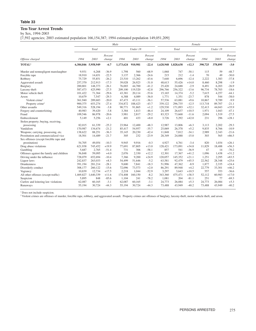# **Ten-Year Arrest Trends**

by Sex, 1994-2003

[7,592 agencies; 2003 estimated population 166,154,387; 1994 estimated population 149,051,209]

|                                          |           |                     |                   | Male      |          |                   | Female              |         |                   |         |          |                   |  |
|------------------------------------------|-----------|---------------------|-------------------|-----------|----------|-------------------|---------------------|---------|-------------------|---------|----------|-------------------|--|
|                                          |           | Total               |                   |           | Under 18 |                   |                     | Total   |                   |         | Under 18 |                   |  |
| Offense charged                          | 1994      | 2003                | Percent<br>change | 1994      | 2003     | Percent<br>change | 1994                | 2003    | Percent<br>change | 1994    | 2003     | Percent<br>change |  |
| TOTAL <sup>1</sup>                       |           | 6,384,846 5,958,949 | $-6.7$            | 1,173,624 | 910,981  | $-22.4$           | 1,628,948 1,828,638 |         | $+12.3$           | 390,725 | 378,895  | $-3.0$            |  |
| Murder and nonnegligent manslaughter     | 9,931     | 6,268               | $-36.9$           | 1,798     | 560      | $-68.9$           | 1.068               | 747     | $-30.1$           | 115     | 59       | $-48.7$           |  |
| Forcible rape                            | 18,910    | 14,651              | $-22.5$           | 3,137     | 2,366    | $-24.6$           | 215                 | 212     | $-1.4$            | 70      | 49       | $-30.0$           |  |
| Robbery                                  | 75,729    | 55,851              | $-26.2$           | 23,510    | 13,262   | $-43.6$           | 7,640               | 6,696   | $-12.4$           | 2,222   | 1,383    | $-37.8$           |  |
| Aggravated assault                       | 257,370   | 212,913             | $-17.3$           | 39,028    | 26,923   | $-31.0$           | 48,613              | 55,426  | $+14.0$           | 8,460   | 8,298    | $-1.9$            |  |
| Burglary                                 | 200,801   | 148,373             | $-26.1$           | 76,003    | 44,700   | $-41.2$           | 25,420              | 24,688  | $-2.9$            | 8,491   | 6,203    | $-26.9$           |  |
| Larceny-theft                            | 587,473   | 425,990             | $-27.5$           | 209,100   | 119,520  | $-42.8$           | 296,766             | 256,322 | $-13.6$           | 96.734  | 78,703   | $-18.6$           |  |
| Motor vehicle theft                      | 101,422   | 71,364              | $-29.6$           | 43,381    | 20,114   | $-53.6$           | 15,165              | 14,374  | $-5.2$            | 7,615   | 4,257    | $-44.1$           |  |
| Arson                                    | 10.679    | 7,547               | $-29.3$           | 6,388     | 4,089    | $-36.0$           | 1,771               | 1,351   | $-23.7$           | 878     | 544      | $-38.0$           |  |
| Violent crime <sup>2</sup>               | 361,940   | 289,683             | $-20.0$           | 67,473    | 43,111   | $-36.1$           | 57,536              | 63,081  | $+9.6$            | 10,867  | 9.789    | $-9.9$            |  |
| Property crime <sup>2</sup>              | 900,375   | 653,274             | $-27.4$           | 334,872   | 188,423  | $-43.7$           | 339,122             | 296,735 | $-12.5$           | 113,718 | 89,707   | $-21.1$           |  |
| Other assaults                           | 549,316   | 528,194             | $-3.8$            | 90,771    | 91,865   | $+1.2$            | 129,530             | 171,093 | $+32.1$           | 32,413  | 44,043   | $+35.9$           |  |
| Forgery and counterfeiting               | 40.983    | 39,420              | $-3.8$            | 3,384     | 1,813    | $-46.4$           | 24,109              | 26,637  | $+10.5$           | 1,971   | 1.043    | $-47.1$           |  |
| Fraud                                    | 109,546   | 86,978              | $-20.6$           | 3,981     | 2,817    | $-29.2$           | 83,323              | 73,668  | $-11.6$           | 2,094   | 1,519    | $-27.5$           |  |
| Embezzlement                             | 5,149     | 5,256               | $+2.1$            | 401       | 433      | $+8.0$            | 3,726               | 5,292   | $+42.0$           | 231     | 296      | $+28.1$           |  |
| Stolen property; buying, receiving,      |           |                     |                   |           |          |                   |                     |         |                   |         |          |                   |  |
| possessing                               | 82,015    | 61.339              | $-25.2$           | 23,964    | 12,400   | $-48.3$           | 12,987              | 13,806  | $+6.3$            | 3,113   | 2,202    | $-29.3$           |  |
| Vandalism                                | 170,987   | 134,674             | $-21.2$           | 85,417    | 54,957   | $-35.7$           | 25,069              | 26,378  | $+5.2$            | 9,835   | 8,766    | $-10.9$           |  |
| Weapons; carrying, possessing, etc.      | 138,622   | 88,251              | $-36.3$           | 35,145    | 20,230   | $-42.4$           | 11,848              | 7,812   | $-34.1$           | 2,989   | 2,343    | $-21.6$           |  |
| Prostitution and commercialized vice     | 18,501    | 14,489              | $-21.7$           | 305       | 232      | $-23.9$           | 28,349              | 24,088  | $-15.0$           | 303     | 565      | $+86.5$           |  |
| Sex offenses (except forcible rape and   |           |                     |                   |           |          |                   |                     |         |                   |         |          |                   |  |
| prostitution)                            | 54,705    | 49,054              | $-10.3$           | 9.945     | 9,916    | $-0.3$            | 4,927               | 4,761   | $-3.4$            | 820     | 1.034    | $+26.1$           |  |
| Drug abuse violations                    | 621,938   | 745,452             | $+19.9$           | 77,691    | 87,805   | $+13.0$           | 128,421             | 173,091 | $+34.8$           | 11,829  | 18,488   | $+56.3$           |  |
| Gambling                                 | 5,687     | 2,765               | $-51.4$           | 731       | 306      | $-58.1$           | 857                 | 541     | $-36.9$           | 47      | 14       | $-70.2$           |  |
| Offenses against the family and children | 56,848    | 59,095              | $+4.0$            | 2,076     | 2,330    | $+12.2$           | 12,301              | 17,367  | $+41.2$           | 1,096   | 1,438    | $+31.2$           |  |
| Driving under the influence              | 728,079   | 652,694             | $-10.4$           | 7,366     | 9,200    | $+24.9$           | 120,057             | 145,352 | $+21.1$           | 1,251   | 2,295    | $+83.5$           |  |
| Liquor laws                              | 242,837   | 263,033             | $+8.3$            | 54,499    | 51,646   | $-5.2$            | 63.581              | 92,479  | $+45.5$           | 22,562  | 28,348   | $+25.6$           |  |
| <b>Drunkenness</b>                       | 391.194   | 281.214             | $-28.1$           | 9,600     | 7,841    | $-18.3$           | 51,996              | 47.362  | $-8.9$            | 1,877   | 2.335    | $+24.4$           |  |
| Disorderly conduct                       | 308,177   | 260,122             | $-15.6$           | 72,096    | 73,573   | $+2.0$            | 86,291              | 89,948  | $+4.2$            | 22,779  | 33,301   | $+46.2$           |  |
| Vagrancy                                 | 10,839    | 12,734              | $+17.5$           | 2,218     | 1,044    | $-52.9$           | 3,297               | 3,643   | $+10.5$           | 557     | 353      | $-36.6$           |  |
| All other offenses (except traffic)      | 1,469,827 | 1,640,339           | $+11.6$           | 174,408   | 160,150  | $-8.2$            | 343,360             | 475,471 | $+38.5$           | 52,112  | 60,983   | $+17.0$           |  |
| Suspicion                                | 5,895     | 848                 | $-85.6$           | 1,104     | 241      | $-78.2$           | 1,081               | 204     | $-81.1$           | 251     | 77       | $-69.3$           |  |
| Curfew and loitering law violations      | 62,087    | 60,165              | $-3.1$            | 62,087    | 60,165   | $-3.1$            | 24,773              | 26,084  | $+5.3$            | 24,773  | 26,084   | $+5.3$            |  |
| Runaways                                 | 55,194    | 30,724              | $-44.3$           | 55,194    | 30,724   | $-44.3$           | 73,488              | 43,949  | $-40.2$           | 73,488  | 43,949   | $-40.2$           |  |

<sup>1</sup> Does not include suspicion.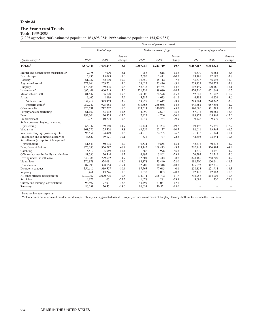# **Five-Year Arrest Trends**

Totals, 1999-2003

[7,925 agencies; 2003 estimated population 163,898,254; 1999 estimated population 154,626,351]

|                                          |           |                |                   |           | Number of persons arrested |                   |           |                          |                   |
|------------------------------------------|-----------|----------------|-------------------|-----------|----------------------------|-------------------|-----------|--------------------------|-------------------|
|                                          |           | Total all ages |                   |           | Under 18 years of age      |                   |           | 18 years of age and over |                   |
| Offense charged                          | 1999      | 2003           | Percent<br>change | 1999      | 2003                       | Percent<br>change | 1999      | 2003                     | Percent<br>change |
| <b>TOTAL</b> <sup>1</sup>                | 7,877,446 | 7,606,247      | $-3.4$            | 1,389,989 | 1,241,719                  | $-10.7$           | 6,487,457 | 6,364,528                | $-1.9$            |
| Murder and nonnegligent manslaughter     | 7,375     | 7,000          | $-5.1$            | 756       | 618                        | $-18.3$           | 6,619     | 6,382                    | $-3.6$            |
| Forcible rape                            | 15,886    | 15,098         | $-5.0$            | 2,695     | 2,411                      | $-10.5$           | 13,191    | 12,687                   | $-3.8$            |
| Robbery                                  | 61,987    | 62,110         | $+0.2$            | 16,350    | 15,112                     | $-7.6$            | 45,637    | 46,998                   | $+3.0$            |
| Aggravated assault                       | 272,164   | 259,751        | $-4.6$            | 39,027    | 35,476                     | $-9.1$            | 233.137   | 224,275                  | $-3.8$            |
| Burglary                                 | 170,484   | 169,896        | $-0.3$            | 58,335    | 49,735                     | $-14.7$           | 112,149   | 120,161                  | $+7.1$            |
| Larceny-theft                            | 695,449   | 660,743        | $-5.0$            | 221,239   | 189,080                    | $-14.5$           | 474,210   | 471,663                  | $-0.5$            |
| Motor vehicle theft                      | 81,647    | 86,120         | $+5.5$            | 29,006    | 24,578                     | $-15.3$           | 52,641    | 61,542                   | $+16.9$           |
| Arson                                    | 9,667     | 8,899          | $-7.9$            | 5,285     | 4,673                      | $-11.6$           | 4,382     | 4,226                    | $-3.6$            |
| Violent crime <sup>2</sup>               | 357,412   | 343,959        | $-3.8$            | 58,828    | 53,617                     | $-8.9$            | 298,584   | 290,342                  | $-2.8$            |
| Property crime <sup>2</sup>              | 957,247   | 925,658        | $-3.3$            | 313,865   | 268,066                    | $-14.6$           | 643,382   | 657,592                  | $+2.2$            |
| Other assaults                           | 723,591   | 712,227        | $-1.6$            | 133,511   | 140,838                    | $+5.5$            | 590,080   | 571,389                  | $-3.2$            |
| Forgery and counterfeiting               | 61,162    | 63,312         | $+3.5$            | 4,090     | 2,627                      | $-35.8$           | 57,072    | 60,685                   | $+6.3$            |
| Fraud                                    | 197,304   | 170,575        | $-13.5$           | 7,427     | 4,706                      | $-36.6$           | 189,877   | 165,869                  | $-12.6$           |
| Embezzlement                             | 10,773    | 10,704         | $-0.6$            | 1,047     | 734                        | $-29.9$           | 9,726     | 9,970                    | $+2.5$            |
| Stolen property; buying, receiving,      |           |                |                   |           |                            |                   |           |                          |                   |
| possessing                               | 65,937    | 69,180         | $+4.9$            | 16,441    | 13,284                     | $-19.2$           | 49,496    | 55,896                   | $+12.9$           |
| Vandalism                                | 161,570   | 155,502        | $-3.8$            | 69,559    | 62,137                     | $-10.7$           | 92,011    | 93,365                   | $+1.5$            |
| Weapons; carrying, possessing, etc.      | 95.654    | 94,449         | $-1.3$            | 24,216    | 22,705                     | $-6.2$            | 71,438    | 71,744                   | $+0.4$            |
| Prostitution and commercialized vice     | 43,529    | 39,121         | $-10.1$           | 634       | 777                        | $+22.6$           | 42,895    | 38,344                   | $-10.6$           |
| Sex offenses (except forcible rape and   |           |                |                   |           |                            |                   |           |                          |                   |
| prostitution)                            | 51,843    | 50,193         | $-3.2$            | 9,531     | 9,855                      | $+3.4$            | 42,312    | 40,338                   | $-4.7$            |
| Drug abuse violations                    | 876,090   | 936,297        | $+6.9$            | 113.143   | 109,413                    | $-3.3$            | 762,947   | 826,884                  | $+8.4$            |
| Gambling                                 | 5,512     | 5,589          | $+1.4$            | 682       | 998                        | $+46.3$           | 4,830     | 4,591                    | $-4.9$            |
| Offenses against the family and children | 81,590    | 76,544         | $-6.2$            | 4,993     | 3,802                      | $-23.9$           | 76,597    | 72,742                   | $-5.0$            |
| Driving under the influence              | 840,984   | 799,612        | $-4.9$            | 12,504    | 11,412                     | $-8.7$            | 828,480   | 788,200                  | $-4.9$            |
| Liquor laws                              | 376,878   | 324,081        | $-14.0$           | 94,178    | 73,440                     | $-22.0$           | 282,700   | 250,641                  | $-11.3$           |
| <b>Drunkenness</b>                       | 387,798   | 328,154        | $-15.4$           | 12,705    | 10,318                     | $-18.8$           | 375,093   | 317,836                  | $-15.3$           |
| Disorderly conduct                       | 356,616   | 319,557        | $-10.4$           | 97,763    | 97,643                     | $-0.1$            | 258,853   | 221,914                  | $-14.3$           |
| Vagrancy                                 | 13,461    | 13,246         | $-1.6$            | 1,333     | 1,063                      | $-20.3$           | 12,128    | 12,183                   | $+0.5$            |
| All other offenses (except traffic)      | 2,032,967 | 2,020,705      | $-0.6$            | 234,011   | 206,702                    | $-11.7$           | 1,798,956 | 1,814,003                | $+0.8$            |
| Suspicion                                | 4.177     | 1,031          | $-75.3$           | 1,078     | 281                        | $-73.9$           | 3,099     | 750                      | $-75.8$           |
| Curfew and loitering law violations      | 93,497    | 77,031         | $-17.6$           | 93,497    | 77,031                     | $-17.6$           |           |                          | $\equiv$          |
| Runaways                                 | 86,031    | 70,551         | $-18.0$           | 86,031    | 70,551                     | $-18.0$           |           |                          |                   |

<sup>1</sup> Does not include suspicion.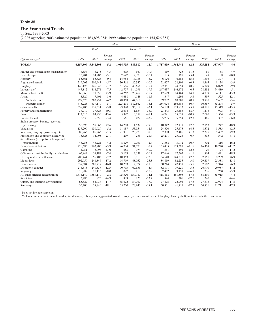# **Five-Year Arrest Trends**

by Sex, 1999-2003

[7,925 agencies; 2003 estimated population 163,898,254; 1999 estimated population 154,626,351]

|                                          |           |                     |                   | Male      |          |                   | Female    |           |                   |         |          |                   |  |
|------------------------------------------|-----------|---------------------|-------------------|-----------|----------|-------------------|-----------|-----------|-------------------|---------|----------|-------------------|--|
|                                          |           | Total               |                   |           | Under 18 |                   |           | Total     |                   |         | Under 18 |                   |  |
| Offense charged                          | 1999      | 2003                | Percent<br>change | 1999      | 2003     | Percent<br>change | 1999      | 2003      | Percent<br>change | 1999    | 2003     | Percent<br>change |  |
| TOTAL <sup>1</sup>                       |           | 6,159,807 5,841,305 | $-5.2$            | 1,014,735 | 883,812  | $-12.9$           | 1,717,639 | 1,764,942 | $+2.8$            | 375,254 | 357,907  | $-4.6$            |  |
| Murder and nonnegligent manslaughter     | 6,556     | 6.275               | $-4.3$            | 695       | 560      | $-19.4$           | 819       | 725       | $-11.5$           | 61      | 58       | $-4.9$            |  |
| Forcible rape                            | 15.701    | 14.903              | $-5.1$            | 2.647     | 2,373    | $-10.4$           | 185       | 195       | $+5.4$            | 48      | 38       | $-20.8$           |  |
| Robbery                                  | 55,861    | 55.626              | $-0.4$            | 14,954    | 13,735   | $-8.2$            | 6,126     | 6,484     | $+5.8$            | 1,396   | 1.377    | $-1.4$            |  |
| Aggravated assault                       | 219,507   | 206,947             | $-5.7$            | 30,562    | 27,342   | $-10.5$           | 52,657    | 52,804    | $+0.3$            | 8,465   | 8,134    | $-3.9$            |  |
| Burglary                                 | 148,123   | 145,642             | $-1.7$            | 51,586    | 43,656   | $-15.4$           | 22,361    | 24,254    | $+8.5$            | 6,749   | 6.079    | $-9.9$            |  |
| Larceny-theft                            | 447,812   | 414,271             | $-7.5$            | 142,757   | 114.591  | $-19.7$           | 247,637   | 246,472   | $-0.5$            | 78,482  | 74,489   | $-5.1$            |  |
| Motor vehicle theft                      | 68,968    | 71,656              | $+3.9$            | 24,267    | 20,467   | $-15.7$           | 12,679    | 14,464    | $+14.1$           | 4,739   | 4,111    | $-13.3$           |  |
| Arson                                    | 8,320     | 7,601               | $-8.6$            | 4.688     | 4,148    | $-11.5$           | 1,347     | 1,298     | $-3.6$            | 597     | 525      | $-12.1$           |  |
| Violent crime <sup>2</sup>               | 297,625   | 283,751             | $-4.7$            | 48,858    | 44,010   | $-9.9$            | 59,787    | 60,208    | $+0.7$            | 9,970   | 9.607    | $-3.6$            |  |
| Property crime <sup>2</sup>              | 673,223   | 639,170             | $-5.1$            | 223,298   | 182,862  | $-18.1$           | 284,024   | 286,488   | $+0.9$            | 90,567  | 85,204   | $-5.9$            |  |
| Other assaults                           | 559,403   | 538,314             | $-3.8$            | 93,390    | 95,319   | $+2.1$            | 164,188   | 173,913   | $+5.9$            | 40,121  | 45,519   | $+13.5$           |  |
| Forgery and counterfeiting               | 37,719    | 37,826              | $+0.3$            | 2,614     | 1,654    | $-36.7$           | 23,443    | 25,486    | $+8.7$            | 1.476   | 973      | $-34.1$           |  |
| Fraud                                    | 112,513   | 94,936              | $-15.6$           | 5,347     | 3,152    | $-41.1$           | 84,791    | 75,639    | $-10.8$           | 2,080   | 1,554    | $-25.3$           |  |
| Embezzlement                             | 5,538     | 5,350               | $-3.4$            | 561       | 427      | $-23.9$           | 5,235     | 5,354     | $+2.3$            | 486     | 307      | $-36.8$           |  |
| Stolen property; buying, receiving,      |           |                     |                   |           |          |                   |           |           |                   |         |          |                   |  |
| possessing                               | 55,595    | 57,063              | $+2.6$            | 14,288    | 11,537   | $-19.3$           | 10,342    | 12,117    | $+17.2$           | 2,153   | 1,747    | $-18.9$           |  |
| Vandalism                                | 137,200   | 130,029             | $-5.2$            | 61,187    | 53,554   | $-12.5$           | 24,370    | 25,473    | $+4.5$            | 8,372   | 8,583    | $+2.5$            |  |
| Weapons; carrying, possessing, etc.      | 88,266    | 86,963              | $-1.5$            | 21,991    | 20,273   | $-7.8$            | 7,388     | 7,486     | $+1.3$            | 2,225   | 2,432    | $+9.3$            |  |
| Prostitution and commercialized vice     | 18,328    | 14,093              | $-23.1$           | 299       | 235      | $-21.4$           | 25,201    | 25,028    | $-0.7$            | 335     | 542      | $+61.8$           |  |
| Sex offenses (except forcible rape and   |           |                     |                   |           |          |                   |           |           |                   |         |          |                   |  |
| prostitution)                            | 48,255    | 46,221              | $-4.2$            | 8,829     | 9,039    | $+2.4$            | 3,588     | 3,972     | $+10.7$           | 702     | 816      | $+16.2$           |  |
| Drug abuse violations                    | 720,685   | 762,906             | $+5.9$            | 96,734    | 91,173   | $-5.7$            | 155,405   | 173,391   | $+11.6$           | 16,409  | 18,240   | $+11.2$           |  |
| Gambling                                 | 4,951     | 5,098               | $+3.0$            | 653       | 974      | $+49.2$           | 561       | 491       | $-12.5$           | 29      | 24       | $-17.2$           |  |
| Offenses against the family and children | 63,944    | 59,181              | $-7.4$            | 3,179     | 2,331    | $-26.7$           | 17,646    | 17,363    | $-1.6$            | 1,814   | 1,471    | $-18.9$           |  |
| Driving under the influence              | 706,444   | 655,402             | $-7.2$            | 10,353    | 9,113    | $-12.0$           | 134,540   | 144,210   | $+7.2$            | 2,151   | 2,299    | $+6.9$            |  |
| Liquor laws                              | 292,059   | 241,846             | $-17.2$           | 64,719    | 48,052   | $-25.8$           | 84,819    | 82,235    | $-3.0$            | 29,459  | 25,388   | $-13.8$           |  |
| Drunkenness                              | 337,584   | 280,717             | $-16.8$           | 10,203    | 7,974    | $-21.8$           | 50,214    | 47,437    | $-5.5$            | 2,502   | 2,344    | $-6.3$            |  |
| Disorderly conduct                       | 274,515   | 240,337             | $-12.5$           | 70,793    | 67,656   | $-4.4$            | 82,101    | 79,220    | $-3.5$            | 26,970  | 29,987   | $+11.2$           |  |
| Vagrancy                                 | 10,989    | 10,115              | $-8.0$            | 1,097     | 813      | $-25.9$           | 2,472     | 3,131     | $+26.7$           | 236     | 250      | $+5.9$            |  |
| All other offenses (except traffic)      | 1,614,149 | 1,569,110           | $-2.8$            | 175,520   | 150,787  | $-14.1$           | 418,818   | 451,595   | $+7.8$            | 58,491  | 55,915   | $-4.4$            |  |
| Suspicion                                | 3,283     | 825                 | $-74.9$           | 838       | 220      | $-73.7$           | 894       | 206       | $-77.0$           | 240     | 61       | $-74.6$           |  |
| Curfew and loitering law violations      | 65,622    | 54,037              | $-17.7$           | 65,622    | 54,037   | $-17.7$           | 27,875    | 22,994    | $-17.5$           | 27,875  | 22,994   | $-17.5$           |  |
| Runaways                                 | 35,200    | 28,840              | $-18.1$           | 35,200    | 28,840   | $-18.1$           | 50,831    | 41,711    | $-17.9$           | 50,831  | 41,711   | $-17.9$           |  |

<sup>1</sup> Does not include suspicion.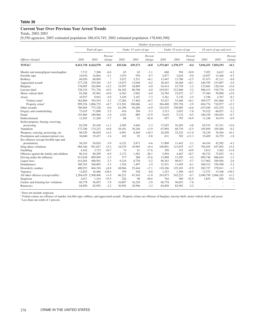# **Current Year Over Previous Year Arrest Trends**

Totals, 2002-2003

[9,556 agencies; 2003 estimated population 180,434,745; 2002 estimated population 178,840,390]

|                                          | Number of persons arrested |                     |                            |         |                       |                   |           |                       |                   |                     |                          |                   |
|------------------------------------------|----------------------------|---------------------|----------------------------|---------|-----------------------|-------------------|-----------|-----------------------|-------------------|---------------------|--------------------------|-------------------|
|                                          |                            | Total all ages      |                            |         | Under 15 years of age |                   |           | Under 18 years of age |                   |                     | 18 years of age and over |                   |
| Offense charged                          | 2002                       | 2003                | Percent<br>change          | 2002    | 2003                  | Percent<br>change | 2002      | 2003                  | Percent<br>change | 2002                | 2003                     | Percent<br>change |
| <b>TOTAL</b> <sup>1</sup>                |                            | 8,411,718 8,424,570 | $+0.2$                     | 435,544 | 439,173               | $+0.8$            | 1,375,467 | 1,370,377             | $-0.4$            | 7,036,251 7,054,193 |                          | $+0.3$            |
| Murder and nonnegligent manslaughter     | 7,712                      | 7,206               | $-6.6$                     | 65      | 63                    | $-3.1$            | 660       | 594                   | $-10.0$           | 7,052               | 6.612                    | $-6.2$            |
| Forcible rape                            | 16,934                     | 16,064              | $-5.1$                     | 1.074   | 970                   | $-9.7$            | 2,877     | 2,618                 | $-9.0$            | 14,057              | 13,446                   | $-4.3$            |
| Robbery                                  | 60,920                     | 60,899              | $\ensuremath{\mathcal{V}}$ | 3,072   | 3,321                 | $+8.1$            | 13,447    | 13,788                | $+2.5$            | 47,473              | 47,111                   | $-0.8$            |
| Aggravated assault                       | 277,238                    | 270,365             | $-2.5$                     | 13,073  | 13,048                | $-0.2$            | 36,443    | 36,468                | $+0.1$            | 240,795             | 233,897                  | $-2.9$            |
| Burglary                                 | 178,095                    | 182,094             | $+2.2$                     | 19,597  | 18,809                | $-4.0$            | 54,414    | 53,750                | $-1.2$            | 123,681             | 128,344                  | $+3.8$            |
| Larceny-theft                            | 728,334                    | 731,736             | $+0.5$                     | 84,102  | 80,708                | $-4.0$            | 219,921   | 212,960               | $-3.2$            | 508,413             | 518,776                  | $+2.0$            |
| Motor vehicle theft                      | 82,268                     | 82,962              | $+0.8$                     | 6,363   | 5,982                 | $-6.0$            | 24,784    | 23,872                | $-3.7$            | 57,484              | 59,090                   | $+2.8$            |
| Arson                                    | 10,557                     | 9,943               | $-5.8$                     | 3,439   | 3,187                 | $-7.3$            | 5,361     | 5,176                 | $-3.5$            | 5,196               | 4,767                    | $-8.3$            |
| Violent crime <sup>2</sup>               | 362,804                    | 354,534             | $-2.3$                     | 17,284  | 17,402                | $+0.7$            | 53,427    | 53,468                | $+0.1$            | 309,377             | 301,066                  | $-2.7$            |
| Property crime <sup>2</sup>              |                            | 999,254 1,006,735   | $+0.7$                     | 113,501 | 108,686               | $-4.2$            | 304,480   | 295,758               | $-2.9$            | 694,774             | 710,977                  | $+2.3$            |
| Other assaults                           | 780,465                    | 773,320             | $-0.9$                     | 61,299  | 64,286                | $+4.9$            | 143,435   | 150,085               | $+4.6$            | 637,030             | 623,235                  | $-2.2$            |
| Forgery and counterfeiting               | 73,635                     | 71,090              | $-3.5$                     | 416     | 394                   | $-5.3$            | 3,313     | 3,053                 | $-7.8$            | 70,322              | 68,037                   | $-3.2$            |
| Fraud                                    | 191,804                    | 189,966             | $-1.0$                     | 1,032   | 889                   | $-13.9$           | 5,610     | 5,132                 | $-8.5$            | 186,194             | 184,834                  | $-0.7$            |
| Embezzlement                             | 12,203                     | 11,269              | $-7.7$                     | 88      | 51                    | $-42.0$           | 957       | 795                   | $-16.9$           | 11,246              | 10,474                   | $-6.9$            |
| Stolen property; buying, receiving,      |                            |                     |                            |         |                       |                   |           |                       |                   |                     |                          |                   |
| possessing                               | 82,558                     | 83,436              | $+1.1$                     | 4,505   | 4,446                 | $-1.3$            | 17.025    | 16,205                | $-4.8$            | 65,533              | 67,231                   | $+2.6$            |
| Vandalism                                | 172,788                    | 174,223             | $+0.8$                     | 29,101  | 30,246                | $+3.9$            | 67,094    | 68,739                | $+2.5$            | 105,694             | 105,484                  | $-0.2$            |
| Weapons; carrying, possessing, etc.      | 96,529                     | 98,829              | $+2.4$                     | 6,991   | 8,269                 | $+18.3$           | 20,299    | 22,525                | $+11.0$           | 76,230              | 76,304                   | $+0.1$            |
| Prostitution and commercialized vice     | 36,040                     | 35,457              | $-1.6$                     | 102     | 92                    | $-9.8$            | 631       | 702                   | $+11.3$           | 35,409              | 34,755                   | $-1.8$            |
| Sex offenses (except forcible rape and   |                            |                     |                            |         |                       |                   |           |                       |                   |                     |                          |                   |
| prostitution)                            | 56,243                     | 54,024              | $-3.9$                     | 6.152   | 5,871                 | $-4.6$            | 11,809    | 11.442                | $-3.1$            | 44,434              | 42.582                   | $-4.2$            |
| Drug abuse violations                    | 904,346                    | 951,027             | $+5.2$                     | 18,279  | 19,995                | $+9.4$            | 109,891   | 113,935               | $+3.7$            | 794,455             | 837,092                  | $+5.4$            |
| Gambling                                 | 4,162                      | 3,715               | $-10.7$                    | 74      | 61                    | $-17.6$           | 350       | 353                   | $+0.9$            | 3,812               | 3,362                    | $-11.8$           |
| Offenses against the family and children | 86,216                     | 80,299              | $-6.9$                     | 2.172   | 1.562                 | $-28.1$           | 5,494     | 4,467                 | $-18.7$           | 80,722              | 75,832                   | $-6.1$            |
| Driving under the influence              | 913,638                    | 899,949             | $-1.5$                     | 377     | 288                   | $-23.6$           | 13,898    | 13,295                | $-4.3$            | 899,740             | 886,654                  | $-1.5$            |
| Liquor laws                              | 414,265                    | 400,501             | $-3.3$                     | 9,210   | 8.730                 | $-5.2$            | 96,363    | 90,917                | $-5.7$            | 317,902             | 309,584                  | $-2.6$            |
| Drunkenness                              | 380,763                    | 368,085             | $-3.3$                     | 1,526   | 1,497                 | $-1.9$            | 12,451    | 11,695                | $-6.1$            | 368,312             | 356,390                  | $-3.2$            |
| Disorderly conduct                       | 400,923                    | 404,194             | $+0.8$                     | 48,966  | 52,444                | $+7.1$            | 118,186   | 125,183               | $+5.9$            | 282,737             | 279,011                  | $-1.3$            |
| Vagrancy                                 | 12,825                     | 16.466              | $+28.4$                    | 359     | 328                   | $-8.6$            | 1,253     | 1,360                 | $+8.5$            | 11,572              | 15,106                   | $+30.5$           |
| All other offenses (except traffic)      |                            | 2,284,629 2,308,406 | $+1.0$                     | 66,221  | 67,410                | $+1.8$            | 243,873   | 242,223               | $-0.7$            | 2,040,756 2,066,183 |                          | $+1.2$            |
| Suspicion                                | 2,617                      | 1,216               | $-53.5$                    | 226     | 98                    | $-56.6$           | 764       | 360                   | $-52.9$           | 1,853               | 856                      | $-53.8$           |
| Curfew and loitering law violations      | 60,778                     | 56,053              | $-7.8$                     | 16,897  | 16,230                | $-3.9$            | 60,778    | 56,053                | $-7.8$            |                     |                          |                   |
| Runaways                                 | 84,850                     | 82,992              | $-2.2$                     | 30,992  | 29,996                | $-3.2$            | 84,850    | 82,992                | $-2.2$            |                     |                          |                   |
|                                          |                            |                     |                            |         |                       |                   |           |                       |                   |                     |                          |                   |

<sup>1</sup> Does not include suspicion.

<sup>2</sup> Violent crimes are offenses of murder, forcible rape, robbery, and aggravated assault. Property crimes are offenses of burglary, larceny-theft, motor vehicle theft, and arson.

\*Less than one-tenth of 1 percent.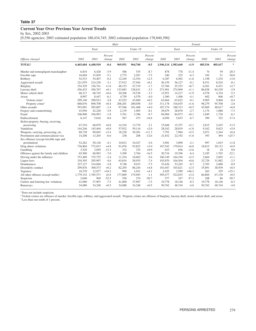# **Current Year Over Previous Year Arrest Trends**

by Sex, 2002-2003

[9,556 agencies; 2003 estimated population 180,434,745; 2002 estimated population 178,840,390]

|                                          |           |                     |                   | Male    |          |                   | Female              |         |                   |         |          |                   |  |
|------------------------------------------|-----------|---------------------|-------------------|---------|----------|-------------------|---------------------|---------|-------------------|---------|----------|-------------------|--|
|                                          |           | Total               |                   |         | Under 18 |                   |                     | Total   |                   |         | Under 18 |                   |  |
| Offense charged                          | 2002      | 2003                | Percent<br>change | 2002    | 2003     | Percent<br>change | 2002                | 2003    | Percent<br>change | 2002    | 2003     | Percent<br>change |  |
| TOTAL <sup>1</sup>                       |           | 6,465,604 6,440,910 | $-0.4$            | 969,951 | 964,760  | $-0.5$            | 1,946,114 1,983,660 |         | $+1.9$            | 405,516 | 405,617  | $\ast$            |  |
| Murder and nonnegligent manslaughter     | 6,834     | 6,428               | $-5.9$            | 586     | 535      | $-8.7$            | 878                 | 778     | $-11.4$           | 74      | 59       | $-20.3$           |  |
| Forcible rape                            | 16.694    | 15,839              | $-5.1$            | 2,775   | 2,567    | $-7.5$            | 240                 | 225     | $-6.3$            | 102     | 51       | $-50.0$           |  |
| Robbery                                  | 54,533    | 54,407              | $-0.2$            | 12,249  | 12,554   | $+2.5$            | 6,387               | 6,492   | $+1.6$            | 1,198   | 1,234    | $+3.0$            |  |
| Aggravated assault                       | 221,079   | 214,238             | $-3.1$            | 27,912  | 27,944   | $+0.1$            | 56,159              | 56,127  | $-0.1$            | 8,531   | 8,524    | $-0.1$            |  |
| Burglary                                 | 154,329   | 156,741             | $+1.6$            | 48,153  | 47,319   | $-1.7$            | 23,766              | 25,353  | $+6.7$            | 6,261   | 6,431    | $+2.7$            |  |
| Larceny-theft                            | 456,433   | 456,767             | $+0.1$            | 133,083 | 128,631  | $-3.3$            | 271,901             | 274,969 | $+1.1$            | 86,838  | 84,329   | $-2.9$            |  |
| Motor vehicle theft                      | 68,317    | 68,745              | $+0.6$            | 20,206  | 19,538   | $-3.3$            | 13,951              | 14,217  | $+1.9$            | 4,578   | 4,334    | $-5.3$            |  |
| Arson                                    | 8,997     | 8,447               | $-6.1$            | 4,759   | 4,570    | $-4.0$            | 1,560               | 1,496   | $-4.1$            | 602     | 606      | $+0.7$            |  |
| Violent crime <sup>2</sup>               | 299,140   | 290,912             | $-2.8$            | 43,522  | 43,600   | $+0.2$            | 63,664              | 63,622  | $-0.1$            | 9,905   | 9,868    | $-0.4$            |  |
| Property crime <sup>2</sup>              | 688,076   | 690,700             | $+0.4$            | 206,201 | 200,058  | $-3.0$            | 311,178             | 316,035 | $+1.6$            | 98,279  | 95,700   | $-2.6$            |  |
| Other assaults                           | 593,091   | 585,007             | $-1.4$            | 97,566  | 101,468  | $+4.0$            | 187,374             | 188,313 | $+0.5$            | 45,869  | 48,617   | $+6.0$            |  |
| Forgery and counterfeiting               | 43.956    | 42,220              | $-3.9$            | 2.139   | 1.965    | $-8.1$            | 29.679              | 28,870  | $-2.7$            | 1.174   | 1.088    | $-7.3$            |  |
| Fraud                                    | 106,900   | 104,993             | $-1.8$            | 3,761   | 3,396    | $-9.7$            | 84,904              | 84,973  | $+0.1$            | 1,849   | 1,736    | $-6.1$            |  |
| Embezzlement                             | 6.147     | 5,616               | $-8.6$            | 567     | 473      | $-16.6$           | 6,056               | 5,653   | $-6.7$            | 390     | 322      | $-17.4$           |  |
| Stolen property; buying, receiving,      |           |                     |                   |         |          |                   |                     |         |                   |         |          |                   |  |
| possessing                               | 67.510    | 68,079              | $+0.8$            | 14,210  | 13,770   | $-3.1$            | 15,048              | 15,357  | $+2.1$            | 2,815   | 2,435    | $-13.5$           |  |
| Vandalism                                | 144,246   | 145,404             | $+0.8$            | 57,932  | 59,116   | $+2.0$            | 28,542              | 28,819  | $+1.0$            | 9,162   | 9,623    | $+5.0$            |  |
| Weapons; carrying, possessing, etc.      | 88,738    | 90,845              | $+2.4$            | 18,228  | 20,281   | $+11.3$           | 7,791               | 7,984   | $+2.5$            | 2,071   | 2,244    | $+8.4$            |  |
| Prostitution and commercialized vice     | 14,208    | 13,265              | $-6.6$            | 238     | 208      | $-12.6$           | 21,832              | 22,192  | $+1.6$            | 393     | 494      | $+25.7$           |  |
| Sex offenses (except forcible rape and   |           |                     |                   |         |          |                   |                     |         |                   |         |          |                   |  |
| prostitution)                            | 52,262    | 50,126              | $-4.1$            | 10,812  | 10,427   | $-3.6$            | 3,981               | 3,898   | $-2.1$            | 997     | 1,015    | $+1.8$            |  |
| Drug abuse violations                    | 736,804   | 772,013             | $+4.8$            | 91,076  | 93,823   | $+3.0$            | 167,542             | 179,014 | $+6.8$            | 18,815  | 20,112   | $+6.9$            |  |
| Gambling                                 | 3,529     | 3,059               | $-13.3$           | 332     | 335      | $+0.9$            | 633                 | 656     | $+3.6$            | 18      | 18       | 0.0               |  |
| Offenses against the family and children | 65,500    | 60,903              | $-7.0$            | 3,309   | 2.764    | $-16.5$           | 20.716              | 19.396  | $-6.4$            | 2,185   | 1.703    | $-22.1$           |  |
| Driving under the influence              | 753,489   | 735,755             | $-2.4$            | 11,234  | 10,603   | $-5.6$            | 160,149             | 164,194 | $+2.5$            | 2,664   | 2,692    | $+1.1$            |  |
| Liquor laws                              | 310,395   | 295,997             | $-4.6$            | 63,634  | 58,935   | $-7.4$            | 103,870             | 104,504 | $+0.6$            | 32,729  | 31.982   | $-2.3$            |  |
| <b>Drunkenness</b>                       | 327,127   | 314,840             | $-3.8$            | 9,748   | 9,015    | $-7.5$            | 53,636              | 53,245  | $-0.7$            | 2,703   | 2,680    | $-0.9$            |  |
| Disorderly conduct                       | 299,876   | 300,573             | $+0.2$            | 82,295  | 86,244   | $+4.8$            | 101,047             | 103,621 | $+2.5$            | 35,891  | 38,939   | $+8.5$            |  |
| Vagrancy                                 | 10,370    | 12,877              | $+24.2$           | 990     | 1,031    | $+4.1$            | 2,455               | 3,589   | $+46.2$           | 263     | 329      | $+25.1$           |  |
| All other offenses (except traffic)      | 1,779,152 | 1,785,571           | $+0.4$            | 177,069 | 175,093  | $-1.1$            | 505,477             | 522,835 | $+3.4$            | 66,804  | 67,130   | $+0.5$            |  |
| Suspicion                                | 2,040     | 969                 | $-52.5$           | 556     | 274      | $-50.7$           | 577                 | 247     | $-57.2$           | 208     | 86       | $-58.7$           |  |
| Curfew and loitering law violations      | 41,000    | 37,907              | $-7.5$            | 41,000  | 37,907   | $-7.5$            | 19,778              | 18,146  | $-8.3$            | 19,778  | 18,146   | $-8.3$            |  |
| Runaways                                 | 34,088    | 34,248              | $+0.5$            | 34,088  | 34,248   | $+0.5$            | 50,762              | 48,744  | $-4.0$            | 50,762  | 48,744   | $-4.0$            |  |

<sup>1</sup> Does not include suspicion.

<sup>2</sup> Violent crimes are offenses of murder, forcible rape, robbery, and aggravated assault. Property crimes are offenses of burglary, larceny-theft, motor vehicle theft, and arson.

\*Less than one-tenth of 1 percent.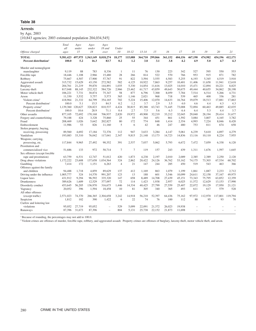#### **Arrests**

# by Age, 2003

[10,843 agencies; 2003 estimated population 204,034,545]

|                                   | Total     | Ages        | Ages        | Ages           |                |                |           |         |         |         |         |                          |         |                          |
|-----------------------------------|-----------|-------------|-------------|----------------|----------------|----------------|-----------|---------|---------|---------|---------|--------------------------|---------|--------------------------|
| Offense charged                   | all       | under<br>15 | under<br>18 | 18 and<br>over | Under<br>10    | $10 - 12$      | $13 - 14$ | 15      | 16      | 17      | 18      | 19                       | 20      | 21                       |
|                                   | ages      |             |             |                |                |                |           |         |         |         |         |                          |         |                          |
| <b>TOTAL</b>                      | 9,581,423 | 497,975     | 1.563.149   | 8,018,274      | 18,177         | 115,088        | 364,710   | 299,866 | 361,152 | 404,156 | 467.190 | 474,982                  | 454.196 | 412,171                  |
| Percent distribution <sup>1</sup> | 100.0     | 5.2         | 16.3        | 83.7           | 0.2            | 1.2            | 3.8       | 3.1     | 3.8     | 4.2     | 4.9     | 5.0                      | 4.7     | 4.3                      |
| Murder and nonnegligent           |           |             |             |                |                |                |           |         |         |         |         |                          |         |                          |
| manslaughter                      | 9.119     | 88          | 783         | 8.336          | 1              | 11             | 76        | 130     | 223     | 342     | 527     | 595                      | 550     | 553                      |
| Forcible rape                     | 18,446    | 1.108       | 2,966       | 15,480         | 28             | 266            | 814       | 522     | 570     | 766     | 953     | 915                      | 871     | 782                      |
| Robbery                           | 75,667    | 4,507       | 17,900      | 57,767         | 91             | 822            | 3,594     | 3,555   | 4,583   | 5,255   | 6,193   | 5,345                    | 4,519   | 3,910                    |
| Aggravated assault                | 315,732   | 15,629      | 43,150      | 272,582        | 582            | 4,125          | 10,922    | 7,863   | 9,257   | 10,401  | 11,406  | 11,658                   | 11,941  | 12,618                   |
| Burglary                          | 204,761   | 21,219      | 59,870      | 144,891        | 1,035          | 5,330          | 14,854    | 11.616  | 13,025  | 14,010  | 15,471  | 12,894                   | 10,221  | 8,825                    |
| Larceny-theft                     | 817,048   | 88,145      | 232,322     | 584,726        | 2,966          | 23,462         | 61,717    | 43,859  | 49,643  | 50,675  | 49,444  | 40,655                   | 34,062  | 28,198                   |
| Motor vehicle theft               | 106,221   | 7,731       | 30,874      | 75,347         | 58             | 877            | 6,796     | 7,300   | 8,059   | 7,784   | 7,514   | 6,514                    | 5,266   | 4,731                    |
| Arson                             | 11,330    | 3.532       | 5.757       | 5.573          | 365            | 1.146          | 2.021     | 968     | 718     | 539     | 465     | 400                      | 336     | 281                      |
| Violent crime <sup>2</sup>        | 418,964   | 21.332      | 64,799      | 354,165        | 702            | 5.224          | 15,406    | 12,070  | 14.633  | 16.764  | 19,079  | 18,513                   | 17,881  | 17,863                   |
| Percent distribution <sup>1</sup> | 100.0     | 5.1         | 15.5        | 84.5           | 0.2            | 1.2            | 3.7       | 2.9     | 3.5     | 4.0     | 4.6     | 4.4                      | 4.3     | 4.3                      |
| Property crime <sup>2</sup>       | 1.139,360 | 120,627     | 328,823     | 810,537        | 4.424          | 30.815         | 85.388    | 63.743  | 71,445  | 73,008  | 72,894  | 60.463                   | 49.885  | 42,035                   |
| Percent distribution <sup>1</sup> | 100.0     | 10.6        | 28.9        | 71.1           | 0.4            | 2.7            | 7.5       | 5.6     | 6.3     | 6.4     | 6.4     | 5.3                      | 4.4     | 3.7                      |
| Other assaults                    | 877,105   | 72,692      | 170,168     | 706,937        | 2,820          | 19.972         | 49,900    | 32.219  | 33,212  | 32,045  | 29,040  | 28,194                   | 29.414  | 31,677                   |
| Forgery and counterfeiting        | 79,188    | 424         | 3,328       | 75,860         | 25             | 55             | 344       | 451     | 861     | 1,592   | 3,084   | 3,807                    | 4,165   | 3,782                    |
| Fraud                             | 208,469   | 1.026       | 5,642       | 202,827        | 80             | 172            | 774       | 848     | 1.414   | 2,354   | 4,993   | 7,224                    | 8,046   | 8,420                    |
| Embezzlement                      | 11,986    | 53          | 826         | 11,160         | 5              | 6              | 42        | 46      | 247     | 480     | 753     | 811                      | 674     | 658                      |
| Stolen property; buying,          |           |             |             |                |                |                |           |         |         |         |         |                          |         |                          |
| receiving, possessing             | 89,560    | 4,692       | 17.184      | 72,376         | 112            | 947            | 3.633     | 3.284   | 4.147   | 5.061   | 6,239   | 5.610                    | 4,897   | 4,279                    |
| Vandalism                         | 193,083   | 33,310      | 76,042      | 117,041        | 2,347          | 9,815          | 21,148    | 13,173  | 14,723  | 14,836  | 13,116  | 10,110                   | 8,224   | 7,955                    |
| Weapons; carrying,                |           |             |             |                |                |                |           |         |         |         |         |                          |         |                          |
| possessing, etc.                  | 117,844   | 9.965       | 27.492      | 90.352         | 391            | 2.537          | 7,037     | 5.062   | 5.793   | 6.672   | 7.472   | 7,059                    | 6,338   | 6.120                    |
| Prostitution and                  |           |             |             |                |                |                |           |         |         |         |         |                          |         |                          |
| commercialized vice               | 51,686    | 133         | 972         | 50.714         | $\overline{7}$ | $\overline{7}$ | 119       | 157     | 243     | 439     | 1,311   | 1,676                    | 1,597   | 1,645                    |
| Sex offenses (except forcible     |           |             |             |                |                |                |           |         |         |         |         |                          |         |                          |
| rape and prostitution)            | 63,759    | 6,531       | 12,747      | 51.012         | 420            | 1.873          | 4.238     | 2.197   | 2,010   | 2.009   | 2,385   | 2,389                    | 2,250   | 2,120                    |
| Drug abuse violations             | 1.172.222 | 23,608      | 137,658     | 1.034.564      | 324            | 2.862          | 20.422    | 24.126  | 36,762  | 53.162  | 74,175  | 73,303                   | 67,534  | 60,702                   |
| Gambling                          | 7,414     | 172         | 1,151       | 6,263          | $\overline{4}$ | 21             | 147       | 244     | 285     | 450     | 519     | 543                      | 463     | 366                      |
| Offenses against the family       |           |             |             |                |                |                |           |         |         |         |         |                          |         |                          |
| and children                      | 94,488    | 1,718       | 4,859       | 89.629         | 137            | 412            | 1,169     | 863     | 1,079   | 1.199   | 1,861   | 1,887                    | 2,233   | 2,712                    |
| Driving under the influence       | 1,005,777 | 324         | 14,570      | 991,207        | 123            | 13             | 188       | 601     | 3,546   | 10,099  | 24,611  | 32,158                   | 37,167  | 49,975                   |
| Liquor laws                       | 431,912   | 9,294       | 96,592      | 335,320        | 147            | 658            | 8,489     | 14,708  | 27,439  | 45,151  | 73,343  | 75,795                   | 63,852  | 12,359                   |
| Drunkenness                       | 389,626   | 1.609       | 12.529      | 377,097        | 72             | 114            | 1.423     | 1.938   | 2.957   | 6.025   | 11.572  | 12.629                   | 13.153  | 17,990                   |
| Disorderly conduct                | 453,645   | 56,205      | 136,970     | 316,675        | 1.446          | 14.334         | 40.425    | 27,799  | 27,559  | 25,407  | 22,072  | 19.129                   | 17.950  | 21.121                   |
| Vagrancy                          | 20,052    | 396         | 1,594       | 18,458         | 10             | 81             | 305       | 340     | 365     | 493     | 611     | 617                      | 579     | 528                      |
| All other offenses                |           |             |             |                |                |                |           |         |         |         |         |                          |         |                          |
| (except traffic)                  | 2.571.023 | 74,370      | 266,365     | 2,304,658      | 3.242          | 14.918         | 56.210    | 52,397  | 64,436  | 75.162  | 97.972  | 112,970                  | 117,801 | 119,794                  |
| Suspicion                         | 1.812     | 102         | 390         | 1.422          | 6              | 22             | 74        | 76      | 100     | 112     | 88      | 95                       | 93      | 70                       |
| Curfew and loitering law          |           |             |             |                |                |                |           |         |         |         |         |                          |         |                          |
| violations                        | 95.052    | 27.719      | 95.052      |                | 529            | 5.099          | 22,091    | 21.372  | 26.023  | 19.938  |         |                          |         |                          |
| Runaways                          | 87,396    | 31,673      | 87,396      | L.             | 804            | 5,131          | 25,738    | 22,152  | 21,873  | 11,698  | ÷       | $\overline{\phantom{a}}$ | -       | $\overline{\phantom{0}}$ |
|                                   |           |             |             |                |                |                |           |         |         |         |         |                          |         |                          |

<sup>1</sup> Because of rounding, the percentages may not add to 100.0.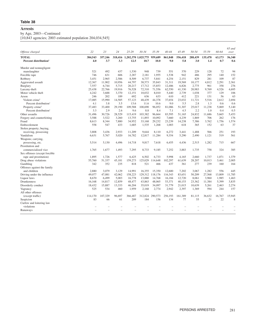# **Arrests**

by Age, 2003—Continued

[10,843 agencies; 2003 estimated population 204,034,545]

| Offense charged                   | 22            | 23      | 24            | $25 - 29$                   | $30 - 34$      | 35-39          | 40-44   | 45-49         | 50-54   | 55-59         | 60-64        | $65$ and<br>over |
|-----------------------------------|---------------|---------|---------------|-----------------------------|----------------|----------------|---------|---------------|---------|---------------|--------------|------------------|
| <b>TOTAL</b>                      | 384,543       | 357,246 |               | 318,416 1,202,370 1,025,775 |                | 959,689        | 861,848 | 556,418       | 288,439 | 135,478       | 63,173       | 56,340           |
| Percent distribution <sup>1</sup> | 4.0           | 3.7     | 3.3           | 12.5                        | 10.7           | 10.0           | 9.0     | 5.8           | 3.0     | 1.4           | 0.7          | 0.6              |
| Murder and nonnegligent           |               |         |               |                             |                |                |         |               |         |               |              |                  |
| manslaughter                      | 521           | 492     | 437           | 1,530                       | 948            | 739            | 551     | 370           | 229     | 128           | 72           | 94               |
| Forcible rape                     | 746           | 631     | 606           | 2,287                       | 2,181          | 1,955          | 1,538   | 942           | 486     | 295           | 140          | 152              |
| Robbery                           | 3.451         | 2.965   | 2,586         | 8,509                       | 6,737          | 5,841          | 4,254   | 2,151         | 829     | 281           | 109          | 87               |
| Aggravated assault                | 12,367        | 11,902  | 10,956        | 44,797                      | 38,573         | 35,843         | 31,311  | 19,569        | 10,177  | 4,812         | 2,291        | 2,361            |
| <b>Burglary</b>                   | 7,557         | 6,744   | 5.715         | 20,217                      | 17,712         | 15,853         | 12,486  | 6,826         | 2.775   | 961           | 358          | 276              |
| Larceny-theft                     | 25,438        | 22,766  | 19,916        | 76,528                      | 72,310         | 71,556         | 62,550  | 41,330        | 20,983  | 9,769         | 4,526        | 4,695            |
| Motor vehicle theft               | 4,242         | 3,688   | 3,370         | 12,151                      | 10,032         | 8,010          | 5,440   | 2,739         | 1,038   | 377           | 129          | 106              |
| Arson                             | 246           | 202     | 189           | 692                         | 636            | 633            | 610     | 412           | 221     | 131           | 56           | 63               |
| Violent crime <sup>2</sup>        | 17,085        | 15,990  | 14,585        | 57,123                      | 48,439         | 44,378         | 37,654  | 23,032        | 11,721  | 5,516         | 2,612        | 2,694            |
| Percent distribution <sup>1</sup> | 4.1           | 3.8     | 3.5           | 13.6                        | 11.6           | 10.6           | 9.0     | 5.5           | 2.8     | 1.3           | 0.6          | 0.6              |
| Property crime <sup>2</sup>       | 37,483        | 33,400  | 29.190        | 109,588                     | 100,690        | 96.052         | 81.086  | 51,307        | 25,017  | 11,238        | 5.069        | 5.140            |
| Percent distribution <sup>1</sup> | 3.3           | 2.9     | 2.6           | 9.6                         | 8.8            | 8.4            | 7.1     | 4.5           | 2.2     | 1.0           | 0.4          | 0.5              |
| Other assaults                    | 31,496        | 30,726  | 28,529        | 115,419                     | 103,382        | 96.664         | 83,595  | 51,165        | 24,832  | 11,686        | 5,665        | 5,453            |
| Forgery and counterfeiting        | 3,588         | 3,522   | 3,260         | 13,755                      | 11,893         | 10,092         | 7,660   | 4,239         | 1,869   | 706           | 262          | 176              |
| Fraud                             | 8,613         | 8,344   | 7,880         | 34,952                      | 33,168         | 29,232         | 23,239  | 14,238        | 7,386   | 3,762         | 1,756        | 1,574            |
| Embezzlement                      | 558           | 547     | 433           | 1,685                       | 1,535          | 1,268          | 1,003   | 618           | 365     | 152           | 63           | 37               |
| Stolen property; buying,          |               |         |               |                             |                |                |         |               |         |               |              |                  |
| receiving, possessing             | 3,808         | 3,436   | 2,933         | 11,209                      | 9,644          | 8.110          | 6,272   | 3,441         | 1,488   | 566           | 251          | 193              |
| Vandalism                         | 6,631         | 5,767   | 5,020         | 16,782                      | 12,817         | 11,284         | 9,354   | 5,290         | 2,490   | 1,121         | 519          | 561              |
| Weapons; carrying,                |               |         |               |                             |                |                |         |               |         |               |              |                  |
| possessing, etc.                  | 5.514         | 5.130   | 4,496         | 14,718                      | 9,817          | 7,618          | 6.455   | 4,436         | 2,515   | 1,282         | 715          | 667              |
| Prostitution and                  |               |         |               |                             |                |                |         |               |         |               |              |                  |
| commercialized vice               | 1,765         | 1,677   | 1,493         |                             | 8,733          | 9,185          |         | 3,883         | 1,735   | 758           | 324          | 385              |
| Sex offenses (except forcible     |               |         |               | 7,295                       |                |                | 7,252   |               |         |               |              |                  |
|                                   |               | 1.726   |               |                             |                |                |         |               |         |               |              |                  |
| rape and prostitution)            | 1,895         |         | 1,577         | 6,425                       | 6,502          | 6,733          | 5,998   | 4,165         | 2,660   | 1,737         | 1,071        | 1,379<br>2,005   |
| Drug abuse violations             | 55,760<br>342 | 51,337  | 45,181<br>235 | 159,273<br>818              | 125,029<br>521 | 114,648<br>466 | 102,297 | 61,639<br>361 | 28,207  | 10,013<br>239 | 3,461<br>160 | 164              |
| Gambling                          |               | 352     |               |                             |                |                | 437     |               | 277     |               |              |                  |
| Offenses against the family       |               |         |               |                             |                |                |         |               |         |               |              |                  |
| and children                      | 2,880         | 3.079   | 3.129         | 14,991                      | 16,355         | 15.350         | 12,600  | 7,202         | 3.067   | 1.282         | 556          | 445              |
| Driving under the influence       | 49,077        | 47,081  | 42,062        | 158,223                     | 129,312        | 118,176        | 116,343 | 83,651        | 50,209  | 27,568        | 13,809       | 11,785           |
| Liquor laws                       | 8.670         | 6,499   | 5,003         | 16,778                      | 13,880         | 14,768         | 16,184  | 12.720        | 8,061   | 3,960         | 1,985        | 1,463            |
| Drunkenness                       | 16,168        | 14,817  | 12,859        | 48,477                      | 43,863         | 48,065         | 53,371  | 40,153        | 23,362  | 11,384        | 5,399        | 3,835            |
| Disorderly conduct                | 18,432        | 15,887  | 13,333        | 46,204                      | 35,019         | 34,097         | 31,779  | 21,015        | 10,639  | 5,261         | 2,463        | 2,274            |
| Vagrancy                          | 525           | 534     | 460           | 1,959                       | 2,168          | 2,774          | 2,942   | 2,397         | 1,369   | 594           | 244          | 157              |
| All other offenses                |               |         |               |                             |                |                |         |               |         |               |              |                  |
| (except traffic)                  | 114,170       | 107,329 | 96,697        | 366,487                     | 312,824        | 290,573        | 256,193 | 161,389       | 81,115  | 36,632        | 16,767       | 15,945           |
| Suspicion                         | 83            | 66      | 61            | 209                         | 184            | 156            | 134     | 77            | 55      | 21            | 22           | 8                |
| Curfew and loitering law          |               |         |               |                             |                |                |         |               |         |               |              |                  |
| violations                        |               |         |               |                             |                |                |         |               |         |               |              |                  |
| Runaways                          |               |         |               |                             |                |                |         |               |         |               |              |                  |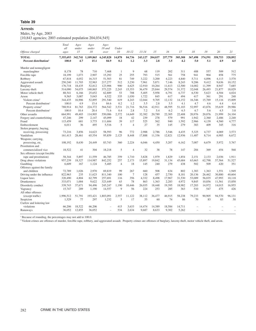#### **Arrests**

# Males, by Age, 2003

[10,843 agencies; 2003 estimated population 204,034,545]

| all<br>under<br>18 and<br>Under<br>under<br>15<br>18<br>10<br>$10 - 12$<br>$13 - 14$<br>15<br>16<br>17<br>18<br>19<br>20<br>21<br>Offense charged<br>over<br>ages<br>6.245.828<br>14.878<br>84,736<br>257,779<br>305,308<br>367,498<br>374.591<br>358,753<br>328,892<br><b>TOTAL</b><br>7,355,693<br>342,741<br>1.109.865<br>243,127<br>204,037<br>84.9<br>0.2<br>3.3<br>4.2<br>5.1<br>4.9<br>4.5<br>100.0<br>15.1<br>1.2<br>2.8<br>3.5<br>5.0<br>Percent distribution <sup>1</sup><br>4.7<br>Murder and nonnegligent<br>78<br>710<br>9<br>68<br>119<br>202<br>488<br>509<br>8,178<br>7,468<br>311<br>557<br>512<br>manslaughter<br>1<br>2,907<br>25<br>793<br>515<br>561<br>758<br>904<br>858<br>775<br>Forcible rape<br>18,199<br>1,073<br>15,292<br>255<br>941<br>81<br>3,570<br>67,818<br>4,052<br>16,315<br>51,503<br>749<br>3,222<br>3,200<br>4,223<br>4,840<br>5,711<br>4,896<br>4,113<br>250,240<br>11,703<br>32,963<br>217,277<br>512<br>3,230<br>7,961<br>5,871<br>7,146<br>8,243<br>9,206<br>9,412<br>9,636<br>10,152<br>900<br>176,718<br>18,435<br>52,812<br>123,906<br>4,625<br>12,910<br>10.264<br>11.613<br>12,500<br>14,002<br>11,399<br>8.947<br>7,685<br>514,090<br>54,075<br>140,865<br>373,225<br>2,243<br>15,353<br>25,844<br>29.574<br>31.372<br>32,048<br>21,877<br>18,029<br>36.479<br>26,493<br>4,024<br>88,541<br>62,889<br>53<br>708<br>5,958<br>6,791<br>6,737<br>6,530<br>4,504<br>6,166<br>25,652<br>5,405<br>5,623<br>9,565<br>5.043<br>4,522<br>1.030<br>845<br>494<br>361<br>291<br>248<br>3,087<br>335<br>1.722<br>617<br>417<br>344,435<br>52,895<br>291,540<br>619<br>9,705<br>14,152<br>15,009<br>Violent crime <sup>2</sup><br>16,906<br>4,243<br>12,044<br>12,132<br>16,346<br>15,769<br>15,116<br>100.0<br>0.2<br>2.8<br>4.1<br>4.4<br>Percent distribution <sup>1</sup><br>4.9<br>15.4<br>84.6<br>1.2<br>3.5<br>3.5<br>4.7<br>4.6<br>4.4<br>788,914<br>224,372<br>564,542<br>3,531<br>21.716<br>56,516<br>42,911<br>48,595<br>51.103<br>52,997<br>43,876<br>29,986<br>Property crime <sup>2</sup><br>81,763<br>35,619<br>100.0<br>28.4<br>71.6<br>0.4<br>2.8<br>5.4<br>3.8<br>Percent distribution <sup>1</sup><br>10.4<br>7.2<br>6.2<br>6.5<br>6.7<br>5.6<br>4.5<br>114,905<br>2,372<br>32,382<br>20,789<br>22,305<br>22,408<br>21,999<br>24,104<br>664,991<br>49,403<br>550,086<br>14,649<br>20,976<br>20,876<br>47.246<br>299<br>45,099<br>18<br>42<br>239<br>278<br>579<br>991<br>1.942<br>2.360<br>2.486<br>2,240<br>2.147<br>115.459<br>681<br>3.775<br>111.684<br>39<br>117<br>525<br>562<br>940<br>1.592<br>2.966<br>4,560<br>4.777<br>4,139<br>6,011<br>495<br>5,516<br>5<br>$\overline{4}$<br>27<br>35<br>145<br>279<br>383<br>409<br>345<br>316<br>36<br>96<br>772<br>2.988<br>2,786<br>4.435<br>4,069<br>3,573<br>receiving, possessing<br>73,216<br>3,856<br>14,623<br>58,593<br>3,546<br>5,325<br>4,737<br>65,554<br>95,859<br>2,125<br>8,448<br>12,936<br>6,985<br>6,672<br>161,413<br>28,461<br>17,888<br>11,336<br>12,821<br>11,487<br>8,714<br>Weapons; carrying,<br>5,767<br>108,192<br>8,630<br>24,449<br>83,743<br>360<br>2.224<br>6,046<br>4,450<br>5,207<br>6,162<br>7,087<br>6,679<br>5,972<br>possessing, etc.<br>41<br>304<br>5<br>$\overline{4}$<br>32<br>38<br>78<br>147<br>284<br>369<br>454<br>568<br>commercialized vice<br>18,522<br>18,218<br>58,344<br>5,897<br>46,785<br>359<br>3,828<br>1.979<br>1.829<br>1.854<br>1.911<br>rape and prostitution)<br>11,559<br>1.710<br>2.151<br>2.133<br>2.036<br>957,239<br>18.327<br>114,987<br>842,252<br>257<br>2,173<br>15.897<br>19,842<br>31.134<br>45.684<br>63.663<br>62.798<br>57,564<br>51.527<br>6,609<br>5,485<br>18<br>240<br>279<br>438<br>502<br>509<br>420<br>351<br>167<br>1,124<br>$\overline{4}$<br>145<br>802<br>1,949<br>and children<br>72,789<br>1,026<br>2,970<br>69,819<br>99<br>267<br>660<br>508<br>634<br>1,383<br>1,363<br>1,551<br>128<br>457<br>40,604<br>822,963<br>235<br>11,623<br>811,340<br>100<br>7<br>2,750<br>8,181<br>20,136<br>26,462<br>30,880<br>4,804<br>62,799<br>4,332<br>8,498<br>53,009<br>320,490<br>257,691<br>116<br>356<br>17,967<br>31,530<br>56,035<br>47,993<br>10,118<br>4,972<br>9,845<br>15,850<br>333,071<br>1,004<br>9,622<br>323,449<br>63<br>78<br>863<br>1,363<br>2,283<br>10,856<br>11,561<br>339,743<br>94,496<br>245,247<br>1.190<br>10.446<br>26.035<br>18.448<br>19,395<br>18.982<br>17.203<br>14,972<br>14,015<br>16.955<br>37,671<br>289<br>9<br>56<br>224<br>253<br>285<br>363<br>510<br>426<br>15,747<br>1,190<br>14,557<br>547<br>475<br>All other offenses<br>51.791<br>11.122<br>38.112<br>36,477<br>46.915<br>58.238<br>79.233<br>90.905<br>94.570<br>96.131<br>1,996,512<br>193,421<br>1,803,091<br>2.557<br>(except traffic)<br>1.529<br>77<br>297<br>1,232<br>5<br>17<br>55<br>60<br>74<br>86<br>70<br>83<br>83<br>58<br>66,206<br>18,522<br>66,206<br>415<br>14,474<br>14,389<br>18,584<br>violations<br>3.633<br>14.711<br>36,052<br>534<br>36,052<br>12,855<br>2,634<br>9,687<br>8,633<br>9,302<br>5,262<br>$\equiv$<br>۳<br>÷<br>$\overline{\phantom{a}}$ |                               | Total | Ages | Ages | Ages |  |  |  |  |  |
|---------------------------------------------------------------------------------------------------------------------------------------------------------------------------------------------------------------------------------------------------------------------------------------------------------------------------------------------------------------------------------------------------------------------------------------------------------------------------------------------------------------------------------------------------------------------------------------------------------------------------------------------------------------------------------------------------------------------------------------------------------------------------------------------------------------------------------------------------------------------------------------------------------------------------------------------------------------------------------------------------------------------------------------------------------------------------------------------------------------------------------------------------------------------------------------------------------------------------------------------------------------------------------------------------------------------------------------------------------------------------------------------------------------------------------------------------------------------------------------------------------------------------------------------------------------------------------------------------------------------------------------------------------------------------------------------------------------------------------------------------------------------------------------------------------------------------------------------------------------------------------------------------------------------------------------------------------------------------------------------------------------------------------------------------------------------------------------------------------------------------------------------------------------------------------------------------------------------------------------------------------------------------------------------------------------------------------------------------------------------------------------------------------------------------------------------------------------------------------------------------------------------------------------------------------------------------------------------------------------------------------------------------------------------------------------------------------------------------------------------------------------------------------------------------------------------------------------------------------------------------------------------------------------------------------------------------------------------------------------------------------------------------------------------------------------------------------------------------------------------------------------------------------------------------------------------------------------------------------------------------------------------------------------------------------------------------------------------------------------------------------------------------------------------------------------------------------------------------------------------------------------------------------------------------------------------------------------------------------------------------------------------------------------------------------------------------------------------------------------------------------------------------------------------------------------------------------------------------------------------------------------------------------------------------------------------------------------------------------------------------------------------------------------------------------------------------------------------------------------------------------------------------------------------------------------------------------------------------------------------------------------------------------------------------------------------------------------------------------------------------------------------------------------------------------------------------------------------------------------------------------------------------------------------------------------------------------------------------------------------------------------------------------------------------------------------------------------------------------------------------------------------------------------------------------------------------------------------------------------------------------------------------------------------------------------------------------------------------------------------------------------------------------------------------------------|-------------------------------|-------|------|------|------|--|--|--|--|--|
|                                                                                                                                                                                                                                                                                                                                                                                                                                                                                                                                                                                                                                                                                                                                                                                                                                                                                                                                                                                                                                                                                                                                                                                                                                                                                                                                                                                                                                                                                                                                                                                                                                                                                                                                                                                                                                                                                                                                                                                                                                                                                                                                                                                                                                                                                                                                                                                                                                                                                                                                                                                                                                                                                                                                                                                                                                                                                                                                                                                                                                                                                                                                                                                                                                                                                                                                                                                                                                                                                                                                                                                                                                                                                                                                                                                                                                                                                                                                                                                                                                                                                                                                                                                                                                                                                                                                                                                                                                                                                                                                                                                                                                                                                                                                                                                                                                                                                                                                                                                                                                                               |                               |       |      |      |      |  |  |  |  |  |
|                                                                                                                                                                                                                                                                                                                                                                                                                                                                                                                                                                                                                                                                                                                                                                                                                                                                                                                                                                                                                                                                                                                                                                                                                                                                                                                                                                                                                                                                                                                                                                                                                                                                                                                                                                                                                                                                                                                                                                                                                                                                                                                                                                                                                                                                                                                                                                                                                                                                                                                                                                                                                                                                                                                                                                                                                                                                                                                                                                                                                                                                                                                                                                                                                                                                                                                                                                                                                                                                                                                                                                                                                                                                                                                                                                                                                                                                                                                                                                                                                                                                                                                                                                                                                                                                                                                                                                                                                                                                                                                                                                                                                                                                                                                                                                                                                                                                                                                                                                                                                                                               |                               |       |      |      |      |  |  |  |  |  |
|                                                                                                                                                                                                                                                                                                                                                                                                                                                                                                                                                                                                                                                                                                                                                                                                                                                                                                                                                                                                                                                                                                                                                                                                                                                                                                                                                                                                                                                                                                                                                                                                                                                                                                                                                                                                                                                                                                                                                                                                                                                                                                                                                                                                                                                                                                                                                                                                                                                                                                                                                                                                                                                                                                                                                                                                                                                                                                                                                                                                                                                                                                                                                                                                                                                                                                                                                                                                                                                                                                                                                                                                                                                                                                                                                                                                                                                                                                                                                                                                                                                                                                                                                                                                                                                                                                                                                                                                                                                                                                                                                                                                                                                                                                                                                                                                                                                                                                                                                                                                                                                               |                               |       |      |      |      |  |  |  |  |  |
|                                                                                                                                                                                                                                                                                                                                                                                                                                                                                                                                                                                                                                                                                                                                                                                                                                                                                                                                                                                                                                                                                                                                                                                                                                                                                                                                                                                                                                                                                                                                                                                                                                                                                                                                                                                                                                                                                                                                                                                                                                                                                                                                                                                                                                                                                                                                                                                                                                                                                                                                                                                                                                                                                                                                                                                                                                                                                                                                                                                                                                                                                                                                                                                                                                                                                                                                                                                                                                                                                                                                                                                                                                                                                                                                                                                                                                                                                                                                                                                                                                                                                                                                                                                                                                                                                                                                                                                                                                                                                                                                                                                                                                                                                                                                                                                                                                                                                                                                                                                                                                                               |                               |       |      |      |      |  |  |  |  |  |
|                                                                                                                                                                                                                                                                                                                                                                                                                                                                                                                                                                                                                                                                                                                                                                                                                                                                                                                                                                                                                                                                                                                                                                                                                                                                                                                                                                                                                                                                                                                                                                                                                                                                                                                                                                                                                                                                                                                                                                                                                                                                                                                                                                                                                                                                                                                                                                                                                                                                                                                                                                                                                                                                                                                                                                                                                                                                                                                                                                                                                                                                                                                                                                                                                                                                                                                                                                                                                                                                                                                                                                                                                                                                                                                                                                                                                                                                                                                                                                                                                                                                                                                                                                                                                                                                                                                                                                                                                                                                                                                                                                                                                                                                                                                                                                                                                                                                                                                                                                                                                                                               |                               |       |      |      |      |  |  |  |  |  |
|                                                                                                                                                                                                                                                                                                                                                                                                                                                                                                                                                                                                                                                                                                                                                                                                                                                                                                                                                                                                                                                                                                                                                                                                                                                                                                                                                                                                                                                                                                                                                                                                                                                                                                                                                                                                                                                                                                                                                                                                                                                                                                                                                                                                                                                                                                                                                                                                                                                                                                                                                                                                                                                                                                                                                                                                                                                                                                                                                                                                                                                                                                                                                                                                                                                                                                                                                                                                                                                                                                                                                                                                                                                                                                                                                                                                                                                                                                                                                                                                                                                                                                                                                                                                                                                                                                                                                                                                                                                                                                                                                                                                                                                                                                                                                                                                                                                                                                                                                                                                                                                               |                               |       |      |      |      |  |  |  |  |  |
|                                                                                                                                                                                                                                                                                                                                                                                                                                                                                                                                                                                                                                                                                                                                                                                                                                                                                                                                                                                                                                                                                                                                                                                                                                                                                                                                                                                                                                                                                                                                                                                                                                                                                                                                                                                                                                                                                                                                                                                                                                                                                                                                                                                                                                                                                                                                                                                                                                                                                                                                                                                                                                                                                                                                                                                                                                                                                                                                                                                                                                                                                                                                                                                                                                                                                                                                                                                                                                                                                                                                                                                                                                                                                                                                                                                                                                                                                                                                                                                                                                                                                                                                                                                                                                                                                                                                                                                                                                                                                                                                                                                                                                                                                                                                                                                                                                                                                                                                                                                                                                                               |                               |       |      |      |      |  |  |  |  |  |
|                                                                                                                                                                                                                                                                                                                                                                                                                                                                                                                                                                                                                                                                                                                                                                                                                                                                                                                                                                                                                                                                                                                                                                                                                                                                                                                                                                                                                                                                                                                                                                                                                                                                                                                                                                                                                                                                                                                                                                                                                                                                                                                                                                                                                                                                                                                                                                                                                                                                                                                                                                                                                                                                                                                                                                                                                                                                                                                                                                                                                                                                                                                                                                                                                                                                                                                                                                                                                                                                                                                                                                                                                                                                                                                                                                                                                                                                                                                                                                                                                                                                                                                                                                                                                                                                                                                                                                                                                                                                                                                                                                                                                                                                                                                                                                                                                                                                                                                                                                                                                                                               | Robbery                       |       |      |      |      |  |  |  |  |  |
|                                                                                                                                                                                                                                                                                                                                                                                                                                                                                                                                                                                                                                                                                                                                                                                                                                                                                                                                                                                                                                                                                                                                                                                                                                                                                                                                                                                                                                                                                                                                                                                                                                                                                                                                                                                                                                                                                                                                                                                                                                                                                                                                                                                                                                                                                                                                                                                                                                                                                                                                                                                                                                                                                                                                                                                                                                                                                                                                                                                                                                                                                                                                                                                                                                                                                                                                                                                                                                                                                                                                                                                                                                                                                                                                                                                                                                                                                                                                                                                                                                                                                                                                                                                                                                                                                                                                                                                                                                                                                                                                                                                                                                                                                                                                                                                                                                                                                                                                                                                                                                                               | Aggravated assault            |       |      |      |      |  |  |  |  |  |
|                                                                                                                                                                                                                                                                                                                                                                                                                                                                                                                                                                                                                                                                                                                                                                                                                                                                                                                                                                                                                                                                                                                                                                                                                                                                                                                                                                                                                                                                                                                                                                                                                                                                                                                                                                                                                                                                                                                                                                                                                                                                                                                                                                                                                                                                                                                                                                                                                                                                                                                                                                                                                                                                                                                                                                                                                                                                                                                                                                                                                                                                                                                                                                                                                                                                                                                                                                                                                                                                                                                                                                                                                                                                                                                                                                                                                                                                                                                                                                                                                                                                                                                                                                                                                                                                                                                                                                                                                                                                                                                                                                                                                                                                                                                                                                                                                                                                                                                                                                                                                                                               | <b>Burglary</b>               |       |      |      |      |  |  |  |  |  |
|                                                                                                                                                                                                                                                                                                                                                                                                                                                                                                                                                                                                                                                                                                                                                                                                                                                                                                                                                                                                                                                                                                                                                                                                                                                                                                                                                                                                                                                                                                                                                                                                                                                                                                                                                                                                                                                                                                                                                                                                                                                                                                                                                                                                                                                                                                                                                                                                                                                                                                                                                                                                                                                                                                                                                                                                                                                                                                                                                                                                                                                                                                                                                                                                                                                                                                                                                                                                                                                                                                                                                                                                                                                                                                                                                                                                                                                                                                                                                                                                                                                                                                                                                                                                                                                                                                                                                                                                                                                                                                                                                                                                                                                                                                                                                                                                                                                                                                                                                                                                                                                               | Larceny-theft                 |       |      |      |      |  |  |  |  |  |
|                                                                                                                                                                                                                                                                                                                                                                                                                                                                                                                                                                                                                                                                                                                                                                                                                                                                                                                                                                                                                                                                                                                                                                                                                                                                                                                                                                                                                                                                                                                                                                                                                                                                                                                                                                                                                                                                                                                                                                                                                                                                                                                                                                                                                                                                                                                                                                                                                                                                                                                                                                                                                                                                                                                                                                                                                                                                                                                                                                                                                                                                                                                                                                                                                                                                                                                                                                                                                                                                                                                                                                                                                                                                                                                                                                                                                                                                                                                                                                                                                                                                                                                                                                                                                                                                                                                                                                                                                                                                                                                                                                                                                                                                                                                                                                                                                                                                                                                                                                                                                                                               | Motor vehicle theft           |       |      |      |      |  |  |  |  |  |
|                                                                                                                                                                                                                                                                                                                                                                                                                                                                                                                                                                                                                                                                                                                                                                                                                                                                                                                                                                                                                                                                                                                                                                                                                                                                                                                                                                                                                                                                                                                                                                                                                                                                                                                                                                                                                                                                                                                                                                                                                                                                                                                                                                                                                                                                                                                                                                                                                                                                                                                                                                                                                                                                                                                                                                                                                                                                                                                                                                                                                                                                                                                                                                                                                                                                                                                                                                                                                                                                                                                                                                                                                                                                                                                                                                                                                                                                                                                                                                                                                                                                                                                                                                                                                                                                                                                                                                                                                                                                                                                                                                                                                                                                                                                                                                                                                                                                                                                                                                                                                                                               | Arson                         |       |      |      |      |  |  |  |  |  |
|                                                                                                                                                                                                                                                                                                                                                                                                                                                                                                                                                                                                                                                                                                                                                                                                                                                                                                                                                                                                                                                                                                                                                                                                                                                                                                                                                                                                                                                                                                                                                                                                                                                                                                                                                                                                                                                                                                                                                                                                                                                                                                                                                                                                                                                                                                                                                                                                                                                                                                                                                                                                                                                                                                                                                                                                                                                                                                                                                                                                                                                                                                                                                                                                                                                                                                                                                                                                                                                                                                                                                                                                                                                                                                                                                                                                                                                                                                                                                                                                                                                                                                                                                                                                                                                                                                                                                                                                                                                                                                                                                                                                                                                                                                                                                                                                                                                                                                                                                                                                                                                               |                               |       |      |      |      |  |  |  |  |  |
|                                                                                                                                                                                                                                                                                                                                                                                                                                                                                                                                                                                                                                                                                                                                                                                                                                                                                                                                                                                                                                                                                                                                                                                                                                                                                                                                                                                                                                                                                                                                                                                                                                                                                                                                                                                                                                                                                                                                                                                                                                                                                                                                                                                                                                                                                                                                                                                                                                                                                                                                                                                                                                                                                                                                                                                                                                                                                                                                                                                                                                                                                                                                                                                                                                                                                                                                                                                                                                                                                                                                                                                                                                                                                                                                                                                                                                                                                                                                                                                                                                                                                                                                                                                                                                                                                                                                                                                                                                                                                                                                                                                                                                                                                                                                                                                                                                                                                                                                                                                                                                                               |                               |       |      |      |      |  |  |  |  |  |
|                                                                                                                                                                                                                                                                                                                                                                                                                                                                                                                                                                                                                                                                                                                                                                                                                                                                                                                                                                                                                                                                                                                                                                                                                                                                                                                                                                                                                                                                                                                                                                                                                                                                                                                                                                                                                                                                                                                                                                                                                                                                                                                                                                                                                                                                                                                                                                                                                                                                                                                                                                                                                                                                                                                                                                                                                                                                                                                                                                                                                                                                                                                                                                                                                                                                                                                                                                                                                                                                                                                                                                                                                                                                                                                                                                                                                                                                                                                                                                                                                                                                                                                                                                                                                                                                                                                                                                                                                                                                                                                                                                                                                                                                                                                                                                                                                                                                                                                                                                                                                                                               |                               |       |      |      |      |  |  |  |  |  |
|                                                                                                                                                                                                                                                                                                                                                                                                                                                                                                                                                                                                                                                                                                                                                                                                                                                                                                                                                                                                                                                                                                                                                                                                                                                                                                                                                                                                                                                                                                                                                                                                                                                                                                                                                                                                                                                                                                                                                                                                                                                                                                                                                                                                                                                                                                                                                                                                                                                                                                                                                                                                                                                                                                                                                                                                                                                                                                                                                                                                                                                                                                                                                                                                                                                                                                                                                                                                                                                                                                                                                                                                                                                                                                                                                                                                                                                                                                                                                                                                                                                                                                                                                                                                                                                                                                                                                                                                                                                                                                                                                                                                                                                                                                                                                                                                                                                                                                                                                                                                                                                               |                               |       |      |      |      |  |  |  |  |  |
|                                                                                                                                                                                                                                                                                                                                                                                                                                                                                                                                                                                                                                                                                                                                                                                                                                                                                                                                                                                                                                                                                                                                                                                                                                                                                                                                                                                                                                                                                                                                                                                                                                                                                                                                                                                                                                                                                                                                                                                                                                                                                                                                                                                                                                                                                                                                                                                                                                                                                                                                                                                                                                                                                                                                                                                                                                                                                                                                                                                                                                                                                                                                                                                                                                                                                                                                                                                                                                                                                                                                                                                                                                                                                                                                                                                                                                                                                                                                                                                                                                                                                                                                                                                                                                                                                                                                                                                                                                                                                                                                                                                                                                                                                                                                                                                                                                                                                                                                                                                                                                                               | Other assaults                |       |      |      |      |  |  |  |  |  |
|                                                                                                                                                                                                                                                                                                                                                                                                                                                                                                                                                                                                                                                                                                                                                                                                                                                                                                                                                                                                                                                                                                                                                                                                                                                                                                                                                                                                                                                                                                                                                                                                                                                                                                                                                                                                                                                                                                                                                                                                                                                                                                                                                                                                                                                                                                                                                                                                                                                                                                                                                                                                                                                                                                                                                                                                                                                                                                                                                                                                                                                                                                                                                                                                                                                                                                                                                                                                                                                                                                                                                                                                                                                                                                                                                                                                                                                                                                                                                                                                                                                                                                                                                                                                                                                                                                                                                                                                                                                                                                                                                                                                                                                                                                                                                                                                                                                                                                                                                                                                                                                               | Forgery and counterfeiting    |       |      |      |      |  |  |  |  |  |
|                                                                                                                                                                                                                                                                                                                                                                                                                                                                                                                                                                                                                                                                                                                                                                                                                                                                                                                                                                                                                                                                                                                                                                                                                                                                                                                                                                                                                                                                                                                                                                                                                                                                                                                                                                                                                                                                                                                                                                                                                                                                                                                                                                                                                                                                                                                                                                                                                                                                                                                                                                                                                                                                                                                                                                                                                                                                                                                                                                                                                                                                                                                                                                                                                                                                                                                                                                                                                                                                                                                                                                                                                                                                                                                                                                                                                                                                                                                                                                                                                                                                                                                                                                                                                                                                                                                                                                                                                                                                                                                                                                                                                                                                                                                                                                                                                                                                                                                                                                                                                                                               | Fraud                         |       |      |      |      |  |  |  |  |  |
|                                                                                                                                                                                                                                                                                                                                                                                                                                                                                                                                                                                                                                                                                                                                                                                                                                                                                                                                                                                                                                                                                                                                                                                                                                                                                                                                                                                                                                                                                                                                                                                                                                                                                                                                                                                                                                                                                                                                                                                                                                                                                                                                                                                                                                                                                                                                                                                                                                                                                                                                                                                                                                                                                                                                                                                                                                                                                                                                                                                                                                                                                                                                                                                                                                                                                                                                                                                                                                                                                                                                                                                                                                                                                                                                                                                                                                                                                                                                                                                                                                                                                                                                                                                                                                                                                                                                                                                                                                                                                                                                                                                                                                                                                                                                                                                                                                                                                                                                                                                                                                                               | Embezzlement                  |       |      |      |      |  |  |  |  |  |
|                                                                                                                                                                                                                                                                                                                                                                                                                                                                                                                                                                                                                                                                                                                                                                                                                                                                                                                                                                                                                                                                                                                                                                                                                                                                                                                                                                                                                                                                                                                                                                                                                                                                                                                                                                                                                                                                                                                                                                                                                                                                                                                                                                                                                                                                                                                                                                                                                                                                                                                                                                                                                                                                                                                                                                                                                                                                                                                                                                                                                                                                                                                                                                                                                                                                                                                                                                                                                                                                                                                                                                                                                                                                                                                                                                                                                                                                                                                                                                                                                                                                                                                                                                                                                                                                                                                                                                                                                                                                                                                                                                                                                                                                                                                                                                                                                                                                                                                                                                                                                                                               | Stolen property; buying,      |       |      |      |      |  |  |  |  |  |
|                                                                                                                                                                                                                                                                                                                                                                                                                                                                                                                                                                                                                                                                                                                                                                                                                                                                                                                                                                                                                                                                                                                                                                                                                                                                                                                                                                                                                                                                                                                                                                                                                                                                                                                                                                                                                                                                                                                                                                                                                                                                                                                                                                                                                                                                                                                                                                                                                                                                                                                                                                                                                                                                                                                                                                                                                                                                                                                                                                                                                                                                                                                                                                                                                                                                                                                                                                                                                                                                                                                                                                                                                                                                                                                                                                                                                                                                                                                                                                                                                                                                                                                                                                                                                                                                                                                                                                                                                                                                                                                                                                                                                                                                                                                                                                                                                                                                                                                                                                                                                                                               |                               |       |      |      |      |  |  |  |  |  |
|                                                                                                                                                                                                                                                                                                                                                                                                                                                                                                                                                                                                                                                                                                                                                                                                                                                                                                                                                                                                                                                                                                                                                                                                                                                                                                                                                                                                                                                                                                                                                                                                                                                                                                                                                                                                                                                                                                                                                                                                                                                                                                                                                                                                                                                                                                                                                                                                                                                                                                                                                                                                                                                                                                                                                                                                                                                                                                                                                                                                                                                                                                                                                                                                                                                                                                                                                                                                                                                                                                                                                                                                                                                                                                                                                                                                                                                                                                                                                                                                                                                                                                                                                                                                                                                                                                                                                                                                                                                                                                                                                                                                                                                                                                                                                                                                                                                                                                                                                                                                                                                               | Vandalism                     |       |      |      |      |  |  |  |  |  |
|                                                                                                                                                                                                                                                                                                                                                                                                                                                                                                                                                                                                                                                                                                                                                                                                                                                                                                                                                                                                                                                                                                                                                                                                                                                                                                                                                                                                                                                                                                                                                                                                                                                                                                                                                                                                                                                                                                                                                                                                                                                                                                                                                                                                                                                                                                                                                                                                                                                                                                                                                                                                                                                                                                                                                                                                                                                                                                                                                                                                                                                                                                                                                                                                                                                                                                                                                                                                                                                                                                                                                                                                                                                                                                                                                                                                                                                                                                                                                                                                                                                                                                                                                                                                                                                                                                                                                                                                                                                                                                                                                                                                                                                                                                                                                                                                                                                                                                                                                                                                                                                               |                               |       |      |      |      |  |  |  |  |  |
|                                                                                                                                                                                                                                                                                                                                                                                                                                                                                                                                                                                                                                                                                                                                                                                                                                                                                                                                                                                                                                                                                                                                                                                                                                                                                                                                                                                                                                                                                                                                                                                                                                                                                                                                                                                                                                                                                                                                                                                                                                                                                                                                                                                                                                                                                                                                                                                                                                                                                                                                                                                                                                                                                                                                                                                                                                                                                                                                                                                                                                                                                                                                                                                                                                                                                                                                                                                                                                                                                                                                                                                                                                                                                                                                                                                                                                                                                                                                                                                                                                                                                                                                                                                                                                                                                                                                                                                                                                                                                                                                                                                                                                                                                                                                                                                                                                                                                                                                                                                                                                                               |                               |       |      |      |      |  |  |  |  |  |
|                                                                                                                                                                                                                                                                                                                                                                                                                                                                                                                                                                                                                                                                                                                                                                                                                                                                                                                                                                                                                                                                                                                                                                                                                                                                                                                                                                                                                                                                                                                                                                                                                                                                                                                                                                                                                                                                                                                                                                                                                                                                                                                                                                                                                                                                                                                                                                                                                                                                                                                                                                                                                                                                                                                                                                                                                                                                                                                                                                                                                                                                                                                                                                                                                                                                                                                                                                                                                                                                                                                                                                                                                                                                                                                                                                                                                                                                                                                                                                                                                                                                                                                                                                                                                                                                                                                                                                                                                                                                                                                                                                                                                                                                                                                                                                                                                                                                                                                                                                                                                                                               | Prostitution and              |       |      |      |      |  |  |  |  |  |
|                                                                                                                                                                                                                                                                                                                                                                                                                                                                                                                                                                                                                                                                                                                                                                                                                                                                                                                                                                                                                                                                                                                                                                                                                                                                                                                                                                                                                                                                                                                                                                                                                                                                                                                                                                                                                                                                                                                                                                                                                                                                                                                                                                                                                                                                                                                                                                                                                                                                                                                                                                                                                                                                                                                                                                                                                                                                                                                                                                                                                                                                                                                                                                                                                                                                                                                                                                                                                                                                                                                                                                                                                                                                                                                                                                                                                                                                                                                                                                                                                                                                                                                                                                                                                                                                                                                                                                                                                                                                                                                                                                                                                                                                                                                                                                                                                                                                                                                                                                                                                                                               |                               |       |      |      |      |  |  |  |  |  |
|                                                                                                                                                                                                                                                                                                                                                                                                                                                                                                                                                                                                                                                                                                                                                                                                                                                                                                                                                                                                                                                                                                                                                                                                                                                                                                                                                                                                                                                                                                                                                                                                                                                                                                                                                                                                                                                                                                                                                                                                                                                                                                                                                                                                                                                                                                                                                                                                                                                                                                                                                                                                                                                                                                                                                                                                                                                                                                                                                                                                                                                                                                                                                                                                                                                                                                                                                                                                                                                                                                                                                                                                                                                                                                                                                                                                                                                                                                                                                                                                                                                                                                                                                                                                                                                                                                                                                                                                                                                                                                                                                                                                                                                                                                                                                                                                                                                                                                                                                                                                                                                               | Sex offenses (except forcible |       |      |      |      |  |  |  |  |  |
|                                                                                                                                                                                                                                                                                                                                                                                                                                                                                                                                                                                                                                                                                                                                                                                                                                                                                                                                                                                                                                                                                                                                                                                                                                                                                                                                                                                                                                                                                                                                                                                                                                                                                                                                                                                                                                                                                                                                                                                                                                                                                                                                                                                                                                                                                                                                                                                                                                                                                                                                                                                                                                                                                                                                                                                                                                                                                                                                                                                                                                                                                                                                                                                                                                                                                                                                                                                                                                                                                                                                                                                                                                                                                                                                                                                                                                                                                                                                                                                                                                                                                                                                                                                                                                                                                                                                                                                                                                                                                                                                                                                                                                                                                                                                                                                                                                                                                                                                                                                                                                                               |                               |       |      |      |      |  |  |  |  |  |
|                                                                                                                                                                                                                                                                                                                                                                                                                                                                                                                                                                                                                                                                                                                                                                                                                                                                                                                                                                                                                                                                                                                                                                                                                                                                                                                                                                                                                                                                                                                                                                                                                                                                                                                                                                                                                                                                                                                                                                                                                                                                                                                                                                                                                                                                                                                                                                                                                                                                                                                                                                                                                                                                                                                                                                                                                                                                                                                                                                                                                                                                                                                                                                                                                                                                                                                                                                                                                                                                                                                                                                                                                                                                                                                                                                                                                                                                                                                                                                                                                                                                                                                                                                                                                                                                                                                                                                                                                                                                                                                                                                                                                                                                                                                                                                                                                                                                                                                                                                                                                                                               | Drug abuse violations         |       |      |      |      |  |  |  |  |  |
|                                                                                                                                                                                                                                                                                                                                                                                                                                                                                                                                                                                                                                                                                                                                                                                                                                                                                                                                                                                                                                                                                                                                                                                                                                                                                                                                                                                                                                                                                                                                                                                                                                                                                                                                                                                                                                                                                                                                                                                                                                                                                                                                                                                                                                                                                                                                                                                                                                                                                                                                                                                                                                                                                                                                                                                                                                                                                                                                                                                                                                                                                                                                                                                                                                                                                                                                                                                                                                                                                                                                                                                                                                                                                                                                                                                                                                                                                                                                                                                                                                                                                                                                                                                                                                                                                                                                                                                                                                                                                                                                                                                                                                                                                                                                                                                                                                                                                                                                                                                                                                                               | Gambling                      |       |      |      |      |  |  |  |  |  |
|                                                                                                                                                                                                                                                                                                                                                                                                                                                                                                                                                                                                                                                                                                                                                                                                                                                                                                                                                                                                                                                                                                                                                                                                                                                                                                                                                                                                                                                                                                                                                                                                                                                                                                                                                                                                                                                                                                                                                                                                                                                                                                                                                                                                                                                                                                                                                                                                                                                                                                                                                                                                                                                                                                                                                                                                                                                                                                                                                                                                                                                                                                                                                                                                                                                                                                                                                                                                                                                                                                                                                                                                                                                                                                                                                                                                                                                                                                                                                                                                                                                                                                                                                                                                                                                                                                                                                                                                                                                                                                                                                                                                                                                                                                                                                                                                                                                                                                                                                                                                                                                               | Offenses against the family   |       |      |      |      |  |  |  |  |  |
|                                                                                                                                                                                                                                                                                                                                                                                                                                                                                                                                                                                                                                                                                                                                                                                                                                                                                                                                                                                                                                                                                                                                                                                                                                                                                                                                                                                                                                                                                                                                                                                                                                                                                                                                                                                                                                                                                                                                                                                                                                                                                                                                                                                                                                                                                                                                                                                                                                                                                                                                                                                                                                                                                                                                                                                                                                                                                                                                                                                                                                                                                                                                                                                                                                                                                                                                                                                                                                                                                                                                                                                                                                                                                                                                                                                                                                                                                                                                                                                                                                                                                                                                                                                                                                                                                                                                                                                                                                                                                                                                                                                                                                                                                                                                                                                                                                                                                                                                                                                                                                                               |                               |       |      |      |      |  |  |  |  |  |
|                                                                                                                                                                                                                                                                                                                                                                                                                                                                                                                                                                                                                                                                                                                                                                                                                                                                                                                                                                                                                                                                                                                                                                                                                                                                                                                                                                                                                                                                                                                                                                                                                                                                                                                                                                                                                                                                                                                                                                                                                                                                                                                                                                                                                                                                                                                                                                                                                                                                                                                                                                                                                                                                                                                                                                                                                                                                                                                                                                                                                                                                                                                                                                                                                                                                                                                                                                                                                                                                                                                                                                                                                                                                                                                                                                                                                                                                                                                                                                                                                                                                                                                                                                                                                                                                                                                                                                                                                                                                                                                                                                                                                                                                                                                                                                                                                                                                                                                                                                                                                                                               | Driving under the influence   |       |      |      |      |  |  |  |  |  |
|                                                                                                                                                                                                                                                                                                                                                                                                                                                                                                                                                                                                                                                                                                                                                                                                                                                                                                                                                                                                                                                                                                                                                                                                                                                                                                                                                                                                                                                                                                                                                                                                                                                                                                                                                                                                                                                                                                                                                                                                                                                                                                                                                                                                                                                                                                                                                                                                                                                                                                                                                                                                                                                                                                                                                                                                                                                                                                                                                                                                                                                                                                                                                                                                                                                                                                                                                                                                                                                                                                                                                                                                                                                                                                                                                                                                                                                                                                                                                                                                                                                                                                                                                                                                                                                                                                                                                                                                                                                                                                                                                                                                                                                                                                                                                                                                                                                                                                                                                                                                                                                               | Liquor laws                   |       |      |      |      |  |  |  |  |  |
|                                                                                                                                                                                                                                                                                                                                                                                                                                                                                                                                                                                                                                                                                                                                                                                                                                                                                                                                                                                                                                                                                                                                                                                                                                                                                                                                                                                                                                                                                                                                                                                                                                                                                                                                                                                                                                                                                                                                                                                                                                                                                                                                                                                                                                                                                                                                                                                                                                                                                                                                                                                                                                                                                                                                                                                                                                                                                                                                                                                                                                                                                                                                                                                                                                                                                                                                                                                                                                                                                                                                                                                                                                                                                                                                                                                                                                                                                                                                                                                                                                                                                                                                                                                                                                                                                                                                                                                                                                                                                                                                                                                                                                                                                                                                                                                                                                                                                                                                                                                                                                                               | Drunkenness                   |       |      |      |      |  |  |  |  |  |
|                                                                                                                                                                                                                                                                                                                                                                                                                                                                                                                                                                                                                                                                                                                                                                                                                                                                                                                                                                                                                                                                                                                                                                                                                                                                                                                                                                                                                                                                                                                                                                                                                                                                                                                                                                                                                                                                                                                                                                                                                                                                                                                                                                                                                                                                                                                                                                                                                                                                                                                                                                                                                                                                                                                                                                                                                                                                                                                                                                                                                                                                                                                                                                                                                                                                                                                                                                                                                                                                                                                                                                                                                                                                                                                                                                                                                                                                                                                                                                                                                                                                                                                                                                                                                                                                                                                                                                                                                                                                                                                                                                                                                                                                                                                                                                                                                                                                                                                                                                                                                                                               | Disorderly conduct            |       |      |      |      |  |  |  |  |  |
|                                                                                                                                                                                                                                                                                                                                                                                                                                                                                                                                                                                                                                                                                                                                                                                                                                                                                                                                                                                                                                                                                                                                                                                                                                                                                                                                                                                                                                                                                                                                                                                                                                                                                                                                                                                                                                                                                                                                                                                                                                                                                                                                                                                                                                                                                                                                                                                                                                                                                                                                                                                                                                                                                                                                                                                                                                                                                                                                                                                                                                                                                                                                                                                                                                                                                                                                                                                                                                                                                                                                                                                                                                                                                                                                                                                                                                                                                                                                                                                                                                                                                                                                                                                                                                                                                                                                                                                                                                                                                                                                                                                                                                                                                                                                                                                                                                                                                                                                                                                                                                                               | Vagrancy                      |       |      |      |      |  |  |  |  |  |
|                                                                                                                                                                                                                                                                                                                                                                                                                                                                                                                                                                                                                                                                                                                                                                                                                                                                                                                                                                                                                                                                                                                                                                                                                                                                                                                                                                                                                                                                                                                                                                                                                                                                                                                                                                                                                                                                                                                                                                                                                                                                                                                                                                                                                                                                                                                                                                                                                                                                                                                                                                                                                                                                                                                                                                                                                                                                                                                                                                                                                                                                                                                                                                                                                                                                                                                                                                                                                                                                                                                                                                                                                                                                                                                                                                                                                                                                                                                                                                                                                                                                                                                                                                                                                                                                                                                                                                                                                                                                                                                                                                                                                                                                                                                                                                                                                                                                                                                                                                                                                                                               |                               |       |      |      |      |  |  |  |  |  |
|                                                                                                                                                                                                                                                                                                                                                                                                                                                                                                                                                                                                                                                                                                                                                                                                                                                                                                                                                                                                                                                                                                                                                                                                                                                                                                                                                                                                                                                                                                                                                                                                                                                                                                                                                                                                                                                                                                                                                                                                                                                                                                                                                                                                                                                                                                                                                                                                                                                                                                                                                                                                                                                                                                                                                                                                                                                                                                                                                                                                                                                                                                                                                                                                                                                                                                                                                                                                                                                                                                                                                                                                                                                                                                                                                                                                                                                                                                                                                                                                                                                                                                                                                                                                                                                                                                                                                                                                                                                                                                                                                                                                                                                                                                                                                                                                                                                                                                                                                                                                                                                               |                               |       |      |      |      |  |  |  |  |  |
|                                                                                                                                                                                                                                                                                                                                                                                                                                                                                                                                                                                                                                                                                                                                                                                                                                                                                                                                                                                                                                                                                                                                                                                                                                                                                                                                                                                                                                                                                                                                                                                                                                                                                                                                                                                                                                                                                                                                                                                                                                                                                                                                                                                                                                                                                                                                                                                                                                                                                                                                                                                                                                                                                                                                                                                                                                                                                                                                                                                                                                                                                                                                                                                                                                                                                                                                                                                                                                                                                                                                                                                                                                                                                                                                                                                                                                                                                                                                                                                                                                                                                                                                                                                                                                                                                                                                                                                                                                                                                                                                                                                                                                                                                                                                                                                                                                                                                                                                                                                                                                                               | Suspicion                     |       |      |      |      |  |  |  |  |  |
|                                                                                                                                                                                                                                                                                                                                                                                                                                                                                                                                                                                                                                                                                                                                                                                                                                                                                                                                                                                                                                                                                                                                                                                                                                                                                                                                                                                                                                                                                                                                                                                                                                                                                                                                                                                                                                                                                                                                                                                                                                                                                                                                                                                                                                                                                                                                                                                                                                                                                                                                                                                                                                                                                                                                                                                                                                                                                                                                                                                                                                                                                                                                                                                                                                                                                                                                                                                                                                                                                                                                                                                                                                                                                                                                                                                                                                                                                                                                                                                                                                                                                                                                                                                                                                                                                                                                                                                                                                                                                                                                                                                                                                                                                                                                                                                                                                                                                                                                                                                                                                                               | Curfew and loitering law      |       |      |      |      |  |  |  |  |  |
|                                                                                                                                                                                                                                                                                                                                                                                                                                                                                                                                                                                                                                                                                                                                                                                                                                                                                                                                                                                                                                                                                                                                                                                                                                                                                                                                                                                                                                                                                                                                                                                                                                                                                                                                                                                                                                                                                                                                                                                                                                                                                                                                                                                                                                                                                                                                                                                                                                                                                                                                                                                                                                                                                                                                                                                                                                                                                                                                                                                                                                                                                                                                                                                                                                                                                                                                                                                                                                                                                                                                                                                                                                                                                                                                                                                                                                                                                                                                                                                                                                                                                                                                                                                                                                                                                                                                                                                                                                                                                                                                                                                                                                                                                                                                                                                                                                                                                                                                                                                                                                                               |                               |       |      |      |      |  |  |  |  |  |
|                                                                                                                                                                                                                                                                                                                                                                                                                                                                                                                                                                                                                                                                                                                                                                                                                                                                                                                                                                                                                                                                                                                                                                                                                                                                                                                                                                                                                                                                                                                                                                                                                                                                                                                                                                                                                                                                                                                                                                                                                                                                                                                                                                                                                                                                                                                                                                                                                                                                                                                                                                                                                                                                                                                                                                                                                                                                                                                                                                                                                                                                                                                                                                                                                                                                                                                                                                                                                                                                                                                                                                                                                                                                                                                                                                                                                                                                                                                                                                                                                                                                                                                                                                                                                                                                                                                                                                                                                                                                                                                                                                                                                                                                                                                                                                                                                                                                                                                                                                                                                                                               | Runaways                      |       |      |      |      |  |  |  |  |  |

<sup>1</sup> Because of rounding, the percentages may not add to 100.0.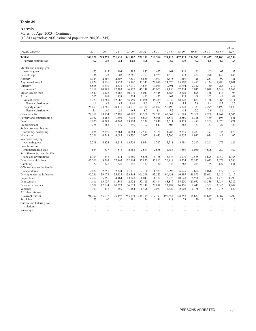# **Arrests**

Males, by Age, 2003—Continued

[10,843 agencies; 2003 estimated population 204,034,545]

| Offense charged                   | 22            | 23      | 24            | $25 - 29$ | $30 - 34$ | 35-39         | $40 - 44$ | 45-49   | 50-54   | 55-59   | 60-64  | $65$ and<br>over |
|-----------------------------------|---------------|---------|---------------|-----------|-----------|---------------|-----------|---------|---------|---------|--------|------------------|
| <b>TOTAL</b>                      | 306,129       | 283,371 | 251,810       | 941,482   | 778,111   | 716,566       | 654,115   | 437,413 | 234,982 | 112,457 | 53,100 | 46,558           |
| Percent distribution <sup>1</sup> | 4.2           | 3.9     | 3.4           | 12.8      | 10.6      | 9.7           | 8.9       | 5.9     | 3.2     | 1.5     | 0.7    | 0.6              |
| Murder and nonnegligent           |               |         |               |           |           |               |           |         |         |         |        |                  |
| manslaughter                      | 475           | 447     | 404           | 1,387     | 832       | 627           | 461       | 319     | 195     | 105     | 67     | 83               |
| Forcible rape                     | 736           | 623     | 603           | 2,261     | 2,153     | 1,929         | 1,518     | 933     | 482     | 290     | 140    | 146              |
| Robbery                           | 3.144         | 2.669   | 2,307         | 7,531     | 5,859     | 4,997         | 3,675     | 1,869   | 725     | 257     | 99     | 81               |
| Aggravated assault                | 9,924         | 9,526   | 8,753         | 35,780    | 30,242    | 27,686        | 24,576    | 15,707  | 8,472   | 4,124   | 1,980  | 2,101            |
| <b>Burglary</b>                   | 6,595         | 5,810   | 4,832         | 17,071    | 14,684    | 13,089        | 10,391    | 5,794   | 2,322   | 780     | 286    | 219              |
| Larceny-theft                     | 16,118        | 14,185  | 12,393        | 46,927    | 45,148    | 46,003        | 41,150    | 27,314  | 13,947  | 6,078   | 2,748  | 2,767            |
| Motor vehicle theft               | 3,549         | 3,122   | 2,788         | 10,019    | 8,047     | 6,445         | 4,488     | 2,305   | 895     | 338     | 114    | 98               |
| Arson                             | 207           | 169     | 158           | 554       | 495       | 475           | 467       | 315     | 169     | 103     | 44     | 49               |
| Violent crime <sup>2</sup>        | 14,279        | 13,265  | 12,067        | 46,959    | 39,086    | 35,239        | 30,230    | 18,828  | 9,874   | 4,776   | 2,286  | 2,411            |
| Percent distribution <sup>1</sup> | 4.1           | 3.9     | 3.5           | 13.6      | 11.3      | 10.2          | 8.8       | 5.5     | 2.9     | 1.4     | 0.7    | 0.7              |
| Property crime <sup>2</sup>       | 26,469        | 23,286  | 20,171        | 74,571    | 68,374    | 66,012        | 56,496    | 35,728  | 17,333  | 7,299   | 3,192  | 3,133            |
| Percent distribution <sup>1</sup> | 3.4           | 3.0     | 2.6           | 9.5       | 8.7       | 8.4           | 7.2       | 4.5     | 2.2     | 0.9     | 0.4    | 0.4              |
| Other assaults                    | 24,361        | 23,774  | 22,197        | 90,587    | 80,509    | 74.592        | 65,562    | 41,098  | 20,369  | 9.709   | 4.767  | 4,606            |
| Forgery and counterfeiting        | 2,152         | 2,166   | 1,892         | 7,998     | 6,699     | 5,918         | 4,547     | 2,580   | 1,316   | 469     | 193    | 141              |
| Fraud                             | 4,670         | 4,597   | 4,263         | 18,103    | 17,236    | 15,846        | 13,311    | 8,429   | 4,481   | 2,265   | 1.070  | 971              |
| Embezzlement                      | 278           | 283     | 219           | 840       | 702       | 643           | 508       | 282     | 173     | 83      | 29     | 23               |
| Stolen property; buying,          |               |         |               |           |           |               |           |         |         |         |        |                  |
| receiving, possessing             | 3,078         | 2,790   | 2,364         | 8,864     | 7,511     | 6,321         | 4,988     | 2,845   | 1,233   | 497     | 225    | 173              |
| Vandalism                         | 5,521         | 4,748   | 4,087         | 13,530    | 10,097    | 8,635         | 7,296     | 4,257   | 1,982   | 934     | 449    | 465              |
| Weapons; carrying,                |               |         |               |           |           |               |           |         |         |         |        |                  |
| possessing, etc.                  | 5,218         | 4,824   | 4,218         | 13,756    | 8,924     | 6,767         | 5,718     | 3,991   | 2,317   | 1,201   | 675    | 629              |
| Prostitution and                  |               |         |               |           |           |               |           |         |         |         |        |                  |
| commercialized vice               | 664           | 637     | 576           | 2,868     | 2,871     | 2,678         | 2,353     | 1,559   | 1,080   | 606     | 289    | 362              |
| Sex offenses (except forcible     |               |         |               |           |           |               |           |         |         |         |        |                  |
|                                   | 1.704         |         |               |           | 5.866     |               |           |         |         |         |        |                  |
| rape and prostitution)            |               | 1.548   | 1,434         | 5,860     |           | 6,128         | 5.448     | 3,919   | 2,535   | 1,695   | 1,052  | 1,365            |
| Drug abuse violations             | 47,301<br>322 | 43,267  | 37,963<br>221 | 132,164   | 97,833    | 85,815<br>370 | 76,919    | 48,524  | 23,377  | 8,673   | 3,074  | 1,790            |
| Gambling                          |               | 326     |               | 746       | 457       |               | 336       | 268     | 214     | 185     | 127    | 131              |
| Offenses against the family       |               |         |               |           |           |               |           |         |         |         |        |                  |
| and children                      | 2,072         | 2,251   | 2,324         | 11.331    | 12,700    | 11,989        | 10,293    | 6,025   | 2,654   | 1.096   | 479    | 359              |
| Driving under the influence       | 40,286        | 39,072  | 35.125        | 133,364   | 106,569   | 93,522        | 90,438    | 66,897  | 41,893  | 23,661  | 12,016 | 10,415           |
| Liquor laws                       | 7,212         | 5,356   | 4,164         | 13,848    | 11,047    | 11,782        | 12,972    | 10,648  | 6,958   | 3,486   | 1,773  | 1,290            |
| <b>Drunkenness</b>                | 14,116        | 13,029  | 11,346        | 42,622    | 37.118    | 39,414        | 43,817    | 34,220  | 20,675  | 10,359  | 5,034  | 3,587            |
| Disorderly conduct                | 14,708        | 12,644  | 10,573        | 36,033    | 26,141    | 24,898        | 23,789    | 16,476  | 8,645   | 4,301   | 2,045  | 1,849            |
| Vagrancy                          | 393           | 416     | 359           | 1,464     | 1,496     | 2,073         | 2,322     | 2,008   | 1,186   | 525     | 215    | 142              |
| All other offenses                |               |         |               |           |           |               |           |         |         |         |        |                  |
| (except traffic)                  | 91,252        | 85,032  | 76,197        | 285,793   | 236,719   | 217,793       | 196,654   | 128,758 | 66,637  | 30.619  | 14,089 | 12,709           |
| Suspicion                         | 73            | 60      | 50            | 181       | 156       | 131           | 118       | 73      | 50      | 18      | 21     | $\overline{7}$   |
| Curfew and loitering law          |               |         |               |           |           |               |           |         |         |         |        |                  |
| violations                        |               |         |               |           |           |               |           |         |         |         |        |                  |
| Runaways                          |               |         |               |           |           |               |           |         |         |         |        |                  |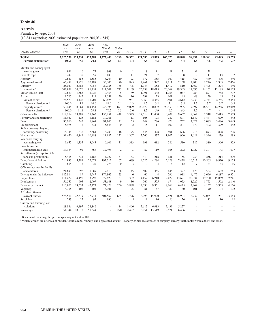### **Arrests**

# Females, by Age, 2003

[10,843 agencies; 2003 estimated population 204,034,545]

|                                   | Total<br>all | Ages<br>under | Ages<br>under | Ages<br>18 and | Under           |                |                |                |         |        |        |         |                          |                |
|-----------------------------------|--------------|---------------|---------------|----------------|-----------------|----------------|----------------|----------------|---------|--------|--------|---------|--------------------------|----------------|
| Offense charged                   | ages         | 15            | 18            | over           | 10              | $10 - 12$      | $13 - 14$      | 15             | 16      | 17     | 18     | 19      | 20                       | 21             |
| <b>TOTAL</b>                      | 2,225,730    | 155,234       | 453,284       | 1,772,446      | 3,299           | 30,352         | 121,583        | 95,829         | 103.373 | 98.848 | 99,692 | 100.391 | 95,443                   | 83,279         |
| Percent distribution <sup>1</sup> | 100.0        | 7.0           | 20.4          | 79.6           | 0.1             | 1.4            | 5.5            | 4.3            | 4.6     | 4.4    | 4.5    | 4.5     | 4.3                      | 3.7            |
| Murder and nonnegligent           |              |               |               |                |                 |                |                |                |         |        |        |         |                          |                |
| manslaughter                      | 941          | 10            | 73            | 868            | $\mathbf{0}$    | $\overline{c}$ | 8              | 11             | 21      | 31     | 39     | 38      | 41                       | 41             |
| Forcible rape                     | 247          | 35            | 59            | 188            | 3               | 11             | 21             | $\overline{7}$ | 9       | 8      | 12     | 11      | 13                       | $\overline{7}$ |
| Robbery                           | 7,849        | 455           | 1,585         | 6,264          | 10              | 73             | 372            | 355            | 360     | 415    | 482    | 449     | 406                      | 340            |
| Aggravated assault                | 65,492       | 3,926         | 10,187        | 55,305         | 70              | 895            | 2,961          | 1,992          | 2,111   | 2,158  | 2,200  | 2,246   | 2,305                    | 2,466          |
| Burglary                          | 28,043       | 2,784         | 7,058         | 20,985         | 135             | 705            | 1,944          | 1.352          | 1.412   | 1.510  | 1,469  | 1,495   | 1,274                    | 1,140          |
| Larceny-theft                     | 302,958      | 34,070        | 91,457        | 211,501        | 723             | 8,109          | 25,238         | 18,015         | 20,069  | 19,303 | 17,396 | 14,162  | 12,185                   | 10,169         |
| Motor vehicle theft               | 17,680       | 1,565         | 5,222         | 12,458         | 5               | 169            | 1,391          | 1,342          | 1,268   | 1,047  | 984    | 891     | 762                      | 707            |
| Arson                             | 1.765        | 445           | 714           | 1.051          | 30              | 116            | 299            | 123            | 101     | 45     | 48     | 39      | 45                       | 33             |
| Violent crime <sup>2</sup>        | 74,529       | 4,426         | 11,904        | 62,625         | 83              | 981            | 3,362          | 2,365          | 2.501   | 2.612  | 2.733  | 2.744   | 2,765                    | 2,854          |
| Percent distribution <sup>1</sup> | 100.0        | 5.9           | 16.0          | 84.0           | 0.1             | 1.3            | 4.5            | 3.2            | 3.4     | 3.5    | 3.7    | 3.7     | 3.7                      | 3.8            |
| Property crime <sup>2</sup>       | 350,446      | 38,864        | 104.451       | 245.995        | 893             | 9,099          | 28.872         | 20.832         | 22,850  | 21.905 | 19.897 | 16.587  | 14,266                   | 12,049         |
| Percent distribution <sup>1</sup> | 100.0        | 11.1          | 29.8          | 70.2           | 0.3             | 2.6            | 8.2            | 5.9            | 6.5     | 6.3    | 5.7    | 4.7     | 4.1                      | 3.4            |
| Other assaults                    | 212,114      | 23,289        | 55,263        | 156,851        | 448             | 5,323          | 17,518         | 11,430         | 10,907  | 9.637  | 8,064  | 7,318   | 7,415                    | 7,573          |
| Forgery and counterfeiting        | 31,942       | 125           | 1,181         | 30,761         | $7\phantom{.0}$ | 13             | 105            | 173            | 282     | 601    | 1,142  | 1.447   | 1,679                    | 1,542          |
| Fraud                             | 93,010       | 345           | 1,867         | 91,143         | 41              | 55             | 249            | 286            | 474     | 762    | 2,027  | 3,085   | 3,486                    | 3,643          |
| Embezzlement                      | 5,975        | 17            | 331           | 5,644          | $\mathbf{0}$    | $\overline{2}$ | 15             | 11             | 102     | 201    | 370    | 402     | 329                      | 342            |
| Stolen property; buying,          |              |               |               |                |                 |                |                |                |         |        |        |         |                          |                |
| receiving, possessing             | 16,344       | 836           | 2,561         | 13,783         | 16              | 175            | 645            | 498            | 601     | 626    | 914    | 873     | 828                      | 706            |
| Vandalism                         | 31,670       | 4,849         | 10,488        | 21,182         | 222             | 1,367          | 3,260          | 1,837          | 1,902   | 1,900  | 1,629  | 1,396   | 1,239                    | 1,283          |
| Weapons; carrying,                |              |               |               |                |                 |                |                |                |         |        |        |         |                          |                |
| possessing, etc.                  | 9,652        | 1,335         | 3.043         | 6.609          | 31              | 313            | 991            | 612            | 586     | 510    | 385    | 380     | 366                      | 353            |
| Prostitution and                  |              |               |               |                |                 |                |                |                |         |        |        |         |                          |                |
| commercialized vice               | 33,164       | 92            | 668           | 32,496         | 2               | 3              | 87             | 119            | 165     | 292    | 1.027  | 1.307   | 1.143                    | 1.077          |
| Sex offenses (except forcible     |              |               |               |                |                 |                |                |                |         |        |        |         |                          |                |
| rape and prostitution)            | 5,415        | 634           | 1,188         | 4,227          | 61              | 163            | 410            | 218            | 181     | 155    | 234    | 256     | 214                      | 209            |
| Drug abuse violations             | 214,983      | 5,281         | 22,671        | 192,312        | 67              | 689            | 4,525          | 4,284          | 5,628   | 7,478  | 10.512 | 10.505  | 9.970                    | 9,175          |
| Gambling                          | 805          | 5             | 27            | 778            | $\mathbf{0}$    | 3              | $\overline{2}$ | $\overline{4}$ | 6       | 12     | 17     | 34      | 43                       | 15             |
| Offenses against the family       |              |               |               |                |                 |                |                |                |         |        |        |         |                          |                |
| and children                      | 21,699       | 692           | 1,889         | 19,810         | 38              | 145            | 509            | 355            | 445     | 397    | 478    | 524     | 682                      | 763            |
| Driving under the influence       | 182,814      | 89            | 2,947         | 179,867        | 23              | 6              | 60             | 144            | 796     | 1,918  | 4,475  | 5,696   | 6,287                    | 9,371          |
| Liquor laws                       | 111,422      | 4,490         | 33,793        | 77,629         | 31              | 302            | 4,157          | 6,210          | 9,472   | 13,621 | 20,334 | 19,760  | 15,859                   | 2,241          |
| Drunkenness                       | 56,555       | 605           | 2,907         | 53,648         | 9               | 36             | 560            | 575            | 674     | 1.053  | 1.727  | 1.773   | 1,592                    | 2,140          |
| Disorderly conduct                | 113,902      | 18,534        | 42,474        | 71,428         | 256             | 3,888          | 14,390         | 9.351          | 8.164   | 6.425  | 4,869  | 4,157   | 3,935                    | 4,166          |
| Vagrancy                          | 4,305        | 107           | 404           | 3,901          | 1               | 25             | 81             | 87             | 80      | 130    | 101    | 70      | 104                      | 102            |
| All other offenses                |              |               |               |                |                 |                |                |                |         |        |        |         |                          |                |
| (except traffic)                  | 574,511      | 22,579        | 72,944        | 501,567        | 685             | 3.796          | 18.098         | 15.920         | 17.521  | 16.924 | 18,739 | 22,065  | 23.231                   | 23.663         |
| Suspicion                         | 283          | 25            | 93            | 190            | $\mathbf{1}$    | 5              | 19             | 16             | 26      | 26     | 18     | 12      | 10                       | 12             |
| Curfew and loitering law          |              |               |               |                |                 |                |                |                |         |        |        |         |                          |                |
| violations                        | 28.846       | 9.197         | 28.846        |                | 114             | 1.466          | 7.617          | 6.983          | 7.439   | 5.227  |        |         |                          |                |
| Runaways                          | 51,344       | 18,818        | 51,344        | ÷              | 270             | 2,497          | 16,051         | 13,519         | 12,571  | 6,436  | ÷      |         | $\overline{\phantom{0}}$ | $\equiv$       |
|                                   |              |               |               |                |                 |                |                |                |         |        |        |         |                          |                |

<sup>1</sup> Because of rounding, the percentages may not add to 100.0.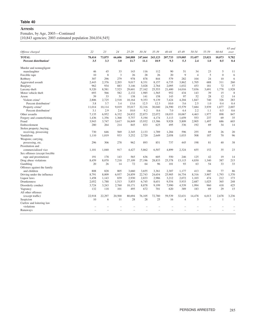# **Arrests**

Females, by Age, 2003—Continued

[10,843 agencies; 2003 estimated population 204,034,545]

| Offense charged                   | 22     | 23     | 24     | 25-29   | $30 - 34$ | 35-39        | 40-44         | 45-49          | 50-54          | 55-59  | 60-64        | $65$ and<br>over |
|-----------------------------------|--------|--------|--------|---------|-----------|--------------|---------------|----------------|----------------|--------|--------------|------------------|
| <b>TOTAL</b>                      | 78,414 | 73,875 | 66,606 | 260,888 | 247,664   | 243,123      | 207,733       | 119,005        | 53,457         | 23,021 | 10,073       | 9,782            |
| Percent distribution <sup>1</sup> | 3.5    | 3.3    | 3.0    | 11.7    | 11.1      | 10.9         | 9.3           | 5.3            | 2.4            | 1.0    | 0.5          | 0.4              |
| Murder and nonnegligent           |        |        |        |         |           |              |               |                |                |        |              |                  |
| manslaughter                      | 46     | 45     | 33     | 143     | 116       | 112          | 90            | 51             | 34             | 23     | 5            | 11               |
| Forcible rape                     | 10     | 8      | 3      | 26      | 28        | 26           | 20            | 9              | $\overline{4}$ | 5      | $\mathbf{0}$ | 6                |
| Robbery                           | 307    | 296    | 279    | 978     | 878       | 844          | 579           | 282            | 104            | 24     | 10           | 6                |
| Aggravated assault                | 2,443  | 2,376  | 2,203  | 9,017   | 8,331     | 8,157        | 6,735         | 3,862          | 1,705          | 688    | 311          | 260              |
| Burglary                          | 962    | 934    | 883    | 3,146   | 3,028     | 2,764        | 2,095         | 1,032          | 453            | 181    | 72           | 57               |
| Larceny-theft                     | 9.320  | 8,581  | 7,523  | 29,601  | 27,162    | 25,553       | 21,400        | 14,016         | 7.036          | 3.691  | 1.778        | 1,928            |
| Motor vehicle theft               | 693    | 566    | 582    | 2,132   | 1,985     | 1,565        | 952           | 434            | 143            | 39     | 15           | 8                |
| Arson                             | 39     | 33     | 31     | 138     | 141       | 158          | 143           | 97             | 52             | 28     | 12           | 14               |
| Violent crime <sup>2</sup>        | 2,806  | 2,725  | 2,518  | 10,164  | 9,353     | 9,139        | 7,424         | 4,204          | 1,847          | 740    | 326          | 283              |
| Percent distribution <sup>1</sup> | 3.8    | 3.7    | 3.4    | 13.6    | 12.5      | 12.3         | 10.0          | 5.6            | 2.5            | 1.0    | 0.4          | 0.4              |
| Property crime <sup>2</sup>       | 11,014 | 10.114 | 9,019  | 35,017  | 32,316    | 30,040       | 24,590        | 15,579         | 7,684          | 3,939  | 1,877        | 2,007            |
| Percent distribution <sup>1</sup> | 3.1    | 2.9    | 2.6    | 10.0    | 9.2       | 8.6          | 7.0           | 4.4            | 2.2            | 1.1    | 0.5          | 0.6              |
| Other assaults                    | 7,135  | 6.952  | 6,332  | 24,832  | 22,873    | 22,072       | 18.033        | 10.067         | 4.463          | 1.977  | 898          | 847              |
| Forgery and counterfeiting        | 1,436  | 1,356  | 1,368  | 5,757   | 5,194     | 4,174        | 3,113         | 1,659          | 553            | 237    | 69           | 35               |
| Fraud                             | 3,943  | 3,747  | 3,617  | 16,849  | 15,932    | 13,386       | 9,928         | 5,809          | 2,905          | 1,497  | 686          | 603              |
| Embezzlement                      | 280    | 264    | 214    | 845     | 833       | 625          | 495           | 336            | 192            | 69     | 34           | 14               |
| Stolen property; buying,          |        |        |        |         |           |              |               |                |                |        |              |                  |
| receiving, possessing             | 730    | 646    | 569    | 2,345   | 2,133     | 1.789        | 1,284         | 596            | 255            | 69     | 26           | 20               |
| Vandalism                         | 1,110  | 1,019  | 933    | 3,252   | 2,720     | 2,649        | 2,058         | 1,033          | 508            | 187    | 70           | 96               |
| Weapons; carrying,                |        |        |        |         |           |              |               |                |                |        |              |                  |
| possessing, etc.                  | 296    | 306    | 278    | 962     | 893       | 851          | 737           | 445            | 198            | 81     | 40           | 38               |
| Prostitution and                  |        |        |        |         |           |              |               |                |                |        |              |                  |
| commercialized vice               | 1.101  | 1.040  | 917    | 4,427   | 5,862     | 6,507        | 4,899         | 2,324          | 655            | 152    | 35           | 23               |
| Sex offenses (except forcible     |        |        |        |         |           |              |               |                |                |        |              |                  |
|                                   | 191    | 178    | 143    |         | 636       | 605          | 550           | 246            | 125            | 42     | 19           | 14               |
| rape and prostitution)            |        |        |        | 565     |           |              |               |                |                |        |              |                  |
| Drug abuse violations             | 8,459  | 8,070  | 7,218  | 27,109  | 27,196    | 28,833<br>96 | 25,378<br>101 | 13,115         | 4,830          | 1,340  | 387          | 215<br>33        |
| Gambling                          | 20     | 26     | 14     | 72      | 64        |              |               | 93             | 63             | 54     | 33           |                  |
| Offenses against the family       |        |        |        |         |           |              |               |                |                |        |              |                  |
| and children                      | 808    | 828    | 805    | 3,660   | 3,655     | 3,361        | 2,307         | 1.177          | 413            | 186    | 77           | 86               |
| Driving under the influence       | 8,791  | 8,009  | 6,937  | 24,859  | 22,743    | 24,654       | 25,905        | 16,754         | 8,316          | 3,907  | 1,793        | 1,370            |
| Liquor laws                       | 1,458  | 1,143  | 839    | 2,930   | 2,833     | 2,986        | 3,212         | 2,072          | 1,103          | 474    | 212          | 173              |
| <b>Drunkenness</b>                | 2,052  | 1.788  | 1,513  | 5,855   | 6,745     | 8,651        | 9,554         | 5,933          | 2.687          | 1,025  | 365          | 248              |
| Disorderly conduct                | 3,724  | 3,243  | 2,760  | 10,171  | 8,878     | 9,199        | 7,990         | 4,539          | 1,994          | 960    | 418          | 425              |
| Vagrancy                          | 132    | 118    | 101    | 495     | 672       | 701          | 620           | 389            | 183            | 69     | 29           | 15               |
| All other offenses                |        |        |        |         |           |              |               |                |                |        |              |                  |
| (except traffic)                  | 22,918 | 22,297 | 20,500 | 80.694  | 76,105    | 72,780       | 59,539        | 32,631         | 14,478         | 6,013  | 2,678        | 3,236            |
| Suspicion                         | 10     | 6      | 11     | 28      | 28        | 25           | 16            | $\overline{4}$ | 5              | 3      | 1            | $\blacksquare$   |
| Curfew and loitering law          |        |        |        |         |           |              |               |                |                |        |              |                  |
| violations                        |        |        |        |         |           |              |               |                |                |        |              |                  |
| Runaways                          |        |        |        |         |           |              |               |                |                |        |              |                  |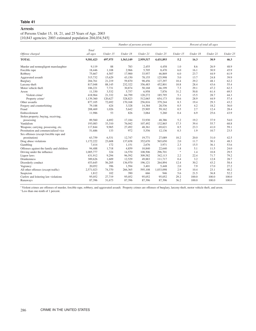# **Arrests**

of Persons Under 15, 18, 21, and 25 Years of Age, 2003 [10,843 agencies; 2003 estimated population 204,034,545]

|                                          |                   |          | Number of persons arrested |           |           |                                   |          | Percent of total all ages |          |
|------------------------------------------|-------------------|----------|----------------------------|-----------|-----------|-----------------------------------|----------|---------------------------|----------|
| Offense charged                          | Total<br>all ages | Under 15 | Under 18                   | Under 21  | Under 25  | Under 15                          | Under 18 | Under 21                  | Under 25 |
| <b>TOTAL</b>                             | 9,581,423         | 497,975  | 1,563,149                  | 2,959,517 | 4,431,893 | 5.2                               | 16.3     | 30.9                      | 46.3     |
| Murder and nonnegligent manslaughter     | 9.119             | 88       | 783                        | 2,455     | 4.458     | 1.0                               | 8.6      | 26.9                      | 48.9     |
| Forcible rape                            | 18,446            | 1,108    | 2,966                      | 5,705     | 8,470     | 6.0                               | 16.1     | 30.9                      | 45.9     |
| Robbery                                  | 75,667            | 4,507    | 17,900                     | 33,957    | 46,869    | 6.0                               | 23.7     | 44.9                      | 61.9     |
| Aggravated assault                       | 315,732           | 15,629   | 43,150                     | 78,155    | 125,998   | 5.0                               | 13.7     | 24.8                      | 39.9     |
| Burglary                                 | 204,761           | 21,219   | 59,870                     | 98.456    | 127,297   | 10.4                              | 29.2     | 48.1                      | 62.2     |
| Larceny-theft                            | 817,048           | 88,145   | 232,322                    | 356,483   | 452,801   | 10.8                              | 28.4     | 43.6                      | 55.4     |
| Motor vehicle theft                      | 106,221           | 7,731    | 30,874                     | 50,168    | 66,199    | 7.3                               | 29.1     | 47.2                      | 62.3     |
| Arson                                    | 11,330            | 3,532    | 5,757                      | 6,958     | 7,876     | 31.2                              | 50.8     | 61.4                      | 69.5     |
| Violent crime <sup>1</sup>               | 418,964           | 21,332   | 64,799                     | 120,272   | 185,795   | 5.1                               | 15.5     | 28.7                      | 44.3     |
| Property crime <sup>1</sup>              | 1,139,360         | 120,627  | 328,823                    | 512,065   | 654,173   | 10.6                              | 28.9     | 44.9                      | 57.4     |
| Other assaults                           | 877,105           | 72,692   | 170,168                    | 256,816   | 379,244   | 8.3                               | 19.4     | 29.3                      | 43.2     |
| Forgery and counterfeiting               | 79,188            | 424      | 3,328                      | 14,384    | 28,536    | 0.5                               | 4.2      | 18.2                      | 36.0     |
| Fraud                                    | 208,469           | 1,026    | 5,642                      | 25,905    | 59,162    | 0.5                               | 2.7      | 12.4                      | 28.4     |
| Embezzlement                             | 11,986            | 53       | 826                        | 3,064     | 5,260     | 0.4                               | 6.9      | 25.6                      | 43.9     |
| Stolen property; buying, receiving,      |                   |          |                            |           |           |                                   |          |                           |          |
| possessing                               | 89,560            | 4,692    | 17,184                     | 33,930    | 48,386    | 5.2                               | 19.2     | 37.9                      | 54.0     |
| Vandalism                                | 193,083           | 33,310   | 76,042                     | 107,492   | 132,865   | 17.3                              | 39.4     | 55.7                      | 68.8     |
| Weapons; carrying, possessing, etc.      | 117,844           | 9,965    | 27,492                     | 48,361    | 69,621    | 8.5                               | 23.3     | 41.0                      | 59.1     |
| Prostitution and commercialized vice     | 51,686            | 133      | 972                        | 5.556     | 12,136    | 0.3                               | 1.9      | 10.7                      | 23.5     |
| Sex offenses (except forcible rape and   |                   |          |                            |           |           |                                   |          |                           |          |
| prostitution)                            | 63,759            | 6,531    | 12,747                     | 19,771    | 27,089    | 10.2                              | 20.0     | 31.0                      | 42.5     |
| Drug abuse violations                    | 1,172,222         | 23,608   | 137,658                    | 352,670   | 565,650   | 2.0                               | 11.7     | 30.1                      | 48.3     |
| Gambling                                 | 7,414             | 172      | 1,151                      | 2,676     | 3,971     | 2.3                               | 15.5     | 36.1                      | 53.6     |
| Offenses against the family and children | 94,488            | 1,718    | 4,859                      | 10,840    | 22,640    | 1.8                               | 5.1      | 11.5                      | 24.0     |
| Driving under the influence              | 1,005,777         | 324      | 14,570                     | 108,506   | 296,701   | $\frac{d\mathbf{y}}{d\mathbf{x}}$ | 1.4      | 10.8                      | 29.5     |
| Liquor laws                              | 431,912           | 9,294    | 96,592                     | 309,582   | 342,113   | 2.2                               | 22.4     | 71.7                      | 79.2     |
| <b>Drunkenness</b>                       | 389,626           | 1,609    | 12,529                     | 49.883    | 111,717   | 0.4                               | 3.2      | 12.8                      | 28.7     |
| Disorderly conduct                       | 453,645           | 56,205   | 136,970                    | 196.121   | 264,894   | 12.4                              | 30.2     | 43.2                      | 58.4     |
| Vagrancy                                 | 20,052            | 396      | 1,594                      | 3,401     | 5,448     | 2.0                               | 7.9      | 17.0                      | 27.2     |
| All other offenses (except traffic)      | 2,571,023         | 74,370   | 266,365                    | 595,108   | 1,033,098 | 2.9                               | 10.4     | 23.1                      | 40.2     |
| Suspicion                                | 1,812             | 102      | 390                        | 666       | 946       | 5.6                               | 21.5     | 36.8                      | 52.2     |
| Curfew and loitering law violations      | 95,052            | 27,719   | 95,052                     | 95.052    | 95,052    | 29.2                              | 100.0    | 100.0                     | 100.0    |
| Runaways                                 | 87,396            | 31,673   | 87,396                     | 87,396    | 87,396    | 36.2                              | 100.0    | 100.0                     | 100.0    |

<sup>1</sup> Violent crimes are offenses of murder, forcible rape, robbery, and aggravated assault. Property crimes are offenses of burglary, larceny-theft, motor vehicle theft, and arson. \*Less than one-tenth of 1 percent.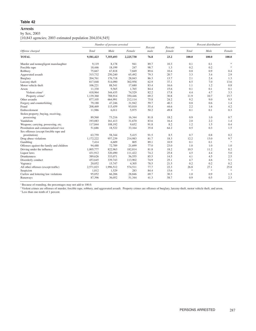#### **Arrests**

# by Sex, 2003

[10,843 agencies; 2003 estimated population 204,034,545]

|                                          |           | Number of persons arrested |           |                 | Percent |       | Percent distribution <sup>1</sup> |                       |
|------------------------------------------|-----------|----------------------------|-----------|-----------------|---------|-------|-----------------------------------|-----------------------|
| Offense charged                          | Total     | Male                       | Female    | Percent<br>male | female  | Total | Male                              | Female                |
| <b>TOTAL</b>                             | 9,581,423 | 7,355,693                  | 2,225,730 | 76.8            | 23.2    | 100.0 | 100.0                             | 100.0                 |
| Murder and nonnegligent manslaughter     | 9.119     | 8,178                      | 941       | 89.7            | 10.3    | 0.1   | 0.1                               | $\frac{1}{2\sqrt{3}}$ |
| Forcible rape                            | 18,446    | 18,199                     | 247       | 98.7            | 1.3     | 0.2   | 0.2                               | $\frac{1}{2}$         |
| Robbery                                  | 75,667    | 67,818                     | 7,849     | 89.6            | 10.4    | 0.8   | 0.9                               | 0.4                   |
| Aggravated assault                       | 315,732   | 250,240                    | 65,492    | 79.3            | 20.7    | 3.3   | 3.4                               | 2.9                   |
| <b>Burglary</b>                          | 204,761   | 176,718                    | 28,043    | 86.3            | 13.7    | 2.1   | 2.4                               | 1.3                   |
| Larceny-theft                            | 817,048   | 514,090                    | 302,958   | 62.9            | 37.1    | 8.5   | 7.0                               | 13.6                  |
| Motor vehicle theft                      | 106,221   | 88,541                     | 17,680    | 83.4            | 16.6    | 1.1   | 1.2                               | 0.8                   |
| Arson                                    | 11,330    | 9,565                      | 1,765     | 84.4            | 15.6    | 0.1   | 0.1                               | 0.1                   |
| Violent crime <sup>2</sup>               | 418.964   | 344,435                    | 74,529    | 82.2            | 17.8    | 4.4   | 4.7                               | 3.3                   |
| Property crime <sup>2</sup>              | 1,139,360 | 788,914                    | 350,446   | 69.2            | 30.8    | 11.9  | 10.7                              | 15.7                  |
| Other assaults                           | 877,105   | 664,991                    | 212,114   | 75.8            | 24.2    | 9.2   | 9.0                               | 9.5                   |
| Forgery and counterfeiting               | 79,188    | 47,246                     | 31,942    | 59.7            | 40.3    | 0.8   | 0.6                               | 1.4                   |
| Fraud                                    | 208,469   | 115,459                    | 93,010    | 55.4            | 44.6    | 2.2   | 1.6                               | 4.2                   |
| Embezzlement                             | 11,986    | 6,011                      | 5,975     | 50.2            | 49.8    | 0.1   | 0.1                               | 0.3                   |
| Stolen property; buying, receiving,      |           |                            |           |                 |         |       |                                   |                       |
| possessing                               | 89,560    | 73,216                     | 16,344    | 81.8            | 18.2    | 0.9   | 1.0                               | 0.7                   |
| Vandalism                                | 193,083   | 161,413                    | 31,670    | 83.6            | 16.4    | 2.0   | 2.2                               | 1.4                   |
| Weapons; carrying, possessing, etc.      | 117,844   | 108,192                    | 9,652     | 91.8            | 8.2     | 1.2   | 1.5                               | 0.4                   |
| Prostitution and commercialized vice     | 51,686    | 18,522                     | 33,164    | 35.8            | 64.2    | 0.5   | 0.3                               | 1.5                   |
| Sex offenses (except forcible rape and   |           |                            |           |                 |         |       |                                   |                       |
| prostitution)                            | 63,759    | 58,344                     | 5,415     | 91.5            | 8.5     | 0.7   | 0.8                               | 0.2                   |
| Drug abuse violations                    | 1,172,222 | 957,239                    | 214,983   | 81.7            | 18.3    | 12.2  | 13.0                              | 9.7                   |
| Gambling                                 | 7,414     | 6,609                      | 805       | 89.1            | 10.9    | 0.1   | 0.1                               | $\ast$                |
| Offenses against the family and children | 94,488    | 72,789                     | 21,699    | 77.0            | 23.0    | 1.0   | 1.0                               | 1.0                   |
| Driving under the influence              | 1,005,777 | 822,963                    | 182,814   | 81.8            | 18.2    | 10.5  | 11.2                              | 8.2                   |
| Liquor laws                              | 431,912   | 320,490                    | 111,422   | 74.2            | 25.8    | 4.5   | 4.4                               | 5.0                   |
| <b>Drunkenness</b>                       | 389,626   | 333,071                    | 56,555    | 85.5            | 14.5    | 4.1   | 4.5                               | 2.5                   |
| Disorderly conduct                       | 453,645   | 339,743                    | 113,902   | 74.9            | 25.1    | 4.7   | 4.6                               | 5.1                   |
| Vagrancy                                 | 20,052    | 15,747                     | 4,305     | 78.5            | 21.5    | 0.2   | 0.2                               | 0.2                   |
| All other offenses (except traffic)      | 2,571,023 | 1,996,512                  | 574,511   | 77.7            | 22.3    | 26.8  | 27.1                              | 25.8                  |
| Suspicion                                | 1,812     | 1,529                      | 283       | 84.4            | 15.6    | $\gg$ | $\frac{1}{2}$                     | $\ast$                |
| Curfew and loitering law violations      | 95,052    | 66,206                     | 28,846    | 69.7            | 30.3    | 1.0   | 0.9                               | 1.3                   |
| Runaways                                 | 87,396    | 36,052                     | 51,344    | 41.3            | 58.7    | 0.9   | 0.5                               | 2.3                   |

<sup>1</sup> Because of rounding, the percentages may not add to 100.0.

<sup>2</sup> Violent crimes are offenses of murder, forcible rape, robbery, and aggravated assault. Property crimes are offenses of burglary, larceny-theft, motor vehicle theft, and arson.

\*Less than one-tenth of 1 percent.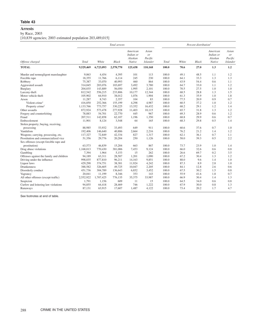#### **Arrests**

by Race, 2003

[10,839 agencies; 2003 estimated population 203,489,015]

|                                          |           |           | Total arrests |                                            |                                           |       |       | Percent distribution <sup>1</sup> |                                            |                                           |
|------------------------------------------|-----------|-----------|---------------|--------------------------------------------|-------------------------------------------|-------|-------|-----------------------------------|--------------------------------------------|-------------------------------------------|
| Offense charged                          | Total     | White     | <b>Black</b>  | American<br>Indian or<br>Alaskan<br>Native | Asian<br>or<br>Pacific<br><b>Islander</b> | Total | White | <b>Black</b>                      | American<br>Indian or<br>Alaskan<br>Native | Asian<br>or<br>Pacific<br><b>Islander</b> |
| <b>TOTAL</b>                             | 9,529,469 | 6,723,093 | 2,570,770     | 125,438                                    | 110,168                                   | 100.0 | 70.6  | 27.0                              | 1.3                                        | 1.2                                       |
| Murder and nonnegligent manslaughter     | 9.063     | 4,454     | 4.395         | 101                                        | 113                                       | 100.0 | 49.1  | 48.5                              | 1.1                                        | 1.2                                       |
| Forcible rape                            | 18,355    | 11,766    | 6,114         | 245                                        | 230                                       | 100.0 | 64.1  | 33.3                              | 1.3                                        | 1.3                                       |
| Robbery                                  | 75,387    | 33,070    | 40,993        | 460                                        | 864                                       | 100.0 | 43.9  | 54.4                              | 0.6                                        | 1.1                                       |
| Aggravated assault                       | 314,045   | 203,076   | 103,697       | 3,492                                      | 3,780                                     | 100.0 | 64.7  | 33.0                              | 1.1                                        | 1.2                                       |
| Burglary                                 | 204,035   | 143,889   | 56,050        | 1,995                                      | 2,101                                     | 100.0 | 70.5  | 27.5                              | 1.0                                        | 1.0                                       |
| Larceny-theft                            | 812,542   | 556,215   | 233,806       | 10,177                                     | 12,344                                    | 100.0 | 68.5  | 28.8                              | 1.3                                        | 1.5                                       |
| Motor vehicle theft                      | 105,902   | 64,910    | 38,012        | 1,076                                      | 1,904                                     | 100.0 | 61.3  | 35.9                              | 1.0                                        | 1.8                                       |
| Arson                                    | 11,287    | 8,743     | 2,357         | 104                                        | 83                                        | 100.0 | 77.5  | 20.9                              | 0.9                                        | 0.7                                       |
| Violent crime <sup>2</sup>               | 416,850   | 252,366   | 155,199       | 4,298                                      | 4,987                                     | 100.0 | 60.5  | 37.2                              | 1.0                                        | 1.2                                       |
| Property crime <sup>2</sup>              | 1,133,766 | 773,757   | 330,225       | 13,352                                     | 16,432                                    | 100.0 | 68.2  | 29.1                              | 1.2                                        | 1.4                                       |
| Other assaults                           | 872,924   | 573,478   | 277,928       | 11,403                                     | 10,115                                    | 100.0 | 65.7  | 31.8                              | 1.3                                        | 1.2                                       |
| Forgery and counterfeiting               | 78,883    | 54,701    | 22,770        | 445                                        | 967                                       | 100.0 | 69.3  | 28.9                              | 0.6                                        | 1.2                                       |
| Fraud                                    | 207,511   | 142,858   | 62,107        | 1,196                                      | 1,350                                     | 100.0 | 68.8  | 29.9                              | 0.6                                        | 0.7                                       |
| Embezzlement                             | 11,901    | 8,124     | 3,548         | 64                                         | 165                                       | 100.0 | 68.3  | 29.8                              | 0.5                                        | 1.4                                       |
| Stolen property; buying, receiving,      |           |           |               |                                            |                                           |       |       |                                   |                                            |                                           |
| possessing                               | 88,985    | 53,932    | 33,493        | 649                                        | 911                                       | 100.0 | 60.6  | 37.6                              | 0.7                                        | 1.0                                       |
| Vandalism                                | 192,406   | 146,640   | 40,886        | 2,664                                      | 2,216                                     | 100.0 | 76.2  | 21.2                              | 1.4                                        | 1.2                                       |
| Weapons; carrying, possessing, etc.      | 117,327   | 72,849    | 42,334        | 827                                        | 1,317                                     | 100.0 | 62.1  | 36.1                              | 0.7                                        | 1.1                                       |
| Prostitution and commercialized vice     | 51,356    | 29,776    | 20,204        | 250                                        | 1,126                                     | 100.0 | 58.0  | 39.3                              | 0.5                                        | 2.2                                       |
| Sex offenses (except forcible rape and   |           |           |               |                                            |                                           |       |       |                                   |                                            |                                           |
| prostitution)                            | 63,573    | 46,839    | 15,204        | 663                                        | 867                                       | 100.0 | 73.7  | 23.9                              | 1.0                                        | 1.4                                       |
| Drug abuse violations                    | 1,168,013 | 770,430   | 381,006       | 7,453                                      | 9,124                                     | 100.0 | 66.0  | 32.6                              | 0.6                                        | 0.8                                       |
| Gambling                                 | 7,394     | 1,964     | 5,153         | 15                                         | 262                                       | 100.0 | 26.6  | 69.7                              | 0.2                                        | 3.5                                       |
| Offenses against the family and children | 94,189    | 63,311    | 28,587        | 1,201                                      | 1,090                                     | 100.0 | 67.2  | 30.4                              | 1.3                                        | 1.2                                       |
| Driving under the influence              | 998,035   | 877,810   | 96,211        | 14.163                                     | 9.851                                     | 100.0 | 88.0  | 9.6                               | 1.4                                        | 1.0                                       |
| Liquor laws                              | 429,298   | 374,751   | 38,381        | 11,924                                     | 4,242                                     | 100.0 | 87.3  | 8.9                               | 2.8                                        | 1.0                                       |
| Drunkenness                              | 388,582   | 326,605   | 49,725        | 10,047                                     | 2,205                                     | 100.0 | 84.1  | 12.8                              | 2.6                                        | 0.6                                       |
| Disorderly conduct                       | 451,736   | 304,789   | 136,643       | 6,852                                      | 3,452                                     | 100.0 | 67.5  | 30.2                              | 1.5                                        | 0.8                                       |
| Vagrancy                                 | 20,041    | 11,199    | 8,346         | 353                                        | 143                                       | 100.0 | 55.9  | 41.6                              | 1.8                                        | 0.7                                       |
| All other offenses (except traffic)      | 2,552,922 | 1,707,425 | 776,135       | 35,375                                     | 33,987                                    | 100.0 | 66.9  | 30.4                              | 1.4                                        | 1.3                                       |
| Suspicion                                | 1,791     | 1,156     | 609           | 11                                         | 15                                        | 100.0 | 64.5  | 34.0                              | 0.6                                        | 0.8                                       |
| Curfew and loitering law violations      | 94,855    | 64,418    | 28,469        | 746                                        | 1,222                                     | 100.0 | 67.9  | 30.0                              | 0.8                                        | 1.3                                       |
| Runaways                                 | 87,131    | 63,915    | 17,607        | 1,487                                      | 4,122                                     | 100.0 | 73.4  | 20.2                              | 1.7                                        | 4.7                                       |
|                                          |           |           |               |                                            |                                           |       |       |                                   |                                            |                                           |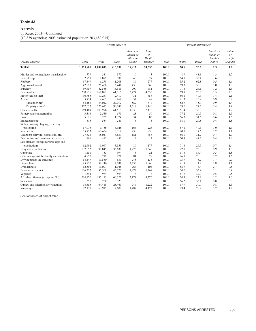# **Arrests**

by Race, 2003—Continued

[10,839 agencies; 2003 estimated population 203,489,015]

|                                          |           |           | Arrests under 18 |                                            |                                           |       |       | Percent distribution <sup>1</sup> |                                            |                                           |
|------------------------------------------|-----------|-----------|------------------|--------------------------------------------|-------------------------------------------|-------|-------|-----------------------------------|--------------------------------------------|-------------------------------------------|
| Offense charged                          | Total     | White     | <b>Black</b>     | American<br>Indian or<br>Alaskan<br>Native | Asian<br>or<br>Pacific<br><b>Islander</b> | Total | White | <b>Black</b>                      | American<br>Indian or<br>Alaskan<br>Native | Asian<br>or<br>Pacific<br><b>Islander</b> |
| <b>TOTAL</b>                             | 1,555,801 | 1,098,012 | 413,236          | 19,917                                     | 24,636                                    | 100.0 | 70.6  | 26.6                              | 1.3                                        | 1.6                                       |
| Murder and nonnegligent manslaughter     | 779       | 381       | 375              | 10                                         | 13                                        | 100.0 | 48.9  | 48.1                              | 1.3                                        | 1.7                                       |
| Forcible rape                            | 2,958     | 1,895     | 988              | 48                                         | 27                                        | 100.0 | 64.1  | 33.4                              | 1.6                                        | 0.9                                       |
| Robbery                                  | 17,849    | 6,278     | 11,208           | 86                                         | 277                                       | 100.0 | 35.2  | 62.8                              | 0.5                                        | 1.6                                       |
| Aggravated assault                       | 42,897    | 25,458    | 16,441           | 438                                        | 560                                       | 100.0 | 59.3  | 38.3                              | 1.0                                        | 1.3                                       |
| Burglary                                 | 59,657    | 42,586    | 15,581           | 709                                        | 781                                       | 100.0 | 71.4  | 26.1                              | 1.2                                        | 1.3                                       |
| Larceny-theft                            | 230,876   | 161,082   | 61,715           | 3,424                                      | 4,655                                     | 100.0 | 69.8  | 26.7                              | 1.5                                        | 2.0                                       |
| Motor vehicle theft                      | 30,785    | 17,281    | 12,417           | 431                                        | 656                                       | 100.0 | 56.1  | 40.3                              | 1.4                                        | 2.1                                       |
| Arson                                    | 5,734     | 4,663     | 969              | 54                                         | 48                                        | 100.0 | 81.3  | 16.9                              | 0.9                                        | 0.8                                       |
| Violent crime <sup>2</sup>               | 64,483    | 34,012    | 29.012           | 582                                        | 877                                       | 100.0 | 52.7  | 45.0                              | 0.9                                        | 1.4                                       |
| Property crime <sup>2</sup>              | 327,052   | 225,612   | 90,682           | 4,618                                      | 6,140                                     | 100.0 | 69.0  | 27.7                              | 1.4                                        | 1.9                                       |
| Other assaults                           | 169,469   | 103,996   | 61,519           | 1,838                                      | 2,116                                     | 100.0 | 61.4  | 36.3                              | 1.1                                        | 1.2                                       |
| Forgery and counterfeiting               | 3,316     | 2,559     | 679              | 28                                         | 50                                        | 100.0 | 77.2  | 20.5                              | 0.8                                        | 1.5                                       |
| Fraud                                    | 5,616     | 3,725     | 1.774            | 34                                         | 83                                        | 100.0 | 66.3  | 31.6                              | 0.6                                        | 1.5                                       |
| Embezzlement                             | 815       | 554       | 243              | 3                                          | 15                                        | 100.0 | 68.0  | 29.8                              | 0.4                                        | 1.8                                       |
| Stolen property; buying, receiving,      |           |           |                  |                                            |                                           |       |       |                                   |                                            |                                           |
| possessing                               | 17,075    | 9,756     | 6,928            | 163                                        | 228                                       | 100.0 | 57.1  | 40.6                              | 1.0                                        | 1.3                                       |
| Vandalism                                | 75,753    | 60,654    | 13,319           | 930                                        | 850                                       | 100.0 | 80.1  | 17.6                              | 1.2                                        | 1.1                                       |
| Weapons; carrying, possessing, etc.      | 27,328    | 18,041    | 8,653            | 181                                        | 453                                       | 100.0 | 66.0  | 31.7                              | 0.7                                        | 1.7                                       |
| Prostitution and commercialized vice     | 966       | 492       | 456              | 4                                          | 14                                        | 100.0 | 50.9  | 47.2                              | 0.4                                        | 1.4                                       |
| Sex offenses (except forcible rape and   |           |           |                  |                                            |                                           |       |       |                                   |                                            |                                           |
| prostitution)                            | 12,692    | 9,067     | 3,359            | 89                                         | 177                                       | 100.0 | 71.4  | 26.5                              | 0.7                                        | 1.4                                       |
| Drug abuse violations                    | 137,052   | 98,849    | 35,638           | 1,225                                      | 1,340                                     | 100.0 | 72.1  | 26.0                              | 0.9                                        | 1.0                                       |
| Gambling                                 | 1,151     | 133       | 994              | 3                                          | 21                                        | 100.0 | 11.6  | 86.4                              | 0.3                                        | 1.8                                       |
| Offenses against the family and children | 4,850     | 3,719     | 971              | 81                                         | 79                                        | 100.0 | 76.7  | 20.0                              | 1.7                                        | 1.6                                       |
| Driving under the influence              | 14,447    | 13,530    | 539              | 245                                        | 133                                       | 100.0 | 93.7  | 3.7                               | 1.7                                        | 0.9                                       |
| Liquor laws                              | 95,970    | 88,146    | 4,031            | 2,733                                      | 1,060                                     | 100.0 | 91.8  | 4.2                               | 2.8                                        | 1.1                                       |
| Drunkenness                              | 12,504    | 11,091    | 1,046            | 263                                        | 104                                       | 100.0 | 88.7  | 8.4                               | 2.1                                        | 0.8                                       |
| Disorderly conduct                       | 136,322   | 87,308    | 46,272           | 1,474                                      | 1,268                                     | 100.0 | 64.0  | 33.9                              | 1.1                                        | 0.9                                       |
| Vagrancy                                 | 1,594     | 984       | 594              | 8                                          | 8                                         | 100.0 | 61.7  | 37.3                              | 0.5                                        | 0.5                                       |
| All other offenses (except traffic)      | 264,970   | 197,193   | 60,322           | 3,179                                      | 4,276                                     | 100.0 | 74.4  | 22.8                              | 1.2                                        | 1.6                                       |
| Suspicion                                | 390       | 258       | 129              | 3                                          | $\mathbf{0}$                              | 100.0 | 66.2  | 33.1                              | 0.8                                        | 0.0                                       |
| Curfew and loitering law violations      | 94,855    | 64,418    | 28,469           | 746                                        | 1,222                                     | 100.0 | 67.9  | 30.0                              | 0.8                                        | 1.3                                       |
| Runaways                                 | 87,131    | 63,915    | 17,607           | 1,487                                      | 4,122                                     | 100.0 | 73.4  | 20.2                              | 1.7                                        | 4.7                                       |
|                                          |           |           |                  |                                            |                                           |       |       |                                   |                                            |                                           |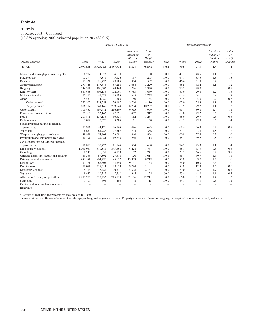# **Arrests**

# by Race, 2003—Continued

[10,839 agencies; 2003 estimated population 203,489,015]

|                                          |           |           | Arrests 18 and over |                                            |                                           |       |       | Percent distribution <sup>1</sup> |                                            |                                           |
|------------------------------------------|-----------|-----------|---------------------|--------------------------------------------|-------------------------------------------|-------|-------|-----------------------------------|--------------------------------------------|-------------------------------------------|
| Offense charged                          | Total     | White     | <b>Black</b>        | American<br>Indian or<br>Alaskan<br>Native | Asian<br>or<br>Pacific<br><b>Islander</b> | Total | White | <b>Black</b>                      | American<br>Indian or<br>Alaskan<br>Native | Asian<br>or<br>Pacific<br><b>Islander</b> |
| <b>TOTAL</b>                             | 7,973,668 | 5,625,081 | 2,157,534           | 105,521                                    | 85,532                                    | 100.0 | 70.5  | 27.1                              | 1.3                                        | 1.1                                       |
| Murder and nonnegligent manslaughter     | 8.284     | 4.073     | 4,020               | 91                                         | 100                                       | 100.0 | 49.2  | 48.5                              | 1.1                                        | 1.2                                       |
| Forcible rape                            | 15,397    | 9,871     | 5,126               | 197                                        | 203                                       | 100.0 | 64.1  | 33.3                              | 1.3                                        | 1.3                                       |
| Robbery                                  | 57,538    | 26,792    | 29,785              | 374                                        | 587                                       | 100.0 | 46.6  | 51.8                              | 0.7                                        | 1.0                                       |
| Aggravated assault                       | 271,148   | 177,618   | 87,256              | 3,054                                      | 3,220                                     | 100.0 | 65.5  | 32.2                              | 1.1                                        | 1.2                                       |
| Burglary                                 | 144,378   | 101,303   | 40,469              | 1.286                                      | 1,320                                     | 100.0 | 70.2  | 28.0                              | 0.9                                        | 0.9                                       |
| Larceny-theft                            | 581,666   | 395,133   | 172,091             | 6,753                                      | 7,689                                     | 100.0 | 67.9  | 29.6                              | 1.2                                        | 1.3                                       |
| Motor vehicle theft                      | 75,117    | 47,629    | 25,595              | 645                                        | 1,248                                     | 100.0 | 63.4  | 34.1                              | 0.9                                        | 1.7                                       |
| Arson                                    | 5,553     | 4,080     | 1,388               | 50                                         | 35                                        | 100.0 | 73.5  | 25.0                              | 0.9                                        | 0.6                                       |
| Violent crime <sup>2</sup>               | 352,367   | 218,354   | 126,187             | 3,716                                      | 4,110                                     | 100.0 | 62.0  | 35.8                              | 1.1                                        | 1.2                                       |
| Property crime <sup>2</sup>              | 806,714   | 548,145   | 239,543             | 8,734                                      | 10,292                                    | 100.0 | 67.9  | 29.7                              | 1.1                                        | 1.3                                       |
| Other assaults                           | 703,455   | 469,482   | 216,409             | 9,565                                      | 7,999                                     | 100.0 | 66.7  | 30.8                              | 1.4                                        | 1.1                                       |
| Forgery and counterfeiting               | 75,567    | 52,142    | 22,091              | 417                                        | 917                                       | 100.0 | 69.0  | 29.2                              | 0.6                                        | 1.2                                       |
| Fraud                                    | 201,895   | 139,133   | 60,333              | 1,162                                      | 1,267                                     | 100.0 | 68.9  | 29.9                              | 0.6                                        | 0.6                                       |
| Embezzlement                             | 11,086    | 7,570     | 3,305               | 61                                         | 150                                       | 100.0 | 68.3  | 29.8                              | 0.6                                        | 1.4                                       |
| Stolen property; buying, receiving,      |           |           |                     |                                            |                                           |       |       |                                   |                                            |                                           |
| possessing                               | 71,910    | 44,176    | 26,565              | 486                                        | 683                                       | 100.0 | 61.4  | 36.9                              | 0.7                                        | 0.9                                       |
| Vandalism                                | 116,653   | 85,986    | 27,567              | 1,734                                      | 1,366                                     | 100.0 | 73.7  | 23.6                              | 1.5                                        | 1.2                                       |
| Weapons; carrying, possessing, etc.      | 89,999    | 54,808    | 33,681              | 646                                        | 864                                       | 100.0 | 60.9  | 37.4                              | 0.7                                        | 1.0                                       |
| Prostitution and commercialized vice     | 50,390    | 29,284    | 19,748              | 246                                        | 1,112                                     | 100.0 | 58.1  | 39.2                              | 0.5                                        | 2.2                                       |
| Sex offenses (except forcible rape and   |           |           |                     |                                            |                                           |       |       |                                   |                                            |                                           |
| prostitution)                            | 50,881    | 37,772    | 11,845              | 574                                        | 690                                       | 100.0 | 74.2  | 23.3                              | 1.1                                        | 1.4                                       |
| Drug abuse violations                    | 1,030,961 | 671,581   | 345,368             | 6,228                                      | 7,784                                     | 100.0 | 65.1  | 33.5                              | 0.6                                        | 0.8                                       |
| Gambling                                 | 6,243     | 1,831     | 4,159               | 12                                         | 241                                       | 100.0 | 29.3  | 66.6                              | 0.2                                        | 3.9                                       |
| Offenses against the family and children | 89,339    | 59,592    | 27,616              | 1,120                                      | 1,011                                     | 100.0 | 66.7  | 30.9                              | 1.3                                        | 1.1                                       |
| Driving under the influence              | 983,588   | 864,280   | 95,672              | 13,918                                     | 9,718                                     | 100.0 | 87.9  | 9.7                               | 1.4                                        | 1.0                                       |
| Liquor laws                              | 333,328   | 286,605   | 34.350              | 9,191                                      | 3,182                                     | 100.0 | 86.0  | 10.3                              | 2.8                                        | 1.0                                       |
| <b>Drunkenness</b>                       | 376,078   | 315,514   | 48,679              | 9,784                                      | 2,101                                     | 100.0 | 83.9  | 12.9                              | 2.6                                        | 0.6                                       |
| Disorderly conduct                       | 315,414   | 217,481   | 90,371              | 5,378                                      | 2,184                                     | 100.0 | 69.0  | 28.7                              | 1.7                                        | 0.7                                       |
| Vagrancy                                 | 18,447    | 10,215    | 7,752               | 345                                        | 135                                       | 100.0 | 55.4  | 42.0                              | 1.9                                        | 0.7                                       |
| All other offenses (except traffic)      | 2,287,952 | 1,510,232 | 715,813             | 32,196                                     | 29,711                                    | 100.0 | 66.0  | 31.3                              | 1.4                                        | 1.3                                       |
| Suspicion                                | 1,401     | 898       | 480                 | 8                                          | 15                                        | 100.0 | 64.1  | 34.3                              | 0.6                                        | 1.1                                       |
| Curfew and loitering law violations      |           | ÷         |                     |                                            | ÷                                         | ۳     | ÷     |                                   |                                            | L.                                        |
| Runaways                                 |           | ÷         | -                   |                                            | ÷                                         | ÷     | -     | -                                 | -                                          |                                           |

<sup>1</sup> Because of rounding, the percentages may not add to 100.0.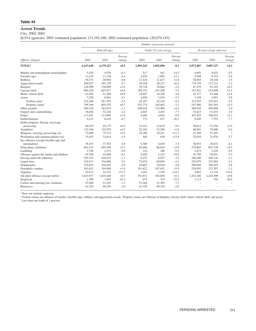# **Arrest Trends**

City, 2002-2003

[6,914 agencies; 2003 estimated population 121,103,160; 2002 estimated population 120,079,143]

|                                          |           |                |                   |           | Number of persons arrested |                   |           |                          |                   |
|------------------------------------------|-----------|----------------|-------------------|-----------|----------------------------|-------------------|-----------|--------------------------|-------------------|
|                                          |           | Total all ages |                   |           | Under 18 years of age      |                   |           | 18 years of age and over |                   |
| Offense charged                          | 2002      | 2003           | Percent<br>change | 2002      | 2003                       | Percent<br>change | 2002      | 2003                     | Percent<br>change |
| <b>TOTAL</b> <sup>1</sup>                | 6,167,649 | 6,179,223      | $+0.2$            | 1,095,242 | 1,092,096                  | $-0.3$            | 5,072,407 | 5,087,127                | $+0.3$            |
| Murder and nonnegligent manslaughter     | 5,418     | 5,076          | $-6.3$            | 517       | 443                        | $-14.3$           | 4,901     | 4,633                    | $-5.5$            |
| Forcible rape                            | 11,674    | 11,158         | $-4.4$            | 2,076     | 1,805                      | $-13.1$           | 9,598     | 9,353                    | $-2.6$            |
| Robbery                                  | 50,371    | 49,983         | $-0.8$            | 11,426    | 11,637                     | $+1.8$            | 38,945    | 38,346                   | $-1.5$            |
| Aggravated assault                       | 206.927   | 201,338        | $-2.7$            | 28,168    | 28,217                     | $+0.2$            | 178,759   | 173,121                  | $-3.2$            |
| Burglary                                 | 126,998   | 130,009        | $+2.4$            | 39,728    | 38,844                     | $-2.2$            | 87,270    | 91,165                   | $+4.5$            |
| Larceny-theft                            | 604,420   | 607,017        | $+0.4$            | 189,219   | 183,208                    | $-3.2$            | 415,201   | 423,809                  | $+2.1$            |
| Motor vehicle theft                      | 61,084    | 61,568         | $+0.8$            | 18,807    | 18,100                     | $-3.8$            | 42,277    | 43,468                   | $+2.8$            |
| Arson                                    | 7,258     | 6,961          | $-4.1$            | 4,020     | 3,910                      | $-2.7$            | 3,238     | 3,051                    | $-5.8$            |
| Violent crime <sup>2</sup>               | 274,390   | 267,555        | $-2.5$            | 42,187    | 42,102                     | $-0.2$            | 232,203   | 225,453                  | $-2.9$            |
| Property crime <sup>2</sup>              | 799,760   | 805,555        | $+0.7$            | 251,774   | 244,062                    | $-3.1$            | 547,986   | 561,493                  | $+2.5$            |
| Other assaults                           | 569,320   | 562,874        | $-1.1$            | 108,410   | 112,986                    | $+4.2$            | 460,910   | 449,888                  | $-2.4$            |
| Forgery and counterfeiting               | 56,026    | 54,234         | $-3.2$            | 2,603     | 2,403                      | $-7.7$            | 53,423    | 51,831                   | $-3.0$            |
| Fraud                                    | 111,831   | 113,669        | $+1.6$            | 4,406     | 4,016                      | $-8.9$            | 107,425   | 109,653                  | $+2.1$            |
| Embezzlement                             | 9,212     | 8,410          | $-8.7$            | 772       | 617                        | $-20.1$           | 8,440     | 7,793                    | $-7.7$            |
| Stolen property; buying, receiving,      |           |                |                   |           |                            |                   |           |                          |                   |
| possessing                               | 64,935    | 65,175         | $+0.4$            | 14,321    | 13,619                     | $-4.9$            | 50,614    | 51,556                   | $+1.9$            |
| Vandalism                                | 132,346   | 132,970        | $+0.5$            | 52,345    | 53,290                     | $+1.8$            | 80,001    | 79,680                   | $-0.4$            |
| Weapons; carrying, possessing, etc.      | 73,689    | 75,513         | $+2.5$            | 16,380    | 18,221                     | $+11.2$           | 57,309    | 57,292                   | $\frac{1}{2}$     |
| Prostitution and commercialized vice     | 33,435    | 32,614         | $-2.5$            | 565       | 638                        | $+12.9$           | 32,870    | 31,976                   | $-2.7$            |
| Sex offenses (except forcible rape and   |           |                |                   |           |                            |                   |           |                          |                   |
| prostitution)                            | 39,253    | 37,703         | $-3.9$            | 8.300     | 8,030                      | $-3.3$            | 30,953    | 29,673                   | $-4.1$            |
| Drug abuse violations                    | 661,531   | 695,560        | $+5.1$            | 85,666    | 88,024                     | $+2.8$            | 575,865   | 607,536                  | $+5.5$            |
| Gambling                                 | 2,790     | 2,515          | $-9.9$            | 316       | 286                        | $-9.5$            | 2,474     | 2,229                    | $-9.9$            |
| Offenses against the family and children | 45,789    | 42,084         | $-8.1$            | 4,020     | 3,233                      | $-19.6$           | 41,769    | 38,851                   | $-7.0$            |
| Driving under the influence              | 555,515   | 549,073        | $-1.2$            | 9,235     | 8,927                      | $-3.3$            | 546,280   | 540,146                  | $-1.1$            |
| Liquor laws                              | 324,913   | 316,696        | $-2.5$            | 72,034    | 69,094                     | $-4.1$            | 252,879   | 247,602                  | $-2.1$            |
| Drunkenness                              | 319,655   | 310,441        | $-2.9$            | 10,607    | 10,016                     | $-5.6$            | 309,048   | 300,425                  | $-2.8$            |
| Disorderly conduct                       | 341,613   | 344,948        | $+1.0$            | 101,622   | 107,651                    | $+5.9$            | 239,991   | 237,297                  | $-1.1$            |
| Vagrancy                                 | 10,912    | 14,353         | $+31.5$           | 1,051     | 1,199                      | $+14.1$           | 9,861     | 13,154                   | $+33.4$           |
| All other offenses (except traffic)      | 1,623,937 | 1,635,649      | $+0.7$            | 191,831   | 192,050                    | $+0.1$            | 1,432,106 | 1,443,599                | $+0.8$            |
| Suspicion                                | 1,788     | 1,016          | $-43.2$           | 675       | 314                        | $-53.5$           | 1,113     | 702                      | $-36.9$           |
| Curfew and loitering law violations      | 55,268    | 51,303         | $-7.2$            | 55,268    | 51,303                     | $-7.2$            |           |                          |                   |
| Runaways                                 | 61,529    | 60,329         | $-2.0$            | 61,529    | 60,329                     | $-2.0$            |           |                          |                   |

 $^{\rm 1}$  Does not include suspicion.

<sup>2</sup> Violent crimes are offenses of murder, forcible rape, robbery, and aggravated assault. Property crimes are offenses of burglary, larceny-theft, motor vehicle theft, and arson.

\*Less than one-tenth of 1 percent.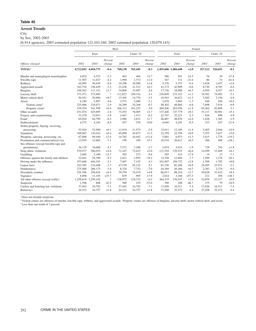# **Arrest Trends**

**City** 

by Sex, 2002-2003

[6,914 agencies; 2003 estimated population 121,103,160; 2002 estimated population 120,079,143]

|                                          |           |                     |                   | Male    |          | Female            |         |                     |                   |         |          |                   |
|------------------------------------------|-----------|---------------------|-------------------|---------|----------|-------------------|---------|---------------------|-------------------|---------|----------|-------------------|
|                                          |           | Total               |                   |         | Under 18 |                   |         | Total               |                   |         | Under 18 |                   |
| Offense charged                          | 2002      | 2003                | Percent<br>change | 2002    | 2003     | Percent<br>change | 2002    | 2003                | Percent<br>change | 2002    | 2003     | Percent<br>change |
| TOTAL <sup>1</sup>                       |           | 4,712,043 4,694,775 | $-0.4$            | 768,130 | 765,445  | $-0.3$            |         | 1,455,606 1,484,448 | $+2.0$            | 327,112 | 326,651  | $-0.1$            |
| Murder and nonnegligent manslaughter     | 4,832     | 4,575               | $-5.3$            | 463     | 404      | $-12.7$           | 586     | 501                 | $-14.5$           | 54      | 39       | $-27.8$           |
| Forcible rape                            | 11,507    | 11,027              | $-4.2$            | 1,990   | 1,772    | $-11.0$           | 167     | 131                 | $-21.6$           | 86      | 33       | $-61.6$           |
| Robbery                                  | 44,995    | 44,630              | $-0.8$            | 10,398  | 10,580   | $+1.8$            | 5,376   | 5,353               | $-0.4$            | 1,028   | 1,057    | $+2.8$            |
| Aggravated assault                       | 163,754   | 158,439             | $-3.2$            | 21,438  | 21,512   | $+0.3$            | 43,173  | 42,899              | $-0.6$            | 6,730   | 6,705    | $-0.4$            |
| Burglary                                 | 109,262   | 111,121             | $+1.7$            | 34,808  | 33,907   | $-2.6$            | 17,736  | 18,888              | $+6.5$            | 4,920   | 4,937    | $+0.3$            |
| Larceny-theft                            | 373,571   | 373,685             | $\ast$            | 112,627 | 109,116  | $-3.1$            | 230,849 | 233,332             | $+1.1$            | 76,592  | 74.092   | $-3.3$            |
| Motor vehicle theft                      | 50,541    | 50,896              | $+0.7$            | 15,305  | 14,770   | $-3.5$            | 10,543  | 10,672              | $+1.2$            | 3,502   | 3,330    | $-4.9$            |
| Arson                                    | 6,180     | 5,897               | $-4.6$            | 3,572   | 3,460    | $-3.1$            | 1,078   | 1,064               | $-1.3$            | 448     | 450      | $+0.4$            |
| Violent crime <sup>2</sup>               | 225,088   | 218,671             | $-2.9$            | 34,289  | 34,268   | $-0.1$            | 49,302  | 48,884              | $-0.8$            | 7,898   | 7,834    | $-0.8$            |
| Property crime <sup>2</sup>              | 539,554   | 541,599             | $+0.4$            | 166,312 | 161,253  | $-3.0$            | 260,206 | 263,956             | $+1.4$            | 85,462  | 82,809   | $-3.1$            |
| Other assaults                           | 431,874   | 425,095             | $-1.6$            | 73,293  | 76,005   | $+3.7$            | 137,446 | 137,779             | $+0.2$            | 35,117  | 36,981   | $+5.3$            |
| Forgery and counterfeiting               | 33,279    | 32,013              | $-3.8$            | 1.667   | 1,513    | $-9.2$            | 22,747  | 22.221              | $-2.3$            | 936     | 890      | $-4.9$            |
| Fraud                                    | 65,024    | 64,799              | $-0.3$            | 2,980   | 2,631    | $-11.7$           | 46,807  | 48,870              | $+4.4$            | 1,426   | 1,385    | $-2.9$            |
| Embezzlement                             | 4.572     | 4,165               | $-8.9$            | 457     | 370      | $-19.0$           | 4,640   | 4,245               | $-8.5$            | 315     | 247      | $-21.6$           |
| Stolen property; buying, receiving,      |           |                     |                   |         |          |                   |         |                     |                   |         |          |                   |
| possessing                               | 52,924    | 52,990              | $+0.1$            | 11.919  | 11,575   | $-2.9$            | 12,011  | 12,185              | $+1.4$            | 2,402   | 2,044    | $-14.9$           |
| Vandalism                                | 109,987   | 110,414             | $+0.4$            | 45,090  | 45,673   | $+1.3$            | 22,359  | 22,556              | $+0.9$            | 7,255   | 7,617    | $+5.0$            |
| Weapons; carrying, possessing, etc.      | 67,808    | 69,440              | $+2.4$            | 14,765  | 16,442   | $+11.4$           | 5,881   | 6,073               | $+3.3$            | 1,615   | 1,779    | $+10.2$           |
| Prostitution and commercialized vice     | 12,919    | 12,002              | $-7.1$            | 199     | 169      | $-15.1$           | 20,516  | 20.612              | $+0.5$            | 366     | 469      | $+28.1$           |
| Sex offenses (except forcible rape and   |           |                     |                   |         |          |                   |         |                     |                   |         |          |                   |
| prostitution)                            | 36,179    | 34,688              | $-4.1$            | 7.571   | 7,288    | $-3.7$            | 3,074   | 3,015               | $-1.9$            | 729     | 742      | $+1.8$            |
| Drug abuse violations                    | 539,977   | 566,025             | $+4.8$            | 71,167  | 72,615   | $+2.0$            | 121,554 | 129,535             | $+6.6$            | 14,499  | 15,409   | $+6.3$            |
| Gambling                                 | 2,405     | 2,100               | $-12.7$           | 302     | 273      | $-9.6$            | 385     | 415                 | $+7.8$            | 14      | 13       | $-7.1$            |
| Offenses against the family and children | 32,041    | 29,390              | $-8.3$            | 2,421   | 1,955    | $-19.2$           | 13,748  | 12,694              | $-7.7$            | 1,599   | 1,278    | $-20.1$           |
| Driving under the influence              | 453.668   | 444.341             | $-2.1$            | 7.467   | 7.145    | $-4.3$            | 101.847 | 104.732             | $+2.8$            | 1.768   | 1.782    | $+0.8$            |
| Liquor laws                              | 243,383   | 234,408             | $-3.7$            | 47,539  | 45,122   | $-5.1$            | 81,530  | 82,288              | $+0.9$            | 24,495  | 23,972   | $-2.1$            |
| <b>Drunkenness</b>                       | 275,486   | 266,175             | $-3.4$            | 8,324   | 7,742    | $-7.0$            | 44,169  | 44,266              | $+0.2$            | 2,283   | 2,274    | $-0.4$            |
| Disorderly conduct                       | 255,596   | 256,624             | $+0.4$            | 70,794  | 74,219   | $+4.8$            | 86,017  | 88,324              | $+2.7$            | 30,828  | 33,432   | $+8.4$            |
| Vagrancy                                 | 8,898     | 11,185              | $+25.7$           | 839     | 905      | $+7.9$            | 2,014   | 3,168               | $+57.3$           | 212     | 294      | $+38.7$           |
| All other offenses (except traffic)      | 1,259,618 | 1,259,102           | $\approx$         | 138,972 | 138,733  | $-0.2$            | 364,319 | 376,547             | $+3.4$            | 52,859  | 53,317   | $+0.9$            |
| Suspicion                                | 1,398     | 808                 | $-42.2$           | 500     | 235      | $-53.0$           | 390     | 208                 | $-46.7$           | 175     | 79       | $-54.9$           |
| Curfew and loitering law violations      | 37,442    | 34,792              | $-7.1$            | 37,442  | 34,792   | $-7.1$            | 17,826  | 16,511              | $-7.4$            | 17,826  | 16,511   | $-7.4$            |
| Runaways                                 | 24,321    | 24,757              | $+1.8$            | 24,321  | 24,757   | $+1.8$            | 37,208  | 35,572              | $-4.4$            | 37,208  | 35,572   | $-4.4$            |

<sup>1</sup> Does not include suspicion.

<sup>2</sup> Violent crimes are offenses of murder, forcible rape, robbery, and aggravated assault. Property crimes are offenses of burglary, larceny-theft, motor vehicle theft, and arson.

\*Less than one-tenth of 1 percent.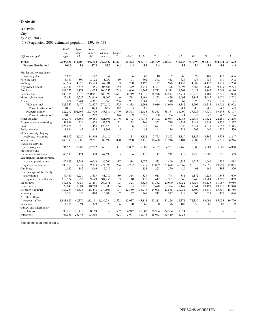#### **Arrests**

City

by Age, 2003

[7,898 agencies; 2003 estimated population 139,498,658]

|                                                   | Total<br>all       | Ages<br>under  | Ages<br>under     | Ages<br>18 and    | Under          |                |                |                |                |                |                |                |                |                |
|---------------------------------------------------|--------------------|----------------|-------------------|-------------------|----------------|----------------|----------------|----------------|----------------|----------------|----------------|----------------|----------------|----------------|
| Offense charged                                   | ages               | 15             | 18                | over              | 10             | $10 - 12$      | $13 - 14$      | 15             | 16             | 17             | 18             | 19             | 20             | 21             |
| <b>TOTAL</b><br>Percent distribution <sup>1</sup> | 7,128,531<br>100.0 | 411,405<br>5.8 | 1,266,104<br>17.8 | 5,862,427<br>82.2 | 14,471<br>0.2  | 95,424<br>1.3  | 301,510<br>4.2 | 245,779<br>3.4 | 290,477<br>4.1 | 318,443<br>4.5 | 355,396<br>5.0 | 361,476<br>5.1 | 340,834<br>4.8 | 307,672<br>4.3 |
| Murder and nonnegligent                           |                    |                |                   |                   |                |                |                |                |                |                |                |                |                |                |
| manslaughter                                      | 6,671              | 70             | 617               | 6.054             | 1              | 6              | 63             | 110            | 169            | 268            | 399            | 467            | 423            | 436            |
| Forcible rape                                     | 13.181             | 809            | 2,122             | 11.059            | 19             | 198            | 592            | 372            | 415            | 526            | 654            | 636            | 610            | 542            |
| Robbery                                           | 63.564             | 4.025          | 15,583            | 47.981            | 83             | 750            | 3.192          | 3.127          | 3.978          | 4.453          | 4.989          | 4.432          | 3.739          | 3,200          |
| Aggravated assault                                | 239,941            | 12,575         | 34,355            | 205,586           | 452            | 3,379          | 8,744          | 6,307          | 7,378          | 8.095          | 8,663          | 8,980          | 9,179          | 9,774          |
| <b>Burglary</b>                                   | 148,277            | 16,171         | 44,025            | 104,252           | 763            | 4,046          | 11,362         | 8,712          | 9,374          | 9,768          | 10,421         | 8,862          | 7,064          | 6,186          |
| Larceny-theft                                     | 683,335            | 77,378         | 200,941           | 482.394           | 2.641          | 20.719         | 54,018         | 38.248         | 42,544         | 42,771         | 40.973         | 33.484         | 27,840         | 23,098         |
| Motor vehicle theft                               | 82,656             | 6,255          | 24,649            | 58,007            | 49             | 712            | 5,494          | 5,872          | 6,429          | 6,093          | 5,843          | 5,047          | 4,020          | 3,708          |
| Arson                                             | 8,024              | 2,761          | 4,361             | 3,663             | 296            | 901            | 1,564          | 723            | 510            | 367            | 290            | 257            | 221            | 175            |
| Violent crime <sup>2</sup>                        | 323,357            | 17.479         | 52,677            | 270,680           | 555            | 4,333          | 12,591         | 9.916          | 11.940         | 13.342         | 14.705         | 14,515         | 13,951         | 13,952         |
| Percent distribution <sup>1</sup>                 | 100.0              | 5.4            | 16.3              | 83.7              | 0.2            | 1.3            | 3.9            | 3.1            | 3.7            | 4.1            | 4.5            | 4.5            | 4.3            | 4.3            |
| Property crime <sup>2</sup>                       | 922.292            | 102.565        | 273,976           | 648,316           | 3.749          | 26,378         | 72.438         | 53,555         | 58,857         | 58,999         | 57,527         | 47.650         | 39.145         | 33.167         |
| Percent distribution <sup>1</sup>                 | 100.0              | 11.1           | 29.7              | 70.3              | 0.4            | 2.9            | 7.9            | 5.8            | 6.4            | 6.4            | 6.2            | 5.2            | 4.2            | 3.6            |
| Other assaults                                    | 652,391            | 56,867         | 130,888           | 521,503           | 2,146          | 15,703         | 39,018         | 24,892         | 25,044         | 24,085         | 21,684         | 21,422         | 22,260         | 24,296         |
| Forgery and counterfeiting                        | 59,999             | 324            | 2.628             | 57,371            | 22             | 38             | 264            | 352            | 719            | 1.233          | 2.444          | 2.958          | 3,236          | 2,877          |
| Fraud                                             | 125,024            | 850            | 4,454             | 120,570           | 71             | 136            | 643            | 671            | 1.105          | 1,828          | 3,644          | 4,879          | 5,293          | 5,315          |
| Embezzlement                                      | 8,946              | 47             | 645               | 8,301             | 5              | $\overline{4}$ | 38             | 41             | 176            | 381            | 597            | 666            | 529            | 526            |
| Stolen property; buying,                          |                    |                |                   |                   |                |                |                |                |                |                |                |                |                |                |
| receiving, possessing                             | 68,992             | 4,050          | 14,306            | 54,686            | 98             | 831            | 3,121          | 2,755          | 3,362          | 4,139          | 4,825          | 4,362          | 3,723          | 3,247          |
| Vandalism                                         | 149,393            | 26,886         | 59,701            | 89,692            | 1,820          | 7.930          | 17,136         | 10,498         | 11,216         | 11,101         | 9,909          | 7,622          | 6,238          | 6,216          |
| Weapons; carrying,                                |                    |                |                   |                   |                |                |                |                |                |                |                |                |                |                |
| possessing, etc.                                  | 91,520             | 8,282          | 22,702            | 68,818            | 301            | 2,092          | 5,889          | 4,197          | 4,783          | 5,440          | 5,908          | 5,681          | 5,068          | 4,850          |
| Prostitution and                                  |                    |                |                   |                   |                |                |                |                |                |                |                |                |                |                |
| commercialized vice                               | 48,590             | 121            | 900               | 47,690            | 5              | 6              | 110            | 142            | 219            | 418            | 1,250          | 1,605          | 1,526          | 1,558          |
| Sex offenses (except forcible                     |                    |                |                   |                   |                |                |                |                |                |                |                |                |                |                |
| rape and prostitution)                            | 45.823             | 4.748          | 9.063             | 36,760            | 287            | 1.384          | 3.077          | 1.533          | 1.400          | 1.382          | 1.587          | 1.669          | 1.536          | 1.488          |
| Drug abuse violations                             | 883,969            | 19,237         | 109,873           | 774,096           | 226            | 2,292          | 16,719         | 19,889         | 29,678         | 41,069         | 56,015         | 55,056         | 49,991         | 45,065         |
| Gambling                                          | 6,085              | 142            | 1,066             | 5,019             | 3              | 8              | 131            | 228            | 270            | 426            | 468            | 466            | 395            | 326            |
| Offenses against the family                       |                    |                |                   |                   |                |                |                |                |                |                |                |                |                |                |
| and children                                      | 45,440             | 1,230          | 3,453             | 41,987            | 89             | 314            | 827            | 618            | 764            | 841            | 1,172          | 1,224          | 1,345          | 1,609          |
| Driving under the influence                       | 613,904            | 222            | 9,649             | 604,255           | 93             | 10             | 119            | 417            | 2,362          | 6.648          | 15,740         | 20,784         | 23,395         | 31,859         |
| Liquor laws                                       | 342,832            | 7,457          | 73,461            | 269,371           | 103            | 528            | 6,826          | 11,352         | 20,900         | 33,752         | 56,657         | 60,135         | 51,067         | 9,986          |
| Drunkenness                                       | 329,648            | 1.381          | 10.760            | 318,888           | 56             | 95             | 1.230          | 1.678          | 2,554          | 5.147          | 9.564          | 10.491         | 10,930         | 15,340         |
| Disorderly conduct                                | 389,254            | 48,833         | 118,448           | 270,806           | 1.171          | 12.389         | 35,273         | 24,098         | 23,585         | 21,932         | 18,800         | 16,610         | 15,639         | 18,756         |
| Vagrancy                                          | 17,518             | 353            | 1,410             | 16,108            | $\overline{7}$ | 77             | 269            | 312            | 327            | 418            | 505            | 527            | 471            | 444            |
| All other offenses                                |                    |                |                   |                   |                |                |                |                |                |                |                |                |                |                |
| (except traffic)                                  | 1,848,925          | 60,376         | 212,191           | 1.636.734         | 2.528          | 12,037         | 45.811         | 42,218         | 51.226         | 58,371         | 72,339         | 83,094         | 85,033         | 86,756         |
| Suspicion                                         | 1,105              | 91             | 329               | 776               | 6              | 20             | 65             | 60             | 76             | 102            | 56             | 60             | 63             | 39             |
| Curfew and loitering law                          |                    |                |                   |                   |                |                |                |                |                |                |                |                |                |                |
| violations                                        | 90,168             | 26,416         | 90,168            |                   | 502            | 4,912          | 21,002         | 20,294         | 24,504         | 18,954         |                |                |                |                |
| Runaways                                          | 63,356             | 23,448         | 63.356            | $\equiv$          | 628            | 3.907          | 18.913         | 16,063         | 15.410         | 8.435          |                |                | ÷              |                |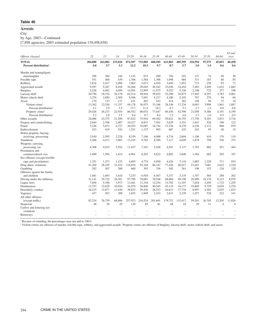# **Arrests**

**City** 

by Age, 2003—Continued

[7,898 agencies; 2003 estimated population 139,498,658]

|                                   |         |         |         |         |           |         |           |         |         |        |                | 65 and         |
|-----------------------------------|---------|---------|---------|---------|-----------|---------|-----------|---------|---------|--------|----------------|----------------|
| Offense charged                   | 22      | 23      | 24      | 25-29   | $30 - 34$ | 35-39   | $40 - 44$ | 45-49   | 50-54   | 55-59  | 60-64          | over           |
| <b>TOTAL</b>                      | 284,888 | 263,082 | 233,026 | 872,507 | 733,885   | 688,585 | 621,802   | 405,595 | 210,594 | 97,575 | 45,052         | 40,458         |
| Percent distribution <sup>1</sup> | 4.0     | 3.7     | 3.3     | 12.2    | 10.3      | 9.7     | 8.7       | 5.7     | 3.0     | 1.4    | 0.6            | 0.6            |
| Murder and nonnegligent           |         |         |         |         |           |         |           |         |         |        |                |                |
| manslaughter                      | 396     | 364     | 344     | 1,143   | 673       | 490     | 356       | 243     | 137     | 74     | 50             | 59             |
| Forcible rape                     | 551     | 468     | 439     | 1,706   | 1,584     | 1,398   | 1,098     | 684     | 331     | 187    | 86             | 85             |
| Robbery                           | 2,818   | 2,417   | 2,096   | 7,063   | 5,673     | 4,916   | 3,650     | 1,853   | 733     | 238    | 93             | 71             |
| Aggravated assault                | 9,597   | 9,287   | 8,458   | 34,266  | 29,045    | 26,542  | 23,036    | 14,454  | 7,492   | 3,499  | 1,632          | 1,682          |
| Burglary                          | 5,226   | 4,692   | 4,050   | 14,501  | 12,995    | 11,975  | 9,552     | 5,330   | 2,198   | 725    | 277            | 198            |
| Larceny-theft                     | 20,756  | 18,534  | 16,178  | 62,314  | 58,944    | 59,022  | 52,290    | 34,875  | 17,945  | 8,297  | 3,783          | 4,061          |
| Motor vehicle theft               | 3,276   | 2,850   | 2,569   | 9,306   | 7,691     | 6,217   | 4,180     | 2,103   | 767     | 270    | 94             | 66             |
| Arson                             | 170     | 137     | 137     | 431     | 403       | 433     | 414       | 282     | 148     | 94     | 37             | 34             |
| Violent crime <sup>2</sup>        | 13,362  | 12,536  | 11,337  | 44,178  | 36,975    | 33,346  | 28,140    | 17,234  | 8,693   | 3,998  | 1,861          | 1,897          |
| Percent distribution <sup>1</sup> | 4.1     | 3.9     | 3.5     | 13.7    | 11.4      | 10.3    | 8.7       | 5.3     | 2.7     | 1.2    | 0.6            | 0.6            |
| Property crime <sup>2</sup>       | 29,428  | 26,213  | 22,934  | 86,552  | 80,033    | 77,647  | 66,436    | 42,590  | 21,058  | 9,386  | 4,191          | 4,359          |
| Percent distribution <sup>1</sup> | 3.2     | 2.8     | 2.5     | 9.4     | 8.7       | 8.4     | 7.2       | 4.6     | 2.3     | 1.0    | 0.5            | 0.5            |
| Other assaults                    | 24,086  | 23,375  | 21,500  | 87,622  | 75,916    | 69,562  | 59,621    | 36,755  | 17,756  | 8,101  | 3,831          | 3,716          |
| Forgery and counterfeiting        | 2,644   | 2,706   | 2,487   | 10,327  | 8,831     | 7,561   | 5,829     | 3,191   | 1,441   | 526    | 190            | 123            |
| Fraud                             | 5,326   | 5,073   | 4,727   | 20,293  | 19,087    | 16,744  | 13,726    | 8,278   | 4,226   | 2,112  | 968            | 879            |
| Embezzlement                      | 423     | 419     | 342     | 1,251   | 1,127     | 903     | 687       | 435     | 242     | 95     | 40             | 19             |
| Stolen property; buying,          |         |         |         |         |           |         |           |         |         |        |                |                |
| receiving, possessing             | 2,930   | 2,595   | 2,228   | 8,359   | 7,186     | 6,088   | 4,734     | 2,604   | 1,106   | 410    | 170            | 119            |
| Vandalism                         | 5,206   | 4,513   | 3,962   | 13,105  | 9,782     | 8,589   | 7,117     | 4,029   | 1,878   | 798    | 356            | 372            |
| Weapons; carrying,                |         |         |         |         |           |         |           |         |         |        |                |                |
| possessing, etc.                  | 4,308   | 4,015   | 3,554   | 11,457  | 7,341     | 5,438   | 4,501     | 3,137   | 1,763   | 882    | 451            | 464            |
| Prostitution and                  |         |         |         |         |           |         |           |         |         |        |                |                |
| commercialized vice               | 1,699   | 1,594   | 1,414   | 6,901   | 8,203     | 8,622   | 6,802     | 3,608   | 1,584   | 682    | 295            | 347            |
| Sex offenses (except forcible     |         |         |         |         |           |         |           |         |         |        |                |                |
| rape and prostitution)            | 1,351   | 1,273   | 1,153   | 4,695   | 4.774     | 4,950   | 4,424     | 3,110   | 1,885   | 1.220  | 711            | 934            |
| Drug abuse violations             | 41,264  | 38,105  | 33,432  | 118,010 | 93,184    | 86,147  | 77,426    | 46,917  | 21,641  | 7,681  | 2,632          | 1,530          |
| Gambling                          | 292     | 307     | 200     | 669     | 393       | 336     | 302       | 261     | 198     | 152    | 126            | 128            |
| Offenses against the family       |         |         |         |         |           |         |           |         |         |        |                |                |
| and children                      | 1,681   | 1,693   | 1,624   | 7,235   | 6,920     | 6,567   | 5,337     | 3,119   | 1,347   | 564    | 288            | 262            |
| Driving under the influence       | 31,141  | 29,722  | 26,381  | 97,796  | 78,081    | 70,548  | 68,866    | 49,190  | 29,489  | 16,170 | 8,123          | 6,970          |
| Liquor laws                       | 7,056   | 5,190   | 3,973   | 13,461  | 11,318    | 12,254  | 13,702    | 11,107  | 7,024   | 3,450  | 1,732          | 1,259          |
| <b>Drunkenness</b>                | 13,757  | 12,629  | 10,924  | 41,078  | 36,840    | 40,545  | 45,119    | 34,177  | 19,869  | 9,729  | 4,620          | 3,276          |
| Disorderly conduct                | 16,215  | 13,877  | 11,630  | 39,823  | 29,436    | 28,533  | 26,613    | 17,734  | 8,907   | 4,365  | 2,035          | 1,833          |
| Vagrancy                          | 437     | 452     | 389     | 1,652   | 1,849     | 2,433   | 2,631     | 2,159   | 1,257   | 538    | 223            | 141            |
| All other offenses                |         |         |         |         |           |         |           |         |         |        |                |                |
| (except traffic)                  | 82,234  | 76,759  | 68,806  | 257,923 | 216.524   | 201.691 | 179,721   | 115,917 | 59.201  | 26,705 | 12.205         | 11,826         |
| Suspicion                         | 48      | 36      | 29      | 120     | 85        | 81      | 68        | 43      | 29      | 11     | $\overline{4}$ | $\overline{A}$ |
| Curfew and loitering law          |         |         |         |         |           |         |           |         |         |        |                |                |
| violations                        |         |         |         |         |           |         |           |         |         |        |                |                |
| Runaways                          |         | L.      |         | L.      |           |         |           |         |         |        |                |                |
|                                   |         |         |         |         |           |         |           |         |         |        |                |                |

<sup>1</sup> Because of rounding, the percentages may not add to 100.0.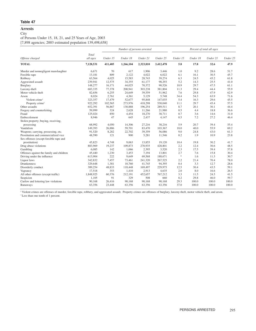# **Arrests City**

of Persons Under 15, 18, 21, and 25 Years of Age, 2003 [7,898 agencies; 2003 estimated population 139,498,658]

|                                          |                   |          | Number of persons arrested |           |           | Percent of total all ages  |          |          |          |  |
|------------------------------------------|-------------------|----------|----------------------------|-----------|-----------|----------------------------|----------|----------|----------|--|
| Offense charged                          | Total<br>all ages | Under 15 | Under 18                   | Under 21  | Under 25  | Under 15                   | Under 18 | Under 21 | Under 25 |  |
| <b>TOTAL</b>                             | 7,128,531         | 411,405  | 1,266,104                  | 2,323,810 | 3,412,478 | 5.8                        | 17.8     | 32.6     | 47.9     |  |
| Murder and nonnegligent manslaughter     | 6,671             | 70       | 617                        | 1,906     | 3,446     | 1.0                        | 9.2      | 28.6     | 51.7     |  |
| Forcible rape                            | 13,181            | 809      | 2,122                      | 4,022     | 6,022     | 6.1                        | 16.1     | 30.5     | 45.7     |  |
| Robbery                                  | 63,564            | 4,025    | 15,583                     | 28,743    | 39,274    | 6.3                        | 24.5     | 45.2     | 61.8     |  |
| Aggravated assault                       | 239,941           | 12,575   | 34,355                     | 61,177    | 98,293    | 5.2                        | 14.3     | 25.5     | 41.0     |  |
| Burglary                                 | 148,277           | 16,171   | 44,025                     | 70,372    | 90,526    | 10.9                       | 29.7     | 47.5     | 61.1     |  |
| Larceny-theft                            | 683,335           | 77,378   | 200,941                    | 303,238   | 381,804   | 11.3                       | 29.4     | 44.4     | 55.9     |  |
| Motor vehicle theft                      | 82,656            | 6,255    | 24,649                     | 39,559    | 51,962    | 7.6                        | 29.8     | 47.9     | 62.9     |  |
| Arson                                    | 8,024             | 2,761    | 4,361                      | 5,129     | 5,748     | 34.4                       | 54.3     | 63.9     | 71.6     |  |
| Violent crime <sup>1</sup>               | 323,357           | 17,479   | 52,677                     | 95,848    | 147,035   | 5.4                        | 16.3     | 29.6     | 45.5     |  |
| Property crime <sup>1</sup>              | 922,292           | 102,565  | 273,976                    | 418,298   | 530,040   | 11.1                       | 29.7     | 45.4     | 57.5     |  |
| Other assaults                           | 652,391           | 56,867   | 130,888                    | 196,254   | 289,511   | 8.7                        | 20.1     | 30.1     | 44.4     |  |
| Forgery and counterfeiting               | 59,999            | 324      | 2,628                      | 11,266    | 21,980    | 0.5                        | 4.4      | 18.8     | 36.6     |  |
| Fraud                                    | 125,024           | 850      | 4,454                      | 18,270    | 38,711    | 0.7                        | 3.6      | 14.6     | 31.0     |  |
| Embezzlement                             | 8,946             | 47       | 645                        | 2,437     | 4,147     | 0.5                        | 7.2      | 27.2     | 46.4     |  |
| Stolen property; buying, receiving,      |                   |          |                            |           |           |                            |          |          |          |  |
| possessing                               | 68,992            | 4,050    | 14,306                     | 27,216    | 38,216    | 5.9                        | 20.7     | 39.4     | 55.4     |  |
| Vandalism                                | 149,393           | 26,886   | 59,701                     | 83,470    | 103,367   | 18.0                       | 40.0     | 55.9     | 69.2     |  |
| Weapons; carrying, possessing, etc.      | 91,520            | 8,282    | 22,702                     | 39,359    | 56,086    | 9.0                        | 24.8     | 43.0     | 61.3     |  |
| Prostitution and commercialized vice     | 48,590            | 121      | 900                        | 5,281     | 11,546    | 0.2                        | 1.9      | 10.9     | 23.8     |  |
| Sex offenses (except forcible rape and   |                   |          |                            |           |           |                            |          |          |          |  |
| prostitution)                            | 45,823            | 4,748    | 9,063                      | 13,855    | 19,120    | 10.4                       | 19.8     | 30.2     | 41.7     |  |
| Drug abuse violations                    | 883,969           | 19,237   | 109,873                    | 270,935   | 428,801   | 2.2                        | 12.4     | 30.6     | 48.5     |  |
| Gambling                                 | 6,085             | 142      | 1,066                      | 2,395     | 3,520     | 2.3                        | 17.5     | 39.4     | 57.8     |  |
| Offenses against the family and children | 45,440            | 1,230    | 3,453                      | 7,194     | 13,801    | 2.7                        | 7.6      | 15.8     | 30.4     |  |
| Driving under the influence              | 613,904           | 222      | 9,649                      | 69,568    | 188,671   | $\ensuremath{\mathcal{R}}$ | 1.6      | 11.3     | 30.7     |  |
| Liquor laws                              | 342,832           | 7,457    | 73,461                     | 241,320   | 267,525   | 2.2                        | 21.4     | 70.4     | 78.0     |  |
| <b>Drunkenness</b>                       | 329,648           | 1,381    | 10,760                     | 41,745    | 94,395    | 0.4                        | 3.3      | 12.7     | 28.6     |  |
| Disorderly conduct                       | 389,254           | 48,833   | 118,448                    | 169,497   | 229,975   | 12.5                       | 30.4     | 43.5     | 59.1     |  |
| Vagrancy                                 | 17,518            | 353      | 1,410                      | 2,913     | 4,635     | 2.0                        | 8.0      | 16.6     | 26.5     |  |
| All other offenses (except traffic)      | 1,848,925         | 60,376   | 212,191                    | 452,657   | 767,212   | 3.3                        | 11.5     | 24.5     | 41.5     |  |
| Suspicion                                | 1,105             | 91       | 329                        | 508       | 660       | 8.2                        | 29.8     | 46.0     | 59.7     |  |
| Curfew and loitering law violations      | 90,168            | 26,416   | 90,168                     | 90,168    | 90,168    | 29.3                       | 100.0    | 100.0    | 100.0    |  |
| Runaways                                 | 63,356            | 23,448   | 63,356                     | 63,356    | 63,356    | 37.0                       | 100.0    | 100.0    | 100.0    |  |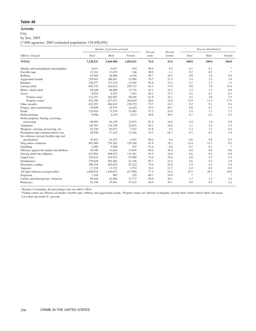# **Arrests**

City

by Sex, 2003

[7,898 agencies; 2003 estimated population 139,498,658]

|                                          |           | Number of persons arrested |           | Percent | Percent | Percent distribution <sup>1</sup> |               |               |  |
|------------------------------------------|-----------|----------------------------|-----------|---------|---------|-----------------------------------|---------------|---------------|--|
| Offense charged                          | Total     | Male                       | Female    | male    | female  | Total                             | Male          | Female        |  |
| <b>TOTAL</b>                             | 7,128,531 | 5,444,900                  | 1,683,631 | 76.4    | 23.6    | 100.0                             | 100.0         | 100.0         |  |
| Murder and nonnegligent manslaughter     | 6,671     | 6,037                      | 634       | 90.5    | 9.5     | 0.1                               | 0.1           | $\frac{1}{2}$ |  |
| Forcible rape                            | 13,181    | 13,035                     | 146       | 98.9    | 1.1     | 0.2                               | 0.2           | $\ast$        |  |
| Robbery                                  | 63,564    | 56,988                     | 6,576     | 89.7    | 10.3    | 0.9                               | 1.0           | 0.4           |  |
| Aggravated assault                       | 239,941   | 188,847                    | 51,094    | 78.7    | 21.3    | 3.4                               | 3.5           | 3.0           |  |
| <b>Burglary</b>                          | 148,277   | 127,219                    | 21,058    | 85.8    | 14.2    | 2.1                               | 2.3           | 1.3           |  |
| Larceny-theft                            | 683,335   | 424,612                    | 258,723   | 62.1    | 37.9    | 9.6                               | 7.8           | 15.4          |  |
| Motor vehicle theft                      | 82,656    | 68,880                     | 13,776    | 83.3    | 16.7    | 1.2                               | 1.3           | 0.8           |  |
| Arson                                    | 8,024     | 6,762                      | 1,262     | 84.3    | 15.7    | 0.1                               | 0.1           | 0.1           |  |
| Violent crime <sup>2</sup>               | 323,357   | 264,907                    | 58,450    | 81.9    | 18.1    | 4.5                               | 4.9           | 3.5           |  |
| Property crime <sup>2</sup>              | 922,292   | 627,473                    | 294,819   | 68.0    | 32.0    | 12.9                              | 11.5          | 17.5          |  |
| Other assaults                           | 652,391   | 494,019                    | 158,372   | 75.7    | 24.3    | 9.2                               | 9.1           | 9.4           |  |
| Forgery and counterfeiting               | 59,999    | 35,579                     | 24,420    | 59.3    | 40.7    | 0.8                               | 0.7           | 1.5           |  |
| Fraud                                    | 125,024   | 71,539                     | 53,485    | 57.2    | 42.8    | 1.8                               | 1.3           | 3.2           |  |
| Embezzlement                             | 8,946     | 4,434                      | 4,512     | 49.6    | 50.4    | 0.1                               | 0.1           | 0.3           |  |
| Stolen property; buying, receiving,      |           |                            |           |         |         |                                   |               |               |  |
| possessing                               | 68,992    | 56,159                     | 12,833    | 81.4    | 18.6    | 1.0                               | 1.0           | 0.8           |  |
| Vandalism                                | 149,393   | 124,358                    | 25,035    | 83.2    | 16.8    | 2.1                               | 2.3           | 1.5           |  |
| Weapons; carrying, possessing, etc.      | 91,520    | 83,973                     | 7,547     | 91.8    | 8.2     | 1.3                               | 1.5           | 0.4           |  |
| Prostitution and commercialized vice     | 48,590    | 17,142                     | 31,448    | 35.3    | 64.7    | 0.7                               | 0.3           | 1.9           |  |
| Sex offenses (except forcible rape and   |           |                            |           |         |         |                                   |               |               |  |
| prostitution)                            | 45,823    | 41,432                     | 4,391     | 90.4    | 9.6     | 0.6                               | 0.8           | 0.3           |  |
| Drug abuse violations                    | 883,969   | 724,263                    | 159,706   | 81.9    | 18.1    | 12.4                              | 13.3          | 9.5           |  |
| Gambling                                 | 6,085     | 5,560                      | 525       | 91.4    | 8.6     | 0.1                               | 0.1           | $\frac{1}{2}$ |  |
| Offenses against the family and children | 45,440    | 31,624                     | 13,816    | 69.6    | 30.4    | 0.6                               | 0.6           | 0.8           |  |
| Driving under the influence              | 613,904   | 498,523                    | 115,381   | 81.2    | 18.8    | 8.6                               | 9.2           | 6.9           |  |
| Liquor laws                              | 342,832   | 254,923                    | 87,909    | 74.4    | 25.6    | 4.8                               | 4.7           | 5.2           |  |
| <b>Drunkenness</b>                       | 329,648   | 282,482                    | 47,166    | 85.7    | 14.3    | 4.6                               | 5.2           | 2.8           |  |
| Disorderly conduct                       | 389,254   | 292,032                    | 97,222    | 75.0    | 25.0    | 5.5                               | 5.4           | 5.8           |  |
| Vagrancy                                 | 17,518    | 13,725                     | 3,793     | 78.3    | 21.7    | 0.2                               | 0.3           | 0.2           |  |
| All other offenses (except traffic)      | 1,848,925 | 1,430,931                  | 417,994   | 77.4    | 22.6    | 25.9                              | 26.3          | 24.8          |  |
| Suspicion                                | 1,105     | 885                        | 220       | 80.1    | 19.9    | $\gg$                             | $\frac{1}{2}$ | $\ast$        |  |
| Curfew and loitering law violations      | 90,168    | 62,996                     | 27,172    | 69.9    | 30.1    | 1.3                               | 1.2           | 1.6           |  |
| Runaways                                 | 63,356    | 25,941                     | 37,415    | 40.9    | 59.1    | 0.9                               | 0.5           | 2.2           |  |

<sup>1</sup> Because of rounding, the percentages may not add to 100.0.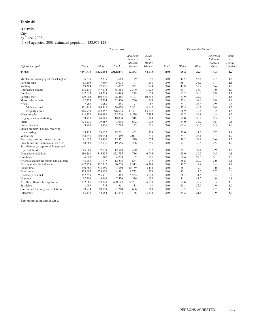# **Arrests**

City

by Race, 2003

[7,894 agencies; 2003 estimated population 138,953,128]

|                                          |           |           | Total arrests |                                            |                                           | Percent distribution <sup>1</sup> |       |              |                                            |                                           |
|------------------------------------------|-----------|-----------|---------------|--------------------------------------------|-------------------------------------------|-----------------------------------|-------|--------------|--------------------------------------------|-------------------------------------------|
| Offense charged                          | Total     | White     | <b>Black</b>  | American<br>Indian or<br>Alaskan<br>Native | Asian<br>or<br>Pacific<br><b>Islander</b> | Total                             | White | <b>Black</b> | American<br>Indian or<br>Alaskan<br>Native | Asian<br>or<br>Pacific<br><b>Islander</b> |
| <b>TOTAL</b>                             | 7,081,879 | 4,826,952 | 2,078,041     | 92,253                                     | 84,633                                    | 100.0                             | 68.2  | 29.3         | 1.3                                        | 1.2                                       |
| Murder and nonnegligent manslaughter     | 6,619     | 2,815     | 3,664         | 49                                         | 91                                        | 100.0                             | 42.5  | 55.4         | 0.7                                        | 1.4                                       |
| Forcible rape                            | 13,105    | 7,699     | 5,074         | 141                                        | 191                                       | 100.0                             | 58.7  | 38.7         | 1.1                                        | 1.5                                       |
| Robbery                                  | 63,284    | 27,116    | 35,072        | 362                                        | 734                                       | 100.0                             | 42.8  | 55.4         | 0.6                                        | 1.2                                       |
| Aggravated assault                       | 238,411   | 147,112   | 85,864        | 2,309                                      | 3,126                                     | 100.0                             | 61.7  | 36.0         | 1.0                                        | 1.3                                       |
| <b>Burglary</b>                          | 147,633   | 99,228    | 45,498        | 1,279                                      | 1,628                                     | 100.0                             | 67.2  | 30.8         | 0.9                                        | 1.1                                       |
| Larceny-theft                            | 679,004   | 460,710   | 198,485       | 9,191                                      | 10,618                                    | 100.0                             | 67.9  | 29.2         | 1.4                                        | 1.6                                       |
| Motor vehicle theft                      | 82,374    | 47,254    | 32,826        | 780                                        | 1,514                                     | 100.0                             | 57.4  | 39.8         | 0.9                                        | 1.8                                       |
| Arson                                    | 7,988     | 5,965     | 1,885         | 71                                         | 67                                        | 100.0                             | 74.7  | 23.6         | 0.9                                        | 0.8                                       |
| Violent crime <sup>2</sup>               | 321,419   | 184,742   | 129,674       | 2,861                                      | 4,142                                     | 100.0                             | 57.5  | 40.3         | 0.9                                        | 1.3                                       |
| Property crime <sup>2</sup>              | 916,999   | 613,157   | 278,694       | 11,321                                     | 13,827                                    | 100.0                             | 66.9  | 30.4         | 1.2                                        | 1.5                                       |
| Other assaults                           | 648,572   | 406,489   | 225,709       | 8,579                                      | 7,795                                     | 100.0                             | 62.7  | 34.8         | 1.3                                        | 1.2                                       |
| Forgery and counterfeiting               | 59,727    | 40,585    | 18,034        | 319                                        | 789                                       | 100.0                             | 68.0  | 30.2         | 0.5                                        | 1.3                                       |
| Fraud                                    | 124,230   | 79,487    | 43,096        | 642                                        | 1,005                                     | 100.0                             | 64.0  | 34.7         | 0.5                                        | 0.8                                       |
| Embezzlement                             | 8,865     | 5,976     | 2,718         | 45                                         | 126                                       | 100.0                             | 67.4  | 30.7         | 0.5                                        | 1.4                                       |
| Stolen property; buying, receiving,      |           |           |               |                                            |                                           |                                   |       |              |                                            |                                           |
| possessing                               | 68,455    | 39,022    | 28,201        | 453                                        | 779                                       | 100.0                             | 57.0  | 41.2         | 0.7                                        | 1.1                                       |
| Vandalism                                | 148,791   | 110,644   | 34,389        | 2,023                                      | 1.735                                     | 100.0                             | 74.4  | 23.1         | 1.4                                        | 1.2                                       |
| Weapons; carrying, possessing, etc.      | 91,032    | 53,856    | 35,571        | 530                                        | 1,075                                     | 100.0                             | 59.2  | 39.1         | 0.6                                        | 1.2                                       |
| Prostitution and commercialized vice     | 48,263    | 27,576    | 19,556        | 236                                        | 895                                       | 100.0                             | 57.1  | 40.5         | 0.5                                        | 1.9                                       |
| Sex offenses (except forcible rape and   |           |           |               |                                            |                                           |                                   |       |              |                                            |                                           |
| prostitution)                            | 45,689    | 32,019    | 12,518        | 420                                        | 732                                       | 100.0                             | 70.1  | 27.4         | 0.9                                        | 1.6                                       |
| Drug abuse violations                    | 880,261   | 545,837   | 322,735       | 4,786                                      | 6,903                                     | 100.0                             | 62.0  | 36.7         | 0.5                                        | 0.8                                       |
| Gambling                                 | 6,067     | 1,190     | 4,749         | $\overline{7}$                             | 121                                       | 100.0                             | 19.6  | 78.3         | 0.1                                        | 2.0                                       |
| Offenses against the family and children | 45,200    | 31,077    | 12,296        | 884                                        | 943                                       | 100.0                             | 68.8  | 27.2         | 2.0                                        | 2.1                                       |
| Driving under the influence              | 607,178   | 532,242   | 60,239        | 8,313                                      | 6,384                                     | 100.0                             | 87.7  | 9.9          | 1.4                                        | 1.1                                       |
| Liquor laws                              | 340,683   | 293,350   | 33,680        | 10,159                                     | 3,494                                     | 100.0                             | 86.1  | 9.9          | 3.0                                        | 1.0                                       |
| <b>Drunkenness</b>                       | 328,687   | 273,139   | 44,891        | 8,723                                      | 1,934                                     | 100.0                             | 83.1  | 13.7         | 2.7                                        | 0.6                                       |
| Disorderly conduct                       | 387,399   | 256,971   | 121,863       | 5,552                                      | 3,013                                     | 100.0                             | 66.3  | 31.5         | 1.4                                        | 0.8                                       |
| Vagrancy                                 | 17,509    | 9,469     | 7,570         | 336                                        | 134                                       | 100.0                             | 54.1  | 43.2         | 1.9                                        | 0.8                                       |
| All other offenses (except traffic)      | 1,832,665 | 1,183,728 | 600,143       | 24,201                                     | 24,593                                    | 100.0                             | 64.6  | 32.7         | 1.3                                        | 1.3                                       |
| Suspicion                                | 1,096     | 713       | 361           | 11                                         | 11                                        | 100.0                             | 65.1  | 32.9         | 1.0                                        | 1.0                                       |
| Curfew and loitering law violations      | 89,974    | 60,729    | 27,710        | 666                                        | 869                                       | 100.0                             | 67.5  | 30.8         | 0.7                                        | 1.0                                       |
| Runaways                                 | 63,118    | 44,954    | 13,644        | 1,186                                      | 3,334                                     | 100.0                             | 71.2  | 21.6         | 1.9                                        | 5.3                                       |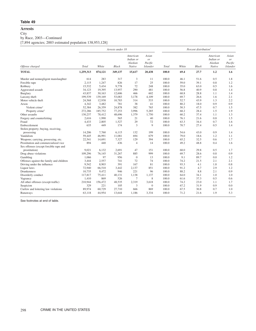# **Arrests**

City

by Race, 2003—Continued

[7,894 agencies; 2003 estimated population 138,953,128]

|                                          |           |         | Arrests under 18 |                                            |                                           | Percent distribution <sup>1</sup> |       |              |                                            |                                           |
|------------------------------------------|-----------|---------|------------------|--------------------------------------------|-------------------------------------------|-----------------------------------|-------|--------------|--------------------------------------------|-------------------------------------------|
| Offense charged                          | Total     | White   | <b>Black</b>     | American<br>Indian or<br>Alaskan<br>Native | Asian<br>or<br>Pacific<br><b>Islander</b> | Total                             | White | <b>Black</b> | American<br>Indian or<br>Alaskan<br>Native | Asian<br>or<br>Pacific<br><b>Islander</b> |
| <b>TOTAL</b>                             | 1,259,313 | 874,121 | 349,137          | 15,617                                     | 20,438                                    | 100.0                             | 69.4  | 27.7         | 1.2                                        | 1.6                                       |
| Murder and nonnegligent manslaughter     | 614       | 283     | 317              | 3                                          | 11                                        | 100.0                             | 46.1  | 51.6         | 0.5                                        | 1.8                                       |
| Forcible rape                            | 2,115     | 1,247   | 826              | 17                                         | 25                                        | 100.0                             | 59.0  | 39.1         | 0.8                                        | 1.2                                       |
| Robbery                                  | 15,532    | 5,434   | 9,778            | 72                                         | 248                                       | 100.0                             | 35.0  | 63.0         | 0.5                                        | 1.6                                       |
| Aggravated assault                       | 34,123    | 19,395  | 13,957           | 290                                        | 481                                       | 100.0                             | 56.8  | 40.9         | 0.8                                        | 1.4                                       |
| Burglary                                 | 43,837    | 30,163  | 12,606           | 466                                        | 602                                       | 100.0                             | 68.8  | 28.8         | 1.1                                        | 1.4                                       |
| Larceny-theft                            | 199,539   | 139,169 | 53,083           | 3,178                                      | 4,109                                     | 100.0                             | 69.7  | 26.6         | 1.6                                        | 2.1                                       |
| Motor vehicle theft                      | 24,568    | 12,938  | 10,783           | 314                                        | 533                                       | 100.0                             | 52.7  | 43.9         | 1.3                                        | 2.2                                       |
| Arson                                    | 4,342     | 3,482   | 781              | 38                                         | 41                                        | 100.0                             | 80.2  | 18.0         | 0.9                                        | 0.9                                       |
| Violent crime <sup>2</sup>               | 52,384    | 26,359  | 24,878           | 382                                        | 765                                       | 100.0                             | 50.3  | 47.5         | 0.7                                        | 1.5                                       |
| Property crime <sup>2</sup>              | 272,286   | 185,752 | 77,253           | 3,996                                      | 5,285                                     | 100.0                             | 68.2  | 28.4         | 1.5                                        | 1.9                                       |
| Other assaults                           | 130,237   | 78,412  | 48,696           | 1,379                                      | 1,750                                     | 100.0                             | 60.2  | 37.4         | 1.1                                        | 1.3                                       |
| Forgery and counterfeiting               | 2,616     | 1,990   | 565              | 21                                         | 40                                        | 100.0                             | 76.1  | 21.6         | 0.8                                        | 1.5                                       |
| Fraud                                    | 4,433     | 2,805   | 1,527            | 29                                         | 72                                        | 100.0                             | 63.3  | 34.4         | 0.7                                        | 1.6                                       |
| Embezzlement                             | 635       | 449     | 174              | 3                                          | 9                                         | 100.0                             | 70.7  | 27.4         | 0.5                                        | 1.4                                       |
| Stolen property; buying, receiving,      |           |         |                  |                                            |                                           |                                   |       |              |                                            |                                           |
| possessing                               | 14,206    | 7,760   | 6,115            | 132                                        | 199                                       | 100.0                             | 54.6  | 43.0         | 0.9                                        | 1.4                                       |
| Vandalism                                | 59,445    | 46,991  | 11,081           | 694                                        | 679                                       | 100.0                             | 79.0  | 18.6         | 1.2                                        | 1.1                                       |
| Weapons; carrying, possessing, etc.      | 22,541    | 14,691  | 7,327            | 129                                        | 394                                       | 100.0                             | 65.2  | 32.5         | 0.6                                        | 1.7                                       |
| Prostitution and commercialized vice     | 894       | 440     | 436              | $\overline{4}$                             | 14                                        | 100.0                             | 49.2  | 48.8         | 0.4                                        | 1.6                                       |
| Sex offenses (except forcible rape and   |           |         |                  |                                            |                                           |                                   |       |              |                                            |                                           |
| prostitution)                            | 9,021     | 6,132   | 2,691            | 47                                         | 151                                       | 100.0                             | 68.0  | 29.8         | 0.5                                        | 1.7                                       |
| Drug abuse violations                    | 109,296   | 76,145  | 31,267           | 885                                        | 999                                       | 100.0                             | 69.7  | 28.6         | 0.8                                        | 0.9                                       |
| Gambling                                 | 1,066     | 97      | 956              | $\boldsymbol{0}$                           | 13                                        | 100.0                             | 9.1   | 89.7         | 0.0                                        | 1.2                                       |
| Offenses against the family and children | 3,444     | 2,557   | 741              | 72                                         | 74                                        | 100.0                             | 74.2  | 21.5         | 2.1                                        | 2.1                                       |
| Driving under the influence              | 9,542     | 8,903   | 391              | 167                                        | 81                                        | 100.0                             | 93.3  | 4.1          | 1.8                                        | 0.8                                       |
| Liquor laws                              | 72,940    | 66,510  | 3,442            | 2,137                                      | 851                                       | 100.0                             | 91.2  | 4.7          | 2.9                                        | 1.2                                       |
| Drunkenness                              | 10,735    | 9,472   | 946              | 221                                        | 96                                        | 100.0                             | 88.2  | 8.8          | 2.1                                        | 0.9                                       |
| Disorderly conduct                       | 117,817   | 75,411  | 40,131           | 1,138                                      | 1,137                                     | 100.0                             | 64.0  | 34.1         | 1.0                                        | 1.0                                       |
| Vagrancy                                 | 1,410     | 869     | 526              | 7                                          | 8                                         | 100.0                             | 61.6  | 37.3         | 0.5                                        | 0.6                                       |
| All other offenses (except traffic)      | 210,944   | 156,472 | 48,535           | 2,319                                      | 3,618                                     | 100.0                             | 74.2  | 23.0         | 1.1                                        | 1.7                                       |
| Suspicion                                | 329       | 221     | 105              | 3                                          | $\overline{0}$                            | 100.0                             | 67.2  | 31.9         | 0.9                                        | 0.0                                       |
| Curfew and loitering law violations      | 89,974    | 60.729  | 27,710           | 666                                        | 869                                       | 100.0                             | 67.5  | 30.8         | 0.7                                        | 1.0                                       |
| Runaways                                 | 63,118    | 44,954  | 13,644           | 1,186                                      | 3,334                                     | 100.0                             | 71.2  | 21.6         | 1.9                                        | 5.3                                       |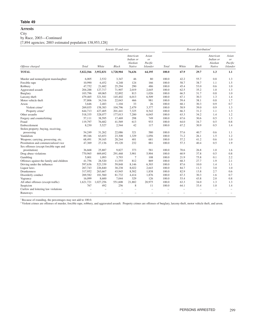# **Arrests**

**City** 

by Race, 2003—Continued

[7,894 agencies; 2003 estimated population 138,953,128]

|                                          |           |                          | Arrests 18 and over      |                                            |                                           | Percent distribution <sup>1</sup> |                          |                          |                                            |                                           |
|------------------------------------------|-----------|--------------------------|--------------------------|--------------------------------------------|-------------------------------------------|-----------------------------------|--------------------------|--------------------------|--------------------------------------------|-------------------------------------------|
| Offense charged                          | Total     | White                    | <b>Black</b>             | American<br>Indian or<br>Alaskan<br>Native | Asian<br>or<br>Pacific<br><b>Islander</b> | Total                             | White                    | <b>Black</b>             | American<br>Indian or<br>Alaskan<br>Native | Asian<br>or<br>Pacific<br><b>Islander</b> |
| <b>TOTAL</b>                             | 5,822,566 | 3,952,831                | 1,728,904                | 76,636                                     | 64,195                                    | 100.0                             | 67.9                     | 29.7                     | 1.3                                        | 1.1                                       |
| Murder and nonnegligent manslaughter     | 6,005     | 2,532                    | 3,347                    | 46                                         | 80                                        | 100.0                             | 42.2                     | 55.7                     | 0.8                                        | 1.3                                       |
| Forcible rape                            | 10,990    | 6,452                    | 4,248                    | 124                                        | 166                                       | 100.0                             | 58.7                     | 38.7                     | 1.1                                        | 1.5                                       |
| Robbery                                  | 47,752    | 21,682                   | 25,294                   | 290                                        | 486                                       | 100.0                             | 45.4                     | 53.0                     | 0.6                                        | 1.0                                       |
| Aggravated assault                       | 204,288   | 127,717                  | 71,907                   | 2,019                                      | 2,645                                     | 100.0                             | 62.5                     | 35.2                     | 1.0                                        | 1.3                                       |
| Burglary                                 | 103,796   | 69,065                   | 32,892                   | 813                                        | 1,026                                     | 100.0                             | 66.5                     | 31.7                     | 0.8                                        | 1.0                                       |
| Larceny-theft                            | 479,465   | 321,541                  | 145,402                  | 6,013                                      | 6,509                                     | 100.0                             | 67.1                     | 30.3                     | 1.3                                        | 1.4                                       |
| Motor vehicle theft                      | 57,806    | 34,316                   | 22,043                   | 466                                        | 981                                       | 100.0                             | 59.4                     | 38.1                     | 0.8                                        | 1.7                                       |
| Arson                                    | 3,646     | 2,483                    | 1.104                    | 33                                         | 26                                        | 100.0                             | 68.1                     | 30.3                     | 0.9                                        | 0.7                                       |
| Violent crime <sup>2</sup>               | 269,035   | 158,383                  | 104,796                  | 2,479                                      | 3,377                                     | 100.0                             | 58.9                     | 39.0                     | 0.9                                        | 1.3                                       |
| Property crime <sup>2</sup>              | 644,713   | 427,405                  | 201,441                  | 7,325                                      | 8,542                                     | 100.0                             | 66.3                     | 31.2                     | 1.1                                        | 1.3                                       |
| Other assaults                           | 518,335   | 328,077                  | 177,013                  | 7,200                                      | 6,045                                     | 100.0                             | 63.3                     | 34.2                     | 1.4                                        | 1.2                                       |
| Forgery and counterfeiting               | 57,111    | 38,595                   | 17,469                   | 298                                        | 749                                       | 100.0                             | 67.6                     | 30.6                     | 0.5                                        | 1.3                                       |
| Fraud                                    | 119,797   | 76,682                   | 41,569                   | 613                                        | 933                                       | 100.0                             | 64.0                     | 34.7                     | 0.5                                        | 0.8                                       |
| Embezzlement                             | 8,230     | 5,527                    | 2,544                    | 42                                         | 117                                       | 100.0                             | 67.2                     | 30.9                     | 0.5                                        | 1.4                                       |
| Stolen property; buying, receiving,      |           |                          |                          |                                            |                                           |                                   |                          |                          |                                            |                                           |
| possessing                               | 54,249    | 31,262                   | 22,086                   | 321                                        | 580                                       | 100.0                             | 57.6                     | 40.7                     | 0.6                                        | 1.1                                       |
| Vandalism                                | 89,346    | 63,653                   | 23,308                   | 1,329                                      | 1,056                                     | 100.0                             | 71.2                     | 26.1                     | 1.5                                        | 1.2                                       |
| Weapons; carrying, possessing, etc.      | 68,491    | 39,165                   | 28,244                   | 401                                        | 681                                       | 100.0                             | 57.2                     | 41.2                     | 0.6                                        | 1.0                                       |
| Prostitution and commercialized vice     | 47,369    | 27,136                   | 19,120                   | 232                                        | 881                                       | 100.0                             | 57.3                     | 40.4                     | 0.5                                        | 1.9                                       |
| Sex offenses (except forcible rape and   |           |                          |                          |                                            |                                           |                                   |                          |                          |                                            |                                           |
| prostitution)                            | 36,668    | 25,887                   | 9,827                    | 373                                        | 581                                       | 100.0                             | 70.6                     | 26.8                     | 1.0                                        | 1.6                                       |
| Drug abuse violations                    | 770,965   | 469,692                  | 291,468                  | 3.901                                      | 5,904                                     | 100.0                             | 60.9                     | 37.8                     | 0.5                                        | 0.8                                       |
| Gambling                                 | 5,001     | 1,093                    | 3,793                    | $\overline{7}$                             | 108                                       | 100.0                             | 21.9                     | 75.8                     | 0.1                                        | 2.2                                       |
| Offenses against the family and children | 41,756    | 28,520                   | 11,555                   | 812                                        | 869                                       | 100.0                             | 68.3                     | 27.7                     | 1.9                                        | 2.1                                       |
| Driving under the influence              | 597,636   | 523,339                  | 59,848                   | 8,146                                      | 6,303                                     | 100.0                             | 87.6                     | 10.0                     | 1.4                                        | 1.1                                       |
| Liquor laws                              | 267,743   | 226,840                  | 30,238                   | 8,022                                      | 2,643                                     | 100.0                             | 84.7                     | 11.3                     | 3.0                                        | 1.0                                       |
| Drunkenness                              | 317,952   | 263,667                  | 43,945                   | 8,502                                      | 1,838                                     | 100.0                             | 82.9                     | 13.8                     | 2.7                                        | 0.6                                       |
| Disorderly conduct                       | 269,582   | 181,560                  | 81,732                   | 4,414                                      | 1,876                                     | 100.0                             | 67.3                     | 30.3                     | 1.6                                        | 0.7                                       |
| Vagrancy                                 | 16,099    | 8,600                    | 7,044                    | 329                                        | 126                                       | 100.0                             | 53.4                     | 43.8                     | 2.0                                        | 0.8                                       |
| All other offenses (except traffic)      | 1,621,721 | 1,027,256                | 551,608                  | 21,882                                     | 20,975                                    | 100.0                             | 63.3                     | 34.0                     | 1.3                                        | 1.3                                       |
| Suspicion                                | 767       | 492                      | 256                      | 8                                          | 11                                        | 100.0                             | 64.1                     | 33.4                     | 1.0                                        | 1.4                                       |
| Curfew and loitering law violations      |           | $\qquad \qquad -$        | ÷,                       |                                            |                                           | ÷                                 | $\equiv$                 | $\overline{\phantom{0}}$ |                                            | $\overline{\phantom{m}}$                  |
| Runaways                                 |           | $\overline{\phantom{0}}$ | $\overline{\phantom{m}}$ |                                            |                                           | $\overline{\phantom{0}}$          | $\overline{\phantom{m}}$ | $\overline{\phantom{m}}$ |                                            | $\overline{\phantom{0}}$                  |

<sup>1</sup> Because of rounding, the percentages may not add to 100.0.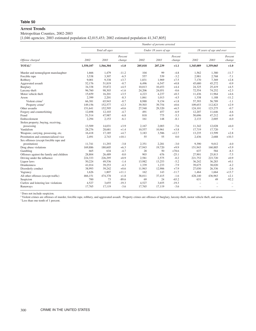# **Arrest Trends**

# Metropolitan Counties, 2002-2003

[1,046 agencies; 2003 estimated population 42,015,453; 2002 estimated population 41,347,805]

|                                          |           |                |                   |         | Number of persons arrested |                   |           |                          |                   |
|------------------------------------------|-----------|----------------|-------------------|---------|----------------------------|-------------------|-----------|--------------------------|-------------------|
|                                          |           | Total all ages |                   |         | Under 18 years of age      |                   |           | 18 years of age and over |                   |
| Offense charged                          | 2002      | 2003           | Percent<br>change | 2002    | 2003                       | Percent<br>change | 2002      | 2003                     | Percent<br>change |
| <b>TOTAL</b> <sup>1</sup>                | 1,550,107 | 1,566,304      | $+1.0$            | 205,018 | 207,239                    | $+1.1$            | 1,345,089 | 1,359,065                | $+1.0$            |
| Murder and nonnegligent manslaughter     | 1,666     | 1,479          | $-11.2$           | 104     | 99                         | $-4.8$            | 1,562     | 1,380                    | $-11.7$           |
| Forcible rape                            | 3,538     | 3,307          | $-6.5$            | 557     | 539                        | $-3.2$            | 2,981     | 2,768                    | $-7.1$            |
| Robbery                                  | 9,001     | 9,338          | $+3.7$            | 1,831   | 1,969                      | $+7.5$            | 7,170     | 7,369                    | $+2.8$            |
| Aggravated assault                       | 52.176    | 51,819         | $-0.7$            | 6.496   | 6,547                      | $+0.8$            | 45,680    | 45,272                   | $-0.9$            |
| Burglary                                 | 34,338    | 35,872         | $+4.5$            | 10,013  | 10,453                     | $+4.4$            | 24,325    | 25,419                   | $+4.5$            |
| Larceny-theft                            | 96,760    | 98,303         | $+1.6$            | 24,206  | 24,051                     | $-0.6$            | 72,554    | 74,252                   | $+2.3$            |
| Motor vehicle theft                      | 15,659    | 16,201         | $+3.5$            | 4,223   | 4,237                      | $+0.3$            | 11,436    | 11,964                   | $+4.6$            |
| Arson                                    | 2,399     | 2,201          | $-8.3$            | 1,061   | 1,013                      | $-4.5$            | 1,338     | 1,188                    | $-11.2$           |
| Violent crime <sup>2</sup>               | 66,381    | 65,943         | $-0.7$            | 8,988   | 9,154                      | $+1.8$            | 57,393    | 56,789                   | $-1.1$            |
| Property crime <sup>2</sup>              | 149,156   | 152,577        | $+2.3$            | 39,503  | 39,754                     | $+0.6$            | 109,653   | 112,823                  | $+2.9$            |
| Other assaults                           | 151,641   | 152,595        | $+0.6$            | 27,540  | 29,320                     | $+6.5$            | 124,101   | 123,275                  | $-0.7$            |
| Forgery and counterfeiting               | 12,698    | 12,103         | $-4.7$            | 491     | 457                        | $-6.9$            | 12,207    | 11,646                   | $-4.6$            |
| Fraud                                    | 51,514    | 47,987         | $-6.8$            | 818     | 775                        | $-5.3$            | 50,696    | 47,212                   | $-6.9$            |
| Embezzlement                             | 2,294     | 2,153          | $-6.1$            | 161     | 148                        | $-8.1$            | 2,133     | 2,005                    | $-6.0$            |
| Stolen property; buying, receiving,      |           |                |                   |         |                            |                   |           |                          |                   |
| possessing                               | 13,509    | 14,031         | $+3.9$            | 2,167   | 2,003                      | $-7.6$            | 11,342    | 12,028                   | $+6.0$            |
| Vandalism                                | 28,276    | 28,681         | $+1.4$            | 10,557  | 10,961                     | $+3.8$            | 17,719    | 17,720                   | $\mathcal{R}$     |
| Weapons; carrying, possessing, etc.      | 16,418    | 17,185         | $+4.7$            | 3,183   | 3,586                      | $+12.7$           | 13,235    | 13,599                   | $+2.8$            |
| Prostitution and commercialized vice     | 2,491     | 2,743          | $+10.1$           | 55      | 55                         | 0.0               | 2,436     | 2,688                    | $+10.3$           |
| Sex offenses (except forcible rape and   |           |                |                   |         |                            |                   |           |                          |                   |
| prostitution)                            | 11,741    | 11,293         | $-3.8$            | 2,351   | 2,281                      | $-3.0$            | 9,390     | 9,012                    | $-4.0$            |
| Drug abuse violations                    | 169,886   | 180,605        | $+6.3$            | 17,943  | 19,720                     | $+9.9$            | 151,943   | 160,885                  | $+5.9$            |
| Gambling                                 | 665       | 634            | $-4.7$            | 28      | 50                         | $+78.6$           | 637       | 584                      | $-8.3$            |
| Offenses against the family and children | 28,804    | 26,489         | $-8.0$            | 903     | 676                        | $-25.1$           | 27,901    | 25,813                   | $-7.5$            |
| Driving under the influence              | 224,333   | 226,295        | $+0.9$            | 2,581   | 2,575                      | $-0.2$            | 221,752   | 223,720                  | $+0.9$            |
| Liquor laws                              | 50,224    | 49,536         | $-1.4$            | 13,982  | 13,253                     | $-5.2$            | 36,242    | 36,283                   | $+0.1$            |
| <b>Drunkenness</b>                       | 41,014    | 39,253         | $-4.3$            | 1,339   | 1,233                      | $-7.9$            | 39,675    | 38,020                   | $-4.2$            |
| Disorderly conduct                       | 38,993    | 39,242         | $+0.6$            | 11,963  | 12,906                     | $+7.9$            | 27,030    | 26,336                   | $-2.6$            |
| Vagrancy                                 | 1,626     | 1,807          | $+11.1$           | 162     | 143                        | $-11.7$           | 1,464     | 1,664                    | $+13.7$           |
| All other offenses (except traffic)      | 466,151   | 474,378        | $+1.8$            | 38,011  | 37,415                     | $-1.6$            | 428,140   | 436,963                  | $+2.1$            |
| Suspicion                                | 700       | 73             | $-89.6$           | 69      | 24                         | $-65.2$           | 631       | 49                       | $-92.2$           |
| Curfew and loitering law violations      | 4,527     | 3,655          | $-19.3$           | 4,527   | 3,655                      | $-19.3$           |           |                          |                   |
| Runaways                                 | 17,765    | 17,119         | $-3.6$            | 17,765  | 17,119                     | $-3.6$            |           |                          |                   |

<sup>1</sup> Does not include suspicion.

<sup>2</sup> Violent crimes are offenses of murder, forcible rape, robbery, and aggravated assault. Property crimes are offenses of burglary, larceny-theft, motor vehicle theft, and arson.

\*Less than one-tenth of 1 percent.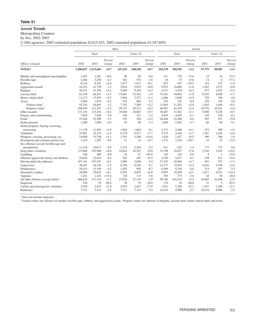#### **Arrest Trends**

Metropolitan Counties

by Sex, 2002-2003

[1,046 agencies; 2003 estimated population 42,015,453; 2002 estimated population 41,347,805]

|                                          |         |                     |                   | Male    |          | Female            |         |         |                   |                |          |                   |
|------------------------------------------|---------|---------------------|-------------------|---------|----------|-------------------|---------|---------|-------------------|----------------|----------|-------------------|
|                                          |         | Total               |                   |         | Under 18 |                   |         | Total   |                   |                | Under 18 |                   |
| Offense charged                          | 2002    | 2003                | Percent<br>change | 2002    | 2003     | Percent<br>change | 2002    | 2003    | Percent<br>change | 2002           | 2003     | Percent<br>change |
| TOTAL <sup>1</sup>                       |         | 1,206,837 1,215,601 | $+0.7$            | 147,243 | 148,258  | $+0.7$            | 343,270 | 350,703 | $+2.2$            | 57,775         | 58,981   | $+2.1$            |
| Murder and nonnegligent manslaughter     | 1,455   | 1,301               | $-10.6$           | 89      | 89       | 0.0               | 211     | 178     | $-15.6$           | 15             | 10       | $-33.3$           |
| Forcible rape                            | 3,484   | 3,250               | $-6.7$            | 543     | 533      | $-1.8$            | 54      | 57      | $+5.6$            | 14             | 6        | $-57.1$           |
| Robbery                                  | 8,144   | 8,391               | $+3.0$            | 1,677   | 1,812    | $+8.1$            | 857     | 947     | $+10.5$           | 154            | 157      | $+1.9$            |
| Aggravated assault                       | 42,253  | 41,739              | $-1.2$            | 5,034   | 5,074    | $+0.8$            | 9,923   | 10.080  | $+1.6$            | 1,462          | 1,473    | $+0.8$            |
| Burglary                                 | 30,121  | 31,394              | $+4.2$            | 9,040   | 9,430    | $+4.3$            | 4,217   | 4,478   | $+6.2$            | 973            | 1,023    | $+5.1$            |
| Larceny-theft                            | 63,319  | 64,241              | $+1.5$            | 15,661  | 15,362   | $-1.9$            | 33,441  | 34,062  | $+1.9$            | 8,545          | 8,689    | $+1.7$            |
| Motor vehicle theft                      | 13,173  | 13,593              | $+3.2$            | 3,494   | 3,537    | $+1.2$            | 2,486   | 2,608   | $+4.9$            | 729            | 700      | $-4.0$            |
| Arson                                    | 2,046   | 1,879               | $-8.2$            | 932     | 884      | $-5.2$            | 353     | 322     | $-8.8$            | 129            | 129      | 0.0               |
| Violent crime <sup>2</sup>               | 55,336  | 54,681              | $-1.2$            | 7.343   | 7,508    | $+2.2$            | 11,045  | 11,262  | $+2.0$            | 1.645          | 1.646    | $+0.1$            |
| Property crime <sup>2</sup>              | 108,659 | 111.107             | $+2.3$            | 29,127  | 29,213   | $+0.3$            | 40,497  | 41,470  | $+2.4$            | 10,376         | 10.541   | $+1.6$            |
| Other assaults                           | 115,154 | 115,334             | $+0.2$            | 19,040  | 20,082   | $+5.5$            | 36,487  | 37,261  | $+2.1$            | 8,500          | 9,238    | $+8.7$            |
| Forgery and counterfeiting               | 7,859   | 7,464               | $-5.0$            | 346     | 321      | $-7.2$            | 4,839   | 4,639   | $-4.1$            | 145            | 136      | $-6.2$            |
| Fraud                                    | 27,020  | 25,598              | $-5.3$            | 535     | 548      | $+2.4$            | 24,494  | 22,389  | $-8.6$            | 283            | 227      | $-19.8$           |
| Embezzlement                             | 1,200   | 1,099               | $-8.4$            | 95      | 88       | $-7.4$            | 1,094   | 1,054   | $-3.7$            | 66             | 60       | $-9.1$            |
| Stolen property; buying, receiving,      |         |                     |                   |         |          |                   |         |         |                   |                |          |                   |
| possessing                               | 11.138  | 11,563              | $+3.8$            | 1.844   | 1.694    | $-8.1$            | 2,371   | 2,468   | $+4.1$            | 323            | 309      | $-4.3$            |
| Vandalism                                | 23,901  | 24,233              | $+1.4$            | 9.176   | 9,517    | $+3.7$            | 4,375   | 4,448   | $+1.7$            | 1,381          | 1,444    | $+4.6$            |
| Weapons; carrying, possessing, etc.      | 14,998  | 15,758              | $+5.1$            | 2,793   | 3,200    | $+14.6$           | 1,420   | 1,427   | $+0.5$            | 390            | 386      | $-1.0$            |
| Prostitution and commercialized vice     | 1,218   | 1,207               | $-0.9$            | 31      | 34       | $+9.7$            | 1,273   | 1,536   | $+20.7$           | 24             | 21       | $-12.5$           |
| Sex offenses (except forcible rape and   |         |                     |                   |         |          |                   |         |         |                   |                |          |                   |
| prostitution)                            | 11.110  | 10,671              | $-4.0$            | 2,174   | 2,104    | $-3.2$            | 631     | 622     | $-1.4$            | 177            | 177      | 0.0               |
| Drug abuse violations                    | 137,688 | 145,968             | $+6.0$            | 14,834  | 16,291   | $+9.8$            | 32,198  | 34,637  | $+7.6$            | 3,109          | 3,429    | $+10.3$           |
| Gambling                                 | 520     | 489                 | $-6.0$            | 24      | 47       | $+95.8$           | 145     | 145     | 0.0               | $\overline{4}$ | 3        | $-25.0$           |
| Offenses against the family and children | 24,044  | 22.018              | $-8.4$            | 565     | 455      | $-19.5$           | 4.760   | 4.471   | $-6.1$            | 338            | 221      | $-34.6$           |
| Driving under the influence              | 187,141 | 187,347             | $+0.1$            | 2,090   | 2.048    | $-2.0$            | 37,192  | 38.948  | $+4.7$            | 491            | 527      | $+7.3$            |
| Liquor laws                              | 38,047  | 36,726              | $-3.5$            | 9,356   | 8,505    | $-9.1$            | 12,177  | 12,810  | $+5.2$            | 4,626          | 4,748    | $+2.6$            |
| Drunkenness                              | 34,615  | 33,149              | $-4.2$            | 1,025   | 936      | $-8.7$            | 6,399   | 6,104   | $-4.6$            | 314            | 297      | $-5.4$            |
| Disorderly conduct                       | 28,996  | 29,033              | $+0.1$            | 8,292   | 8,855    | $+6.8$            | 9,997   | 10,209  | $+2.1$            | 3,671          | 4,051    | $+10.4$           |
| Vagrancy                                 | 1,241   | 1,432               | $+15.4$           | 120     | 113      | $-5.8$            | 385     | 375     | $-2.6$            | 42             | 30       | $-28.6$           |
| All other offenses (except traffic)      | 366,445 | 371,154             | $+1.3$            | 27,926  | 27,129   | $-2.9$            | 99,706  | 103,224 | $+3.5$            | 10,085         | 10,286   | $+2.0$            |
| Suspicion                                | 530     | 54                  | $-89.8$           | 38      | 19       | $-50.0$           | 170     | 19      | $-88.8$           | 31             | 5        | $-83.9$           |
| Curfew and loitering law violations      | 2,976   | 2,447               | $-17.8$           | 2,976   | 2,447    | $-17.8$           | 1,551   | 1,208   | $-22.1$           | 1,551          | 1,208    | $-22.1$           |
| Runaways                                 | 7,531   | 7,123               | $-5.4$            | 7,531   | 7,123    | $-5.4$            | 10,234  | 9.996   | $-2.3$            | 10,234         | 9.996    | $-2.3$            |

<sup>1</sup> Does not include suspicion.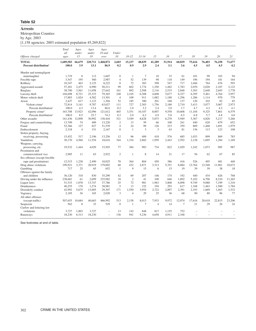#### **Arrests**

Metropolitan Counties

by Age, 2003

[1,158 agencies; 2003 estimated population 45,269,822]

|                                                   | Total<br>all       | Ages<br>under  | Ages<br>under   | Ages<br>18 and           | Under            |                |                 |                |               |                |               |               |               |                          |
|---------------------------------------------------|--------------------|----------------|-----------------|--------------------------|------------------|----------------|-----------------|----------------|---------------|----------------|---------------|---------------|---------------|--------------------------|
| Offense charged                                   | ages               | 15             | 18              | over                     | 10               | $10 - 12$      | $13 - 14$       | 15             | 16            | 17             | 18            | 19            | 20            | 21                       |
| <b>TOTAL</b><br>Percent distribution <sup>1</sup> | 1.689.583<br>100.0 | 66,679<br>3.9  | 220,711<br>13.1 | 1,468,872<br>86.9        | 2,603<br>0.2     | 15,237<br>0.9  | 48,839<br>2.9   | 41,289<br>2.4  | 51.914<br>3.1 | 60.829<br>3.6  | 75,616<br>4.5 | 76,403<br>4.5 | 76,258<br>4.5 | 71,677<br>4.2            |
| Murder and nonnegligent                           |                    |                |                 |                          |                  |                |                 |                |               |                |               |               |               |                          |
| manslaughter                                      | 1,719              | 8              | 112             | 1,607                    | $\mathbf{0}$     | 1              | $7\phantom{.0}$ | 10             | 33            | 61             | 101           | 99            | 103           | 94                       |
| Forcible rape                                     | 3,547              | 195            | 560             | 2.987                    | $\overline{4}$   | 52             | 139             | 98             | 118           | 149            | 196           | 194           | 181           | 164                      |
| Robbery                                           | 10,347             | 463            | 2.125           | 8.222                    | 8                | 72             | 383             | 398            | 547           | 717            | 1,046         | 764           | 676           | 593                      |
| Aggravated assault                                | 57,201             | 2,475          | 6,990           | 50,211                   | 99               | 602            | 1,774           | 1,250          | 1,482         | 1,783          | 2,070         | 2,020         | 2,107         | 2,122                    |
| <b>Burglary</b>                                   | 38,700             | 3,561          | 11.058          | 27.642                   | 161              | 892            | 2,508           | 2.116          | 2.533         | 2.848          | 3.303         | 2.648         | 2.045         | 1.778                    |
| Larceny-theft                                     | 104,698            | 8.721          | 25,333          | 79,365                   | 248              | 2,165          | 6,308           | 4,608          | 5.677         | 6,327          | 6,395         | 5,461         | 4.764         | 3,957                    |
| Motor vehicle theft                               | 17,883             | 1,024          | 4,582           | 13,301                   | $\overline{4}$   | 109            | 911             | 1,082          | 1,180         | 1,296          | 1,286         | 1,114         | 970           | 779                      |
| Arson                                             | 2.427              | 617            | 1.123           | 1.304                    | 52               | 185            | 380             | 201            | 168           | 137            | 120           | 102           | 82            | 65                       |
| Violent crime <sup>2</sup>                        | 72,814             | 3.141          | 9,787           | 63,027                   | 111              | 727            | 2,303           | 1.756          | 2,180         | 2,710          | 3,413         | 3,077         | 3,067         | 2,973                    |
| Percent distribution <sup>1</sup>                 | 100.0              | 4.3            | 13.4            | 86.6                     | 0.2              | 1.0            | 3.2             | 2.4            | 3.0           | 3.7            | 4.7           | 4.2           | 4.2           | 4.1                      |
| Property crime <sup>2</sup>                       | 163,708            | 13.923         | 42,096          | 121.612                  | 465              | 3,351          | 10.107          | 8.007          | 9.558         | 10.608         | 11.104        | 9.325         | 7.861         | 6.579                    |
| Percent distribution <sup>1</sup>                 | 100.0              | 8.5            | 25.7            | 74.3                     | 0.3              | 2.0            | 6.2             | 4.9            | 5.8           | 6.5            | 6.8           | 5.7           | 4.8           | 4.0                      |
| Other assaults                                    | 161,436            | 12,898         | 30,992          | 130,444                  | 521              | 3,549          | 8,828           | 5.875          | 6,270         | 5,949          | 5,367         | 4,820         | 5,217         | 5,266                    |
| Forgery and counterfeiting                        | 13.709             | 74             | 489             | 13.220                   | $\overline{2}$   | 13             | 59              | 66             | 108           | 241            | 440           | 620           | 679           | 652                      |
| Fraud                                             | 52,366             | 127            | 827             | 51,539                   | $\overline{4}$   | 24             | 99              | 126            | 215           | 359            | 809           | 1.468         | 1.691         | 1,979                    |
| Embezzlement                                      | 2,318              | $\overline{4}$ | 151             | 2,167                    | $\boldsymbol{0}$ | 1              | 3               | 3              | 63            | 81             | 136           | 113           | 123           | 108                      |
| Stolen property; buying,                          |                    |                |                 |                          |                  |                |                 |                |               |                |               |               |               |                          |
| receiving, possessing                             | 15,452             | 517            | 2,196           | 13.256                   | 12               | 96             | 409             | 418            | 576           | 685            | 1,033         | 899           | 869           | 783                      |
| Vandalism                                         | 30,170             | 4,560          | 11,554          | 18,616                   | 344              | 1,334          | 2,882           | 1,959          | 2,443         | 2,592          | 2,128         | 1,695         | 1,284         | 1,169                    |
| Weapons; carrying,                                |                    |                |                 |                          |                  |                |                 |                |               |                |               |               |               |                          |
| possessing, etc.                                  | 19,532             | 1.444          | 4,029           | 15.503                   | 77               | 384            | 983             | 734            | 822           | 1.029          | 1,242         | 1.073         | 985           | 987                      |
| Prostitution and                                  |                    |                |                 |                          |                  |                |                 |                |               |                |               |               |               |                          |
| commercialized vice                               | 2.985              | 11             | 63              | 2.922                    | 2                | 1              | 8               | 14             | 21            | 17             | 56            | 62            | 67            | 85                       |
| Sex offenses (except forcible                     |                    |                |                 |                          |                  |                |                 |                |               |                |               |               |               |                          |
| rape and prostitution)                            | 12.515             | 1,238          | 2.490           | 10.025                   | 70               | 364            | 804             | 450            | 386           | 416            | 526           | 495           | 481           | 440                      |
| Drug abuse violations                             | 199.921            | 3.371          | 20.919          | 179,002                  | 68               | 432            | 2.871           | 3.313          | 5.351         | 8.884          | 12.764        | 12.540        | 11.961        | 10.672                   |
| Gambling                                          | 717                | 25             | 65              | 652                      | 1                | 9              | 15              | 6              | 15            | 19             | 39            | 39            | 38            | 18                       |
| Offenses against the family                       |                    |                |                 |                          |                  |                |                 |                |               |                |               |               |               |                          |
| and children                                      | 36.120             | 318            | 830             | 35,290                   | 42               | 69             | 207             | 146            | 174           | 192            | 440           | 434           | 626           | 768                      |
| Driving under the influence                       | 238,681            | 61             | 2.699           | 235,982                  | 18               | $\overline{c}$ | 41              | 100            | 646           | 1.892          | 5.102         | 6.796         | 8,210         | 11,265                   |
| Liquor laws                                       | 51,533             | 1,078          | 13,747          | 37,786                   | 25               | 72             | 981             | 1,963          | 3,808         | 6,898          | 9,749         | 9,088         | 7,199         | 1,310                    |
| <b>Drunkenness</b>                                | 40.255             | 170            | 1,274           | 38.981                   | 5                | 13             | 152             | 194            | 293           | 617            | 1,348         | 1.463         | 1,500         | 1,784                    |
| Disorderly conduct                                | 42,992             | 5.675          | 13,685          | 29,307                   | 171              | 1,550          | 3.954           | 2,722          | 2.897         | 2,391          | 2,193         | 1.669         | 1,463         | 1,532                    |
| Vagrancy<br>All other offenses                    | 2,185              | 36             | 165             | 2,020                    | 3                | $\overline{4}$ | 29              | 25             | 36            | 68             | 90            | 80            | 96            | 77                       |
| (except traffic)                                  | 507,655            | 10.684         | 40,663          | 466,992                  | 513              | 2.158          | 8.013           | 7,933          | 9.972         | 12.074         | 17.616        | 20.618        | 22.815        | 23,206                   |
| Suspicion                                         | 562                | 8              | 33              | 529                      | $\mathbf{0}$     | $\mathbf{1}$   | $\overline{7}$  | $\overline{4}$ | 14            | $\overline{7}$ | 21            | 29            | 26            | 24                       |
| Curfew and loitering law                          |                    |                |                 |                          |                  |                |                 |                |               |                |               |               |               |                          |
| violations                                        | 3.727              | 1.003          | 3.727           | $\overline{\phantom{0}}$ | 13               | 142            | 848             | 817            | 1.155         | 752            |               |               |               |                          |
| Runaways                                          | 18,230             | 6,313          | 18,230          | $\equiv$                 | 136              | 941            | 5,236           | 4,658          | 4,911         | 2,348          | ÷             | ÷             | $\equiv$      | $\overline{\phantom{a}}$ |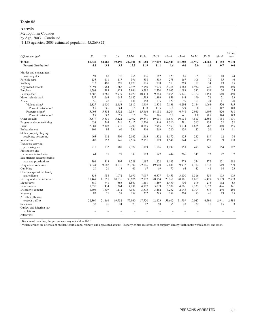# **Arrests**

Metropolitan Counties

by Age, 2003—Continued

[1,158 agencies; 2003 estimated population 45,269,822]

|                                   |        |        |        |         |           |         |         |         |        |        |        | 65 and |
|-----------------------------------|--------|--------|--------|---------|-----------|---------|---------|---------|--------|--------|--------|--------|
| Offense charged                   | 22     | 23     | 24     | 25-29   | $30 - 34$ | 35-39   | 40-44   | 45-49   | 50-54  | 55-59  | 60-64  | over   |
| <b>TOTAL</b>                      | 68,642 | 64,968 | 59,198 | 227,401 | 201,660   | 187,009 | 162,945 | 101,389 | 50.952 | 24,062 | 11,162 | 9,530  |
| Percent distribution <sup>1</sup> | 4.1    | 3.8    | 3.5    | 13.5    | 11.9      | 11.1    | 9.6     | 6.0     | 3.0    | 1.4    | 0.7    | 0.6    |
| Murder and nonnegligent           |        |        |        |         |           |         |         |         |        |        |        |        |
| manslaughter                      | 91     | 88     | 70     | 266     | 176       | 162     | 129     | 85      | 65     | 36     | 18     | 24     |
| Forcible rape                     | 133    | 111    | 117    | 396     | 398       | 393     | 278     | 167     | 106    | 72     | 35     | 46     |
| Robbery                           | 512    | 467    | 398    | 1,178   | 895       | 778     | 513     | 259     | 81     | 34     | 13     | 15     |
| Aggravated assault                | 2,091  | 1,984  | 1,868  | 7,975   | 7,150     | 7,025   | 6,218   | 3,783   | 1,932  | 926    | 460    | 480    |
| Burglary                          | 1,598  | 1,383  | 1,128  | 3,946   | 3,282     | 2,730   | 2,063   | 1,088   | 382    | 159    | 54     | 55     |
| Larceny-theft                     | 3,582  | 3,261  | 2,919  | 11,020  | 10,433    | 9,884   | 8,055   | 5,121   | 2,362  | 1.151  | 540    | 460    |
| Motor vehicle theft               | 757    | 663    | 645    | 2,187   | 1,793     | 1,389   | 959     | 444     | 190    | 71     | 21     | 33     |
| Arson                             | 56     | 47     | 30     | 181     | 158       | 135     | 127     | 95      | 51     | 24     | 11     | 20     |
| Violent crime <sup>2</sup>        | 2,827  | 2,650  | 2,453  | 9,815   | 8,619     | 8,358   | 7,138   | 4,294   | 2,184  | 1,068  | 526    | 565    |
| Percent distribution <sup>1</sup> | 3.9    | 3.6    | 3.4    | 13.5    | 11.8      | 11.5    | 9.8     | 5.9     | 3.0    | 1.5    | 0.7    | 0.8    |
| Property crime <sup>2</sup>       | 5,993  | 5,354  | 4,722  | 17,334  | 15,666    | 14,138  | 11,204  | 6,748   | 2,985  | 1,405  | 626    | 568    |
| Percent distribution <sup>1</sup> | 3.7    | 3.3    | 2.9    | 10.6    | 9.6       | 8.6     | 6.8     | 4.1     | 1.8    | 0.9    | 0.4    | 0.3    |
| Other assaults                    | 5,379  | 5,331  | 5,122  | 19,402  | 19,341    | 19,091  | 16,637  | 10,038  | 4,813  | 2,361  | 1,158  | 1,101  |
| Forgery and counterfeiting        | 638    | 563    | 541    | 2,412   | 2,206     | 1,846   | 1,310   | 781     | 315    | 133    | 52     | 32     |
| Fraud                             | 2,084  | 2.103  | 1,976  | 9,290   | 8,885     | 7,965   | 5,953   | 3,674   | 1.885  | 982    | 440    | 355    |
| Embezzlement                      | 104    | 95     | 66     | 336     | 316       | 269     | 220     | 139     | 82     | 36     | 13     | 11     |
| Stolen property; buying,          |        |        |        |         |           |         |         |         |        |        |        |        |
| receiving, possessing             | 663    | 612    | 506    | 2,162   | 1,863     | 1,552   | 1,172   | 625     | 282    | 119    | 62     | 54     |
| Vandalism                         | 983    | 853    | 745    | 2,514   | 2,151     | 1,889   | 1,548   | 844     | 407    | 199    | 99     | 108    |
| Weapons; carrying,                |        |        |        |         |           |         |         |         |        |        |        |        |
| possessing, etc.                  | 915    | 832    | 708    | 2,372   | 1,719     | 1,506   | 1,292   | 858     | 493    | 240    | 164    | 117    |
| Prostitution and                  |        |        |        |         |           |         |         |         |        |        |        |        |
| commercialized vice               | 64     | 75     | 77     | 383     | 513       | 547     | 444     | 266     | 147    | 72     | 27     | 37     |
| Sex offenses (except forcible     |        |        |        |         |           |         |         |         |        |        |        |        |
| rape and prostitution)            | 391    | 313    | 307    | 1.228   | 1,187     | 1,252   | 1.143   | 773     | 574    | 372    | 251    | 292    |
| Drug abuse violations             | 9.844  | 9.082  | 8,070  | 28,392  | 22,006    | 19,900  | 17,081  | 9,937   | 4,372  | 1,533  | 549    | 299    |
| Gambling                          | 20     | 21     | 13     | 69      | 67        | 69      | 75      | 64      | 42     | 41     | 14     | 23     |
| Offenses against the family       |        |        |        |         |           |         |         |         |        |        |        |        |
| and children                      | 838    | 988    | 1,072  | 5,699   | 7,097     | 6,577   | 5,453   | 3,130   | 1,316  | 556    | 193    | 103    |
| Driving under the influence       | 11,467 | 11,051 | 10,016 | 38,676  | 32,197    | 28,854  | 28,161  | 20,181  | 11,857 | 6,427  | 3,139  | 2,583  |
| Liquor laws                       | 880    | 741    | 563    | 1,867   | 1,461     | 1,489   | 1,439   | 908     | 599    | 278    | 132    | 83     |
| <b>Drunkenness</b>                | 1,630  | 1,434  | 1,264  | 4,991   | 4,717     | 5,039   | 5,508   | 4,061   | 2,333  | 1,072  | 496    | 341    |
| Disorderly conduct                | 1,408  | 1,307  | 1,112  | 4,167   | 3,575     | 3,462   | 3,252   | 2,043   | 1,104  | 518    | 246    | 256    |
| Vagrancy                          | 82     | 71     | 59     | 259     | 272       | 295     | 258     | 208     | 93     | 46     | 19     | 15     |
| All other offenses                |        |        |        |         |           |         |         |         |        |        |        |        |
| (except traffic)                  | 22,399 | 21.466 | 19,782 | 75,960  | 67,720    | 62.853  | 53,602  | 31,789  | 15,047 | 6.594  | 2,941  | 2,584  |
| Suspicion                         | 33     | 26     | 24     | 73      | 82        | 58      | 55      | 28      | 22     | 10     | 15     | 3      |
| Curfew and loitering law          |        |        |        |         |           |         |         |         |        |        |        |        |
| violations                        |        |        |        |         |           |         |         |         |        |        |        |        |
| Runaways                          |        | L.     | L.     |         |           | L.      |         |         | L.     |        | L.     | ÷,     |
|                                   |        |        |        |         |           |         |         |         |        |        |        |        |

<sup>1</sup> Because of rounding, the percentages may not add to 100.0.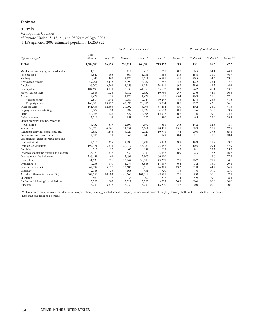# Metropolitan Counties

of Persons Under 15, 18, 21, and 25 Years of Age, 2003

[1,158 agencies; 2003 estimated population 45,269,822]

|                                          |           | Number of persons arrested |          |          |          |                                   | Percent of total all ages |          |          |  |  |
|------------------------------------------|-----------|----------------------------|----------|----------|----------|-----------------------------------|---------------------------|----------|----------|--|--|
|                                          | Total     |                            |          |          |          |                                   |                           |          |          |  |  |
| Offense charged                          | all ages  | Under 15                   | Under 18 | Under 21 | Under 25 | Under 15                          | Under 18                  | Under 21 | Under 25 |  |  |
| <b>TOTAL</b>                             | 1,689,583 | 66,679                     | 220,711  | 448,988  | 713,473  | 3.9                               | 13.1                      | 26.6     | 42.2     |  |  |
| Murder and nonnegligent manslaughter     | 1.719     | 8                          | 112      | 415      | 758      | 0.5                               | 6.5                       | 24.1     | 44.1     |  |  |
| Forcible rape                            | 3,547     | 195                        | 560      | 1,131    | 1,656    | 5.5                               | 15.8                      | 31.9     | 46.7     |  |  |
| Robbery                                  | 10,347    | 463                        | 2,125    | 4,611    | 6,581    | 4.5                               | 20.5                      | 44.6     | 63.6     |  |  |
| Aggravated assault                       | 57,201    | 2,475                      | 6,990    | 13,187   | 21,252   | 4.3                               | 12.2                      | 23.1     | 37.2     |  |  |
| Burglary                                 | 38,700    | 3,561                      | 11,058   | 19,054   | 24,941   | 9.2                               | 28.6                      | 49.2     | 64.4     |  |  |
| Larceny-theft                            | 104,698   | 8,721                      | 25,333   | 41,953   | 55,672   | 8.3                               | 24.2                      | 40.1     | 53.2     |  |  |
| Motor vehicle theft                      | 17,883    | 1,024                      | 4,582    | 7,952    | 10,796   | 5.7                               | 25.6                      | 44.5     | 60.4     |  |  |
| Arson                                    | 2,427     | 617                        | 1,123    | 1,427    | 1,625    | 25.4                              | 46.3                      | 58.8     | 67.0     |  |  |
| Violent crime <sup>1</sup>               | 72,814    | 3,141                      | 9.787    | 19,344   | 30,247   | 4.3                               | 13.4                      | 26.6     | 41.5     |  |  |
| Property crime <sup>1</sup>              | 163,708   | 13,923                     | 42,096   | 70,386   | 93,034   | 8.5                               | 25.7                      | 43.0     | 56.8     |  |  |
| Other assaults                           | 161,436   | 12,898                     | 30,992   | 46,396   | 67,494   | 8.0                               | 19.2                      | 28.7     | 41.8     |  |  |
| Forgery and counterfeiting               | 13,709    | 74                         | 489      | 2,228    | 4,622    | 0.5                               | 3.6                       | 16.3     | 33.7     |  |  |
| Fraud                                    | 52,366    | 127                        | 827      | 4,795    | 12,937   | 0.2                               | 1.6                       | 9.2      | 24.7     |  |  |
| Embezzlement                             | 2,318     | $\overline{4}$             | 151      | 523      | 896      | 0.2                               | 6.5                       | 22.6     | 38.7     |  |  |
| Stolen property; buying, receiving,      |           |                            |          |          |          |                                   |                           |          |          |  |  |
| possessing                               | 15,452    | 517                        | 2,196    | 4,997    | 7,561    | 3.3                               | 14.2                      | 32.3     | 48.9     |  |  |
| Vandalism                                | 30,170    | 4,560                      | 11,554   | 16,661   | 20,411   | 15.1                              | 38.3                      | 55.2     | 67.7     |  |  |
| Weapons; carrying, possessing, etc.      | 19,532    | 1,444                      | 4,029    | 7,329    | 10,771   | 7.4                               | 20.6                      | 37.5     | 55.1     |  |  |
| Prostitution and commercialized vice     | 2,985     | 11                         | 63       | 248      | 549      | 0.4                               | 2.1                       | 8.3      | 18.4     |  |  |
| Sex offenses (except forcible rape and   |           |                            |          |          |          |                                   |                           |          |          |  |  |
| prostitution)                            | 12,515    | 1,238                      | 2,490    | 3,992    | 5,443    | 9.9                               | 19.9                      | 31.9     | 43.5     |  |  |
| Drug abuse violations                    | 199,921   | 3,371                      | 20,919   | 58,184   | 95,852   | 1.7                               | 10.5                      | 29.1     | 47.9     |  |  |
| Gambling                                 | 717       | 25                         | 65       | 181      | 253      | 3.5                               | 9.1                       | 25.2     | 35.3     |  |  |
| Offenses against the family and children | 36,120    | 318                        | 830      | 2,330    | 5,996    | 0.9                               | 2.3                       | 6.5      | 16.6     |  |  |
| Driving under the influence              | 238,681   | 61                         | 2,699    | 22,807   | 66,606   | $\frac{d\mathbf{r}}{d\mathbf{r}}$ | 1.1                       | 9.6      | 27.9     |  |  |
| Liquor laws                              | 51,533    | 1,078                      | 13,747   | 39,783   | 43,277   | 2.1                               | 26.7                      | 77.2     | 84.0     |  |  |
| <b>Drunkenness</b>                       | 40,255    | 170                        | 1,274    | 5,585    | 11,697   | 0.4                               | 3.2                       | 13.9     | 29.1     |  |  |
| Disorderly conduct                       | 42,992    | 5,675                      | 13,685   | 19,010   | 24,369   | 13.2                              | 31.8                      | 44.2     | 56.7     |  |  |
| Vagrancy                                 | 2,185     | 36                         | 165      | 431      | 720      | 1.6                               | 7.6                       | 19.7     | 33.0     |  |  |
| All other offenses (except traffic)      | 507,655   | 10,684                     | 40,663   | 101,712  | 188,565  | 2.1                               | 8.0                       | 20.0     | 37.1     |  |  |
| Suspicion                                | 562       | 8                          | 33       | 109      | 216      | 1.4                               | 5.9                       | 19.4     | 38.4     |  |  |
| Curfew and loitering law violations      | 3,727     | 1,003                      | 3,727    | 3,727    | 3,727    | 26.9                              | 100.0                     | 100.0    | 100.0    |  |  |
| Runaways                                 | 18,230    | 6,313                      | 18,230   | 18,230   | 18,230   | 34.6                              | 100.0                     | 100.0    | 100.0    |  |  |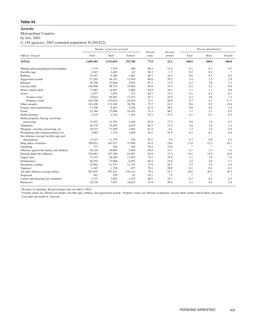Metropolitan Counties

by Sex, 2003

[1,158 agencies; 2003 estimated population 45,269,822]

|                                          |           | Number of persons arrested |         | Percent | Percent |                                   | Percent distribution <sup>1</sup> |               |
|------------------------------------------|-----------|----------------------------|---------|---------|---------|-----------------------------------|-----------------------------------|---------------|
| Offense charged                          | Total     | Male                       | Female  | male    | female  | Total                             | Male                              | Female        |
| <b>TOTAL</b>                             | 1,689,583 | 1,313,835                  | 375,748 | 77.8    | 22.2    | 100.0                             | 100.0                             | 100.0         |
| Murder and nonnegligent manslaughter     | 1,719     | 1,519                      | 200     | 88.4    | 11.6    | 0.1                               | 0.1                               | 0.1           |
| Forcible rape                            | 3,547     | 3,485                      | 62      | 98.3    | 1.7     | 0.2                               | 0.3                               | $\frac{1}{2}$ |
| Robbery                                  | 10,347    | 9,286                      | 1,061   | 89.7    | 10.3    | 0.6                               | 0.7                               | 0.3           |
| Aggravated assault                       | 57,201    | 46,191                     | 11,010  | 80.8    | 19.2    | 3.4                               | 3.5                               | 2.9           |
| <b>Burglary</b>                          | 38,700    | 33,866                     | 4,834   | 87.5    | 12.5    | 2.3                               | 2.6                               | 1.3           |
| Larceny-theft                            | 104,698   | 68,716                     | 35,982  | 65.6    | 34.4    | 6.2                               | 5.2                               | 9.6           |
| Motor vehicle theft                      | 17,883    | 14,997                     | 2,886   | 83.9    | 16.1    | 1.1                               | 1.1                               | 0.8           |
| Arson                                    | 2,427     | 2,055                      | 372     | 84.7    | 15.3    | 0.1                               | 0.2                               | 0.1           |
| Violent crime <sup>2</sup>               | 72,814    | 60,481                     | 12,333  | 83.1    | 16.9    | 4.3                               | 4.6                               | 3.3           |
| Property crime <sup>2</sup>              | 163,708   | 119,634                    | 44,074  | 73.1    | 26.9    | 9.7                               | 9.1                               | 11.7          |
| Other assaults                           | 161,436   | 122,180                    | 39,256  | 75.7    | 24.3    | 9.6                               | 9.3                               | 10.4          |
| Forgery and counterfeiting               | 13,709    | 8,483                      | 5,226   | 61.9    | 38.1    | 0.8                               | 0.6                               | 1.4           |
| Fraud                                    | 52,366    | 27,896                     | 24,470  | 53.3    | 46.7    | 3.1                               | 2.1                               | 6.5           |
| Embezzlement                             | 2,318     | 1,216                      | 1,102   | 52.5    | 47.5    | 0.1                               | 0.1                               | 0.3           |
| Stolen property; buying, receiving,      |           |                            |         |         |         |                                   |                                   |               |
| possessing                               | 15,452    | 12,793                     | 2,659   | 82.8    | 17.2    | 0.9                               | 1.0                               | 0.7           |
| Vandalism                                | 30,170    | 25,492                     | 4,678   | 84.5    | 15.5    | 1.8                               | 1.9                               | 1.2           |
| Weapons; carrying, possessing, etc.      | 19,532    | 17,949                     | 1,583   | 91.9    | 8.1     | 1.2                               | 1.4                               | 0.4           |
| Prostitution and commercialized vice     | 2,985     | 1,316                      | 1,669   | 44.1    | 55.9    | 0.2                               | 0.1                               | 0.4           |
| Sex offenses (except forcible rape and   |           |                            |         |         |         |                                   |                                   |               |
| prostitution)                            | 12,515    | 11,779                     | 736     | 94.1    | 5.9     | 0.7                               | 0.9                               | 0.2           |
| Drug abuse violations                    | 199,921   | 161,937                    | 37,984  | 81.0    | 19.0    | 11.8                              | 12.3                              | 10.1          |
| Gambling                                 | 717       | 548                        | 169     | 76.4    | 23.6    | $\frac{d\mathbf{r}}{d\mathbf{r}}$ | $\frac{1}{2^k}$                   | $\frac{1}{2}$ |
| Offenses against the family and children | 36,120    | 30,680                     | 5,440   | 84.9    | 15.1    | 2.1                               | 2.3                               | 1.4           |
| Driving under the influence              | 238,681   | 197,590                    | 41,091  | 82.8    | 17.2    | 14.1                              | 15.0                              | 10.9          |
| Liquor laws                              | 51,533    | 38,240                     | 13,293  | 74.2    | 25.8    | 3.1                               | 2.9                               | 3.5           |
| <b>Drunkenness</b>                       | 40,255    | 33,968                     | 6,287   | 84.4    | 15.6    | 2.4                               | 2.6                               | 1.7           |
| Disorderly conduct                       | 42,992    | 31,757                     | 11,235  | 73.9    | 26.1    | 2.5                               | 2.4                               | 3.0           |
| Vagrancy                                 | 2,185     | 1,728                      | 457     | 79.1    | 20.9    | 0.1                               | 0.1                               | 0.1           |
| All other offenses (except traffic)      | 507,655   | 397,541                    | 110,114 | 78.3    | 21.7    | 30.0                              | 30.3                              | 29.3          |
| Suspicion                                | 562       | 520                        | 42      | 92.5    | 7.5     | $\gg$                             | $\ast$                            | $\ast$        |
| Curfew and loitering law violations      | 3,727     | 2,492                      | 1,235   | 66.9    | 33.1    | 0.2                               | 0.2                               | 0.3           |
| Runaways                                 | 18,230    | 7,615                      | 10,615  | 41.8    | 58.2    | 1.1                               | 0.6                               | 2.8           |

<sup>1</sup> Because of rounding, the percentages may not add to 100.0.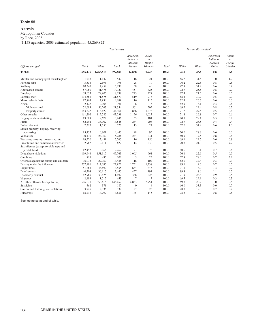#### **Arrests**

Metropolitan Counties

by Race, 2003

[1,158 agencies; 2003 estimated population 45,269,822]

|                                          |           |           | Total arrests |                                            |                                           |       |       | Percent distribution <sup>1</sup> |                                            |                                           |
|------------------------------------------|-----------|-----------|---------------|--------------------------------------------|-------------------------------------------|-------|-------|-----------------------------------|--------------------------------------------|-------------------------------------------|
| Offense charged                          | Total     | White     | <b>Black</b>  | American<br>Indian or<br>Alaskan<br>Native | Asian<br>or<br>Pacific<br><b>Islander</b> | Total | White | <b>Black</b>                      | American<br>Indian or<br>Alaskan<br>Native | Asian<br>or<br>Pacific<br><b>Islander</b> |
| <b>TOTAL</b>                             | 1,686,476 | 1,265,814 | 397,889       | 12,838                                     | 9,935                                     | 100.0 | 75.1  | 23.6                              | 0.8                                        | 0.6                                       |
| Murder and nonnegligent manslaughter     | 1,718     | 1,137     | 542           | 18                                         | 21                                        | 100.0 | 66.2  | 31.5                              | 1.0                                        | 1.2                                       |
| Forcible rape                            | 3,538     | 2,696     | 795           | 28                                         | 19                                        | 100.0 | 76.2  | 22.5                              | 0.8                                        | 0.5                                       |
| Robbery                                  | 10,347    | 4,952     | 5,297         | 58                                         | 40                                        | 100.0 | 47.9  | 51.2                              | 0.6                                        | 0.4                                       |
| Aggravated assault                       | 57,080    | 41,478    | 14,720        | 457                                        | 425                                       | 100.0 | 72.7  | 25.8                              | 0.8                                        | 0.7                                       |
| Burglary                                 | 38,653    | 29,905    | 8,298         | 223                                        | 227                                       | 100.0 | 77.4  | 21.5                              | 0.6                                        | 0.6                                       |
| Larceny-theft                            | 104,583   | 71,575    | 31,573        | 519                                        | 916                                       | 100.0 | 68.4  | 30.2                              | 0.5                                        | 0.9                                       |
| Motor vehicle theft                      | 17,864    | 12,934    | 4,699         | 116                                        | 115                                       | 100.0 | 72.4  | 26.3                              | 0.6                                        | 0.6                                       |
| Arson                                    | 2,422     | 2,008     | 391           | 8                                          | 15                                        | 100.0 | 82.9  | 16.1                              | 0.3                                        | 0.6                                       |
| Violent crime <sup>2</sup>               | 72,683    | 50,263    | 21,354        | 561                                        | 505                                       | 100.0 | 69.2  | 29.4                              | 0.8                                        | 0.7                                       |
| Property crime <sup>2</sup>              | 163,522   | 116,422   | 44,961        | 866                                        | 1,273                                     | 100.0 | 71.2  | 27.5                              | 0.5                                        | 0.8                                       |
| Other assaults                           | 161,202   | 115,785   | 43,238        | 1,156                                      | 1,023                                     | 100.0 | 71.8  | 26.8                              | 0.7                                        | 0.6                                       |
| Forgery and counterfeiting               | 13,689    | 9,677     | 3,846         | 65                                         | 101                                       | 100.0 | 70.7  | 28.1                              | 0.5                                        | 0.7                                       |
| Fraud                                    | 52,292    | 38,002    | 13,848        | 234                                        | 208                                       | 100.0 | 72.7  | 26.5                              | 0.4                                        | 0.4                                       |
| Embezzlement                             | 2,317     | 1,553     | 727           | 13                                         | 24                                        | 100.0 | 67.0  | 31.4                              | 0.6                                        | 1.0                                       |
| Stolen property; buying, receiving,      |           |           |               |                                            |                                           |       |       |                                   |                                            |                                           |
| possessing                               | 15,437    | 10,801    | 4,443         | 98                                         | 95                                        | 100.0 | 70.0  | 28.8                              | 0.6                                        | 0.6                                       |
| Vandalism                                | 30,130    | 24,369    | 5,286         | 244                                        | 231                                       | 100.0 | 80.9  | 17.5                              | 0.8                                        | 0.8                                       |
| Weapons; carrying, possessing, etc.      | 19,520    | 13,489    | 5,765         | 116                                        | 150                                       | 100.0 | 69.1  | 29.5                              | 0.6                                        | 0.8                                       |
| Prostitution and commercialized vice     | 2,982     | 2,111     | 627           | 14                                         | 230                                       | 100.0 | 70.8  | 21.0                              | 0.5                                        | 7.7                                       |
| Sex offenses (except forcible rape and   |           |           |               |                                            |                                           |       |       |                                   |                                            |                                           |
| prostitution)                            | 12,492    | 10,066    | 2,262         | 91                                         | 73                                        | 100.0 | 80.6  | 18.1                              | 0.7                                        | 0.6                                       |
| Drug abuse violations                    | 199,646   | 151,917   | 45,763        | 1,005                                      | 961                                       | 100.0 | 76.1  | 22.9                              | 0.5                                        | 0.5                                       |
| Gambling                                 | 715       | 485       | 202           | 5                                          | 23                                        | 100.0 | 67.8  | 28.3                              | 0.7                                        | 3.2                                       |
| Offenses against the family and children | 36,072    | 22,359    | 13,488        | 118                                        | 107                                       | 100.0 | 62.0  | 37.4                              | 0.3                                        | 0.3                                       |
| Driving under the influence              | 237,986   | 212,095   | 22,922        | 1,731                                      | 1,238                                     | 100.0 | 89.1  | 9.6                               | 0.7                                        | 0.5                                       |
| Liquor laws                              | 51,263    | 46,699    | 3,555         | 664                                        | 345                                       | 100.0 | 91.1  | 6.9                               | 1.3                                        | 0.7                                       |
| Drunkenness                              | 40,208    | 36,115    | 3,445         | 457                                        | 191                                       | 100.0 | 89.8  | 8.6                               | 1.1                                        | 0.5                                       |
| Disorderly conduct                       | 42,965    | 30,875    | 11,497        | 368                                        | 225                                       | 100.0 | 71.9  | 26.8                              | 0.9                                        | 0.5                                       |
| Vagrancy                                 | 2,184     | 1,517     | 653           | $\overline{7}$                             | $7\phantom{.0}$                           | 100.0 | 69.5  | 29.9                              | 0.3                                        | 0.3                                       |
| All other offenses (except traffic)      | 506,671   | 353,615   | 145,452       | 4,853                                      | 2,751                                     | 100.0 | 69.8  | 28.7                              | 1.0                                        | 0.5                                       |
| Suspicion                                | 562       | 371       | 187           | $\mathbf{0}$                               | $\overline{4}$                            | 100.0 | 66.0  | 33.3                              | 0.0                                        | 0.7                                       |
| Curfew and loitering law violations      | 3,725     | 2,936     | 737           | 27                                         | 25                                        | 100.0 | 78.8  | 19.8                              | 0.7                                        | 0.7                                       |
| Runaways                                 | 18,213    | 14,292    | 3,631         | 145                                        | 145                                       | 100.0 | 78.5  | 19.9                              | 0.8                                        | 0.8                                       |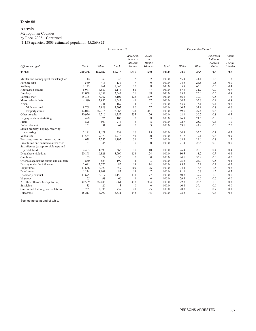# **Arrests**

Metropolitan Counties

by Race, 2003—Continued

[1,158 agencies; 2003 estimated population 45,269,822]

|                                          |              |         | Arrests under 18 |                                            | Percent distribution <sup>1</sup>                    |       |       |              |                                            |                                           |
|------------------------------------------|--------------|---------|------------------|--------------------------------------------|------------------------------------------------------|-------|-------|--------------|--------------------------------------------|-------------------------------------------|
| Offense charged                          | <b>Total</b> | White   | Black            | American<br>Indian or<br>Alaskan<br>Native | Asian<br><sup>or</sup><br>Pacific<br><b>Islander</b> | Total | White | <b>Black</b> | American<br>Indian or<br>Alaskan<br>Native | Asian<br>or<br>Pacific<br><b>Islander</b> |
| <b>TOTAL</b>                             | 220,356      | 159,982 | 56,918           | 1,816                                      | 1,640                                                | 100.0 | 72.6  | 25.8         | 0.8                                        | 0.7                                       |
| Murder and nonnegligent manslaughter     | 112          | 62      | 46               | $\boldsymbol{2}$                           | $\mathfrak{2}$                                       | 100.0 | 55.4  | 41.1         | 1.8                                        | 1.8                                       |
| Forcible rape                            | 560          | 416     | 137              | $\overline{7}$                             | $\mathbf{0}$                                         | 100.0 | 74.3  | 24.5         | 1.3                                        | 0.0                                       |
| Robbery                                  | 2,125        | 761     | 1,346            | 10                                         | 8                                                    | 100.0 | 35.8  | 63.3         | 0.5                                        | 0.4                                       |
| Aggravated assault                       | 6,971        | 4,689   | 2,174            | 61                                         | 47                                                   | 100.0 | 67.3  | 31.2         | 0.9                                        | 0.7                                       |
| Burglary                                 | 11,038       | 8,352   | 2,542            | 56                                         | 88                                                   | 100.0 | 75.7  | 23.0         | 0.5                                        | 0.8                                       |
| Larceny-theft                            | 25,305       | 16,767  | 8,107            | 122                                        | 309                                                  | 100.0 | 66.3  | 32.0         | 0.5                                        | 1.2                                       |
| Motor vehicle theft                      | 4,580        | 2,955   | 1,547            | 41                                         | 37                                                   | 100.0 | 64.5  | 33.8         | 0.9                                        | 0.8                                       |
| Arson                                    | 1,121        | 941     | 169              | $\overline{4}$                             | $\tau$                                               | 100.0 | 83.9  | 15.1         | 0.4                                        | 0.6                                       |
| Violent crime <sup>2</sup>               | 9,768        | 5,928   | 3,703            | 80                                         | 57                                                   | 100.0 | 60.7  | 37.9         | 0.8                                        | 0.6                                       |
| Property crime <sup>2</sup>              | 42,044       | 29,015  | 12,365           | 223                                        | 441                                                  | 100.0 | 69.0  | 29.4         | 0.5                                        | 1.0                                       |
| Other assaults                           | 30,956       | 19,210  | 11,355           | 235                                        | 156                                                  | 100.0 | 62.1  | 36.7         | 0.8                                        | 0.5                                       |
| Forgery and counterfeiting               | 489          | 376     | 105              | $\boldsymbol{0}$                           | 8                                                    | 100.0 | 76.9  | 21.5         | 0.0                                        | 1.6                                       |
| Fraud                                    | 825          | 600     | 214              | 3                                          | 8                                                    | 100.0 | 72.7  | 25.9         | 0.4                                        | 1.0                                       |
| Embezzlement                             | 151          | 81      | 67               | $\mathbf{0}$                               | 3                                                    | 100.0 | 53.6  | 44.4         | 0.0                                        | 2.0                                       |
| Stolen property; buying, receiving,      |              |         |                  |                                            |                                                      |       |       |              |                                            |                                           |
| possessing                               | 2,191        | 1,421   | 739              | 16                                         | 15                                                   | 100.0 | 64.9  | 33.7         | 0.7                                        | 0.7                                       |
| Vandalism                                | 11,534       | 9,370   | 1.973            | 91                                         | 100                                                  | 100.0 | 81.2  | 17.1         | 0.8                                        | 0.9                                       |
| Weapons; carrying, possessing, etc.      | 4,028        | 2,757   | 1,193            | 31                                         | 47                                                   | 100.0 | 68.4  | 29.6         | 0.8                                        | 1.2                                       |
| Prostitution and commercialized vice     | 63           | 45      | 18               | $\Omega$                                   | $\mathbf{0}$                                         | 100.0 | 71.4  | 28.6         | 0.0                                        | 0.0                                       |
| Sex offenses (except forcible rape and   |              |         |                  |                                            |                                                      |       |       |              |                                            |                                           |
| prostitution)                            | 2.483        | 1,898   | 565              | 10                                         | 10                                                   | 100.0 | 76.4  | 22.8         | 0.4                                        | 0.4                                       |
| Drug abuse violations                    | 20,898       | 16,821  | 3,799            | 154                                        | 124                                                  | 100.0 | 80.5  | 18.2         | 0.7                                        | 0.6                                       |
| Gambling                                 | 65           | 29      | 36               | $\mathbf{0}$                               | $\mathbf{0}$                                         | 100.0 | 44.6  | 55.4         | 0.0                                        | 0.0                                       |
| Offenses against the family and children | 830          | 624     | 199              | $\overline{4}$                             | 3                                                    | 100.0 | 75.2  | 24.0         | 0.5                                        | 0.4                                       |
| Driving under the influence              | 2,691        | 2,575   | 83               | 19                                         | 14                                                   | 100.0 | 95.7  | 3.1          | 0.7                                        | 0.5                                       |
| Liquor laws                              | 13,686       | 12,922  | 459              | 209                                        | 96                                                   | 100.0 | 94.4  | 3.4          | 1.5                                        | 0.7                                       |
| Drunkenness                              | 1,274        | 1,161   | 87               | 19                                         | 7                                                    | 100.0 | 91.1  | 6.8          | 1.5                                        | 0.5                                       |
| Disorderly conduct                       | 13,675       | 8,317   | 5,150            | 131                                        | 77                                                   | 100.0 | 60.8  | 37.7         | 1.0                                        | 0.6                                       |
| Vagrancy                                 | 165          | 98      | 66               | 1                                          | $\overline{0}$                                       | 100.0 | 59.4  | 40.0         | 0.6                                        | 0.0                                       |
| All other offenses (except traffic)      | 40,569       | 29,486  | 10,361           | 418                                        | 304                                                  | 100.0 | 72.7  | 25.5         | 1.0                                        | 0.7                                       |
| Suspicion                                | 33           | 20      | 13               | $\mathbf{0}$                               | $\mathbf{0}$                                         | 100.0 | 60.6  | 39.4         | 0.0                                        | 0.0                                       |
| Curfew and loitering law violations      | 3,725        | 2,936   | 737              | 27                                         | 25                                                   | 100.0 | 78.8  | 19.8         | 0.7                                        | 0.7                                       |
| Runaways                                 | 18,213       | 14,292  | 3,631            | 145                                        | 145                                                  | 100.0 | 78.5  | 19.9         | 0.8                                        | 0.8                                       |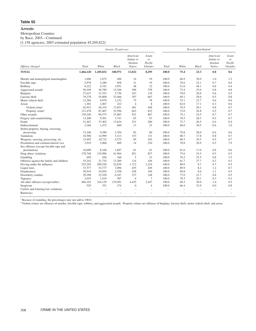# **Arrests**

Metropolitan Counties

by Race, 2003—Continued

[1,158 agencies; 2003 estimated population 45,269,822]

|                                          |              |                          | Arrests 18 and over |                                            |                                                      | Percent distribution <sup>1</sup> |                          |                          |                                            |                                           |
|------------------------------------------|--------------|--------------------------|---------------------|--------------------------------------------|------------------------------------------------------|-----------------------------------|--------------------------|--------------------------|--------------------------------------------|-------------------------------------------|
| Offense charged                          | <b>Total</b> | White                    | <b>Black</b>        | American<br>Indian or<br>Alaskan<br>Native | Asian<br><sub>or</sub><br>Pacific<br><b>Islander</b> | <b>Total</b>                      | White                    | <b>Black</b>             | American<br>Indian or<br>Alaskan<br>Native | Asian<br>or<br>Pacific<br><b>Islander</b> |
| <b>TOTAL</b>                             | 1,466,120    | 1,105,832                | 340,971             | 11,022                                     | 8,295                                                | 100.0                             | 75.4                     | 23.3                     | 0.8                                        | 0.6                                       |
| Murder and nonnegligent manslaughter     | 1,606        | 1,075                    | 496                 | 16                                         | 19                                                   | 100.0                             | 66.9                     | 30.9                     | 1.0                                        | 1.2                                       |
| Forcible rape                            | 2,978        | 2,280                    | 658                 | 21                                         | 19                                                   | 100.0                             | 76.6                     | 22.1                     | 0.7                                        | 0.6                                       |
| Robbery                                  | 8,222        | 4,191                    | 3,951               | 48                                         | 32                                                   | 100.0                             | 51.0                     | 48.1                     | 0.6                                        | 0.4                                       |
| Aggravated assault                       | 50,109       | 36,789                   | 12,546              | 396                                        | 378                                                  | 100.0                             | 73.4                     | 25.0                     | 0.8                                        | 0.8                                       |
| Burglary                                 | 27,615       | 21,553                   | 5,756               | 167                                        | 139                                                  | 100.0                             | 78.0                     | 20.8                     | 0.6                                        | 0.5                                       |
| Larceny-theft                            | 79,278       | 54,808                   | 23,466              | 397                                        | 607                                                  | 100.0                             | 69.1                     | 29.6                     | 0.5                                        | 0.8                                       |
| Motor vehicle theft                      | 13,284       | 9,979                    | 3,152               | 75                                         | 78                                                   | 100.0                             | 75.1                     | 23.7                     | 0.6                                        | 0.6                                       |
| Arson                                    | 1,301        | 1,067                    | 222                 | $\overline{4}$                             | 8                                                    | 100.0                             | 82.0                     | 17.1                     | 0.3                                        | 0.6                                       |
| Violent crime <sup>2</sup>               | 62,915       | 44,335                   | 17,651              | 481                                        | 448                                                  | 100.0                             | 70.5                     | 28.1                     | 0.8                                        | 0.7                                       |
| Property crime <sup>2</sup>              | 121,478      | 87,407                   | 32,596              | 643                                        | 832                                                  | 100.0                             | 72.0                     | 26.8                     | 0.5                                        | 0.7                                       |
| Other assaults                           | 130,246      | 96,575                   | 31,883              | 921                                        | 867                                                  | 100.0                             | 74.1                     | 24.5                     | 0.7                                        | 0.7                                       |
| Forgery and counterfeiting               | 13,200       | 9,301                    | 3,741               | 65                                         | 93                                                   | 100.0                             | 70.5                     | 28.3                     | 0.5                                        | 0.7                                       |
| Fraud                                    | 51,467       | 37,402                   | 13.634              | 231                                        | 200                                                  | 100.0                             | 72.7                     | 26.5                     | 0.4                                        | 0.4                                       |
| Embezzlement                             | 2,166        | 1,472                    | 660                 | 13                                         | 21                                                   | 100.0                             | 68.0                     | 30.5                     | 0.6                                        | 1.0                                       |
| Stolen property; buying, receiving,      |              |                          |                     |                                            |                                                      |                                   |                          |                          |                                            |                                           |
| possessing                               | 13,246       | 9,380                    | 3,704               | 82                                         | 80                                                   | 100.0                             | 70.8                     | 28.0                     | 0.6                                        | 0.6                                       |
| Vandalism                                | 18,596       | 14,999                   | 3,313               | 153                                        | 131                                                  | 100.0                             | 80.7                     | 17.8                     | 0.8                                        | 0.7                                       |
| Weapons; carrying, possessing, etc.      | 15,492       | 10,732                   | 4,572               | 85                                         | 103                                                  | 100.0                             | 69.3                     | 29.5                     | 0.5                                        | 0.7                                       |
| Prostitution and commercialized vice     | 2,919        | 2,066                    | 609                 | 14                                         | 230                                                  | 100.0                             | 70.8                     | 20.9                     | 0.5                                        | 7.9                                       |
| Sex offenses (except forcible rape and   |              |                          |                     |                                            |                                                      |                                   |                          |                          |                                            |                                           |
| prostitution)                            | 10,009       | 8,168                    | 1,697               | 81                                         | 63                                                   | 100.0                             | 81.6                     | 17.0                     | 0.8                                        | 0.6                                       |
| Drug abuse violations                    | 178,748      | 135,096                  | 41,964              | 851                                        | 837                                                  | 100.0                             | 75.6                     | 23.5                     | 0.5                                        | 0.5                                       |
| Gambling                                 | 650          | 456                      | 166                 | 5                                          | 23                                                   | 100.0                             | 70.2                     | 25.5                     | 0.8                                        | 3.5                                       |
| Offenses against the family and children | 35,242       | 21,735                   | 13,289              | 114                                        | 104                                                  | 100.0                             | 61.7                     | 37.7                     | 0.3                                        | 0.3                                       |
| Driving under the influence              | 235,295      | 209,520                  | 22,839              | 1,712                                      | 1,224                                                | 100.0                             | 89.0                     | 9.7                      | 0.7                                        | 0.5                                       |
| Liquor laws                              | 37,577       | 33,777                   | 3,096               | 455                                        | 249                                                  | 100.0                             | 89.9                     | 8.2                      | 1.2                                        | 0.7                                       |
| Drunkenness                              | 38,934       | 34,954                   | 3,358               | 438                                        | 184                                                  | 100.0                             | 89.8                     | 8.6                      | 1.1                                        | 0.5                                       |
| Disorderly conduct                       | 29,290       | 22,558                   | 6,347               | 237                                        | 148                                                  | 100.0                             | 77.0                     | 21.7                     | 0.8                                        | 0.5                                       |
| Vagrancy                                 | 2,019        | 1,419                    | 587                 | 6                                          | 7                                                    | 100.0                             | 70.3                     | 29.1                     | 0.3                                        | 0.3                                       |
| All other offenses (except traffic)      | 466,102      | 324,129                  | 135,091             | 4,435                                      | 2,447                                                | 100.0                             | 69.5                     | 29.0                     | 1.0                                        | 0.5                                       |
| Suspicion                                | 529          | 351                      | 174                 | $\mathbf{0}$                               | $\overline{4}$                                       | 100.0                             | 66.4                     | 32.9                     | 0.0                                        | 0.8                                       |
| Curfew and loitering law violations      |              |                          | L.                  |                                            | ÷                                                    | $\overline{\phantom{0}}$          | $\equiv$                 | $\equiv$                 |                                            | $\overline{\phantom{m}}$                  |
| Runaways                                 |              | $\overline{\phantom{a}}$ |                     |                                            | $\overline{\phantom{0}}$                             | $\overline{\phantom{0}}$          | $\overline{\phantom{0}}$ | $\overline{\phantom{0}}$ | $\overline{\phantom{0}}$                   | $\overline{\phantom{m}}$                  |

<sup>1</sup> Because of rounding, the percentages may not add to 100.0.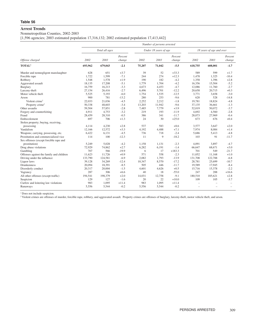# **Arrest Trends**

Nonmetropolitan Counties, 2002-2003

[1,596 agencies; 2003 estimated population 17,316,132; 2002 estimated population 17,413,442]

|                                          |         |                |                   |        | Number of persons arrested |                   |         |                          |                          |
|------------------------------------------|---------|----------------|-------------------|--------|----------------------------|-------------------|---------|--------------------------|--------------------------|
|                                          |         | Total all ages |                   |        | Under 18 years of age      |                   |         | 18 years of age and over |                          |
| Offense charged                          | 2002    | 2003           | Percent<br>change | 2002   | 2003                       | Percent<br>change | 2002    | 2003                     | Percent<br>change        |
| TOTAL <sup>1</sup>                       | 693,962 | 679,043        | $-2.1$            | 75,207 | 71,042                     | $-5.5$            | 618,755 | 608,001                  | $-1.7$                   |
| Murder and nonnegligent manslaughter     | 628     | 651            | $+3.7$            | 39     | 52                         | $+33.3$           | 589     | 599                      | $+1.7$                   |
| Forcible rape                            | 1,722   | 1,599          | $-7.1$            | 244    | 274                        | $+12.3$           | 1,478   | 1,325                    | $-10.4$                  |
| Robbery                                  | 1,548   | 1,578          | $+1.9$            | 190    | 182                        | $-4.2$            | 1,358   | 1,396                    | $+2.8$                   |
| Aggravated assault                       | 18,135  | 17,208         | $-5.1$            | 1.779  | 1.704                      | $-4.2$            | 16,356  | 15,504                   | $-5.2$                   |
| Burglary                                 | 16,759  | 16,213         | $-3.3$            | 4,673  | 4,453                      | $-4.7$            | 12,086  | 11,760                   | $-2.7$                   |
| Larceny-theft                            | 27,154  | 26,416         | $-2.7$            | 6,496  | 5,701                      | $-12.2$           | 20,658  | 20,715                   | $+0.3$                   |
| Motor vehicle theft                      | 5,525   | 5,193          | $-6.0$            | 1,754  | 1,535                      | $-12.5$           | 3,771   | 3,658                    | $-3.0$                   |
| Arson                                    | 900     | 781            | $-13.2$           | 280    | 253                        | $-9.6$            | 620     | 528                      | $-14.8$                  |
| Violent crime <sup>2</sup>               | 22,033  | 21,036         | $-4.5$            | 2,252  | 2,212                      | $-1.8$            | 19,781  | 18,824                   | $-4.8$                   |
| Property crime <sup>2</sup>              | 50,338  | 48,603         | $-3.4$            | 13,203 | 11,942                     | $-9.6$            | 37,135  | 36,661                   | $-1.3$                   |
| Other assaults                           | 59,504  | 57,851         | $-2.8$            | 7,485  | 7,779                      | $+3.9$            | 52,019  | 50,072                   | $-3.7$                   |
| Forgery and counterfeiting               | 4,911   | 4,753          | $-3.2$            | 219    | 193                        | $-11.9$           | 4,692   | 4,560                    | $-2.8$                   |
| Fraud                                    | 28,459  | 28,310         | $-0.5$            | 386    | 341                        | $-11.7$           | 28,073  | 27,969                   | $-0.4$                   |
| Embezzlement                             | 697     | 706            | $+1.3$            | 24     | 30                         | $+25.0$           | 673     | 676                      | $+0.4$                   |
| Stolen property; buying, receiving,      |         |                |                   |        |                            |                   |         |                          |                          |
| possessing                               | 4.114   | 4,230          | $+2.8$            | 537    | 583                        | $+8.6$            | 3,577   | 3.647                    | $+2.0$                   |
| Vandalism                                | 12,166  | 12,572         | $+3.3$            | 4,192  | 4,488                      | $+7.1$            | 7,974   | 8,084                    | $+1.4$                   |
| Weapons; carrying, possessing, etc.      | 6,422   | 6,131          | $-4.5$            | 736    | 718                        | $-2.4$            | 5,686   | 5,413                    | $-4.8$                   |
| Prostitution and commercialized vice     | 114     | 100            | $-12.3$           | 11     | 9                          | $-18.2$           | 103     | 91                       | $-11.7$                  |
| Sex offenses (except forcible rape and   |         |                |                   |        |                            |                   |         |                          |                          |
| prostitution)                            | 5,249   | 5,028          | $-4.2$            | 1,158  | 1,131                      | $-2.3$            | 4,091   | 3,897                    | $-4.7$                   |
| Drug abuse violations                    | 72,929  | 74,862         | $+2.7$            | 6,282  | 6,191                      | $-1.4$            | 66,647  | 68,671                   | $+3.0$                   |
| Gambling                                 | 707     | 566            | $-19.9$           | 6      | 17                         | $+183.3$          | 701     | 549                      | $-21.7$                  |
| Offenses against the family and children | 11,623  | 11,726         | $+0.9$            | 571    | 558                        | $-2.3$            | 11,052  | 11,168                   | $+1.0$                   |
| Driving under the influence              | 133,790 | 124,581        | $-6.9$            | 2,082  | 1,793                      | $-13.9$           | 131,708 | 122,788                  | $-6.8$                   |
| Liquor laws                              | 39,128  | 34,269         | $-12.4$           | 10,347 | 8,570                      | $-17.2$           | 28,781  | 25,699                   | $-10.7$                  |
| <b>Drunkenness</b>                       | 20,094  | 18,391         | $-8.5$            | 505    | 446                        | $-11.7$           | 19,589  | 17,945                   | $-8.4$                   |
| Disorderly conduct                       | 20,317  | 20,004         | $-1.5$            | 4,601  | 4,626                      | $+0.5$            | 15,716  | 15,378                   | $-2.2$                   |
| Vagrancy                                 | 287     | 306            | $+6.6$            | 40     | 18                         | $-55.0$           | 247     | 288                      | $+16.6$                  |
| All other offenses (except traffic)      | 194,541 | 198,379        | $+2.0$            | 14,031 | 12,758                     | $-9.1$            | 180,510 | 185,621                  | $+2.8$                   |
| Suspicion                                | 129     | 127            | $-1.6$            | 20     | 22                         | $+10.0$           | 109     | 105                      | $-3.7$                   |
| Curfew and loitering law violations      | 983     | 1,095          | $+11.4$           | 983    | 1,095                      | $+11.4$           |         |                          | $\overline{\phantom{a}}$ |
| Runaways                                 | 5,556   | 5,544          | $-0.2$            | 5,556  | 5,544                      | $-0.2$            |         |                          |                          |

<sup>1</sup> Does not include suspicion.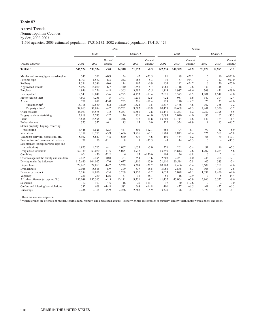#### **Arrest Trends**

Nonmetropolitan Counties

by Sex, 2002-2003

[1,596 agencies; 2003 estimated population 17,316,132; 2002 estimated population 17,413,442]

|                                          |         |         |                   | Male   |          |                   |         |         | Female            |                |                |                   |
|------------------------------------------|---------|---------|-------------------|--------|----------|-------------------|---------|---------|-------------------|----------------|----------------|-------------------|
|                                          |         | Total   |                   |        | Under 18 |                   |         | Total   |                   |                | Under 18       |                   |
| Offense charged                          | 2002    | 2003    | Percent<br>change | 2002   | 2003     | Percent<br>change | 2002    | 2003    | Percent<br>change | 2002           | 2003           | Percent<br>change |
| TOTAL <sup>1</sup>                       | 546,724 | 530,534 | $-3.0$            | 54,578 | 51,057   | $-6.5$            | 147,238 | 148,509 | $+0.9$            | 20,629         | 19,985         | $-3.1$            |
| Murder and nonnegligent manslaughter     | 547     | 552     | $+0.9$            | 34     | 42       | $+23.5$           | 81      | 99      | $+22.2$           | 5              | 10             | $+100.0$          |
| Forcible rape                            | 1,703   | 1,562   | $-8.3$            | 242    | 262      | $+8.3$            | 19      | 37      | $+94.7$           | $\overline{c}$ | 12             | $+500.0$          |
| Robbery                                  | 1,394   | 1,386   | $-0.6$            | 174    | 162      | $-6.9$            | 154     | 192     | $+24.7$           | 16             | 20             | $+25.0$           |
| Aggravated assault                       | 15,072  | 14,060  | $-6.7$            | 1,440  | 1,358    | $-5.7$            | 3,063   | 3,148   | $+2.8$            | 339            | 346            | $+2.1$            |
| Burglary                                 | 14,946  | 14,226  | $-4.8$            | 4,305  | 3,982    | $-7.5$            | 1,813   | 1,987   | $+9.6$            | 368            | 471            | $+28.0$           |
| Larceny-theft                            | 19,543  | 18,841  | $-3.6$            | 4,795  | 4,153    | $-13.4$           | 7.611   | 7.575   | $-0.5$            | 1.701          | 1.548          | $-9.0$            |
| Motor vehicle theft                      | 4,603   | 4,256   | $-7.5$            | 1,407  | 1,231    | $-12.5$           | 922     | 937     | $+1.6$            | 347            | 304            | $-12.4$           |
| Arson                                    | 771     | 671     | $-13.0$           | 255    | 226      | $-11.4$           | 129     | 110     | $-14.7$           | 25             | 27             | $+8.0$            |
| Violent crime <sup>2</sup>               | 18,716  | 17,560  | $-6.2$            | 1,890  | 1,824    | $-3.5$            | 3,317   | 3,476   | $+4.8$            | 362            | 388            | $+7.2$            |
| Property crime <sup>2</sup>              | 39,863  | 37,994  | $-4.7$            | 10,762 | 9,592    | $-10.9$           | 10,475  | 10,609  | $+1.3$            | 2,441          | 2,350          | $-3.7$            |
| Other assaults                           | 46,063  | 44,578  | $-3.2$            | 5,233  | 5,381    | $+2.8$            | 13,441  | 13,273  | $-1.2$            | 2,252          | 2,398          | $+6.5$            |
| Forgery and counterfeiting               | 2,818   | 2,743   | $-2.7$            | 126    | 131      | $+4.0$            | 2,093   | 2,010   | $-4.0$            | 93             | 62             | $-33.3$           |
| Fraud                                    | 14,856  | 14,596  | $-1.8$            | 246    | 217      | $-11.8$           | 13,603  | 13,714  | $+0.8$            | 140            | 124            | $-11.4$           |
| Embezzlement                             | 375     | 352     | $-6.1$            | 15     | 15       | 0.0               | 322     | 354     | $+9.9$            | 9              | 15             | $+66.7$           |
| Stolen property; buying, receiving,      |         |         |                   |        |          |                   |         |         |                   |                |                |                   |
| possessing                               | 3,448   | 3,526   | $+2.3$            | 447    | 501      | $+12.1$           | 666     | 704     | $+5.7$            | 90             | 82             | $-8.9$            |
| Vandalism                                | 10,358  | 10,757  | $+3.9$            | 3,666  | 3,926    | $+7.1$            | 1,808   | 1,815   | $+0.4$            | 526            | 562            | $+6.8$            |
| Weapons; carrying, possessing, etc.      | 5,932   | 5,647   | $-4.8$            | 670    | 639      | $-4.6$            | 490     | 484     | $-1.2$            | 66             | 79             | $+19.7$           |
| Prostitution and commercialized vice     | 71      | 56      | $-21.1$           | 8      | 5        | $-37.5$           | 43      | 44      | $+2.3$            | 3              | $\overline{4}$ | $+33.3$           |
| Sex offenses (except forcible rape and   |         |         |                   |        |          |                   |         |         |                   |                |                |                   |
| prostitution)                            | 4,973   | 4.767   | $-4.1$            | 1.067  | 1,035    | $-3.0$            | 276     | 261     | $-5.4$            | 91             | 96             | $+5.5$            |
| Drug abuse violations                    | 59,139  | 60,020  | $+1.5$            | 5,075  | 4,917    | $-3.1$            | 13,790  | 14,842  | $+7.6$            | 1,207          | 1,274          | $+5.6$            |
| Gambling                                 | 604     | 470     | $-22.2$           | 6      | 15       | $+150.0$          | 103     | 96      | $-6.8$            | $\theta$       | $\overline{2}$ |                   |
| Offenses against the family and children | 9,415   | 9,495   | $+0.8$            | 323    | 354      | $+9.6$            | 2,208   | 2,231   | $+1.0$            | 248            | 204            | $-17.7$           |
| Driving under the influence              | 112,680 | 104,067 | $-7.6$            | 1.677  | 1.410    | $-15.9$           | 21.110  | 20.514  | $-2.8$            | 405            | 383            | $-5.4$            |
| Liquor laws                              | 28,965  | 24,863  | $-14.2$           | 6,739  | 5,308    | $-21.2$           | 10,163  | 9,406   | $-7.4$            | 3,608          | 3,262          | $-9.6$            |
| <b>Drunkenness</b>                       | 17,026  | 15,516  | $-8.9$            | 399    | 337      | $-15.5$           | 3,068   | 2,875   | $-6.3$            | 106            | 109            | $+2.8$            |
| Disorderly conduct                       | 15,284  | 14,916  | $-2.4$            | 3,209  | 3,170    | $-1.2$            | 5,033   | 5,088   | $+1.1$            | 1,392          | 1,456          | $+4.6$            |
| Vagrancy                                 | 231     | 260     | $+12.6$           | 31     | 13       | $-58.1$           | 56      | 46      | $-17.9$           | 9              | 5              | $-44.4$           |
| All other offenses (except traffic)      | 153,089 | 155,315 | $+1.5$            | 10,171 | 9,231    | $-9.2$            | 41,452  | 43,064  | $+3.9$            | 3,860          | 3,527          | $-8.6$            |
| Suspicion                                | 112     | 107     | $-4.5$            | 18     | 20       | $+11.1$           | 17      | 20      | $+17.6$           | $\mathfrak{2}$ | $\overline{2}$ | 0.0               |
| Curfew and loitering law violations      | 582     | 668     | $+14.8$           | 582    | 668      | $+14.8$           | 401     | 427     | $+6.5$            | 401            | 427            | $+6.5$            |
| Runaways                                 | 2,236   | 2,368   | $+5.9$            | 2,236  | 2,368    | $+5.9$            | 3,320   | 3,176   | $-4.3$            | 3,320          | 3,176          | $-4.3$            |

<sup>1</sup> Does not include suspicion.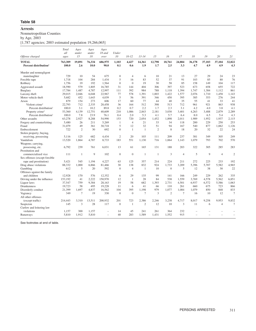# **Arrests**

# Nonmetropolitan Counties

by Age, 2003

[1,787 agencies; 2003 estimated population 19,266,065]

|                                                   | Total<br>all     | Ages<br>under  | Ages<br>under  | Ages<br>18 and           | Under          |                |                |                |                |                |               |               |                |                |
|---------------------------------------------------|------------------|----------------|----------------|--------------------------|----------------|----------------|----------------|----------------|----------------|----------------|---------------|---------------|----------------|----------------|
| Offense charged                                   | ages             | 15             | 18             | over                     | 10             | $10 - 12$      | $13 - 14$      | 15             | 16             | 17             | 18            | 19            | 20             | 21             |
| <b>TOTAL</b><br>Percent distribution <sup>1</sup> | 763,309<br>100.0 | 19,891<br>2.6  | 76,334<br>10.0 | 686,975<br>90.0          | 1,103<br>0.1   | 4,427<br>0.6   | 14,361<br>1.9  | 12,798<br>1.7  | 18,761<br>2.5  | 24,884<br>3.3  | 36,178<br>4.7 | 37,103<br>4.9 | 37,104<br>4.9  | 32,822<br>4.3  |
| Murder and nonnegligent                           |                  |                |                |                          |                |                |                |                |                |                |               |               |                |                |
| manslaughter                                      | 729              | 10             | 54             | 675                      | $\mathbf{0}$   | 4              | 6              | 10             | 21             | 13             | 27            | 29            | 24             | 23             |
| Forcible rape                                     | 1,718            | 104            | 284            | 1,434                    | 5              | 16             | 83             | 52             | 37             | 91             | 103           | 85            | 80             | 76             |
| Robbery                                           | 1.756            | 19             | 192            | 1.564                    | $\mathbf{0}$   | $\Omega$       | 19             | 30             | 58             | 85             | 158           | 149           | 104            | 117            |
| Aggravated assault                                | 18,590           | 579            | 1,805          | 16,785                   | 31             | 144            | 404            | 306            | 397            | 523            | 673           | 658           | 655            | 722            |
| <b>Burglary</b>                                   | 17,784           | 1,487          | 4,787          | 12,997                   | 111            | 392            | 984            | 788            | 1,118          | 1,394          | 1,747         | 1,384         | 1,112          | 861            |
| Larceny-theft                                     | 29,015           | 2,046          | 6.048          | 22,967                   | 77             | 578            | 1.391          | 1.003          | 1.422          | 1,577          | 2,076         | 1.710         | 1,458          | 1,143          |
| Motor vehicle theft                               | 5,682            | 452            | 1,643          | 4,039                    | 5              | 56             | 391            | 346            | 450            | 395            | 385           | 353           | 276            | 244            |
| Arson                                             | 879              | 154            | 273            | 606                      | 17             | 60             | 77             | 44             | 40             | 35             | 55            | 41            | 33             | 41             |
| Violent crime <sup>2</sup>                        | 22,793           | 712            | 2,335          | 20,458                   | 36             | 164            | 512            | 398            | 513            | 712            | 961           | 921           | 863            | 938            |
| Percent distribution <sup>1</sup>                 | 100.0            | 3.1            | 10.2           | 89.8                     | 0.2            | 0.7            | 2.2            | 1.7            | 2.3            | 3.1            | 4.2           | 4.0           | 3.8            | 4.1            |
| Property crime <sup>2</sup>                       | 53,360           | 4,139          | 12,751         | 40,609                   | 210            | 1,086          | 2,843          | 2.181          | 3.030          | 3,401          | 4,263         | 3,488         | 2,879          | 2,289          |
| Percent distribution <sup>1</sup>                 | 100.0            | 7.8            | 23.9           | 76.1                     | 0.4            | 2.0            | 5.3            | 4.1            | 5.7            | 6.4            | 8.0           | 6.5           | 5.4            | 4.3            |
| Other assaults                                    | 63,278           | 2.927          | 8,288          | 54,990                   | 153            | 720            | 2.054          | 1.452          | 1.898          | 2,011          | 1,989         | 1.952         | 1.937          | 2,115          |
| Forgery and counterfeiting                        | 5,480            | 26             | 211            | 5,269                    | $\mathbf{1}$   | $\overline{4}$ | 21             | 33             | 34             | 118            | 200           | 229           | 250            | 253            |
| Fraud                                             | 31,079           | 49             | 361            | 30.718                   | 5              | 12             | 32             | 51             | 94             | 167            | 540           | 877           | 1.062          | 1,126          |
| Embezzlement                                      | 722              | $\overline{c}$ | 30             | 692                      | $\mathbf{0}$   | -1             | 1              | $\overline{2}$ | 8              | 18             | 20            | 32            | 22             | 24             |
| Stolen property; buying,                          |                  |                |                |                          |                |                |                |                |                |                |               |               |                |                |
| receiving, possessing                             | 5.116            | 125            | 682            | 4,434                    | $\overline{2}$ | 20             | 103            | 111            | 209            | 237            | 381           | 349           | 305            | 249            |
| Vandalism                                         | 13,520           | 1,864          | 4,787          | 8,733                    | 183            | 551            | 1.130          | 716            | 1,064          | 1.143          | 1.079         | 793           | 702            | 570            |
| Weapons; carrying,                                |                  |                |                |                          |                |                |                |                |                |                |               |               |                |                |
| possessing, etc.                                  | 6,792            | 239            | 761            | 6,031                    | 13             | 61             | 165            | 131            | 188            | 203            | 322           | 305           | 285            | 283            |
| Prostitution and                                  |                  |                |                |                          |                |                |                |                |                |                |               |               |                |                |
| commercialized vice                               | 111              | $\mathbf{1}$   | 9              | 102                      | $\overline{0}$ | $\overline{0}$ | $\mathbf{1}$   | -1             | 3              | $\overline{4}$ | 5             | 9             | $\overline{4}$ | $\overline{2}$ |
| Sex offenses (except forcible                     |                  |                |                |                          |                |                |                |                |                |                |               |               |                |                |
| rape and prostitution)                            | 5,421            | 545            | 1.194          | 4.227                    | 63             | 125            | 357            | 214            | 224            | 211            | 272           | 225           | 233            | 192            |
| Drug abuse violations                             | 88,332           | 1,000          | 6,866          | 81.466                   | 30             | 138            | 832            | 924            | 1,733          | 3,209          | 5,396         | 5,707         | 5,582          | 4,965          |
| Gambling                                          | 612              | 5              | 20             | 592                      | $\mathbf{0}$   | 4              | $\mathbf{1}$   | 10             | $\overline{0}$ | 5              | 12            | 38            | 30             | 22             |
| Offenses against the family                       |                  |                |                |                          |                |                |                |                |                |                |               |               |                |                |
| and children                                      | 12,928           | 170            | 576            | 12,352                   | 6              | 29             | 135            | 99             | 141            | 166            | 249           | 229           | 262            | 335            |
| Driving under the influence                       | 153.192          | 41             | 2.222          | 150,970                  | 12             | -1             | 28             | 84             | 538            | 1.559          | 3.769         | 4.578         | 5,562          | 6,851          |
| Liquor laws                                       | 37,547           | 759            | 9,384          | 28,163                   | 19             | 58             | 682            | 1.393          | 2,731          | 4,501          | 6,937         | 6,572         | 5,586          | 1,063          |
| Drunkenness                                       | 19,723           | 58             | 495            | 19,228                   | 11             | 6              | 41             | 66             | 110            | 261            | 660           | 675           | 723            | 866            |
| Disorderly conduct                                | 21,399           | 1.697          | 4,837          | 16,562                   | 104            | 395            | 1.198          | 979            | 1.077          | 1,084          | 1.079         | 850           | 848            | 833            |
| Vagrancy                                          | 349              | $\overline{7}$ | 19             | 330                      | $\theta$       | $\overline{0}$ | $\overline{7}$ | 3              | $\mathbf{2}$   | $\tau$         | 16            | 10            | 12             | $\overline{7}$ |
| All other offenses                                |                  |                |                |                          |                |                |                |                |                |                |               |               |                |                |
| (except traffic)                                  | 214,443          | 3,310          | 13.511         | 200.932                  | 201            | 723            | 2,386          | 2,246          | 3,238          | 4,717          | 8.017         | 9,258         | 9,953          | 9,832          |
| Suspicion                                         | 145              | 3              | 28             | 117                      | $\theta$       | $\mathbf{1}$   | $\overline{c}$ | 12             | 10             | 3              | 11            | 6             | $\overline{4}$ | 7              |
| Curfew and loitering law                          |                  |                |                |                          |                |                |                |                |                |                |               |               |                |                |
| violations                                        | 1,157            | 300            | 1,157          | L.                       | 14             | 45             | 241            | 261            | 364            | 232            |               |               |                |                |
| Runaways                                          | 5.810            | 1.912          | 5.810          | $\overline{\phantom{0}}$ | 40             | 283            | 1.589          | 1.431          | 1.552          | 915            | ÷             |               |                |                |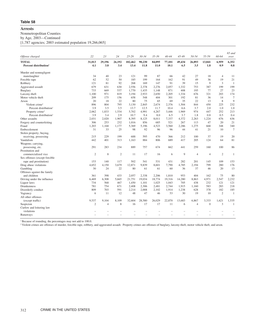# **Arrests**

Nonmetropolitan Counties

by Age, 2003—Continued

[1,787 agencies; 2003 estimated population 19,266,065]

|                                   |                |                |                |           |           |        |        |        |                |                |                | $65$ and     |
|-----------------------------------|----------------|----------------|----------------|-----------|-----------|--------|--------|--------|----------------|----------------|----------------|--------------|
| Offense charged                   | 22             | 23             | 24             | $25 - 29$ | $30 - 34$ | 35-39  | 40-44  | 45-49  | 50-54          | 55-59          | 60-64          | over         |
| <b>TOTAL</b>                      | 31,013         | 29,196         | 26,192         | 102,462   | 90,230    | 84,095 | 77,101 | 49,434 | 26,893         | 13.841         | 6.959          | 6,352        |
| Percent distribution <sup>1</sup> | 4.1            | 3.8            | 3.4            | 13.4      | 11.8      | 11.0   | 10.1   | 6.5    | 3.5            | 1.8            | 0.9            | 0.8          |
| Murder and nonnegligent           |                |                |                |           |           |        |        |        |                |                |                |              |
| manslaughter                      | 34             | 40             | 23             | 121       | 99        | 87     | 66     | 42     | 27             | 18             | $\overline{4}$ | 11           |
| Forcible rape                     | 62             | 52             | 50             | 185       | 199       | 164    | 162    | 91     | 49             | 36             | 19             | 21           |
| Robbery                           | 121            | 81             | 92             | 268       | 169       | 147    | 91     | 39     | 15             | 9              | 3              | -1           |
| Aggravated assault                | 679            | 631            | 630            | 2,556     | 2,378     | 2,276  | 2,057  | 1,332  | 753            | 387            | 199            | 199          |
| Burglary                          | 733            | 669            | 537            | 1.770     | 1.435     | 1.148  | 871    | 408    | 195            | 77             | 27             | 23           |
| Larceny-theft                     | 1,100          | 971            | 819            | 3,194     | 2,933     | 2,650  | 2,205  | 1,334  | 676            | 321            | 203            | 174          |
| Motor vehicle theft               | 209            | 175            | 156            | 658       | 548       | 404    | 301    | 192    | 81             | 36             | 14             | $\tau$       |
| Arson                             | 20             | 18             | 22             | 80        | 75        | 65     | 69     | 35     | 22             | 13             | 8              | 9            |
| Violent crime <sup>2</sup>        | 896            | 804            | 795            | 3,130     | 2,845     | 2,674  | 2,376  | 1,504  | 844            | 450            | 225            | 232          |
| Percent distribution <sup>1</sup> | 3.9            | 3.5            | 3.5            | 13.7      | 12.5      | 11.7   | 10.4   | 6.6    | 3.7            | 2.0            | 1.0            | 1.0          |
| Property crime <sup>2</sup>       | 2,062          | 1,833          | 1,534          | 5,702     | 4,991     | 4,267  | 3,446  | 1,969  | 974            | 447            | 252            | 213          |
| Percent distribution <sup>1</sup> | 3.9            | 3.4            | 2.9            | 10.7      | 9.4       | 8.0    | 6.5    | 3.7    | 1.8            | 0.8            | 0.5            | 0.4          |
| Other assaults                    | 2,031          | 2,020          | 1,907          | 8.395     | 8.125     | 8.011  | 7,337  | 4,372  | 2,263          | 1.224          | 676            | 636          |
| Forgery and counterfeiting        | 306            | 253            | 232            | 1,016     | 856       | 685    | 521    | 267    | 113            | 47             | 20             | 21           |
| Fraud                             | 1,203          | 1,168          | 1,177          | 5,369     | 5,196     | 4,523  | 3,560  | 2,286  | 1,275          | 668            | 348            | 340          |
| Embezzlement                      | 31             | 33             | 25             | 98        | 92        | 96     | 96     | 44     | 41             | 21             | 10             | 7            |
| Stolen property; buying,          |                |                |                |           |           |        |        |        |                |                |                |              |
| receiving, possessing             | 215            | 229            | 199            | 688       | 595       | 470    | 366    | 212    | 100            | 37             | 19             | 20           |
| Vandalism                         | 442            | 401            | 313            | 1,163     | 884       | 806    | 689    | 417    | 205            | 124            | 64             | 81           |
| Weapons; carrying,                |                |                |                |           |           |        |        |        |                |                |                |              |
| possessing, etc.                  | 291            | 283            | 234            | 889       | 757       | 674    | 662    | 441    | 259            | 160            | 100            | 86           |
| Prostitution and                  |                |                |                |           |           |        |        |        |                |                |                |              |
| commercialized vice               | $\overline{2}$ | 8              | $\mathfrak{2}$ | 11        | 17        | 16     | 6      | 9      | $\overline{4}$ | $\overline{4}$ | $\mathfrak{2}$ | $\mathbf{1}$ |
| Sex offenses (except forcible     |                |                |                |           |           |        |        |        |                |                |                |              |
| rape and prostitution)            | 153            | 140            | 117            | 502       | 541       | 531    | 431    | 282    | 201            | 145            | 109            | 153          |
| Drug abuse violations             | 4,652          | 4.150          | 3,679          | 12,871    | 9,839     | 8,601  | 7,790  | 4,785  | 2,194          | 799            | 280            | 176          |
| Gambling                          | 30             | 24             | 22             | 80        | 61        | 61     | 60     | 36     | 37             | 46             | 20             | 13           |
| Offenses against the family       |                |                |                |           |           |        |        |        |                |                |                |              |
| and children                      | 361            | 398            | 433            | 2.057     | 2.338     | 2.206  | 1.810  | 953    | 404            | 162            | 75             | 80           |
| Driving under the influence       | 6,469          | 6,308          | 5,665          | 21,751    | 19,034    | 18,774 | 19,316 | 14,280 | 8,863          | 4,971          | 2,547          | 2,232        |
| Liquor laws                       | 734            | 568            | 467            | 1,450     | 1,101     | 1,025  | 1,043  | 705    | 438            | 232            | 121            | 121          |
| Drunkenness                       | 781            | 754            | 671            | 2,408     | 2,306     | 2,481  | 2,744  | 1,915  | 1.160          | 583            | 283            | 218          |
| Disorderly conduct                | 809            | 703            | 591            | 2,214     | 2,008     | 2,102  | 1,914  | 1,238  | 628            | 378            | 182            | 185          |
| Vagrancy                          | 6              | 11             | 12             | 48        | 47        | 46     | 53     | 30     | 19             | 10             | $\mathfrak{2}$ | -1           |
| All other offenses                |                |                |                |           |           |        |        |        |                |                |                |              |
| (except traffic)                  | 9,537          | 9.104          | 8.109          | 32,604    | 28.580    | 26.029 | 22,870 | 13.683 | 6.867          | 3,333          | 1.621          | 1,535        |
| Suspicion                         | $\overline{c}$ | $\overline{4}$ | 8              | 16        | 17        | 17     | 11     | 6      | $\overline{4}$ | $\overline{0}$ | 3              | $\mathbf{1}$ |
| Curfew and loitering law          |                |                |                |           |           |        |        |        |                |                |                |              |
| violations                        |                |                |                |           |           |        |        |        |                |                |                |              |
| Runaways                          |                |                |                |           |           |        | L.     |        |                |                | L.             |              |
|                                   |                |                |                |           |           |        |        |        |                |                |                |              |

<sup>1</sup> Because of rounding, the percentages may not add to 100.0.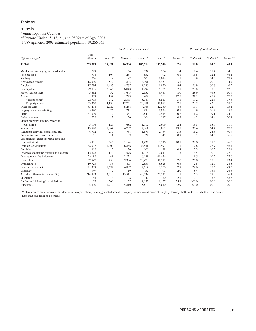# Nonmetropolitan Counties

of Persons Under 15, 18, 21, and 25 Years of Age, 2003

[1,787 agencies; 2003 estimated population 19,266,065]

|                                          |          |                | Number of persons arrested |          |          |               |          | Percent of total all ages |          |
|------------------------------------------|----------|----------------|----------------------------|----------|----------|---------------|----------|---------------------------|----------|
|                                          | Total    |                |                            |          |          |               |          |                           |          |
| Offense charged                          | all ages | Under 15       | Under 18                   | Under 21 | Under 25 | Under 15      | Under 18 | Under 21                  | Under 25 |
| <b>TOTAL</b>                             | 763,309  | 19,891         | 76,334                     | 186,719  | 305,942  | 2.6           | 10.0     | 24.5                      | 40.1     |
| Murder and nonnegligent manslaughter     | 729      | 10             | 54                         | 134      | 254      | 1.4           | 7.4      | 18.4                      | 34.8     |
| Forcible rape                            | 1,718    | 104            | 284                        | 552      | 792      | 6.1           | 16.5     | 32.1                      | 46.1     |
| Robbery                                  | 1,756    | 19             | 192                        | 603      | 1,014    | 1.1           | 10.9     | 34.3                      | 57.7     |
| Aggravated assault                       | 18,590   | 579            | 1,805                      | 3,791    | 6,453    | 3.1           | 9.7      | 20.4                      | 34.7     |
| Burglary                                 | 17,784   | 1,487          | 4,787                      | 9,030    | 11,830   | 8.4           | 26.9     | 50.8                      | 66.5     |
| Larceny-theft                            | 29,015   | 2,046          | 6,048                      | 11,292   | 15,325   | 7.1           | 20.8     | 38.9                      | 52.8     |
| Motor vehicle theft                      | 5,682    | 452            | 1,643                      | 2,657    | 3,441    | 8.0           | 28.9     | 46.8                      | 60.6     |
| Arson                                    | 879      | 154            | 273                        | 402      | 503      | 17.5          | 31.1     | 45.7                      | 57.2     |
| Violent crime <sup>1</sup>               | 22,793   | 712            | 2,335                      | 5,080    | 8,513    | 3.1           | 10.2     | 22.3                      | 37.3     |
| Property crime <sup>1</sup>              | 53,360   | 4,139          | 12,751                     | 23,381   | 31,099   | 7.8           | 23.9     | 43.8                      | 58.3     |
| Other assaults                           | 63,278   | 2,927          | 8,288                      | 14,166   | 22,239   | 4.6           | 13.1     | 22.4                      | 35.1     |
| Forgery and counterfeiting               | 5,480    | 26             | 211                        | 890      | 1,934    | 0.5           | 3.9      | 16.2                      | 35.3     |
| Fraud                                    | 31,079   | 49             | 361                        | 2,840    | 7,514    | 0.2           | 1.2      | 9.1                       | 24.2     |
| Embezzlement                             | 722      | $\overline{2}$ | 30                         | 104      | 217      | 0.3           | 4.2      | 14.4                      | 30.1     |
| Stolen property; buying, receiving,      |          |                |                            |          |          |               |          |                           |          |
| possessing                               | 5.116    | 125            | 682                        | 1,717    | 2,609    | 2.4           | 13.3     | 33.6                      | 51.0     |
| Vandalism                                | 13,520   | 1,864          | 4,787                      | 7,361    | 9,087    | 13.8          | 35.4     | 54.4                      | 67.2     |
| Weapons; carrying, possessing, etc.      | 6,792    | 239            | 761                        | 1,673    | 2,764    | 3.5           | 11.2     | 24.6                      | 40.7     |
| Prostitution and commercialized vice     | 111      | 1              | 9                          | 27       | 41       | 0.9           | 8.1      | 24.3                      | 36.9     |
| Sex offenses (except forcible rape and   |          |                |                            |          |          |               |          |                           |          |
| prostitution)                            | 5,421    | 545            | 1,194                      | 1,924    | 2,526    | 10.1          | 22.0     | 35.5                      | 46.6     |
| Drug abuse violations                    | 88,332   | 1,000          | 6,866                      | 23,551   | 40,997   | 1.1           | 7.8      | 26.7                      | 46.4     |
| Gambling                                 | 612      | 5              | 20                         | 100      | 198      | 0.8           | 3.3      | 16.3                      | 32.4     |
| Offenses against the family and children | 12,928   | 170            | 576                        | 1.316    | 2,843    | 1.3           | 4.5      | 10.2                      | 22.0     |
| Driving under the influence              | 153,192  | 41             | 2,222                      | 16,131   | 41,424   | $\frac{1}{2}$ | 1.5      | 10.5                      | 27.0     |
| Liquor laws                              | 37,547   | 759            | 9,384                      | 28,479   | 31,311   | 2.0           | 25.0     | 75.8                      | 83.4     |
| <b>Drunkenness</b>                       | 19,723   | 58             | 495                        | 2,553    | 5,625    | 0.3           | 2.5      | 12.9                      | 28.5     |
| Disorderly conduct                       | 21,399   | 1,697          | 4,837                      | 7,614    | 10,550   | 7.9           | 22.6     | 35.6                      | 49.3     |
| Vagrancy                                 | 349      | 7              | 19                         | 57       | 93       | 2.0           | 5.4      | 16.3                      | 26.6     |
| All other offenses (except traffic)      | 214,443  | 3,310          | 13,511                     | 40,739   | 77,321   | 1.5           | 6.3      | 19.0                      | 36.1     |
| Suspicion                                | 145      | 3              | 28                         | 49       | 70       | 2.1           | 19.3     | 33.8                      | 48.3     |
| Curfew and loitering law violations      | 1,157    | 300            | 1,157                      | 1,157    | 1,157    | 25.9          | 100.0    | 100.0                     | 100.0    |
| Runaways                                 | 5,810    | 1,912          | 5,810                      | 5,810    | 5,810    | 32.9          | 100.0    | 100.0                     | 100.0    |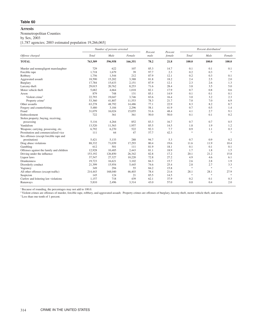# **Arrests**

# Nonmetropolitan Counties

by Sex, 2003

[1,787 agencies; 2003 estimated population 19,266,065]

|                                          |         | Number of persons arrested<br>Male<br>Female |         |                 | Percent |        | Percent distribution <sup>1</sup> |               |
|------------------------------------------|---------|----------------------------------------------|---------|-----------------|---------|--------|-----------------------------------|---------------|
| Offense charged                          | Total   |                                              |         | Percent<br>male | female  | Total  | Male                              | Female        |
| <b>TOTAL</b>                             | 763,309 | 596,958                                      | 166,351 | 78.2            | 21.8    | 100.0  | 100.0                             | 100.0         |
| Murder and nonnegligent manslaughter     | 729     | 622                                          | 107     | 85.3            | 14.7    | 0.1    | 0.1                               | 0.1           |
| Forcible rape                            | 1,718   | 1,679                                        | 39      | 97.7            | 2.3     | 0.2    | 0.3                               | $\ast$        |
| Robbery                                  | 1,756   | 1,544                                        | 212     | 87.9            | 12.1    | 0.2    | 0.3                               | 0.1           |
| Aggravated assault                       | 18,590  | 15,202                                       | 3,388   | 81.8            | 18.2    | 2.4    | 2.5                               | 2.0           |
| <b>Burglary</b>                          | 17,784  | 15,633                                       | 2,151   | 87.9            | 12.1    | 2.3    | 2.6                               | 1.3           |
| Larceny-theft                            | 29,015  | 20,762                                       | 8,253   | 71.6            | 28.4    | 3.8    | 3.5                               | 5.0           |
| Motor vehicle theft                      | 5,682   | 4,664                                        | 1,018   | 82.1            | 17.9    | 0.7    | 0.8                               | 0.6           |
| Arson                                    | 879     | 748                                          | 131     | 85.1            | 14.9    | 0.1    | 0.1                               | 0.1           |
| Violent crime <sup>2</sup>               | 22,793  | 19,047                                       | 3,746   | 83.6            | 16.4    | 3.0    | 3.2                               | 2.3           |
| Property crime <sup>2</sup>              | 53,360  | 41,807                                       | 11,553  | 78.3            | 21.7    | 7.0    | 7.0                               | 6.9           |
| Other assaults                           | 63,278  | 48,792                                       | 14,486  | 77.1            | 22.9    | 8.3    | 8.2                               | 8.7           |
| Forgery and counterfeiting               | 5,480   | 3,184                                        | 2,296   | 58.1            | 41.9    | 0.7    | 0.5                               | 1.4           |
| Fraud                                    | 31,079  | 16,024                                       | 15,055  | 51.6            | 48.4    | 4.1    | 2.7                               | 9.1           |
| Embezzlement                             | 722     | 361                                          | 361     | 50.0            | 50.0    | 0.1    | 0.1                               | 0.2           |
| Stolen property; buying, receiving,      |         |                                              |         |                 |         |        |                                   |               |
| possessing                               | 5,116   | 4,264                                        | 852     | 83.3            | 16.7    | 0.7    | 0.7                               | 0.5           |
| Vandalism                                | 13,520  | 11,563                                       | 1,957   | 85.5            | 14.5    | 1.8    | 1.9                               | 1.2           |
| Weapons; carrying, possessing, etc.      | 6,792   | 6,270                                        | 522     | 92.3            | 7.7     | 0.9    | 1.1                               | 0.3           |
| Prostitution and commercialized vice     | 111     | 64                                           | 47      | 57.7            | 42.3    | $\ast$ | $\frac{1}{2^k}$                   | $\ast$        |
| Sex offenses (except forcible rape and   |         |                                              |         |                 |         |        |                                   |               |
| prostitution)                            | 5,421   | 5,133                                        | 288     | 94.7            | 5.3     | 0.7    | 0.9                               | 0.2           |
| Drug abuse violations                    | 88,332  | 71,039                                       | 17,293  | 80.4            | 19.6    | 11.6   | 11.9                              | 10.4          |
| Gambling                                 | 612     | 501                                          | 111     | 81.9            | 18.1    | 0.1    | 0.1                               | 0.1           |
| Offenses against the family and children | 12,928  | 10,485                                       | 2,443   | 81.1            | 18.9    | 1.7    | 1.8                               | 1.5           |
| Driving under the influence              | 153,192 | 126,850                                      | 26,342  | 82.8            | 17.2    | 20.1   | 21.2                              | 15.8          |
| Liquor laws                              | 37,547  | 27,327                                       | 10,220  | 72.8            | 27.2    | 4.9    | 4.6                               | 6.1           |
| <b>Drunkenness</b>                       | 19,723  | 16,621                                       | 3,102   | 84.3            | 15.7    | 2.6    | 2.8                               | 1.9           |
| Disorderly conduct                       | 21,399  | 15,954                                       | 5,445   | 74.6            | 25.4    | 2.8    | 2.7                               | 3.3           |
| Vagrancy                                 | 349     | 294                                          | 55      | 84.2            | 15.8    | $\ast$ | $\frac{1}{2}$                     | $\frac{1}{2}$ |
| All other offenses (except traffic)      | 214,443 | 168,040                                      | 46,403  | 78.4            | 21.6    | 28.1   | 28.1                              | 27.9          |
| Suspicion                                | 145     | 124                                          | 21      | 85.5            | 14.5    | $\gg$  | $\frac{1}{2}$                     | $\ast$        |
| Curfew and loitering law violations      | 1.157   | 718                                          | 439     | 62.1            | 37.9    | 0.2    | 0.1                               | 0.3           |
| Runaways                                 | 5,810   | 2,496                                        | 3,314   | 43.0            | 57.0    | 0.8    | 0.4                               | 2.0           |

<sup>1</sup> Because of rounding, the percentages may not add to 100.0.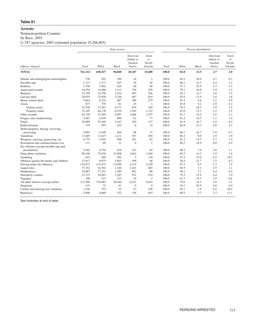# **Arrests**

Nonmetropolitan Counties

by Race, 2003

[1,787 agencies; 2003 estimated population 19,266,065]

|                                          |         |         | Total arrests |                                            |                                           |       |       | Percent distribution <sup>1</sup> |                                            |                                           |
|------------------------------------------|---------|---------|---------------|--------------------------------------------|-------------------------------------------|-------|-------|-----------------------------------|--------------------------------------------|-------------------------------------------|
| Offense charged                          | Total   | White   | <b>Black</b>  | American<br>Indian or<br>Alaskan<br>Native | Asian<br>or<br>Pacific<br><b>Islander</b> | Total | White | <b>Black</b>                      | American<br>Indian or<br>Alaskan<br>Native | Asian<br>or<br>Pacific<br><b>Islander</b> |
| <b>TOTAL</b>                             | 761,114 | 630,327 | 94,840        | 20,347                                     | 15,600                                    | 100.0 | 82.8  | 12.5                              | 2.7                                        | 2.0                                       |
| Murder and nonnegligent manslaughter     | 726     | 502     | 189           | 34                                         | -1                                        | 100.0 | 69.1  | 26.0                              | 4.7                                        | 0.1                                       |
| Forcible rape                            | 1,712   | 1,371   | 245           | 76                                         | 20                                        | 100.0 | 80.1  | 14.3                              | 4.4                                        | 1.2                                       |
| Robbery                                  | 1,756   | 1,002   | 624           | 40                                         | 90                                        | 100.0 | 57.1  | 35.5                              | 2.3                                        | 5.1                                       |
| Aggravated assault                       | 18,554  | 14,486  | 3,113         | 726                                        | 229                                       | 100.0 | 78.1  | 16.8                              | 3.9                                        | 1.2                                       |
| Burglary                                 | 17.749  | 14,756  | 2,254         | 493                                        | 246                                       | 100.0 | 83.1  | 12.7                              | 2.8                                        | 1.4                                       |
| Larceny-theft                            | 28,955  | 23,930  | 3,748         | 467                                        | 810                                       | 100.0 | 82.6  | 12.9                              | 1.6                                        | 2.8                                       |
| Motor vehicle theft                      | 5,664   | 4,722   | 487           | 180                                        | 275                                       | 100.0 | 83.4  | 8.6                               | 3.2                                        | 4.9                                       |
| Arson                                    | 877     | 770     | 81            | 25                                         | 1                                         | 100.0 | 87.8  | 9.2                               | 2.9                                        | 0.1                                       |
| Violent crime <sup>2</sup>               | 22,748  | 17,361  | 4,171         | 876                                        | 340                                       | 100.0 | 76.3  | 18.3                              | 3.9                                        | 1.5                                       |
| Property crime <sup>2</sup>              | 53,245  | 44,178  | 6,570         | 1,165                                      | 1,332                                     | 100.0 | 83.0  | 12.3                              | 2.2                                        | 2.5                                       |
| Other assaults                           | 63,150  | 51,204  | 8,981         | 1,668                                      | 1,297                                     | 100.0 | 81.1  | 14.2                              | 2.6                                        | 2.1                                       |
| Forgery and counterfeiting               | 5,467   | 4,439   | 890           | 61                                         | 77                                        | 100.0 | 81.2  | 16.3                              | 1.1                                        | 1.4                                       |
| Fraud                                    | 30,989  | 25,369  | 5,163         | 320                                        | 137                                       | 100.0 | 81.9  | 16.7                              | 1.0                                        | 0.4                                       |
| Embezzlement                             | 719     | 595     | 103           | 6                                          | 15                                        | 100.0 | 82.8  | 14.3                              | 0.8                                        | 2.1                                       |
| Stolen property; buying, receiving,      |         |         |               |                                            |                                           |       |       |                                   |                                            |                                           |
| possessing                               | 5,093   | 4,109   | 849           | 98                                         | 37                                        | 100.0 | 80.7  | 16.7                              | 1.9                                        | 0.7                                       |
| Vandalism                                | 13,485  | 11.627  | 1,211         | 397                                        | 250                                       | 100.0 | 86.2  | 9.0                               | 2.9                                        | 1.9                                       |
| Weapons; carrying, possessing, etc.      | 6,775   | 5,504   | 998           | 181                                        | 92                                        | 100.0 | 81.2  | 14.7                              | 2.7                                        | 1.4                                       |
| Prostitution and commercialized vice     | 111     | 89      | 21            | $\mathbf{0}$                               | $\mathbf{1}$                              | 100.0 | 80.2  | 18.9                              | 0.0                                        | 0.9                                       |
| Sex offenses (except forcible rape and   |         |         |               |                                            |                                           |       |       |                                   |                                            |                                           |
| prostitution)                            | 5,392   | 4.754   | 424           | 152                                        | 62                                        | 100.0 | 88.2  | 7.9                               | 2.8                                        | 1.1                                       |
| Drug abuse violations                    | 88,106  | 72,676  | 12,508        | 1,662                                      | 1,260                                     | 100.0 | 82.5  | 14.2                              | 1.9                                        | 1.4                                       |
| Gambling                                 | 612     | 289     | 202           | 3                                          | 118                                       | 100.0 | 47.2  | 33.0                              | 0.5                                        | 19.3                                      |
| Offenses against the family and children | 12,917  | 9,875   | 2,803         | 199                                        | 40                                        | 100.0 | 76.4  | 21.7                              | 1.5                                        | 0.3                                       |
| Driving under the influence              | 152,871 | 133,473 | 13,050        | 4,119                                      | 2,229                                     | 100.0 | 87.3  | 8.5                               | 2.7                                        | 1.5                                       |
| Liquor laws                              | 37,352  | 34,702  | 1.146         | 1,101                                      | 403                                       | 100.0 | 92.9  | 3.1                               | 2.9                                        | 1.1                                       |
| Drunkenness                              | 19,687  | 17,351  | 1,389         | 867                                        | 80                                        | 100.0 | 88.1  | 7.1                               | 4.4                                        | 0.4                                       |
| Disorderly conduct                       | 21,372  | 16,943  | 3,283         | 932                                        | 214                                       | 100.0 | 79.3  | 15.4                              | 4.4                                        | 1.0                                       |
| Vagrancy                                 | 348     | 213     | 123           | 10                                         | $\overline{2}$                            | 100.0 | 61.2  | 35.3                              | 2.9                                        | 0.6                                       |
| All other offenses (except traffic)      | 213,586 | 170,082 | 30,540        | 6,321                                      | 6,643                                     | 100.0 | 79.6  | 14.3                              | 3.0                                        | 3.1                                       |
| Suspicion                                | 133     | 72      | 61            | $\mathbf{0}$                               | $\mathbf{0}$                              | 100.0 | 54.1  | 45.9                              | 0.0                                        | 0.0                                       |
| Curfew and loitering law violations      | 1,156   | 753     | 22            | 53                                         | 328                                       | 100.0 | 65.1  | 1.9                               | 4.6                                        | 28.4                                      |
| Runaways                                 | 5,800   | 4,669   | 332           | 156                                        | 643                                       | 100.0 | 80.5  | 5.7                               | 2.7                                        | 11.1                                      |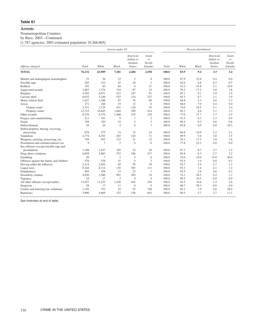# **Arrests**

Nonmetropolitan Counties

by Race, 2003—Continued

[1,787 agencies; 2003 estimated population 19,266,065]

|                                          |        |                | Arrests under 18 |                                            |                                                      | Percent distribution <sup>1</sup> |       |              |                                            |                                           |
|------------------------------------------|--------|----------------|------------------|--------------------------------------------|------------------------------------------------------|-----------------------------------|-------|--------------|--------------------------------------------|-------------------------------------------|
| Offense charged                          | Total  | White          | <b>Black</b>     | American<br>Indian or<br>Alaskan<br>Native | Asian<br><sub>or</sub><br>Pacific<br><b>Islander</b> | Total                             | White | <b>Black</b> | American<br>Indian or<br>Alaskan<br>Native | Asian<br>or<br>Pacific<br><b>Islander</b> |
| <b>TOTAL</b>                             | 76,132 | 63,909         | 7,181            | 2,484                                      | 2,558                                                | 100.0                             | 83.9  | 9.4          | 3.3                                        | 3.4                                       |
| Murder and nonnegligent manslaughter     | 53     | 36             | 12               | 5                                          | $\boldsymbol{0}$                                     | 100.0                             | 67.9  | 22.6         | 9.4                                        | 0.0                                       |
| Forcible rape                            | 283    | 232            | 25               | 24                                         | $\mathbf{2}$                                         | 100.0                             | 82.0  | 8.8          | 8.5                                        | 0.7                                       |
| Robbery                                  | 192    | 83             | 84               | $\overline{4}$                             | 21                                                   | 100.0                             | 43.2  | 43.8         | 2.1                                        | 10.9                                      |
| Aggravated assault                       | 1,803  | 1,374          | 310              | 87                                         | 32                                                   | 100.0                             | 76.2  | 17.2         | 4.8                                        | 1.8                                       |
| Burglary                                 | 4.782  | 4,071          | 433              | 187                                        | 91                                                   | 100.0                             | 85.1  | 9.1          | 3.9                                        | 1.9                                       |
| Larceny-theft                            | 6,032  | 5,146          | 525              | 124                                        | 237                                                  | 100.0                             | 85.3  | 8.7          | 2.1                                        | 3.9                                       |
| Motor vehicle theft                      | 1,637  | 1,388          | 87               | 76                                         | 86                                                   | 100.0                             | 84.8  | 5.3          | 4.6                                        | 5.3                                       |
| Arson                                    | 271    | 240            | 19               | 12                                         | $\mathbf{0}$                                         | 100.0                             | 88.6  | 7.0          | 4.4                                        | 0.0                                       |
| Violent crime <sup>2</sup>               | 2,331  | 1,725          | 431              | 120                                        | 55                                                   | 100.0                             | 74.0  | 18.5         | 5.1                                        | 2.4                                       |
| Property crime <sup>2</sup>              | 12,722 | 10,845         | 1,064            | 399                                        | 414                                                  | 100.0                             | 85.2  | 8.4          | 3.1                                        | 3.3                                       |
| Other assaults                           | 8,276  | 6,374          | 1,468            | 224                                        | 210                                                  | 100.0                             | 77.0  | 17.7         | 2.7                                        | 2.5                                       |
| Forgery and counterfeiting               | 211    | 193            | 9                | $7\phantom{.0}$                            | $\boldsymbol{2}$                                     | 100.0                             | 91.5  | 4.3          | 3.3                                        | 0.9                                       |
| Fraud                                    | 358    | 320            | 33               | $\overline{2}$                             | 3                                                    | 100.0                             | 89.4  | 9.2          | 0.6                                        | 0.8                                       |
| Embezzlement                             | 29     | 24             | $\overline{2}$   | $\overline{0}$                             | 3                                                    | 100.0                             | 82.8  | 6.9          | 0.0                                        | 10.3                                      |
| Stolen property; buying, receiving,      |        |                |                  |                                            |                                                      |                                   |       |              |                                            |                                           |
| possessing                               | 678    | 575            | 74               | 15                                         | 14                                                   | 100.0                             | 84.8  | 10.9         | 2.2                                        | 2.1                                       |
| Vandalism                                | 4,774  | 4,293          | 265              | 145                                        | 71                                                   | 100.0                             | 89.9  | 5.6          | 3.0                                        | 1.5                                       |
| Weapons; carrying, possessing, etc.      | 759    | 593            | 133              | 21                                         | 12                                                   | 100.0                             | 78.1  | 17.5         | 2.8                                        | 1.6                                       |
| Prostitution and commercialized vice     | 9      | $\overline{7}$ | $\overline{2}$   | $\theta$                                   | $\mathbf{0}$                                         | 100.0                             | 77.8  | 22.2         | 0.0                                        | 0.0                                       |
| Sex offenses (except forcible rape and   |        |                |                  |                                            |                                                      |                                   |       |              |                                            |                                           |
| prostitution)                            | 1,188  | 1,037          | 103              | 32                                         | 16                                                   | 100.0                             | 87.3  | 8.7          | 2.7                                        | 1.3                                       |
| Drug abuse violations                    | 6,858  | 5,883          | 572              | 186                                        | 217                                                  | 100.0                             | 85.8  | 8.3          | 2.7                                        | 3.2                                       |
| Gambling                                 | 20     | $\tau$         | $\overline{2}$   | 3                                          | 8                                                    | 100.0                             | 35.0  | 10.0         | 15.0                                       | 40.0                                      |
| Offenses against the family and children | 576    | 538            | 31               | 5                                          | $\mathfrak{2}$                                       | 100.0                             | 93.4  | 5.4          | 0.9                                        | 0.3                                       |
| Driving under the influence              | 2,214  | 2,052          | 65               | 59                                         | 38                                                   | 100.0                             | 92.7  | 2.9          | 2.7                                        | 1.7                                       |
| Liquor laws                              | 9,344  | 8,714          | 130              | 387                                        | 113                                                  | 100.0                             | 93.3  | 1.4          | 4.1                                        | 1.2                                       |
| Drunkenness                              | 495    | 458            | 13               | 23                                         | 1                                                    | 100.0                             | 92.5  | 2.6          | 4.6                                        | 0.2                                       |
| Disorderly conduct                       | 4,830  | 3,580          | 991              | 205                                        | 54                                                   | 100.0                             | 74.1  | 20.5         | 4.2                                        | 1.1                                       |
| Vagrancy                                 | 19     | 17             | $\overline{2}$   | $\overline{0}$                             | $\theta$                                             | 100.0                             | 89.5  | 10.5         | 0.0                                        | 0.0                                       |
| All other offenses (except traffic)      | 13,457 | 11,235         | 1,426            | 442                                        | 354                                                  | 100.0                             | 83.5  | 10.6         | 3.3                                        | 2.6                                       |
| Suspicion                                | 28     | 17             | 11               | $\overline{0}$                             | $\theta$                                             | 100.0                             | 60.7  | 39.3         | 0.0                                        | 0.0                                       |
| Curfew and loitering law violations      | 1,156  | 753            | 22               | 53                                         | 328                                                  | 100.0                             | 65.1  | 1.9          | 4.6                                        | 28.4                                      |
| Runaways                                 | 5,800  | 4,669          | 332              | 156                                        | 643                                                  | 100.0                             | 80.5  | 5.7          | 2.7                                        | 11.1                                      |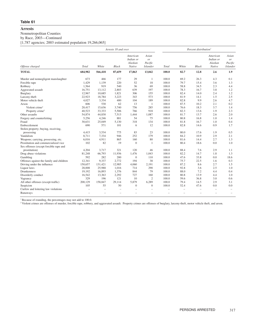# **Arrests**

Nonmetropolitan Counties

by Race, 2003—Continued

[1,787 agencies; 2003 estimated population 19,266,065]

|                                                 |              |         | Arrests 18 and over |                                            |                                                      |                |                | Percent distribution <sup>1</sup>    |                                            |                                           |
|-------------------------------------------------|--------------|---------|---------------------|--------------------------------------------|------------------------------------------------------|----------------|----------------|--------------------------------------|--------------------------------------------|-------------------------------------------|
| Offense charged                                 | <b>Total</b> | White   | <b>Black</b>        | American<br>Indian or<br>Alaskan<br>Native | Asian<br><sub>or</sub><br>Pacific<br><b>Islander</b> | <b>Total</b>   | White          | <b>Black</b>                         | American<br>Indian or<br>Alaskan<br>Native | Asian<br>or<br>Pacific<br><b>Islander</b> |
| <b>TOTAL</b>                                    | 684,982      | 566,418 | 87,659              | 17,863                                     | 13,042                                               | 100.0          | 82.7           | 12.8                                 | 2.6                                        | 1.9                                       |
| Murder and nonnegligent manslaughter            | 673          | 466     | 177                 | 29                                         | $\mathbf{1}$                                         | 100.0          | 69.2           | 26.3                                 | 4.3                                        | 0.1                                       |
| Forcible rape                                   | 1,429        | 1,139   | 220                 | 52                                         | 18                                                   | 100.0          | 79.7           | 15.4                                 | 3.6                                        | 1.3                                       |
| Robbery                                         | 1,564        | 919     | 540                 | 36                                         | 69                                                   | 100.0          | 58.8           | 34.5                                 | 2.3                                        | 4.4                                       |
| Aggravated assault                              | 16,751       | 13,112  | 2,803               | 639                                        | 197                                                  | 100.0          | 78.3           | 16.7                                 | 3.8                                        | 1.2                                       |
| Burglary                                        | 12.967       | 10.685  | 1,821               | 306                                        | 155                                                  | 100.0          | 82.4           | 14.0                                 | 2.4                                        | 1.2                                       |
| Larceny-theft                                   | 22,923       | 18,784  | 3,223               | 343                                        | 573                                                  | 100.0          | 81.9           | 14.1                                 | 1.5                                        | 2.5                                       |
| Motor vehicle theft                             | 4,027        | 3,334   | 400                 | 104                                        | 189                                                  | 100.0          | 82.8           | 9.9                                  | 2.6                                        | 4.7                                       |
| Arson                                           | 606          | 530     | 62                  | 13                                         | $\mathbf{1}$                                         | 100.0          | 87.5           | 10.2                                 | 2.1                                        | 0.2                                       |
| Violent crime <sup>2</sup>                      | 20,417       | 15,636  | 3,740               | 756                                        | 285                                                  | 100.0          | 76.6           | 18.3                                 | 3.7                                        | 1.4                                       |
| Property crime <sup>2</sup>                     | 40.523       | 33,333  | 5,506               | 766                                        | 918                                                  | 100.0          | 82.3           | 13.6                                 | 1.9                                        | 2.3                                       |
| Other assaults                                  | 54,874       | 44,830  | 7,513               | 1,444                                      | 1,087                                                | 100.0          | 81.7           | 13.7                                 | 2.6                                        | 2.0                                       |
| Forgery and counterfeiting                      | 5,256        | 4,246   | 881                 | 54                                         | 75                                                   | 100.0          | 80.8           | 16.8                                 | 1.0                                        | 1.4                                       |
| Fraud                                           | 30,631       | 25,049  | 5,130               | 318                                        | 134                                                  | 100.0          | 81.8           | 16.7                                 | 1.0                                        | 0.4                                       |
| Embezzlement                                    | 690          | 571     | 101                 | 6                                          | 12                                                   | 100.0          | 82.8           | 14.6                                 | 0.9                                        | 1.7                                       |
| Stolen property; buying, receiving,             |              |         |                     |                                            |                                                      |                |                |                                      |                                            |                                           |
| possessing                                      | 4,415        | 3,534   | 775                 | 83                                         | 23                                                   | 100.0          | 80.0           | 17.6                                 | 1.9                                        | 0.5                                       |
| Vandalism                                       | 8,711        | 7,334   | 946                 | 252                                        | 179                                                  | 100.0          | 84.2           | 10.9                                 | 2.9                                        | 2.1                                       |
| Weapons; carrying, possessing, etc.             | 6,016        | 4,911   | 865                 | 160                                        | 80                                                   | 100.0          | 81.6           | 14.4                                 | 2.7                                        | 1.3                                       |
| Prostitution and commercialized vice            | 102          | 82      | 19                  | $\theta$                                   | $\mathbf{1}$                                         | 100.0          | 80.4           | 18.6                                 | 0.0                                        | 1.0                                       |
| Sex offenses (except forcible rape and          |              |         |                     |                                            |                                                      |                |                |                                      |                                            |                                           |
| prostitution)                                   | 4,204        | 3,717   | 321                 | 120                                        | 46                                                   | 100.0          | 88.4           | 7.6                                  | 2.9                                        | 1.1                                       |
| Drug abuse violations                           | 81,248       | 66,793  | 11,936              | 1,476                                      | 1,043                                                | 100.0          | 82.2           | 14.7                                 | 1.8                                        | 1.3                                       |
| Gambling                                        | 592          | 282     | 200                 | $\mathbf{0}$                               | 110                                                  | 100.0          | 47.6           | 33.8                                 | 0.0                                        | 18.6                                      |
| Offenses against the family and children        | 12,341       | 9,337   | 2,772               | 194                                        | 38                                                   | 100.0          | 75.7           | 22.5                                 | 1.6                                        | 0.3                                       |
| Driving under the influence                     | 150,657      | 131,421 | 12,985              | 4,060                                      | 2,191                                                | 100.0          | 87.2           | 8.6                                  | 2.7                                        | 1.5                                       |
| Liquor laws                                     | 28,008       | 25,988  | 1,016               | 714                                        | 290                                                  | 100.0          | 92.8           | 3.6                                  | 2.5                                        | 1.0                                       |
| Drunkenness                                     | 19,192       | 16,893  | 1,376               | 844                                        | 79                                                   | 100.0          | 88.0           | 7.2                                  | 4.4                                        | 0.4                                       |
| Disorderly conduct                              | 16,542       | 13,363  | 2,292               | 727                                        | 160                                                  | 100.0          | 80.8           | 13.9                                 | 4.4                                        | 1.0                                       |
| Vagrancy                                        | 329          | 196     | 121                 | 10                                         | $\overline{2}$                                       | 100.0          | 59.6           | 36.8                                 | 3.0                                        | 0.6                                       |
| All other offenses (except traffic)             | 200,129      | 158,847 | 29,114              | 5,879                                      | 6,289                                                | 100.0          | 79.4           | 14.5                                 | 2.9                                        | 3.1                                       |
| Suspicion                                       | 105          | 55      | 50                  | $\mathbf{0}$                               | $\overline{0}$                                       | 100.0          | 52.4           | 47.6                                 | 0.0                                        | 0.0                                       |
| Curfew and loitering law violations<br>Runaways |              | ÷<br>÷, |                     |                                            | $\overline{\phantom{0}}$                             | L.<br>$\equiv$ | $\equiv$<br>÷, | $\equiv$<br>$\overline{\phantom{0}}$ |                                            | $\overline{\phantom{m}}$                  |
|                                                 |              |         |                     |                                            |                                                      |                |                |                                      |                                            |                                           |

<sup>1</sup> Because of rounding, the percentages may not add to 100.0.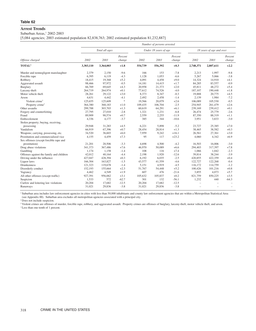#### **Arrest Trends**

#### Suburban Areas, 1 2002-2003

[5,084 agencies; 2003 estimated population 82,838,763; 2002 estimated population 81,232,887]

|                                          |           |                |                   |         | Number of persons arrested |                   |           |                          |                   |
|------------------------------------------|-----------|----------------|-------------------|---------|----------------------------|-------------------|-----------|--------------------------|-------------------|
|                                          |           | Total all ages |                   |         | Under 18 years of age      |                   |           | 18 years of age and over |                   |
| Offense charged                          | 2002      | 2003           | Percent<br>change | 2002    | 2003                       | Percent<br>change | 2002      | 2003                     | Percent<br>change |
| <b>TOTAL<sup>2</sup></b>                 | 3,303,110 | 3,364,003      | $+1.8$            | 554,739 | 556,392                    | $+0.3$            | 2,748,371 | 2,807,611                | $+2.2$            |
| Murder and nonnegligent manslaughter     | 2,379     | 2,150          | $-9.6$            | 166     | 153                        | $-7.8$            | 2,213     | 1,997                    | $-9.8$            |
| Forcible rape                            | 6,395     | 6,119          | $-4.3$            | 1,128   | 1,053                      | $-6.6$            | 5,267     | 5,066                    | $-3.8$            |
| Robbery                                  | 18,415    | 19,368         | $+5.2$            | 4,091   | 4,458                      | $+9.0$            | 14,324    | 14,910                   | $+4.1$            |
| Aggravated assault                       | 98,466    | 97,972         | $-0.5$            | 14,181  | 14,415                     | $+1.7$            | 84,285    | 83,557                   | $-0.9$            |
| Burglary                                 | 66,769    | 69,645         | $+4.3$            | 20,958  | 21,373                     | $+2.0$            | 45,811    | 48,272                   | $+5.4$            |
| Larceny-theft                            | 264,719   | 264,974        | $+0.1$            | 77,612  | 74,526                     | $-4.0$            | 187,107   | 190,448                  | $+1.8$            |
| Motor vehicle theft                      | 28,261    | 29,122         | $+3.0$            | 8,373   | 8,347                      | $-0.3$            | 19,888    | 20,775                   | $+4.5$            |
| Arson                                    | 4,631     | 4,442          | $-4.1$            | 2,492   | 2,458                      | $-1.4$            | 2,139     | 1,984                    | $-7.2$            |
| Violent crime <sup>3</sup>               | 125,655   | 125,609        | $\frac{1}{2}$     | 19,566  | 20,079                     | $+2.6$            | 106,089   | 105,530                  | $-0.5$            |
| Property crime <sup>3</sup>              | 364,380   | 368,183        | $+1.0$            | 109,435 | 106,704                    | $-2.5$            | 254,945   | 261,479                  | $+2.6$            |
| Other assaults                           | 299,788   | 303,703        | $+1.3$            | 60,619  | 64,291                     | $+6.1$            | 239,169   | 239,412                  | $+0.1$            |
| Forgery and counterfeiting               | 27,795    | 27,010         | $-2.8$            | 1,321   | 1,231                      | $-6.8$            | 26,474    | 25,779                   | $-2.6$            |
| Fraud                                    | 89,909    | 90,574         | $+0.7$            | 2,559   | 2,255                      | $-11.9$           | 87,350    | 88,319                   | $+1.1$            |
| Embezzlement                             | 4,336     | 4,177          | $-3.7$            | 385     | 344                        | $-10.6$           | 3,951     | 3,833                    | $-3.0$            |
| Stolen property; buying, receiving,      |           |                |                   |         |                            |                   |           |                          |                   |
| possessing                               | 29.948    | 31,283         | $+4.5$            | 6,221   | 5,898                      | $-5.2$            | 23,727    | 25,385                   | $+7.0$            |
| Vandalism                                | 66,919    | 67,396         | $+0.7$            | 28,454  | 28,814                     | $+1.3$            | 38,465    | 38,582                   | $+0.3$            |
| Weapons; carrying, possessing, etc.      | 34,520    | 36,603         | $+6.0$            | 7,959   | 9,242                      | $+16.1$           | 26,561    | 27,361                   | $+3.0$            |
| Prostitution and commercialized vice     | 4,155     | 4,459          | $+7.3$            | 95      | 117                        | $+23.2$           | 4,060     | 4,342                    | $+6.9$            |
| Sex offenses (except forcible rape and   |           |                |                   |         |                            |                   |           |                          |                   |
| prostitution)                            | 21,201    | 20,506         | $-3.3$            | 4,698   | 4,500                      | $-4.2$            | 16,503    | 16,006                   | $-3.0$            |
| Drug abuse violations                    | 341,373   | 367,486        | $+7.6$            | 46,970  | 50,089                     | $+6.6$            | 294,403   | 317,397                  | $+7.8$            |
| Gambling                                 | 1,174     | 1,158          | $-1.4$            | 108     | 116                        | $+7.4$            | 1,066     | 1,042                    | $-2.3$            |
| Offenses against the family and children | 42,012    | 40,164         | $-4.4$            | 2,198   | 1,920                      | $-12.6$           | 39,814    | 38,244                   | $-3.9$            |
| Driving under the influence              | 427,047   | 428,394        | $+0.3$            | 6,192   | 6,035                      | $-2.5$            | 420,855   | 422,359                  | $+0.4$            |
| Liquor laws                              | 166,304   | 163,827        | $-1.5$            | 43,577  | 41,559                     | $-4.6$            | 122,727   | 122,268                  | $-0.4$            |
| <b>Drunkenness</b>                       | 121,323   | 119,678        | $-1.4$            | 5,151   | 4,919                      | $-4.5$            | 116,172   | 114,759                  | $-1.2$            |
| Disorderly conduct                       | 152,193   | 155,664        | $+2.3$            | 51,767  | 54,448                     | $+5.2$            | 100,426   | 101,216                  | $+0.8$            |
| Vagrancy                                 | 4,462     | 4,549          | $+1.9$            | 607     | 476                        | $-21.6$           | 3,855     | 4,073                    | $+5.7$            |
| All other offenses (except traffic)      | 927,391   | 956,062        | $+3.1$            | 105,632 | 105,837                    | $+0.2$            | 821,759   | 850,225                  | $+3.5$            |
| Suspicion                                | 1,533     | 572            | $-62.7$           | 301     | 132                        | $-56.1$           | 1,232     | 440                      | $-64.3$           |
| Curfew and loitering law violations      | 20,204    | 17,682         | $-12.5$           | 20,204  | 17,682                     | $-12.5$           | $\equiv$  |                          |                   |
| Runaways                                 | 31,021    | 29,836         | $-3.8$            | 31,021  | 29,836                     | $-3.8$            |           |                          |                   |

<sup>1</sup> Suburban area includes law enforcement agencies in cities with less than 50,000 inhabitants and county law enforcement agencies that are within a Metropolitan Statistical Area (see Appendix III). Suburban area excludes all metropolitan agencies associated with a principal city.

<sup>2</sup> Does not include suspicion.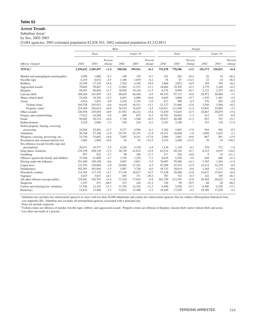# **Arrest Trends**

Suburban Areas<sup>1</sup>

by Sex, 2002-2003

[5,084 agencies; 2003 estimated population 82,838,763; 2002 estimated population 81,232,887]

|                                          |         |                     |                   | Male    |          |                   |         |         | Female            |         |          |                   |
|------------------------------------------|---------|---------------------|-------------------|---------|----------|-------------------|---------|---------|-------------------|---------|----------|-------------------|
|                                          |         | Total               |                   |         | Under 18 |                   |         | Total   |                   |         | Under 18 |                   |
| Offense charged                          | 2002    | 2003                | Percent<br>change | 2002    | 2003     | Percent<br>change | 2002    | 2003    | Percent<br>change | 2002    | 2003     | Percent<br>change |
| <b>TOTAL<sup>2</sup></b>                 |         | 2,550,632 2,585,497 | $+1.4$            | 398,566 | 399,561  | $+0.2$            | 752,478 | 778,506 | $+3.5$            | 156,173 | 156,831  | $+0.4$            |
| Murder and nonnegligent manslaughter     | 2,058   | 1,888               | $-8.3$            | 140     | 139      | $-0.7$            | 321     | 262     | $-18.4$           | 26      | 14       | $-46.2$           |
| Forcible rape                            | 6,319   | 6,032               | $-4.5$            | 1,106   | 1,039    | $-6.1$            | 76      | 87      | $+14.5$           | 22      | 14       | $-36.4$           |
| Robbery                                  | 16,549  | 17,336              | $+4.8$            | 3,762   | 4,102    | $+9.0$            | 1,866   | 2,032   | $+8.9$            | 329     | 356      | $+8.2$            |
| Aggravated assault                       | 79,602  | 78,667              | $-1.2$            | 11,002  | 11,231   | $+2.1$            | 18,864  | 19,305  | $+2.3$            | 3,179   | 3,184    | $+0.2$            |
| Burglary                                 | 58,493  | 60,646              | $+3.7$            | 18,836  | 19,120   | $+1.5$            | 8,276   | 8,999   | $+8.7$            | 2,122   | 2,253    | $+6.2$            |
| Larceny-theft                            | 168,204 | 167,859             | $-0.2$            | 48,639  | 46,440   | $-4.5$            | 96,515  | 97,115  | $+0.6$            | 28,973  | 28,086   | $-3.1$            |
| Motor vehicle theft                      | 23,658  | 24,256              | $+2.5$            | 6,843   | 6,886    | $+0.6$            | 4,603   | 4,866   | $+5.7$            | 1,530   | 1,461    | $-4.5$            |
| Arson                                    | 4,014   | 3,853               | $-4.0$            | 2,216   | 2,193    | $-1.0$            | 617     | 589     | $-4.5$            | 276     | 265      | $-4.0$            |
| Violent crime <sup>3</sup>               | 104,528 | 103,923             | $-0.6$            | 16,010  | 16,511   | $+3.1$            | 21,127  | 21,686  | $+2.6$            | 3,556   | 3,568    | $+0.3$            |
| Property crime <sup>3</sup>              | 254,369 | 256,614             | $+0.9$            | 76,534  | 74.639   | $-2.5$            | 110,011 | 111,569 | $+1.4$            | 32,901  | 32,065   | $-2.5$            |
| Other assaults                           | 226,958 | 229,058             | $+0.9$            | 41,952  | 44,212   | $+5.4$            | 72,830  | 74,645  | $+2.5$            | 18,667  | 20,079   | $+7.6$            |
| Forgery and counterfeiting               | 17,012  | 16,368              | $-3.8$            | 909     | 852      | $-6.3$            | 10,783  | 10,642  | $-1.3$            | 412     | 379      | $-8.0$            |
| Fraud                                    | 50,082  | 50,274              | $+0.4$            | 1.726   | 1,548    | $-10.3$           | 39,827  | 40,300  | $+1.2$            | 833     | 707      | $-15.1$           |
| Embezzlement                             | 2,229   | 2,069               | $-7.2$            | 230     | 216      | $-6.1$            | 2,107   | 2,108   | $\frac{1}{2}$     | 155     | 128      | $-17.4$           |
| Stolen property; buying, receiving,      |         |                     |                   |         |          |                   |         |         |                   |         |          |                   |
| possessing                               | 24,564  | 25,481              | $+3.7$            | 5,277   | 4,956    | $-6.1$            | 5,384   | 5,802   | $+7.8$            | 944     | 942      | $-0.2$            |
| Vandalism                                | 56,768  | 57,348              | $+1.0$            | 24,755  | 25,191   | $+1.8$            | 10,151  | 10.048  | $-1.0$            | 3,699   | 3,623    | $-2.1$            |
| Weapons; carrying, possessing, etc.      | 31,536  | 33,602              | $+6.6$            | 7,092   | 8,341    | $+17.6$           | 2,984   | 3,001   | $+0.6$            | 867     | 901      | $+3.9$            |
| Prostitution and commercialized vice     | 1,962   | 1,969               | $+0.4$            | 56      | 63       | $+12.5$           | 2,193   | 2,490   | $+13.5$           | 39      | 54       | $+38.5$           |
| Sex offenses (except forcible rape and   |         |                     |                   |         |          |                   |         |         |                   |         |          |                   |
| prostitution)                            | 20,071  | 19,377              | $-3.5$            | 4,320   | 4.128    | $-4.4$            | 1.130   | 1.129   | $-0.1$            | 378     | 372      | $-1.6$            |
| Drug abuse violations                    | 278,159 | 298,150             | $+7.2$            | 38,738  | 41,014   | $+5.9$            | 63,214  | 69,336  | $+9.7$            | 8,232   | 9,075    | $+10.2$           |
| Gambling                                 | 957     | 922                 | $-3.7$            | 99      | 106      | $+7.1$            | 217     | 236     | $+8.8$            | 9       | 10       | $+11.1$           |
| Offenses against the family and children | 33,394  | 31,808              | $-4.7$            | 1,350   | 1,254    | $-7.1$            | 8,618   | 8.356   | $-3.0$            | 848     | 666      | $-21.5$           |
| Driving under the influence              | 351,040 | 349,108             | $-0.6$            | 5,007   | 4,831    | $-3.5$            | 76,007  | 79,286  | $+4.3$            | 1,185   | 1,204    | $+1.6$            |
| Liquor laws                              | 123,795 | 120,084             | $-3.0$            | 29,065  | 27,181   | $-6.5$            | 42,509  | 43,743  | $+2.9$            | 14,512  | 14,378   | $-0.9$            |
| <b>Drunkenness</b>                       | 102,591 | 101.064             | $-1.5$            | 3,987   | 3,748    | $-6.0$            | 18,732  | 18,614  | $-0.6$            | 1,164   | 1.171    | $+0.6$            |
| Disorderly conduct                       | 114,765 | 117,176             | $+2.1$            | 37,130  | 38,817   | $+4.5$            | 37,428  | 38,488  | $+2.8$            | 14,637  | 15,631   | $+6.8$            |
| Vagrancy                                 | 3,675   | 3,827               | $+4.1$            | 465     | 371      | $-20.2$           | 787     | 722     | $-8.3$            | 142     | 105      | $-26.1$           |
| All other offenses (except traffic)      | 725,641 | 742,707             | $+2.4$            | 77,328  | 77,014   | $-0.4$            | 201,750 | 213,355 | $+5.8$            | 28,304  | 28,823   | $+1.8$            |
| Suspicion                                | 1,197   | 473                 | $-60.5$           | 213     | 104      | $-51.2$           | 336     | 99      | $-70.5$           | 88      | 28       | $-68.2$           |
| Curfew and loitering law violations      | 13,704  | 12,162              | $-11.3$           | 13,704  | 12,162   | $-11.3$           | 6,500   | 5,520   | $-15.1$           | 6,500   | 5,520    | $-15.1$           |
| Runaways                                 | 12,832  | 12,406              | $-3.3$            | 12,832  | 12,406   | $-3.3$            | 18,189  | 17,430  | $-4.2$            | 18,189  | 17,430   | $-4.2$            |

<sup>1</sup> Suburban area includes law enforcement agencies in cities with less than 50,000 inhabitants and county law enforcement agencies that are within a Metropolitan Statistical Area (see Appendix III). Suburban area excludes all metropolitan agencies associated with a principal city.

<sup>2</sup> Does not include suspicion.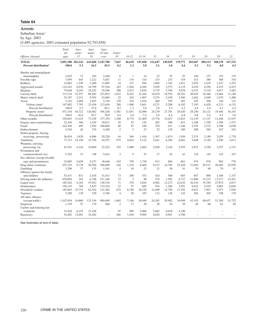#### **Arrests**

 $\mathbf S$ uburban $\mathbf A \mathbf r$ eas $^1$ 

by Age, 2003

[5,889 agencies; 2003 estimated population 92,793,659]

|                                                   | Total<br>all       | Ages<br>under  | Ages<br>under | Ages<br>18 and            | Under            |               |                |                |                |                |                |                |                |                          |
|---------------------------------------------------|--------------------|----------------|---------------|---------------------------|------------------|---------------|----------------|----------------|----------------|----------------|----------------|----------------|----------------|--------------------------|
| Offense charged                                   | ages               | 15             | 18            | over                      | 10               | $10 - 12$     | $13 - 14$      | 15             | 16             | 17             | 18             | 19             | 20             | 21                       |
| <b>TOTAL</b><br>Percent distribution <sup>2</sup> | 3,891,388<br>100.0 | 202,143<br>5.2 | 16.5          | 643,600 3,247,788<br>83.5 | 7,667<br>0.2     | 46,618<br>1.2 | 147,858<br>3.8 | 121,647<br>3.1 | 149,039<br>3.8 | 170,771<br>4.4 | 203,467<br>5.2 | 200,113<br>5.1 | 188,178<br>4.8 | 167,152<br>4.3           |
| Murder and nonnegligent                           |                    |                |               |                           |                  |               |                |                |                |                |                |                |                |                          |
| manslaughter                                      | 2,625              | 15             | 185           | 2,440                     | $\boldsymbol{0}$ | 1             | 14             | 22             | 55             | 93             | 146            | 157            | 155            | 155                      |
| Forcible rape                                     | 7,059              | 445            | 1,212         | 5,847                     | 11               | 110           | 324            | 215            | 233            | 319            | 413            | 380            | 368            | 310                      |
| Robbery                                           | 23,065             | 1,259          | 5,260         | 17,805                    | 34               | 231           | 994            | 1,005          | 1,345          | 1,651          | 2,076          | 1,635          | 1,437          | 1,255                    |
| Aggravated assault                                | 114,343            | 6,076          | 16,799        | 97,544                    | 243              | 1.564         | 4,269          | 3,029          | 3,575          | 4.119          | 4,470          | 4,256          | 4,253          | 4,415                    |
| Burglary                                          | 79.648             | 8,245          | 24,252        | 55,396                    | 388              | 2,012         | 5,845          | 4,735          | 5,394          | 5,878          | 6,533          | 5,318          | 4,017          | 3,482                    |
| Larceny-theft                                     | 313,334            | 32,557         | 89,482        | 223,852                   | 1,032            | 8,263         | 23,262         | 16,670         | 19,554         | 20,701         | 20,010         | 16,546         | 13,604         | 11,180                   |
| Motor vehicle theft                               | 33,187             | 2,231          | 9,503         | 23,684                    | 22               | 242           | 1,967          | 2,274          | 2,438          | 2,560          | 2,462          | 2,049          | 1.679          | 1,400                    |
| Arson                                             | 5,141              | 1,689          | 2,825         | 2,316                     | 139              | 534           | 1,016          | 460            | 395            | 281            | 245            | 208            | 146            | 121                      |
| Violent crime <sup>3</sup>                        | 147,092            | 7,795          | 23,456        | 123,636                   | 288              | 1,906         | 5,601          | 4,271          | 5,208          | 6,182          | 7,105          | 6,428          | 6,213          | 6,135                    |
| Percent distribution <sup>2</sup>                 | 100.0              | 5.3            | 15.9          | 84.1                      | 0.2              | 1.3           | 3.8            | 2.9            | 3.5            | 4.2            | 4.8            | 4.4            | 4.2            | 4.2                      |
| Property crime <sup>3</sup>                       | 431,310            | 44,722         | 126,062       | 305,248                   | 1,581            | 11,051        | 32,090         | 24,139         | 27,781         | 29,420         | 29,250         | 24,121         | 19,446         | 16,183                   |
| Percent distribution <sup>2</sup>                 | 100.0              | 10.4           | 29.2          | 70.8                      | 0.4              | 2.6           | 7.4            | 5.6            | 6.4            | 6.8            | 6.8            | 5.6            | 4.5            | 3.8                      |
| Other assaults                                    | 350,603            | 31,423         | 73,249        | 277,354                   | 1,240            | 8,774         | 21.409         | 13,776         | 14,427         | 13,623         | 12,139         | 11,127         | 11,448         | 11,937                   |
| Forgery and counterfeiting                        | 32,240             | 186            | 1,429         | 30,811                    | 16               | 25            | 145            | 203            | 389            | 651            | 1,248          | 1,558          | 1,780          | 1,572                    |
| Fraud                                             | 103.458            | 485            | 2,592         | 100,866                   | 49               | 87            | 349            | 370            | 631            | 1.106          | 2,345          | 3,515          | 3,788          | 4,038                    |
| Embezzlement                                      | 4,744              | 26             | 376           | 4,368                     | 2                | 2             | 22             | 22             | 139            | 189            | 288            | 284            | 247            | 242                      |
| Stolen property; buying,                          |                    |                |               |                           |                  |               |                |                |                |                |                |                |                |                          |
| receiving, possessing                             | 36,034             | 1.829          | 6.806         | 29,228                    | 44               | 369           | 1.416          | 1.367          | 1.674          | 1.936          | 2.574          | 2.189          | 2.029          | 1.770                    |
| Vandalism                                         | 77,313             | 14,140         | 32,756        | 44,557                    | 975              | 4,043         | 9,122          | 5.641          | 6,294          | 6,681          | 5,848          | 4,330          | 3,290          | 3.013                    |
| Weapons; carrying,                                |                    |                |               |                           |                  |               |                |                |                |                |                |                |                |                          |
| possessing, etc.                                  | 43,191             | 4,142          | 10,869        | 32,322                    | 192              | 1,088         | 2,862          | 2,028          | 2.144          | 2,555          | 2,872          | 2,550          | 2,257          | 2,151                    |
| Prostitution and                                  |                    |                |               |                           |                  |               |                |                |                |                |                |                |                |                          |
| commercialized vice                               | 5,762              | 33             | 148           | 5,614                     | 3                | 5             | 25             | 27             | 45             | 43             | 116            | 145            | 142            | 167                      |
| Sex offenses (except forcible                     |                    |                |               |                           |                  |               |                |                |                |                |                |                |                |                          |
| rape and prostitution)                            | 23,885             | 2,659          | 5,237         | 18,648                    | 162              | 759           | 1,738          | 913            | 804            | 861            | 974            | 976            | 902            | 778                      |
| Drug abuse violations                             | 425,193            | 9,778          | 56,504        | 368,689                   | 164              | 1,210         | 8,404          | 9,513          | 14,785         | 22,428         | 31,692         | 29,511         | 26,465         | 22,958                   |
| Gambling                                          | 1,296              | 37             | 135           | 1,161                     | $\overline{4}$   | 10            | 23             | 21             | 36             | 41             | 70             | 69             | 70             | 41                       |
| Offenses against the family                       |                    |                |               |                           |                  |               |                |                |                |                |                |                |                |                          |
| and children                                      | 53,431             | 831            | 2,418         | 51,013                    | 73               | 206           | 552            | 424            | 560            | 603            | 847            | 898            | 1,106          | 1,337                    |
| Driving under the influence                       | 478,094            | 165            | 6,748         | 471,346                   | 72               | 5             | 88             | 274            | 1,582          | 4,727          | 11,800         | 15,215         | 17,517         | 23,451                   |
| Liquor laws                                       | 185,562            | 4,165          | 47,052        | 138,510                   | 71               | 270           | 3,824          | 6,982          | 13,273         | 22,632         | 36,210         | 35,349         | 27,874         | 4,817                    |
| Drunkenness                                       | 138,143            | 764            | 5,627         | 132,516                   | 22               | 57            | 685            | 916            | 1,366          | 2,581          | 4,822          | 5,019          | 5,003          | 6,656                    |
| Disorderly conduct                                | 183,845            | 25,751         | 62,362        | 121,483                   | 675              | 6,740         | 18,336         | 12,469         | 12,750         | 11,392         | 9,821          | 7,907          | 7,073          | 7,926                    |
| Vagrancy                                          | 5,289              | 139            | 529           | 4,760                     | $\overline{4}$   | 28            | 107            | 112            | 136            | 142            | 204            | 205            | 198            | 179                      |
| All other offenses                                |                    |                |               |                           |                  |               |                |                |                |                |                |                |                |                          |
| (except traffic)                                  | 1,107,854          | 34,860         | 123,156       | 984,698                   | 1,665            | 7.146         | 26,049         | 24,265         | 29.982         | 34,049         | 43,193         | 48.657         | 51,269         | 51,752                   |
| Suspicion                                         | 1,139              | 57             | 179           | 960                       | $\mathfrak{2}$   | 17            | 38             | 29             | 54             | 39             | 49             | 60             | 61             | 49                       |
| Curfew and loitering law                          |                    |                |               |                           |                  |               |                |                |                |                |                |                |                |                          |
|                                                   | 21,428             | 6,155          | 21,428        |                           | 97               | 990           | 5,068          | 5,065          | 6,018          | 4,190          |                |                |                |                          |
| violations                                        |                    |                |               |                           |                  |               |                |                |                |                |                |                |                |                          |
| Runaways                                          | 34,482             | 12,001         | 34,482        | ÷                         | 266              | 1,830         | 9,905          | 8,820          | 8,961          | 4,700          |                | L.             |                | $\overline{\phantom{0}}$ |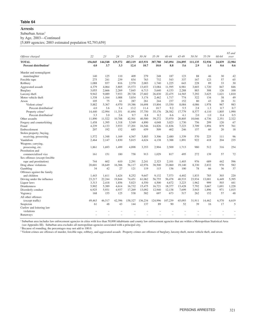#### **Arrests**

Suburban Areas<sup>1</sup>

by Age, 2003—Continued

[5,889 agencies; 2003 estimated population 92,793,659]

| Offense charged                                   | 22             | 23             | 24             | $25 - 29$       | $30 - 34$       | $35 - 39$       | $40 - 44$      | 45-49          | 50-54          | 55-59         | 60-64                    | 65 and<br>over |
|---------------------------------------------------|----------------|----------------|----------------|-----------------|-----------------|-----------------|----------------|----------------|----------------|---------------|--------------------------|----------------|
| <b>TOTAL</b><br>Percent distribution <sup>2</sup> | 156,045<br>4.0 | 144,548<br>3.7 | 129,572<br>3.3 | 483.119<br>12.4 | 415.931<br>10.7 | 387,780<br>10.0 | 343,094<br>8.8 | 216,895<br>5.6 | 111.135<br>2.9 | 52,936<br>1.4 | 24,839<br>0.6            | 22,984<br>0.6  |
|                                                   |                |                |                |                 |                 |                 |                |                |                |               |                          |                |
| Murder and nonnegligent                           |                |                |                |                 |                 |                 |                |                |                |               |                          |                |
| manslaughter                                      | 140            | 125            | 110            | 409             | 279             | 248             | 187            | 123            | 88             | 46            | 30                       | 42             |
| Forcible rape                                     | 275            | 241            | 239            | 834             | 763             | 732             | 543            | 337            | 167            | 123           | 57                       | 65             |
| Robbery                                           | 1,088          | 937            | 816            | 2,570           | 2,003           | 1,740           | 1,225          | 643            | 228            | 89            | 33                       | 30             |
| Aggravated assault                                | 4,379          | 4,064          | 3,805          | 15,573          | 13,653          | 13,084          | 11,595         | 6,981          | 3,603          | 1,720         | 847                      | 846            |
| Burglary                                          | 3,055          | 2,666          | 2,269          | 7,845           | 6,713           | 5,640           | 4,153          | 2,288          | 883            | 308           | 126                      | 100            |
| Larceny-theft                                     | 9,942          | 9,089          | 7,933          | 29,728          | 27,602          | 26,830          | 22,475         | 14,565         | 7,292          | 3,625         | 1,621                    | 1,810          |
| Motor vehicle theft                               | 1,338          | 1,164          | 1,088          | 3,834           | 3,174           | 2,462           | 1,717          | 774            | 322            | 134           | 38                       | 49             |
| Arson                                             | 105            | 75             | 61             | 287             | 261             | 244             | 237            | 152            | 80             | 43            | 20                       | 31             |
| Violent crime <sup>3</sup>                        | 5,882          | 5,367          | 4,970          | 19,386          | 16,698          | 15,804          | 13,550         | 8,084          | 4,086          | 1,978         | 967                      | 983            |
| Percent distribution <sup>2</sup>                 | 4.0            | 3.6            | 3.4            | 13.2            | 11.4            | 10.7            | 9.2            | 5.5            | 2.8            | 1.3           | 0.7                      | 0.7            |
| Property crime <sup>3</sup>                       | 14,440         | 12,994         | 11,351         | 41,694          | 37,750          | 35,176          | 28,582         | 17,779         | 8,577          | 4,110         | 1,805                    | 1,990          |
| Percent distribution <sup>2</sup>                 | 3.3            | 3.0            | 2.6            | 9.7             | 8.8             | 8.2             | 6.6            | 4.1            | 2.0            | 1.0           | 0.4                      | 0.5            |
| Other assaults                                    | 11,890         | 11,522         | 10,788         | 42,501          | 40,500          | 39,272          | 33,970         | 20,805         | 10,046         | 4,736         | 2,351                    | 2,322          |
| Forgery and counterfeiting                        | 1,458          | 1,395          | 1,318          | 5,549           | 4.890           | 4,048           | 3.023          | 1,730          | 756            | 299           | 120                      | 67             |
| Fraud                                             | 4,239          | 4.133          | 3,933          | 17,201          | 16,546          | 14,826          | 11,836         | 7,223          | 3.709          | 1.894         | 879                      | 761            |
| Embezzlement                                      | 207            | 192            | 152            | 685             | 659             | 509             | 402            | 246            | 157            | 60            | 20                       | 18             |
| Stolen property; buying,                          |                |                |                |                 |                 |                 |                |                |                |               |                          |                |
| receiving, possessing                             | 1,572          | 1,348          | 1,169          | 4,567           | 3,883           | 3,306           | 2,480          | 1,339          | 570            | 225           | 111                      | 96             |
| Vandalism                                         | 2,464          | 2,147          | 1,830          | 5,815           | 4,624           | 4,138           | 3,388          | 1,891          | 922            | 418           | 204                      | 235            |
| Weapons; carrying,                                |                |                |                |                 |                 |                 |                |                |                |               |                          |                |
| possessing, etc.                                  | 1,861          | 1,693          | 1,499          | 4,898           | 3,353           | 2,904           | 2,509          | 1,713          | 980            | 512           | 316                      | 254            |
| Prostitution and                                  |                |                |                |                 |                 |                 |                |                |                |               |                          |                |
| commercialized vice                               | 161            | 151            | 180            | 758             | 913             | 1,029           | 817            | 495            | 272            | 139           | 57                       | 72             |
| Sex offenses (except forcible                     |                |                |                |                 |                 |                 |                |                |                |               |                          |                |
| rape and prostitution)                            | 744            | 602            | 610            | 2.291           | 2.241           | 2,323           | 2,101          | 1,403          | 976            | 689           | 442                      | 596            |
| Drug abuse violations                             | 20,601         | 18,649         | 16,306         | 56,117          | 42,976          | 38,500          | 33,060         | 19,140         | 8,330          | 2,832         | 970                      | 582            |
| Gambling                                          | 34             | 42             | 27             | 121             | 119             | 115             | 136            | 100            | 78             | 66            | 36                       | 37             |
| Offenses against the family                       |                |                |                |                 |                 |                 |                |                |                |               |                          |                |
| and children                                      | 1.443          | 1.611          | 1.624          | 8,252           | 9.647           | 9,132           | 7,573          | 4.402          | 1.833          | 785           | 303                      | 220            |
|                                                   | 23,217         | 22.244         |                |                 |                 | 56,755          | 56,478         | 40,533         |                | 13,001        | 6,449                    | 5,395          |
| Driving under the influence                       |                |                | 19,844         | 74,451          | 61.062          |                 |                |                | 23,934         | 999           | 503                      |                |
| Liquor laws                                       | 3,313          | 2,418          | 1,856          | 5,823           | 4,550           | 4,500           | 4,672          | 3,223          | 1,962          |               |                          | 441            |
| <b>Drunkenness</b>                                | 5.902          | 5,389          | 4,614          | 16,732          | 15,475          | 16,721          | 18,377         | 13,428         | 7.792          | 3.667         | 1.691                    | 1,228          |
| Disorderly conduct                                | 6,925          | 5,931          | 4,937          | 17,269          | 13,092          | 12,940          | 12,138         | 7,699          | 3,943          | 1.896         | 971                      | 1,015          |
| Vagrancy                                          | 168            | 155            | 125            | 538             | 582             | 697             | 673            | 517            | 262            | 152           | 57                       | 48             |
| All other offenses                                |                |                |                |                 |                 |                 |                |                |                |               |                          |                |
| (except traffic)                                  | 49,463         | 46,517         | 42,396         | 158,327         | 136,234         | 124,996         | 107,239        | 65,093         | 31,911         | 14,462        | 6,570                    | 6,619          |
| Suspicion                                         | 61             | 48             | 43             | 144             | 137             | 89              | 90             | 52             | 39             | 16            | 17                       | 5              |
| Curfew and loitering law                          |                |                |                |                 |                 |                 |                |                |                |               |                          |                |
| violations                                        |                |                |                |                 |                 |                 |                |                |                |               |                          |                |
| Runaways                                          |                | ÷              | L.             |                 |                 |                 |                |                |                |               | $\overline{\phantom{0}}$ |                |

<sup>1</sup> Suburban area includes law enforcement agencies in cities with less than 50,000 inhabitants and county law enforcement agencies that are within a Metropolitan Statistical Area (see Appendix III). Suburban area excludes all metropolitan agencies associated with a principal city.

<sup>2</sup> Because of rounding, the percentages may not add to 100.0.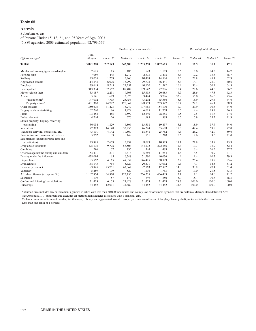#### Suburban Areas<sup>1</sup>

of Persons Under 15, 18, 21, and 25 Years of Age, 2003

[5,889 agencies; 2003 estimated population 92,793,659]

|                                          |                   |          |          | Number of persons arrested |           |               |          | Percent of total all ages |          |
|------------------------------------------|-------------------|----------|----------|----------------------------|-----------|---------------|----------|---------------------------|----------|
| Offense charged                          | Total<br>all ages | Under 15 | Under 18 | Under 21                   | Under 25  | Under 15      | Under 18 | Under 21                  | Under 25 |
| <b>TOTAL</b>                             | 3,891,388         | 202,143  | 643,600  | 1,235,358                  | 1,832,675 | 5.2           | 16.5     | 31.7                      | 47.1     |
| Murder and nonnegligent manslaughter     | 2,625             | 15       | 185      | 643                        | 1,173     | 0.6           | 7.0      | 24.5                      | 44.7     |
| Forcible rape                            | 7,059             | 445      | 1,212    | 2,373                      | 3,438     | 6.3           | 17.2     | 33.6                      | 48.7     |
| Robbery                                  | 23,065            | 1,259    | 5,260    | 10,408                     | 14,504    | 5.5           | 22.8     | 45.1                      | 62.9     |
| Aggravated assault                       | 114,343           | 6,076    | 16,799   | 29,778                     | 46,441    | 5.3           | 14.7     | 26.0                      | 40.6     |
| Burglary                                 | 79,648            | 8,245    | 24,252   | 40,120                     | 51,592    | 10.4          | 30.4     | 50.4                      | 64.8     |
| Larceny-theft                            | 313,334           | 32,557   | 89,482   | 139,642                    | 177,786   | 10.4          | 28.6     | 44.6                      | 56.7     |
| Motor vehicle theft                      | 33,187            | 2,231    | 9,503    | 15,693                     | 20,683    | 6.7           | 28.6     | 47.3                      | 62.3     |
| Arson                                    | 5,141             | 1,689    | 2,825    | 3,424                      | 3,786     | 32.9          | 55.0     | 66.6                      | 73.6     |
| Violent crime <sup>2</sup>               | 147,092           | 7,795    | 23,456   | 43,202                     | 65,556    | 5.3           | 15.9     | 29.4                      | 44.6     |
| Property crime <sup>2</sup>              | 431,310           | 44,722   | 126,062  | 198,879                    | 253,847   | 10.4          | 29.2     | 46.1                      | 58.9     |
| Other assaults                           | 350,603           | 31,423   | 73,249   | 107,963                    | 154,100   | 9.0           | 20.9     | 30.8                      | 44.0     |
| Forgery and counterfeiting               | 32,240            | 186      | 1,429    | 6,015                      | 11,758    | 0.6           | 4.4      | 18.7                      | 36.5     |
| Fraud                                    | 103,458           | 485      | 2,592    | 12,240                     | 28,583    | 0.5           | 2.5      | 11.8                      | 27.6     |
| Embezzlement                             | 4,744             | 26       | 376      | 1,195                      | 1,988     | 0.5           | 7.9      | 25.2                      | 41.9     |
| Stolen property; buying, receiving,      |                   |          |          |                            |           |               |          |                           |          |
| possessing                               | 36,034            | 1,829    | 6,806    | 13,598                     | 19,457    | 5.1           | 18.9     | 37.7                      | 54.0     |
| Vandalism                                | 77,313            | 14,140   | 32,756   | 46,224                     | 55,678    | 18.3          | 42.4     | 59.8                      | 72.0     |
| Weapons; carrying, possessing, etc.      | 43,191            | 4,142    | 10,869   | 18,548                     | 25,752    | 9.6           | 25.2     | 42.9                      | 59.6     |
| Prostitution and commercialized vice     | 5,762             | 33       | 148      | 551                        | 1,210     | 0.6           | 2.6      | 9.6                       | 21.0     |
| Sex offenses (except forcible rape and   |                   |          |          |                            |           |               |          |                           |          |
| prostitution)                            | 23,885            | 2,659    | 5,237    | 8,089                      | 10,823    | 11.1          | 21.9     | 33.9                      | 45.3     |
| Drug abuse violations                    | 425,193           | 9,778    | 56,504   | 144,172                    | 222,686   | 2.3           | 13.3     | 33.9                      | 52.4     |
| Gambling                                 | 1,296             | 37       | 135      | 344                        | 488       | 2.9           | 10.4     | 26.5                      | 37.7     |
| Offenses against the family and children | 53,431            | 831      | 2,418    | 5,269                      | 11,284    | 1.6           | 4.5      | 9.9                       | 21.1     |
| Driving under the influence              | 478,094           | 165      | 6,748    | 51,280                     | 140,036   | $\frac{1}{2}$ | 1.4      | 10.7                      | 29.3     |
| Liquor laws                              | 185,562           | 4,165    | 47,052   | 146,485                    | 158,889   | 2.2           | 25.4     | 78.9                      | 85.6     |
| <b>Drunkenness</b>                       | 138,143           | 764      | 5,627    | 20,471                     | 43,032    | 0.6           | 4.1      | 14.8                      | 31.2     |
| Disorderly conduct                       | 183,845           | 25,751   | 62,362   | 87,163                     | 112,882   | 14.0          | 33.9     | 47.4                      | 61.4     |
| Vagrancy                                 | 5,289             | 139      | 529      | 1,136                      | 1,763     | 2.6           | 10.0     | 21.5                      | 33.3     |
| All other offenses (except traffic)      | 1,107,854         | 34,860   | 123,156  | 266,275                    | 456,403   | 3.1           | 11.1     | 24.0                      | 41.2     |
| Suspicion                                | 1,139             | 57       | 179      | 349                        | 550       | 5.0           | 15.7     | 30.6                      | 48.3     |
| Curfew and loitering law violations      | 21,428            | 6,155    | 21,428   | 21,428                     | 21,428    | 28.7          | 100.0    | 100.0                     | 100.0    |
| Runaways                                 | 34,482            | 12,001   | 34,482   | 34,482                     | 34,482    | 34.8          | 100.0    | 100.0                     | 100.0    |

<sup>1</sup> Suburban area includes law enforcement agencies in cities with less than 50,000 inhabitants and county law enforcement agencies that are within a Metropolitan Statistical Area (see Appendix III). Suburban area excludes all metropolitan agencies associated with a principal city.

\*Less than one-tenth of 1 percent.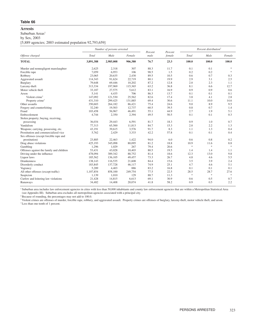#### **Arrests**

Suburban Areas<sup>1</sup>

by Sex, 2003

[5,889 agencies; 2003 estimated population 92,793,659]

|                                          |           | Number of persons arrested |         | Percent | Percent |                                   | Percent distribution <sup>2</sup> |                                   |
|------------------------------------------|-----------|----------------------------|---------|---------|---------|-----------------------------------|-----------------------------------|-----------------------------------|
| Offense charged                          | Total     | Male                       | Female  | male    | female  | Total                             | Male                              | Female                            |
| <b>TOTAL</b>                             | 3,891,388 | 2,985,008                  | 906,380 | 76.7    | 23.3    | 100.0                             | 100.0                             | 100.0                             |
| Murder and nonnegligent manslaughter     | 2,625     | 2,318                      | 307     | 88.3    | 11.7    | 0.1                               | 0.1                               | $\frac{d\mathbf{r}}{d\mathbf{x}}$ |
| Forcible rape                            | 7,059     | 6,953                      | 106     | 98.5    | 1.5     | 0.2                               | 0.2                               | $\frac{1}{2}$                     |
| Robbery                                  | 23,065    | 20,635                     | 2,430   | 89.5    | 10.5    | 0.6                               | 0.7                               | 0.3                               |
| Aggravated assault                       | 114,343   | 91,624                     | 22,719  | 80.1    | 19.9    | 2.9                               | 3.1                               | 2.5                               |
| Burglary                                 | 79,648    | 69,446                     | 10,202  | 87.2    | 12.8    | 2.0                               | 2.3                               | 1.1                               |
| Larceny-theft                            | 313,334   | 197,969                    | 115,365 | 63.2    | 36.8    | 8.1                               | 6.6                               | 12.7                              |
| Motor vehicle theft                      | 33,187    | 27,575                     | 5,612   | 83.1    | 16.9    | 0.9                               | 0.9                               | 0.6                               |
| Arson                                    | 5,141     | 4,435                      | 706     | 86.3    | 13.7    | 0.1                               | 0.1                               | 0.1                               |
| Violent crime $3$                        | 147,092   | 121,530                    | 25,562  | 82.6    | 17.4    | 3.8                               | 4.1                               | 2.8                               |
| Property crime <sup>3</sup>              | 431,310   | 299,425                    | 131,885 | 69.4    | 30.6    | 11.1                              | 10.0                              | 14.6                              |
| Other assaults                           | 350,603   | 264,182                    | 86,421  | 75.4    | 24.6    | 9.0                               | 8.9                               | 9.5                               |
| Forgery and counterfeiting               | 32,240    | 19,503                     | 12,737  | 60.5    | 39.5    | 0.8                               | 0.7                               | 1.4                               |
| Fraud                                    | 103,458   | 56,967                     | 46,491  | 55.1    | 44.9    | 2.7                               | 1.9                               | 5.1                               |
| Embezzlement                             | 4,744     | 2,350                      | 2,394   | 49.5    | 50.5    | 0.1                               | 0.1                               | 0.3                               |
| Stolen property; buying, receiving,      |           |                            |         |         |         |                                   |                                   |                                   |
| possessing                               | 36,034    | 29,443                     | 6,591   | 81.7    | 18.3    | 0.9                               | 1.0                               | 0.7                               |
| Vandalism                                | 77.313    | 65,500                     | 11,813  | 84.7    | 15.3    | 2.0                               | 2.2                               | 1.3                               |
| Weapons; carrying, possessing, etc.      | 43,191    | 39,615                     | 3,576   | 91.7    | 8.3     | 1.1                               | 1.3                               | 0.4                               |
| Prostitution and commercialized vice     | 5,762     | 2,429                      | 3,333   | 42.2    | 57.8    | 0.1                               | 0.1                               | 0.4                               |
| Sex offenses (except forcible rape and   |           |                            |         |         |         |                                   |                                   |                                   |
| prostitution)                            | 23,885    | 22,463                     | 1,422   | 94.0    | 6.0     | 0.6                               | 0.8                               | 0.2                               |
| Drug abuse violations                    | 425,193   | 345,098                    | 80,095  | 81.2    | 18.8    | 10.9                              | 11.6                              | 8.8                               |
| Gambling                                 | 1,296     | 1,029                      | 267     | 79.4    | 20.6    | $\frac{d\mathbf{r}}{d\mathbf{r}}$ | $\ensuremath{\mathbf{x}}$         | $\ast$                            |
| Offenses against the family and children | 53,431    | 43,028                     | 10,403  | 80.5    | 19.5    | 1.4                               | 1.4                               | 1.1                               |
| Driving under the influence              | 478,094   | 389,342                    | 88,752  | 81.4    | 18.6    | 12.3                              | 13.0                              | 9.8                               |
| Liquor laws                              | 185,562   | 136,105                    | 49,457  | 73.3    | 26.7    | 4.8                               | 4.6                               | 5.5                               |
| <b>Drunkenness</b>                       | 138,143   | 116,535                    | 21,608  | 84.4    | 15.6    | 3.5                               | 3.9                               | 2.4                               |
| Disorderly conduct                       | 183,845   | 137,728                    | 46,117  | 74.9    | 25.1    | 4.7                               | 4.6                               | 5.1                               |
| Vagrancy                                 | 5,289     | 4,403                      | 886     | 83.2    | 16.8    | 0.1                               | 0.1                               | 0.1                               |
| All other offenses (except traffic)      | 1,107,854 | 858,100                    | 249,754 | 77.5    | 22.5    | 28.5                              | 28.7                              | 27.6                              |
| Suspicion                                | 1,139     | 1,010                      | 129     | 88.7    | 11.3    | $\ast$                            | $\ast$                            | $\frac{1}{2}$                     |
| Curfew and loitering law violations      | 21,428    | 14,815                     | 6,613   | 69.1    | 30.9    | 0.6                               | 0.5                               | 0.7                               |
| Runaways                                 | 34,482    | 14,408                     | 20,074  | 41.8    | 58.2    | 0.9                               | 0.5                               | 2.2                               |

<sup>1</sup> Suburban area includes law enforcement agencies in cities with less than 50,000 inhabitants and county law enforcement agencies that are within a Metropolitan Statistical Area (see Appendix III). Suburban area excludes all metropolitan agencies associated with a principal city.

<sup>2</sup> Because of rounding, the percentages may not add to 100.0.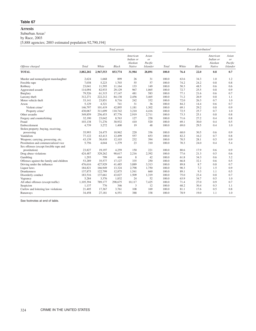#### **Arrests**

 $\mathbf S$ uburban $\mathbf A \mathbf r$ eas $^1$ 

by Race, 2003

[5,888 agencies; 2003 estimated population 92,790,194]

|                                          |           |           | Total arrests |                                            |                                                      |       |       | Percent distribution <sup>2</sup> |                                            |                                    |
|------------------------------------------|-----------|-----------|---------------|--------------------------------------------|------------------------------------------------------|-------|-------|-----------------------------------|--------------------------------------------|------------------------------------|
| Offense charged                          | Total     | White     | Black         | American<br>Indian or<br>Alaskan<br>Native | Asian<br><sub>or</sub><br>Pacific<br><b>Islander</b> | Total | White | <b>Black</b>                      | American<br>Indian or<br>Alaskan<br>Native | Asian<br>or<br>Pacific<br>Islander |
| <b>TOTAL</b>                             | 3,882,202 | 2,967,553 | 853,774       | 31,984                                     | 28,891                                               | 100.0 | 76.4  | 22.0                              | 0.8                                        | 0.7                                |
| Murder and nonnegligent manslaughter     | 2,624     | 1,668     | 899           | 26                                         | 31                                                   | 100.0 | 63.6  | 34.3                              | 1.0                                        | 1.2                                |
| Forcible rape                            | 7,038     | 5,223     | 1,703         | 55                                         | 57                                                   | 100.0 | 74.2  | 24.2                              | 0.8                                        | 0.8                                |
| Robbery                                  | 23,041    | 11,595    | 11,164        | 133                                        | 149                                                  | 100.0 | 50.3  | 48.5                              | 0.6                                        | 0.6                                |
| Aggravated assault                       | 114,094   | 82,933    | 29,129        | 967                                        | 1,065                                                | 100.0 | 72.7  | 25.5                              | 0.8                                        | 0.9                                |
| Burglary                                 | 79,526    | 61,315    | 17.147        | 481                                        | 583                                                  | 100.0 | 77.1  | 21.6                              | 0.6                                        | 0.7                                |
| Larceny-theft                            | 312,271   | 222,212   | 84,138        | 2,456                                      | 3,465                                                | 100.0 | 71.2  | 26.9                              | 0.8                                        | 1.1                                |
| Motor vehicle theft                      | 33,141    | 23,851    | 8,716         | 242                                        | 332                                                  | 100.0 | 72.0  | 26.3                              | 0.7                                        | 1.0                                |
| Arson                                    | 5,129     | 4,321     | 741           | 31                                         | 36                                                   | 100.0 | 84.2  | 14.4                              | 0.6                                        | 0.7                                |
| Violent crime <sup>3</sup>               | 146,797   | 101,419   | 42,895        | 1,181                                      | 1,302                                                | 100.0 | 69.1  | 29.2                              | 0.8                                        | 0.9                                |
| Property crime <sup>3</sup>              | 430,067   | 311,699   | 110,742       | 3,210                                      | 4,416                                                | 100.0 | 72.5  | 25.7                              | 0.7                                        | 1.0                                |
| Other assaults                           | 349,859   | 256,453   | 87,776        | 2,919                                      | 2,711                                                | 100.0 | 73.3  | 25.1                              | 0.8                                        | 0.8                                |
| Forgery and counterfeiting               | 32,190    | 23,042    | 8,763         | 127                                        | 258                                                  | 100.0 | 71.6  | 27.2                              | 0.4                                        | 0.8                                |
| Fraud                                    | 103,138   | 71,276    | 30,932        | 410                                        | 520                                                  | 100.0 | 69.1  | 30.0                              | 0.4                                        | 0.5                                |
| Embezzlement                             | 4,739     | 3,272     | 1,400         | 19                                         | 48                                                   | 100.0 | 69.0  | 29.5                              | 0.4                                        | 1.0                                |
| Stolen property; buying, receiving,      |           |           |               |                                            |                                                      |       |       |                                   |                                            |                                    |
| possessing                               | 35,993    | 24,475    | 10,962        | 220                                        | 336                                                  | 100.0 | 68.0  | 30.5                              | 0.6                                        | 0.9                                |
| Vandalism                                | 77,122    | 63,413    | 12,499        | 557                                        | 653                                                  | 100.0 | 82.2  | 16.2                              | 0.7                                        | 0.8                                |
| Weapons; carrying, possessing, etc.      | 43,139    | 30,410    | 12,103        | 232                                        | 394                                                  | 100.0 | 70.5  | 28.1                              | 0.5                                        | 0.9                                |
| Prostitution and commercialized vice     | 5,756     | 4,044     | 1,379         | 23                                         | 310                                                  | 100.0 | 70.3  | 24.0                              | 0.4                                        | 5.4                                |
| Sex offenses (except forcible rape and   |           |           |               |                                            |                                                      |       |       |                                   |                                            |                                    |
| prostitution)                            | 23,827    | 19,197    | 4,259         | 150                                        | 221                                                  | 100.0 | 80.6  | 17.9                              | 0.6                                        | 0.9                                |
| Drug abuse violations                    | 424,487   | 329,262   | 90,617        | 2,216                                      | 2,392                                                | 100.0 | 77.6  | 21.3                              | 0.5                                        | 0.6                                |
| Gambling                                 | 1,293     | 799       | 444           | 8                                          | 42                                                   | 100.0 | 61.8  | 34.3                              | 0.6                                        | 3.2                                |
| Offenses against the family and children | 53,289    | 35,577    | 17,127        | 335                                        | 250                                                  | 100.0 | 66.8  | 32.1                              | 0.6                                        | 0.5                                |
| Driving under the influence              | 476,616   | 427,929   | 41,485        | 3,889                                      | 3,313                                                | 100.0 | 89.8  | 8.7                               | 0.8                                        | 0.7                                |
| Liquor laws                              | 184,821   | 166,949   | 13,324        | 2,798                                      | 1,750                                                | 100.0 | 90.3  | 7.2                               | 1.5                                        | 0.9                                |
| Drunkenness                              | 137,875   | 122,799   | 12,875        | 1,541                                      | 660                                                  | 100.0 | 89.1  | 9.3                               | 1.1                                        | 0.5                                |
| Disorderly conduct                       | 183,516   | 137,661   | 43,027        | 1,509                                      | 1,319                                                | 100.0 | 75.0  | 23.4                              | 0.8                                        | 0.7                                |
| Vagrancy                                 | 5,284     | 3,376     | 1,832         | 24                                         | 52                                                   | 100.0 | 63.9  | 34.7                              | 0.5                                        | 1.0                                |
| All other offenses (except traffic)      | 1,105,394 | 789,177   | 298,675       | 10,117                                     | 7,425                                                | 100.0 | 71.4  | 27.0                              | 0.9                                        | 0.7                                |
| Suspicion                                | 1,137     | 776       | 346           | 3                                          | 12                                                   | 100.0 | 68.2  | 30.4                              | 0.3                                        | 1.1                                |
| Curfew and loitering law violations      | 21,405    | 17,367    | 3,761         | 108                                        | 169                                                  | 100.0 | 81.1  | 17.6                              | 0.5                                        | 0.8                                |
| Runaways                                 | 34,458    | 27,181    | 6,551         | 388                                        | 338                                                  | 100.0 | 78.9  | 19.0                              | 1.1                                        | 1.0                                |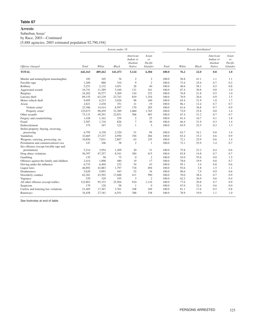# **Arrests**

 $\mathbf S$ uburban $\mathbf A \mathbf r$ eas $^1$ 

by Race, 2003—Continued

[5,888 agencies; 2003 estimated population 92,790,194]

|                                          |              |         | Arrests under 18 |                                            |                                                      |       |       | Percent distribution <sup>2</sup> |                                            |                                           |
|------------------------------------------|--------------|---------|------------------|--------------------------------------------|------------------------------------------------------|-------|-------|-----------------------------------|--------------------------------------------|-------------------------------------------|
| Offense charged                          | <b>Total</b> | White   | Black            | American<br>Indian or<br>Alaskan<br>Native | Asian<br><sub>or</sub><br>Pacific<br><b>Islander</b> | Total | White | <b>Black</b>                      | American<br>Indian or<br>Alaskan<br>Native | Asian<br>or<br>Pacific<br><b>Islander</b> |
| <b>TOTAL</b>                             | 642,163      | 489,262 | 141,473          | 5,124                                      | 6,304                                                | 100.0 | 76.2  | 22.0                              | 0.8                                        | 1.0                                       |
| Murder and nonnegligent manslaughter     | 185          | 105     | 76               | $\mathfrak{2}$                             | $\overline{2}$                                       | 100.0 | 56.8  | 41.1                              | 1.1                                        | 1.1                                       |
| Forcible rape                            | 1,209        | 888     | 310              | 9                                          | $\overline{2}$                                       | 100.0 | 73.4  | 25.6                              | 0.7                                        | 0.2                                       |
| Robbery                                  | 5,251        | 2,132   | 3,051            | 28                                         | 40                                                   | 100.0 | 40.6  | 58.1                              | 0.5                                        | 0.8                                       |
| Aggravated assault                       | 16,741       | 11,289  | 5,160            | 131                                        | 161                                                  | 100.0 | 67.4  | 30.8                              | 0.8                                        | 1.0                                       |
| Burglary                                 | 24,202       | 18,577  | 5,269            | 124                                        | 232                                                  | 100.0 | 76.8  | 21.8                              | 0.5                                        | 1.0                                       |
| Larceny-theft                            | 89,155       | 63,239  | 23,743           | 819                                        | 1,354                                                | 100.0 | 70.9  | 26.6                              | 0.9                                        | 1.5                                       |
| Motor vehicle theft                      | 9,495        | 6,213   | 3,026            | 96                                         | 160                                                  | 100.0 | 65.4  | 31.9                              | 1.0                                        | 1.7                                       |
| Arson                                    | 2,821        | 2,430   | 351              | 21                                         | 19                                                   | 100.0 | 86.1  | 12.4                              | 0.7                                        | 0.7                                       |
| Violent crime <sup>3</sup>               | 23,386       | 14,414  | 8,597            | 170                                        | 205                                                  | 100.0 | 61.6  | 36.8                              | 0.7                                        | 0.9                                       |
| Property crime <sup>3</sup>              | 125,673      | 90,459  | 32,389           | 1,060                                      | 1,765                                                | 100.0 | 72.0  | 25.8                              | 0.8                                        | 1.4                                       |
| Other assaults                           | 73,131       | 49,291  | 22,851           | 506                                        | 483                                                  | 100.0 | 67.4  | 31.2                              | 0.7                                        | 0.7                                       |
| Forgery and counterfeiting               | 1,428        | 1,162   | 239              | $\mathfrak{2}$                             | 25                                                   | 100.0 | 81.4  | 16.7                              | 0.1                                        | 1.8                                       |
| Fraud                                    | 2,587        | 1,718   | 826              | $\overline{7}$                             | 36                                                   | 100.0 | 66.4  | 31.9                              | 0.3                                        | 1.4                                       |
| Embezzlement                             | 375          | 247     | 122              | 1                                          | 5                                                    | 100.0 | 65.9  | 32.5                              | 0.3                                        | 1.3                                       |
| Stolen property; buying, receiving,      |              |         |                  |                                            |                                                      |       |       |                                   |                                            |                                           |
| possessing                               | 6,795        | 4,330   | 2,320            | 51                                         | 94                                                   | 100.0 | 63.7  | 34.1                              | 0.8                                        | 1.4                                       |
| Vandalism                                | 32,665       | 27,237  | 4,950            | 194                                        | 284                                                  | 100.0 | 83.4  | 15.2                              | 0.6                                        | 0.9                                       |
| Weapons; carrying, possessing, etc.      | 10,856       | 7,831   | 2,807            | 63                                         | 155                                                  | 100.0 | 72.1  | 25.9                              | 0.6                                        | 1.4                                       |
| Prostitution and commercialized vice     | 147          | 106     | 38               | $\overline{2}$                             | -1                                                   | 100.0 | 72.1  | 25.9                              | 1.4                                        | 0.7                                       |
| Sex offenses (except forcible rape and   |              |         |                  |                                            |                                                      |       |       |                                   |                                            |                                           |
| prostitution)                            | 5,214        | 3,954   | 1,209            | 20                                         | 31                                                   | 100.0 | 75.8  | 23.2                              | 0.4                                        | 0.6                                       |
| Drug abuse violations                    | 56,397       | 47,257  | 8,341            | 384                                        | 415                                                  | 100.0 | 83.8  | 14.8                              | 0.7                                        | 0.7                                       |
| Gambling                                 | 135          | 58      | 75               | $\mathbf{0}$                               | $\overline{2}$                                       | 100.0 | 43.0  | 55.6                              | 0.0                                        | 1.5                                       |
| Offenses against the family and children | 2,414        | 1,898   | 480              | 19                                         | 17                                                   | 100.0 | 78.6  | 19.9                              | 0.8                                        | 0.7                                       |
| Driving under the influence              | 6,733        | 6,404   | 232              | 54                                         | 43                                                   | 100.0 | 95.1  | 3.4                               | 0.8                                        | 0.6                                       |
| Liquor laws                              | 46,892       | 43,883  | 1,797            | 718                                        | 494                                                  | 100.0 | 93.6  | 3.8                               | 1.5                                        | 1.1                                       |
| Drunkenness                              | 5,620        | 5,091   | 443              | 52                                         | 34                                                   | 100.0 | 90.6  | 7.9                               | 0.9                                        | 0.6                                       |
| Disorderly conduct                       | 62,281       | 43,592  | 17,688           | 411                                        | 590                                                  | 100.0 | 70.0  | 28.4                              | 0.7                                        | 0.9                                       |
| Vagrancy                                 | 529          | 329     | 195              | 3                                          | 2                                                    | 100.0 | 62.2  | 36.9                              | 0.6                                        | 0.4                                       |
| All other offenses (except traffic)      | 122,863      | 95,333  | 25,504           | 910                                        | 1,116                                                | 100.0 | 77.6  | 20.8                              | 0.7                                        | 0.9                                       |
| Suspicion                                | 179          | 120     | 58               | -1                                         | $\theta$                                             | 100.0 | 67.0  | 32.4                              | 0.6                                        | 0.0                                       |
| Curfew and loitering law violations      | 21,405       | 17,367  | 3,761            | 108                                        | 169                                                  | 100.0 | 81.1  | 17.6                              | 0.5                                        | 0.8                                       |
| Runaways                                 | 34,458       | 27,181  | 6,551            | 388                                        | 338                                                  | 100.0 | 78.9  | 19.0                              | 1.1                                        | 1.0                                       |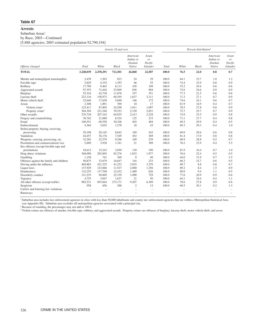# **Arrests**

Suburban Areas<sup>1</sup>

by Race, 2003—Continued

[5,888 agencies; 2003 estimated population 92,790,194]

|                                          |           |                   | Arrests 18 and over |                                            |                                                  |                          |       | Percent distribution <sup>2</sup> |                                            |                                           |
|------------------------------------------|-----------|-------------------|---------------------|--------------------------------------------|--------------------------------------------------|--------------------------|-------|-----------------------------------|--------------------------------------------|-------------------------------------------|
| Offense charged                          | Total     | White             | <b>Black</b>        | American<br>Indian or<br>Alaskan<br>Native | Asian<br><i>or</i><br>Pacific<br><b>Islander</b> | Total                    | White | <b>Black</b>                      | American<br>Indian or<br>Alaskan<br>Native | Asian<br>or<br>Pacific<br><b>Islander</b> |
| <b>TOTAL</b>                             | 3,240,039 | 2,478,291         | 712,301             | 26,860                                     | 22,587                                           | 100.0                    | 76.5  | 22.0                              | 0.8                                        | 0.7                                       |
| Murder and nonnegligent manslaughter     | 2,439     | 1,563             | 823                 | 24                                         | 29                                               | 100.0                    | 64.1  | 33.7                              | 1.0                                        | 1.2                                       |
| Forcible rape                            | 5,829     | 4,335             | 1,393               | 46                                         | 55                                               | 100.0                    | 74.4  | 23.9                              | 0.8                                        | 0.9                                       |
| Robbery                                  | 17,790    | 9,463             | 8,113               | 105                                        | 109                                              | 100.0                    | 53.2  | 45.6                              | 0.6                                        | 0.6                                       |
| Aggravated assault                       | 97,353    | 71,644            | 23,969              | 836                                        | 904                                              | 100.0                    | 73.6  | 24.6                              | 0.9                                        | 0.9                                       |
| Burglary                                 | 55,324    | 42,738            | 11,878              | 357                                        | 351                                              | 100.0                    | 77.3  | 21.5                              | 0.6                                        | 0.6                                       |
| Larceny-theft                            | 223,116   | 158,973           | 60,395              | 1,637                                      | 2,111                                            | 100.0                    | 71.3  | 27.1                              | 0.7                                        | 0.9                                       |
| Motor vehicle theft                      | 23,646    | 17,638            | 5,690               | 146                                        | 172                                              | 100.0                    | 74.6  | 24.1                              | 0.6                                        | 0.7                                       |
| Arson                                    | 2,308     | 1,891             | 390                 | 10                                         | 17                                               | 100.0                    | 81.9  | 16.9                              | 0.4                                        | 0.7                                       |
| Violent crime <sup>3</sup>               | 123,411   | 87,005            | 34,298              | 1,011                                      | 1,097                                            | 100.0                    | 70.5  | 27.8                              | 0.8                                        | 0.9                                       |
| Property crime <sup>3</sup>              | 304,394   | 221,240           | 78,353              | 2,150                                      | 2,651                                            | 100.0                    | 72.7  | 25.7                              | 0.7                                        | 0.9                                       |
| Other assaults                           | 276,728   | 207,162           | 64,925              | 2,413                                      | 2,228                                            | 100.0                    | 74.9  | 23.5                              | 0.9                                        | 0.8                                       |
| Forgery and counterfeiting               | 30,762    | 21,880            | 8,524               | 125                                        | 233                                              | 100.0                    | 71.1  | 27.7                              | 0.4                                        | 0.8                                       |
| Fraud                                    | 100,551   | 69,558            | 30,106              | 403                                        | 484                                              | 100.0                    | 69.2  | 29.9                              | 0.4                                        | 0.5                                       |
| Embezzlement                             | 4,364     | 3,025             | 1,278               | 18                                         | 43                                               | 100.0                    | 69.3  | 29.3                              | 0.4                                        | 1.0                                       |
| Stolen property; buying, receiving,      |           |                   |                     |                                            |                                                  |                          |       |                                   |                                            |                                           |
| possessing                               | 29,198    | 20,145            | 8,642               | 169                                        | 242                                              | 100.0                    | 69.0  | 29.6                              | 0.6                                        | 0.8                                       |
| Vandalism                                | 44,457    | 36,176            | 7,549               | 363                                        | 369                                              | 100.0                    | 81.4  | 17.0                              | 0.8                                        | 0.8                                       |
| Weapons; carrying, possessing, etc.      | 32,283    | 22,579            | 9,296               | 169                                        | 239                                              | 100.0                    | 69.9  | 28.8                              | 0.5                                        | 0.7                                       |
| Prostitution and commercialized vice     | 5,609     | 3,938             | 1,341               | 21                                         | 309                                              | 100.0                    | 70.2  | 23.9                              | 0.4                                        | 5.5                                       |
| Sex offenses (except forcible rape and   |           |                   |                     |                                            |                                                  |                          |       |                                   |                                            |                                           |
| prostitution)                            | 18,613    | 15,243            | 3,050               | 130                                        | 190                                              | 100.0                    | 81.9  | 16.4                              | 0.7                                        | 1.0                                       |
| Drug abuse violations                    | 368,090   | 282,005           | 82,276              | 1,832                                      | 1,977                                            | 100.0                    | 76.6  | 22.4                              | 0.5                                        | 0.5                                       |
| Gambling                                 | 1.158     | 741               | 369                 | 8                                          | 40                                               | 100.0                    | 64.0  | 31.9                              | 0.7                                        | 3.5                                       |
| Offenses against the family and children | 50,875    | 33,679            | 16,647              | 316                                        | 233                                              | 100.0                    | 66.2  | 32.7                              | 0.6                                        | 0.5                                       |
| Driving under the influence              | 469,883   | 421,525           | 41,253              | 3,835                                      | 3,270                                            | 100.0                    | 89.7  | 8.8                               | 0.8                                        | 0.7                                       |
| Liquor laws                              | 137,929   | 123,066           | 11,527              | 2,080                                      | 1,256                                            | 100.0                    | 89.2  | 8.4                               | 1.5                                        | 0.9                                       |
| Drunkenness                              | 132,255   | 117,708           | 12,432              | 1,489                                      | 626                                              | 100.0                    | 89.0  | 9.4                               | 1.1                                        | 0.5                                       |
| Disorderly conduct                       | 121,235   | 94,069            | 25,339              | 1,098                                      | 729                                              | 100.0                    | 77.6  | 20.9                              | 0.9                                        | 0.6                                       |
| Vagrancy                                 | 4,755     | 3,047             | 1,637               | 21                                         | 50                                               | 100.0                    | 64.1  | 34.4                              | 0.4                                        | 1.1                                       |
| All other offenses (except traffic)      | 982,531   | 693,844           | 273,171             | 9,207                                      | 6,309                                            | 100.0                    | 70.6  | 27.8                              | 0.9                                        | 0.6                                       |
| Suspicion                                | 958       | 656               | 288                 | $\mathbf{2}$                               | 12                                               | 100.0                    | 68.5  | 30.1                              | 0.2                                        | 1.3                                       |
| Curfew and loitering law violations      |           |                   |                     |                                            |                                                  | $\overline{\phantom{m}}$ | ÷     | L.                                |                                            | $\overline{\phantom{m}}$                  |
| Runaways                                 |           | $\qquad \qquad -$ | $\qquad \qquad -$   |                                            | $\qquad \qquad -$                                | $\overline{\phantom{m}}$ |       | $\overline{\phantom{0}}$          |                                            |                                           |

<sup>1</sup> Suburban area includes law enforcement agencies in cities with less than 50,000 inhabitants and county law enforcement agencies that are within a Metropolitan Statistical Area (see Appendix III). Suburban area excludes all metropolitan agencies associated with a principal city.

<sup>2</sup> Because of rounding, the percentages may not add to 100.0.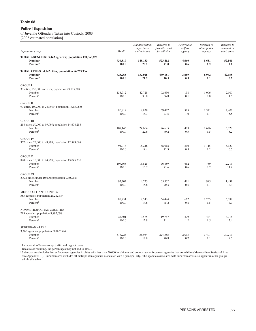# **Police Disposition**

of Juvenile Offenders Taken into Custody, 2003 [2003 estimated population]

|                                                                                                             |                    | Handled within<br>department | Referred to<br>juvenile court | Referred to<br>welfare | Referred to<br>other police | Referred to<br>criminal or |
|-------------------------------------------------------------------------------------------------------------|--------------------|------------------------------|-------------------------------|------------------------|-----------------------------|----------------------------|
| Population group                                                                                            | Total <sup>1</sup> | and released                 | jurisdiction                  | agency                 | agency                      | adult court                |
| TOTAL AGENCIES: 5,443 agencies; population 121,368,878<br><b>Number</b><br>Percent <sup>2</sup>             | 736,817<br>100.0   | 148,133<br>20.1              | 523,412<br>71.0               | 4,060<br>0.6           | 8,651<br>1.2                | 52,561<br>7.1              |
| TOTAL CITIES: 4,142 cities; population 86,263,336<br><b>Number</b><br>Percent <sup>2</sup>                  | 623,265<br>100.0   | 132,025<br>21.2              | 439,151<br>70.5               | 3,069<br>0.5           | 6,962<br>1.1                | 42,058<br>6.7              |
| <b>GROUP I</b><br>30 cities, 250,000 and over; population 23,175,309<br>Number<br>Percent <sup>2</sup>      | 138,712<br>100.0   | 42,728<br>30.8               | 92,650<br>66.8                | 138<br>0.1             | 1,096<br>0.8                | 2,100<br>1.5               |
| <b>GROUP II</b><br>90 cities, 100,000 to 249,999; population 13,159,658<br>Number<br>Percent <sup>2</sup>   | 80,819<br>100.0    | 14,829<br>18.3               | 59,427<br>73.5                | 815<br>1.0             | 1,341<br>1.7                | 4,407<br>5.5               |
| <b>GROUP III</b><br>214 cities, 50,000 to 99,999; population 14,674,288<br>Number<br>Percent <sup>2</sup>   | 109,146<br>100.0   | 24,664<br>22.6               | 76,635<br>70.2                | 493<br>0.5             | 1,626<br>1.5                | 5,728<br>5.2               |
| <b>GROUP IV</b><br>367 cities, 25,000 to 49,999; population 12,899,668<br>Number<br>Percent <sup>2</sup>    | 94,018<br>100.0    | 18,246<br>19.4               | 68,018<br>72.3                | 510<br>0.5             | 1,115<br>1.2                | 6,129<br>6.5               |
| <b>GROUP V</b><br>820 cities, 10,000 to 24,999; population 13,045,230<br>Number<br>Percent <sup>2</sup>     | 107,368<br>100.0   | 16,825<br>15.7               | 76,889<br>71.6                | 652<br>0.6             | 789<br>0.7                  | 12,213<br>11.4             |
| <b>GROUP VI</b><br>2,621 cities, under 10,000; population 9,309,183<br>Number<br>Percent <sup>2</sup>       | 93,202<br>100.0    | 14,733<br>15.8               | 65,532<br>70.3                | 461<br>0.5             | 995<br>1.1                  | 11,481<br>12.3             |
| METROPOLITAN COUNTIES<br>583 agencies; population 26,212,844<br>Number<br>Percent <sup>2</sup>              | 85,751<br>100.0    | 12,543<br>14.6               | 64,494<br>75.2                | 662<br>0.8             | 1,265<br>1.5                | 6,787<br>7.9               |
| NONMETROPOLITAN COUNTIES<br>718 agencies; population 8,892,698<br>Number<br>Percent <sup>2</sup>            | 27,801<br>100.0    | 3,565<br>12.8                | 19,767<br>71.1                | 329<br>1.2             | 424<br>1.5                  | 3,716<br>13.4              |
| <b>SUBURBAN AREA<sup>3</sup></b><br>3,260 agencies; population 58,887,524<br>Number<br>Percent <sup>2</sup> | 317,226<br>100.0   | 56,934<br>17.9               | 224,585<br>70.8               | 2,093<br>0.7           | 3,401<br>1.1                | 30,213<br>9.5              |

 $^{\rm 1}$  Includes all offenses except traffic and neglect cases.

<sup>2</sup> Because of rounding, the percentages may not add to 100.0.

<sup>3</sup> Suburban area includes law enforcement agencies in cities with less than 50,000 inhabitants and county law enforcement agencies that are within a Metropolitan Statistical Area (see Appendix III). Suburban area excludes all metropolitan agencies associated with a principal city. The agencies associated with suburban areas also appear in other groups within this table.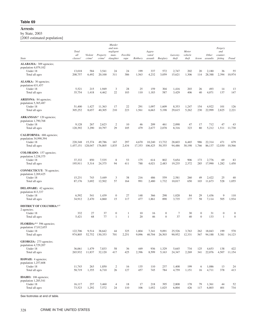#### **Arrests**

by State, 2003 [2003 estimated population]

|                                                                                                    | <b>Total</b>                         |                               |                                | Murder<br>and non-<br>negligent |                  |              | Aggra-                          |                         |                   | Motor                                      |                       |                            | Forgery<br>and        |                       |
|----------------------------------------------------------------------------------------------------|--------------------------------------|-------------------------------|--------------------------------|---------------------------------|------------------|--------------|---------------------------------|-------------------------|-------------------|--------------------------------------------|-----------------------|----------------------------|-----------------------|-----------------------|
| State                                                                                              | all<br>classes <sup>1</sup>          | Violent<br>crime <sup>2</sup> | Property<br>crime <sup>2</sup> | man-<br>slaughter               | Forcible<br>rape | Robbery      | vated<br>assault Burglary       |                         | Larceny-<br>theft | vehicle<br>theft                           | Arson                 | Other counter-<br>assaults | feiting Fraud         |                       |
| ALABAMA: 309 agencies;<br>population 4,079,102<br>Under 18<br>Total all ages                       | 13,018<br>208,757                    | 584<br>6,492                  | 3,541<br>20,100                | 24<br>311                       | 24<br>386        | 199<br>1,563 | 337<br>4,232                    | 572<br>3,059            | 2,747<br>15,621   | 202<br>1,306                               | 20                    | 2,180<br>114 28,388        | 36<br>2,394 10,974    | 55                    |
| ALASKA: 30 agencies;<br>population 631,457<br>Under 18<br>Total all ages                           | 5,521<br>35,754                      | 215<br>1,418                  | 1,949<br>4,462                 | 3<br>22                         | 28<br>103        | 25<br>110    | 159<br>1,183                    | 304<br>587              | 1,416<br>3,429    | 203<br>406                                 | 26<br>40              | 493<br>4,071               | 14<br>137             | 13<br>147             |
| <b>ARIZONA:</b> 84 agencies;<br>population 5,365,487<br>Under 18<br>Total all ages                 | 51,400<br>305,252                    | 1,427<br>8,657                | 11,363<br>40,305               | 17<br>210                       | 22<br>223        | 291<br>1,561 | 1,097<br>6,663                  | 1,609<br>5,198          | 8,353<br>29,615   | 1,247<br>5,262                             | 154                   | 4,922<br>230 22,999        | 101<br>2,825          | 126<br>2,221          |
| <b>ARKANSAS</b> : <sup>4</sup> 120 agencies;<br>population 1,790,768<br>Under 18<br>Total all ages | 9,128<br>120,392                     | 267<br>3,290                  | 2,623<br>10,797                | $\overline{2}$<br>29            | 10<br>105        | 46<br>479    | 209<br>2,677                    | 461<br>2,078            | 2,098<br>8,316    | 47<br>323                                  | 17<br>80              | 712<br>5,212               | 47<br>1,511 11,730    | 43                    |
| CALIFORNIA: 686 agencies;<br>population 34,990,394<br>Under 18<br>Total all ages                   | 220,348<br>1,457,151 128,047 176,805 | 15,374                        | 49,786                         | 167<br>1,835                    | 297<br>2,434     | 4,670        | 10,240<br>17,353 106,425 50,355 | 13,732                  | 28,603<br>94,486  | 6,465<br>30,198 1,766 86,137 12,030 10,566 | 986                   | 22,314                     | 471                   | 679                   |
| <b>COLORADO:</b> 157 agencies;<br>population 3,238,375<br>Under 18<br>Total all ages               | 37,332<br>195,911                    | 850<br>5,314                  | 7,535<br>24,375                | - 8<br>94                       | 53<br>411        | 175<br>788   | 614<br>4,021                    | 802<br>2,483            | 5,654<br>19,235   | 906<br>2,372                               | 173<br>285            | 2,776<br>17,990            | 69<br>1,282           | 83<br>1,450           |
| <b>CONNECTICUT:</b> 78 agencies;<br>population 2,269,425<br>Under 18<br>Total all ages             | 15,231<br>87,176                     | 743<br>3,692                  | 3,449<br>12,502                | 3<br>57                         | 38<br>164        | 216<br>991   | 486<br>2,480                    | 559<br>1,732            | 2,581<br>10,017   | 260<br>650                                 | 49                    | 2,422<br>103 11,673        | 25                    | 40<br>528 1,055       |
| DELAWARE: 42 agencies;<br>population 813,337<br>Under 18<br>Total all ages                         | 6,592<br>34,912                      | 541<br>2,470                  | 1,439<br>4,860                 | $\Omega$<br>15                  | 27<br>117        | 148<br>477   | 366<br>1,861                    | 298<br>890              | 1,028<br>3,735    | 84<br>177                                  | 29<br>58              | 1,436<br>7,114             | - 9<br>505            | 110<br>1,934          |
| <b>DISTRICT OF COLUMBIA:4,5</b><br>2 agencies;<br>Under 18                                         | 332                                  | 27                            | 37                             | $\Omega$                        |                  | 10           | 16                              | $\overline{0}$          | - 7               | 30                                         | $\overline{0}$        | 31                         | $\Omega$              | $\overline{0}$        |
| Total all ages<br>FLORIDA: <sup>4,6</sup> 596 agencies;<br>population 17,012,655<br>Under 18       | 5,421<br>122,706                     | 68                            | 77<br>9,514 38,642             | 44                              | 325              | 20<br>1,804  | 46<br>7,341                     | $\overline{0}$<br>9,091 | 37<br>25,526      | 40<br>3,763                                | $\overline{0}$<br>262 | 133<br>18,043              | $\overline{1}$<br>199 | $\overline{0}$<br>570 |
| Total all ages<br>GEORGIA: 273 agencies;                                                           | 974,805 52,752 130,353               |                               |                                | 701                             | 2,251            | 9,096        | 40,704 26,503                   |                         | 90,952 12,331     |                                            |                       | 567 94,188 5,381 14,123    |                       |                       |
| population 4,729,207<br>Under 18<br>Total all ages                                                 | 36,061<br>265,932 11,837             | 1,479                         | 7,833<br>32,120                | 58<br>417                       | 36<br>425        | 449<br>2,396 | 936<br>8,599                    | 1,329<br>5,163          | 5,645<br>24,347   | 734<br>2,269                               | 125                   | 4,653<br>341 22,076        | 138<br>4,507 11,154   | 422                   |
| <b>HAWAII</b> : 4 agencies;<br>population 1,257,608<br>Under 18<br>Total all ages                  | 11,743<br>58,719                     | 263<br>1,355                  | 1,850<br>6,710                 | 2<br>26                         | 16<br>127        | 135<br>457   | 110<br>745                      | 237<br>784              | 1,408<br>4,759    | 199<br>1,151                               | 6                     | 1,086<br>16 4,711          | 13<br>378             | 24<br>413             |
| <b>IDAHO:</b> 106 agencies;<br>population 1,285,541<br>Under 18<br>Total all ages                  | 16,117<br>73,523                     | 257<br>1,292                  | 3,460<br>7,572                 | $\overline{4}$<br>24            | 18<br>110        | 17<br>106    | 218<br>1,052                    | 395<br>1,025            | 2,808<br>6,004    | 178<br>426                                 | 79                    | 1,361<br>117 6,803         | 44<br>401             | 52<br>734             |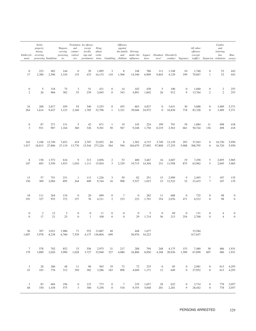| Embezzle- receiving,<br>ment possessing Vandalism etc.                                                                             | Stolen<br>property;<br>buying, |              | carrying,<br>possessing, cialized rape and viola- |                                  | Prostitution Sex offenses<br>Weapons; and (except Drug<br>commer- forcible abuse |                               |                                  | <i><b>Offenses</b></i><br>against | the family Driving         |                         |                      | and under the Liquor Drunken-Disorderly<br>vice prostitution) tions Gambling children influence laws ness <sup>3</sup> conduct Vagrancy traffic) Suspicion-violations aways |                       | All other<br>offenses<br>(except                          |                                  | Curfew<br>and<br>loitering<br>law | Run-                   |
|------------------------------------------------------------------------------------------------------------------------------------|--------------------------------|--------------|---------------------------------------------------|----------------------------------|----------------------------------------------------------------------------------|-------------------------------|----------------------------------|-----------------------------------|----------------------------|-------------------------|----------------------|-----------------------------------------------------------------------------------------------------------------------------------------------------------------------------|-----------------------|-----------------------------------------------------------|----------------------------------|-----------------------------------|------------------------|
| $\overline{0}$<br>17                                                                                                               | 223<br>2,380 2,596             | 482          | 144<br>1,334                                      | $\overline{0}$<br>135            | 29                                                                               | 1,095<br>433 16,133 110 1,506 | $\overline{\mathbf{3}}$          | 8 <sup>8</sup>                    | 148<br>14,340              | 786<br>6,909            |                      | 111 1,348<br>9,845 4,129                                                                                                                                                    | 10<br>199             | 1,740<br>79,847                                           | $\overline{0}$<br>$\overline{1}$ | 52 443<br>52 443                  |                        |
| $\overline{0}$<br>2                                                                                                                | 5 <sup>5</sup><br>26           | 318<br>966   | 75<br>382                                         | $\overline{\mathbf{3}}$<br>55    | 51<br>239                                                                        | 431<br>2,045                  | $\overline{0}$<br>$\overline{0}$ | 14<br>343                         | 102<br>4,891               | 438<br>1,602            | 5 <sup>5</sup><br>26 | 100<br>912                                                                                                                                                                  | $\overline{0}$        | 1,040<br>9 13,764                                         | $\overline{0}$<br>$\overline{2}$ | 2 253<br>2 253                    |                        |
| 24<br>264                                                                                                                          | 208                            | 2,817        | 459<br>$1,614$ $9,427$ $3,123$ $2,160$            | 54                               | 340                                                                              | 5,255<br>1,785 32,796         | $\overline{0}$                   | 455<br>1 3,321                    | 603<br>39,046 24,972       | 4,837                   |                      | $0 \quad 3,631$<br>0 16,830                                                                                                                                                 | 30                    | 5,888<br>718 83,328                                       | $\Omega$<br>$\overline{0}$       | 3,489 5,371<br>3,489 5,371        |                        |
| $\overline{0}$<br>$\overline{3}$                                                                                                   | 87<br>931                      | 271<br>907   | 131<br>1,164                                      | $5^{\circ}$<br>360               | 42<br>326                                                                        | 671<br>9,301                  | 50                               | 19<br>567                         | 145<br>9,248               | 224<br>1,756            | 199                  | 791<br>8,219 2,563                                                                                                                                                          | 39                    | 1,884<br>661 50,744 136                                   | - 11                             | 498 418<br>498 418                |                        |
| 162<br>1,917 18,813 27,806 27,119 13,776 15,544 273,226 564                                                                        | 3,188 12,749 7,653             |              |                                                   | 419                              |                                                                                  | 2,707 22,052 84               |                                  | 8 <sup>7</sup>                    |                            |                         |                      | 1,583 4,715 3,749 12,129<br>594 184,679 27,092 97,808 17,255 5,908 308,795 0 16,720 5,950                                                                                   |                       | 293 37,563                                                |                                  | 0 16,720 5,950                    |                        |
| 8<br>107                                                                                                                           |                                | 158 1,572    | 616<br>693 5,550 1,933 1,010 1,111 15,054 3 2,329 | 9                                |                                                                                  | 313 2,856                     |                                  | 2 53                              | 19,715 14,304              | 400 3,467               |                      | 16 2,607<br>231 11,958                                                                                                                                                      | 19                    | 7,258<br>875 63,962                                       | $5^{\circ}$<br>$5\overline{)}$   | 2,695 3,965<br>2,695 3,965        |                        |
| 13<br>156                                                                                                                          | 57<br>369                      | 751<br>2.094 | 231<br>895                                        | $\overline{1}$<br>244            | 113<br>409                                                                       | 1,226<br>9,744                | $\mathbf{3}$<br>16               | 59<br>998                         | 82<br>5,527                | 251<br>1,015            |                      | 15 2,999<br>23 12,522                                                                                                                                                       | 9                     | 2,493<br>32 23,433                                        | $\overline{7}$<br>$7\phantom{0}$ | 107 135<br>107 135                |                        |
| 18<br>191                                                                                                                          | 111<br>327                     | 264<br>935   | 134<br>372                                        | $\overline{0}$<br>157            | 20<br>76                                                                         | 699<br>4,211                  | $\overline{0}$<br>$\overline{2}$ | $\overline{7}$<br>233             | $\overline{0}$             | 282<br>223 1,791        | 11                   | 688<br>354 2,076                                                                                                                                                            | $\overline{0}$<br>471 | 725<br>6,512                                              | $\Omega$<br>$\sim 0$             |                                   | 98<br>98               |
| $\overline{0}$<br>$\theta$                                                                                                         | $\overline{2}$<br>17           | 12<br>21     | $\overline{\mathbf{3}}$<br>25                     | $\overline{0}$<br>$\overline{0}$ | $\overline{0}$<br>$\overline{1}$                                                 | 11<br>108                     | $\overline{0}$<br>$\overline{0}$ | $\overline{0}$<br>$\overline{0}$  | $\overline{0}$             | $5^{\circ}$<br>29 1,714 | $\overline{0}$<br>56 | 69<br>213                                                                                                                                                                   | $\overline{0}$<br>254 | 131<br>2,700                                              | $\overline{0}$<br>$\overline{0}$ |                                   | 4<br>$\overline{4}$    |
| 56 397 3,031 1,986<br>1,007 3,978 8,238 6,760 7,529 4,137 136,804 699                                                              |                                |              |                                                   |                                  |                                                                                  | 71 552 13,887 49              |                                  |                                   | 448 1,677<br>56,976 34,223 |                         |                      |                                                                                                                                                                             |                       | 33,584<br>417,657                                         |                                  |                                   |                        |
| 7 578 702 852 33 556 2,975 31 217<br>179 3,889 2,026 3,990 1,628 3,727 32,940 327 4,080 24,806 8,850 4,348 20,936 1,589 67,899 607 |                                |              |                                                   |                                  |                                                                                  |                               |                                  |                                   |                            |                         |                      | 288 794 248 4,175                                                                                                                                                           |                       | 153 7,480 30                                              |                                  |                                   | 486 1,931<br>486 1,931 |
| 3 28 286<br>43 183 776 312 350 382 3.286 183 898 4.049 1.171 12 649 0 27.952 0                                                     |                                |              |                                                   |                                  |                                                                                  | 48 11 96 565 19 72            |                                  |                                   | 72 235                     |                         |                      | 0 85 0 2,081 0 613 4,293                                                                                                                                                    |                       |                                                           |                                  |                                   | 613 4,293              |
| 2 83 684<br>68 330 1,438 575                                                                                                       |                                |              | 196                                               |                                  |                                                                                  |                               |                                  |                                   |                            |                         |                      | 0 123 773 0 7 219 1,657 28 622<br>3 360 5,258 0 518 9,355 5,048 201 2,281                                                                                                   |                       | $0 \t 3,714 \t 0 \t 778 \t 2,057$<br>9 28,442 0 778 2,057 |                                  |                                   |                        |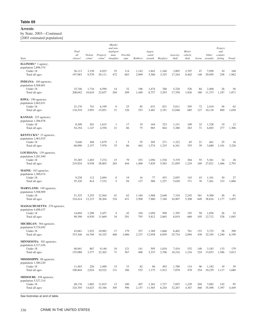by State, 2003—Continued [2003 estimated population]

|                                                                                           |                          |                    |                       | Murder                        |              |                |                  |                |                 |                         |            |                                 |                    |                 |
|-------------------------------------------------------------------------------------------|--------------------------|--------------------|-----------------------|-------------------------------|--------------|----------------|------------------|----------------|-----------------|-------------------------|------------|---------------------------------|--------------------|-----------------|
|                                                                                           | Total<br>all             | Violent            | Property              | and non-<br>negligent<br>man- | Forcible     |                | Aggra-<br>vated  |                | Larceny-        | <b>Motor</b><br>vehicle |            | Other counter-                  | Forgery<br>and     |                 |
| State                                                                                     | classes <sup>1</sup>     | crime <sup>2</sup> | crime <sup>2</sup>    | slaughter                     | rape         | Robbery        | assault Burglary |                | theft           | theft                   | Arson      | assaults                        | feiting Fraud      |                 |
| <b>ILLINOIS</b> : $4$ 1 agency;<br>population 2,898,374<br>Under 18<br>Total all ages     | 36,113<br>197,983        | 3,150<br>9,570     | 6,925<br>29,111       | 52<br>472                     | 114<br>603   | 1,142<br>2,909 | 1,842<br>5,586   | 1,166<br>3,325 | 3,005<br>17,244 | 2,707<br>8,402          | 47         | 7,058<br>140 29,059             | 10<br>258          | 168<br>1,962    |
| <b>INDIANA</b> : 160 agencies;<br>population 4,568,601<br>Under 18<br>Total all ages      | 33,746<br>208,042 10,610 | 1,716              | 6,590<br>22,657       | 14<br>204                     | 32<br>209    | 196<br>1,440   | 1,474<br>8,757   | 760<br>3,293   | 5,220<br>17,358 | 526<br>1,826            | 84<br>180  | 2.400<br>11,373                 | 26<br>1,187        | 56<br>1,871     |
| IOWA: 190 agencies;<br>population 2,662,631<br>Under 18<br>Total all ages                 | 21,176<br>116,510        | 741<br>3,993       | 6,199<br>15,051       | $\overline{0}$<br>31          | 25<br>126    | 85<br>353      | 631<br>3,483     | 821<br>2,191   | 5,011<br>12,048 | 295<br>685              | 72         | 2,410<br>127 10,118             | 56<br>869          | 62<br>1,658     |
| KANSAS: 225 agencies;<br>population 1,306,978<br>Under 18<br>Total all ages               | 8,309<br>54,354          | 201<br>1,147       | 1,615<br>4,558        | 21                            | 17<br>86     | 19<br>75       | 164<br>965       | 323<br>844     | 1,151<br>3,380  | 109<br>263              | 32<br>71   | 1,328<br>6,692                  | 19<br>277          | 12<br>1,306     |
| KENTUCKY: <sup>4</sup> 23 agencies;<br>population 1,063,935<br>Under 18<br>Total all ages | 5,646<br>60,090          | 268<br>2,157       | 1,679<br>7,970        | -3<br>35                      | -5<br>86     | 55<br>462      | 205<br>1,574     | 271<br>1,235   | 1,322<br>6,341  | 65<br>355               | 21<br>39   | 461<br>3,680                    | 25<br>1,101 3,226  | 16              |
| <b>LOUISIANA</b> : 139 agencies;<br>population 3,281,940<br>Under 18<br>Total all ages    | 35,285<br>219,924        | 1,403<br>9,938     | 7,274<br>28,803       | 15<br>265                     | 79<br>444    | 253<br>1,400   | 1,056<br>7,829   | 1,536<br>5,565 | 5,379<br>21,859 | 304<br>1,210            | 55         | 5,361<br>169 27,821             | 34<br>1,466        | 28<br>2,793     |
| <b>MAINE:</b> 163 agencies;<br>population 1,300,474<br>Under 18<br>Total all ages         | 9,238<br>55,320          | 112<br>814         | 2,694<br>7,332        | $\theta$<br>- 5               | 19<br>94     | 16<br>127      | 77<br>588        | 453<br>1,257   | 2,055<br>5,628  | 143<br>371              | 43<br>76   | 1,101<br>7,261                  | 30<br>333          | 27<br>1,060     |
| MARYLAND: 149 agencies;<br>population 5,508,909<br>Under 18<br>Total all ages             | 51,325<br>324,414        | 3,255<br>12,215    | 12,564<br>38,204      | -41<br>324                    | 62<br>431    | 1,184<br>3,500 | 1,968<br>7,960   | 2,648<br>7,340 | 7,310<br>24,907 | 2,245<br>5,308          | 361        | 9,300<br>649 38,816             | 56<br>1,177 3,455  | 81              |
| MASSACHUSETTS: 278 agencies;<br>population 4,488,437<br>Under 18<br>Total all ages        | 14,694<br>98,390         | 1,290<br>6,930     | 2,457<br>11,669       | -4<br>34                      | 42<br>291    | 194<br>793     | 1,050<br>5,812   | 509<br>2,065   | 1,705<br>8,819  | 193<br>680              | 50         | 1,856<br>105 12,712             | 26                 | 32<br>528 1,045 |
| MICHIGAN: 564 agencies;<br>population 9,724,692<br>Under 18<br>Total all ages             | 43,681<br>353,346 16,769 | 1,922              | 10,982<br>34,325      | 17<br>468                     | 179<br>1,006 | 357<br>2,337   | 1,369<br>12,958  | 1,666<br>6,059 | 8,402<br>25,734 | 761<br>2,094            | 153        | 3,723<br>438 32,345 1,240 6,199 | 58                 | 390             |
| <b>MINNESOTA:</b> 302 agencies;<br>population 4,217,436<br>Under 18<br>Total all ages     | 40,941<br>155,088        | 867                | 9,140<br>3,377 22,362 | 10<br>71                      | 121<br>567   | 141<br>406     | 595<br>2,333     | 1,034<br>2,706 | 7,434<br>18,216 | 532<br>1,216            | 140        | 3,183<br>224 13,053             | 133<br>1,586 3,812 | 179             |
| <b>MISSISSIPPI:</b> 88 agencies;<br>population 1,380,220<br>Under 18<br>Total all ages    | 11,403<br>100,844        | 226                | 2,490<br>2,024 10,522 | 15<br>131                     | 33<br>186    | 82<br>532      | 96<br>1,175      | 492<br>1,912   | 1,788<br>7,878  | 114<br>478              | 96         | 1,182<br>254 10,239             | 19<br>1,117 1,680  | 39              |
| MISSOURI: 458 agencies;<br>population 5,527,314<br>Under 18<br>Total all ages             | 48,176<br>324,705 14,623 | 1,882              | 11,015<br>43,346      | 13<br>305                     | 100<br>596   | 407<br>2,157   | 1,362<br>11,565  | 1,727<br>6,244 | 7,855<br>32,267 | 1,229<br>4,367          | 204<br>468 | 7,082<br>35,498                 | 142<br>3,397 4,449 | 95              |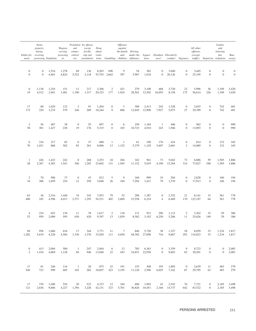|                            | Stolen<br>property;<br>buying,<br><i>Embezzle-</i> receiving,<br>ment possessing Vandalism etc.                                                |                                          | carrying,                | Prostitution Sex offenses<br>Weapons; and (except Drug<br>commer- forcible abuse<br>possessing, cialized rape and viola- |           |                    |                                  | <i><b>Offenses</b></i><br>against | the family Driving<br>and under the Liquor Drunken- Disorderly |                       |                                |                                    |                | All other<br>offenses<br>(except<br>vice prostitution) tions Gambling children influence laws ness <sup>3</sup> conduct Vagrancy traffic) Suspicion-violations aways |                                  | Curfew<br>and<br>loitering<br>law | Run-                             |
|----------------------------|------------------------------------------------------------------------------------------------------------------------------------------------|------------------------------------------|--------------------------|--------------------------------------------------------------------------------------------------------------------------|-----------|--------------------|----------------------------------|-----------------------------------|----------------------------------------------------------------|-----------------------|--------------------------------|------------------------------------|----------------|----------------------------------------------------------------------------------------------------------------------------------------------------------------------|----------------------------------|-----------------------------------|----------------------------------|
| $\overline{0}$<br>$\Omega$ |                                                                                                                                                | $0 \t 1,516 \t 1,278$<br>$0 \quad 4,401$ |                          | -69<br>4,824 5,522                                                                                                       | 136       | 2,118 55,793 2,662 | 8,203 690                        | - 9<br>397                        | 54                                                             | 362<br>5,967 1,018    |                                | $0 \quad 3,040$<br>$0\quad 20,126$ | $\Omega$       | 3,445<br>$0\qquad 25,195$                                                                                                                                            | $\overline{0}$<br>$\overline{0}$ | $\overline{0}$<br>$\overline{0}$  | $\overline{0}$<br>$\overline{0}$ |
| $\overline{0}$<br>19       | 1,138 1,254<br>4,512 2,401                                                                                                                     |                                          | 151                      | 11<br>1,481 1,190 1,317 20,323 177 1,924                                                                                 |           | 217 2,366          |                                  | 2 421                             | 279<br>28,501 12,502 16,055 8,158                              | 3,108                 | 468                            | 2,720                              | 22             | 5,996<br>175 56,614 226                                                                                                                                              | 36                               | 1,349 3,420<br>1,349 3,420        |                                  |
| 17<br>172                  | 80<br>220                                                                                                                                      | 1,629<br>3,274                           | 132<br>579               | 2<br>246                                                                                                                 | 91<br>269 | 1,204<br>10,244    | $\overline{0}$<br>- 9            | $\overline{\mathbf{3}}$<br>606    | 309<br>12,645 12,908                                           | 2,413                 | 242<br>7,927                   | 1,528<br>5,073                     | $\overline{0}$ | 2,835<br>27 29,399                                                                                                                                                   | $\overline{0}$<br>$\sim$ 0       | 742 481<br>742 481                |                                  |
| 2<br>38                    | 56                                                                                                                                             | 487<br>301 1,427                         | 38<br>228                | $\overline{0}$<br>19                                                                                                     | 55<br>176 | 697<br>5,315       | $\overline{0}$<br>$\overline{0}$ | $6\overline{6}$<br>165            | 250                                                            | 1,184<br>10,723 4,910 | $\mathbf{1}$                   | 406<br>243 1,946                   | $\overline{0}$ | 962<br>0 13,893                                                                                                                                                      | $\overline{0}$<br>$\overline{0}$ |                                   | 0 990<br>0 990                   |
| $\overline{0}$<br>70       | 216<br>1,031                                                                                                                                   | 217<br>868                               | 65<br>502                | $\overline{0}$<br>85                                                                                                     | 37<br>261 | 688<br>8,896       | -1                               | $\overline{1}$<br>13 1,125        | 61                                                             | 190                   | 176<br>5,379 1,129 5,607 2,601 | 434                                | $\overline{0}$ | 814<br>3 14,089                                                                                                                                                      | $\sim$ 0<br>$\sim$ 0             | 132 165<br>132 165                |                                  |
| 28                         | 426                                                                                                                                            | 1,432                                    | 242<br>2,367 4,383 1,541 | 8                                                                                                                        | 268       | 2,253              | 24                               | 204                               | 162<br>546 1,283 23,602 131 1,945 11,152 5,019 4,190 15,204    | 561                   |                                | 73 5,042                           | 73             | 6,886<br>314 73,827 100                                                                                                                                              | 59                               | 1,585 1,886<br>1,585 1,886        |                                  |
| 2<br>34                    | 70                                                                                                                                             | 586<br>306 1,659                         | 37<br>254                | $\overline{0}$<br>12                                                                                                     | 43<br>250 | 812<br>5,048       | 5<br>26                          | $\overline{9}$<br>344             | 160                                                            | 999<br>7,294 3,431    | 19                             | 204<br>79 1,570                    | $\overline{0}$ | 2,028<br>0 17,913                                                                                                                                                    | $\overline{0}$<br>$\overline{0}$ | 106 194<br>106 194                |                                  |
| 63<br>400                  | 36                                                                                                                                             | 2,516                                    | 1,440                    | 34<br>245 4,596 4,013 2,371 1,295 54,531 402 2,669                                                                       | 343       | 7,953              | 79                               | 52                                | 298<br>23,558 6,234                                            | 1,387                 |                                | $0 \t 2,352$<br>4 6,469            | 21             | 8,141<br>170 122,187 64                                                                                                                                              | 15                               | 561 778<br>561 778                |                                  |
| $\overline{4}$<br>52       | 234<br>959                                                                                                                                     | 652<br>2,090                             | 136<br>595               | 11<br>630                                                                                                                | 420       | 78 1,617<br>9,397  |                                  | 2 118<br>13 1,839                 | 131<br>8,582                                                   | 931                   | 296<br>3,192 6,250 5,286       | 1,112                              | 2              | 3,262<br>11 25,626 149                                                                                                                                               | 32                               | 29 386<br>29 386                  |                                  |
| 94                         | 1,282 5,619 4,228 4,584 1,336 1,376 33,020 111 4,650 48,382 27,098 716 9,867 292 116,823 33 1,234 1,817                                        |                                          |                          |                                                                                                                          |           |                    |                                  |                                   | 958 1,686 616 17 344 3,771 11 7 846 5,720                      |                       |                                | 38 1,327                           |                | 28 8,059 33 1,234 1,817                                                                                                                                              |                                  |                                   |                                  |
|                            | 0 413 2,094 500 1 247 2,844 6 12 785 6,363<br>2 1,434 4,069 1,128 84 946 13,040 22 443 24,851 22,930 0 9,603 62 30,201 0                       |                                          |                          |                                                                                                                          |           |                    |                                  |                                   |                                                                |                       |                                | $0 \t 3,359$                       |                | 9 8,723 0                                                                                                                                                            |                                  | $0 \quad 2,083$<br>$0 \t 2,083$   |                                  |
| 546                        | 17 81 246                                                                                                                                      | 723 999                                  |                          |                                                                                                                          |           |                    |                                  |                                   | 116 1 20 875 25 191 155 308 195 1,805                          |                       |                                |                                    |                | 0 2,639 11 483 279<br>685 102 282 10,697 423 3,195 11,120 2,596 6,025 7,162 87 29,795 63 483 279                                                                     |                                  |                                   |                                  |
|                            | 17 370 3,200 554 20 523 4,333 12 184<br>121 2,636 9,606 4,227 1,394 3,226 42,131 323 5,701 36,826 10,451 2,166 14,737 642 83,522 0 2,185 3,498 |                                          |                          |                                                                                                                          |           |                    |                                  |                                   | 690 1,992                                                      |                       |                                | 43 2,542                           |                | 76 7,721 0 2,185 3,498                                                                                                                                               |                                  |                                   |                                  |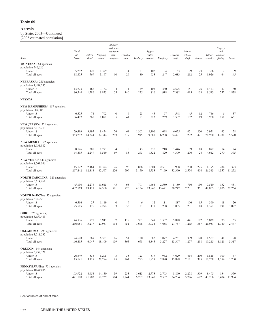by State, 2003—Continued [2003 estimated population]

| $\sim$                                                                                                                                                                                                                                                                                                                                                                                                                                                                                                                                                                                                                                                                                                                                                                                                                                                                                                                                                                                                                                                                                                                                                                                                          |                   |                               |                                 |                      |                  |                |                 |                  |                           |              |            |                                        |                    |           |
|-----------------------------------------------------------------------------------------------------------------------------------------------------------------------------------------------------------------------------------------------------------------------------------------------------------------------------------------------------------------------------------------------------------------------------------------------------------------------------------------------------------------------------------------------------------------------------------------------------------------------------------------------------------------------------------------------------------------------------------------------------------------------------------------------------------------------------------------------------------------------------------------------------------------------------------------------------------------------------------------------------------------------------------------------------------------------------------------------------------------------------------------------------------------------------------------------------------------|-------------------|-------------------------------|---------------------------------|----------------------|------------------|----------------|-----------------|------------------|---------------------------|--------------|------------|----------------------------------------|--------------------|-----------|
| Total<br>all<br>State<br>classes <sup>1</sup><br><b>MONTANA</b> : 64 agencies;<br>population 546,626<br>Under 18<br>5,292<br>18,855<br>Total all ages<br>NEBRASKA: 215 agencies;<br>population 1,489,255<br>13,273<br>Under 18<br>86,544<br>Total all ages<br>NEVADA:4<br>NEW HAMPSHIRE: <sup>4</sup> 117 agencies;<br>population 887,385<br>6,575<br>Under 18<br>36,477<br>Total all ages<br>NEW JERSEY: 521 agencies;<br>population 8,018,213<br>Under 18<br>59,499<br>363,297<br>Total all ages<br>NEW MEXICO: 22 agencies;<br>population 1,031,982<br>8,126<br>Under 18<br>64,435<br>Total all ages<br>NEW YORK: <sup>4</sup> 440 agencies;<br>population 8,561,046<br>45,172<br>Under 18<br>Total all ages<br>297,442 12,818<br><b>NORTH CAROLINA: 329 agencies;</b><br>population 6,614,261<br>Under 18<br>45,130<br>432,569<br>Total all ages<br><b>NORTH DAKOTA:</b> 57 agencies;<br>population 535,956<br>Under 18<br>6,516<br>25,585<br>Total all ages<br><b>OHIO:</b> 326 agencies;<br>population 5,657,483<br>Under 18<br>44,836<br>Total all ages<br>236,081<br>OKLAHOMA: 298 agencies;<br>population 3,511,532<br>Under 18<br>24,678<br>Total all ages<br>166,495<br><b>OREGON:</b> 144 agencies; |                   |                               | Murder<br>and non-              |                      |                  |                |                 |                  |                           |              |            | Forgery                                |                    |           |
|                                                                                                                                                                                                                                                                                                                                                                                                                                                                                                                                                                                                                                                                                                                                                                                                                                                                                                                                                                                                                                                                                                                                                                                                                 |                   |                               |                                 | negligent            |                  |                | Aggra-          |                  |                           | Motor        |            |                                        | and                |           |
|                                                                                                                                                                                                                                                                                                                                                                                                                                                                                                                                                                                                                                                                                                                                                                                                                                                                                                                                                                                                                                                                                                                                                                                                                 |                   | Violent<br>crime <sup>2</sup> | Property<br>crime <sup>2</sup>  | man-<br>slaughter    | Forcible<br>rape | Robbery        | vated           | assault Burglary | Larceny- vehicle<br>theft | theft        | Arson      | Other<br>assaults feiting Fraud        | counter-           |           |
|                                                                                                                                                                                                                                                                                                                                                                                                                                                                                                                                                                                                                                                                                                                                                                                                                                                                                                                                                                                                                                                                                                                                                                                                                 |                   |                               |                                 |                      |                  |                |                 |                  |                           |              |            |                                        |                    |           |
|                                                                                                                                                                                                                                                                                                                                                                                                                                                                                                                                                                                                                                                                                                                                                                                                                                                                                                                                                                                                                                                                                                                                                                                                                 |                   | 128                           | 1,379                           |                      | $\overline{4}$   | 21             | 102             | 104              | 1,153                     | 99           | 23         | 356                                    | $\mathcal{I}$      | - 9       |
|                                                                                                                                                                                                                                                                                                                                                                                                                                                                                                                                                                                                                                                                                                                                                                                                                                                                                                                                                                                                                                                                                                                                                                                                                 |                   | 769                           | 3,167                           | 10                   | 26               | 80             | 653             | 247              | 2,683                     | 212          | 25         | 1,926                                  | 64                 | 145       |
|                                                                                                                                                                                                                                                                                                                                                                                                                                                                                                                                                                                                                                                                                                                                                                                                                                                                                                                                                                                                                                                                                                                                                                                                                 |                   |                               |                                 |                      |                  |                |                 |                  |                           |              |            |                                        |                    |           |
|                                                                                                                                                                                                                                                                                                                                                                                                                                                                                                                                                                                                                                                                                                                                                                                                                                                                                                                                                                                                                                                                                                                                                                                                                 |                   | 167                           | 3,162                           | $\overline{4}$       | 11               | 49             | 103             | 340              | 2,595                     | 151          | 76         | 1,473                                  | 37                 | - 60      |
|                                                                                                                                                                                                                                                                                                                                                                                                                                                                                                                                                                                                                                                                                                                                                                                                                                                                                                                                                                                                                                                                                                                                                                                                                 |                   | 1,286                         | 8,823                           | 55                   | 140              | 275            | 816             | 918              | 7,382                     | 415          | 108        | 8,543                                  | 752                | 1,878     |
|                                                                                                                                                                                                                                                                                                                                                                                                                                                                                                                                                                                                                                                                                                                                                                                                                                                                                                                                                                                                                                                                                                                                                                                                                 |                   |                               |                                 |                      |                  |                |                 |                  |                           |              |            |                                        |                    |           |
|                                                                                                                                                                                                                                                                                                                                                                                                                                                                                                                                                                                                                                                                                                                                                                                                                                                                                                                                                                                                                                                                                                                                                                                                                 |                   |                               |                                 |                      |                  |                |                 |                  |                           |              |            |                                        |                    |           |
|                                                                                                                                                                                                                                                                                                                                                                                                                                                                                                                                                                                                                                                                                                                                                                                                                                                                                                                                                                                                                                                                                                                                                                                                                 |                   |                               |                                 |                      |                  |                |                 |                  |                           |              |            |                                        |                    |           |
|                                                                                                                                                                                                                                                                                                                                                                                                                                                                                                                                                                                                                                                                                                                                                                                                                                                                                                                                                                                                                                                                                                                                                                                                                 |                   | 74<br>360                     | 702<br>1,892                    | $\Omega$<br>-5       | 6<br>41          | 23<br>91       | 45<br>223       | 97<br>269        | 548<br>1,502              | 45<br>102    | 12<br>19   | 746<br>3,960                           | - 6<br>151         | 37<br>651 |
|                                                                                                                                                                                                                                                                                                                                                                                                                                                                                                                                                                                                                                                                                                                                                                                                                                                                                                                                                                                                                                                                                                                                                                                                                 |                   |                               |                                 |                      |                  |                |                 |                  |                           |              |            |                                        |                    |           |
|                                                                                                                                                                                                                                                                                                                                                                                                                                                                                                                                                                                                                                                                                                                                                                                                                                                                                                                                                                                                                                                                                                                                                                                                                 |                   |                               |                                 |                      |                  |                |                 |                  |                           |              |            |                                        |                    |           |
|                                                                                                                                                                                                                                                                                                                                                                                                                                                                                                                                                                                                                                                                                                                                                                                                                                                                                                                                                                                                                                                                                                                                                                                                                 |                   | 3,495<br>14,344               | 8,454<br>32,342                 | 26<br>293            | 61<br>519        | 1,302<br>3,945 | 2,106<br>9,587  | 1,698<br>6,208   | 6,055<br>24,421           | 451<br>1,292 | 250<br>421 | 5,921<br>28,950                        | 45<br>1,781 5,590  | 158       |
|                                                                                                                                                                                                                                                                                                                                                                                                                                                                                                                                                                                                                                                                                                                                                                                                                                                                                                                                                                                                                                                                                                                                                                                                                 |                   |                               |                                 |                      |                  |                |                 |                  |                           |              |            |                                        |                    |           |
|                                                                                                                                                                                                                                                                                                                                                                                                                                                                                                                                                                                                                                                                                                                                                                                                                                                                                                                                                                                                                                                                                                                                                                                                                 |                   |                               |                                 |                      |                  |                |                 |                  |                           |              |            |                                        |                    |           |
|                                                                                                                                                                                                                                                                                                                                                                                                                                                                                                                                                                                                                                                                                                                                                                                                                                                                                                                                                                                                                                                                                                                                                                                                                 |                   | 285                           | 1,771                           | $\overline{4}$       | 8                | 43             | 230             | 218              | 1,446                     | 89           | 18         | 872                                    | 14                 | 24        |
|                                                                                                                                                                                                                                                                                                                                                                                                                                                                                                                                                                                                                                                                                                                                                                                                                                                                                                                                                                                                                                                                                                                                                                                                                 |                   | 2,249                         | 5,519                           | 69                   | 85               | 273            | 1,822           | 820              | 4,399                     | 276          | 24         | 4,612                                  | 270                | 375       |
|                                                                                                                                                                                                                                                                                                                                                                                                                                                                                                                                                                                                                                                                                                                                                                                                                                                                                                                                                                                                                                                                                                                                                                                                                 |                   |                               |                                 |                      |                  |                |                 |                  |                           |              |            |                                        |                    |           |
|                                                                                                                                                                                                                                                                                                                                                                                                                                                                                                                                                                                                                                                                                                                                                                                                                                                                                                                                                                                                                                                                                                                                                                                                                 |                   | 2,464                         | 11,372                          | 26                   | 96               | 838            | 1,504           | 2,501            | 7,908                     | 738          | 225        | 4,195                                  | 284                | 393       |
|                                                                                                                                                                                                                                                                                                                                                                                                                                                                                                                                                                                                                                                                                                                                                                                                                                                                                                                                                                                                                                                                                                                                                                                                                 |                   |                               | 42,567                          | 226                  | 709              | 3,150          | 8,733           | 7,199            | 32,390                    | 2,574        | 404        | 26,343                                 | 4,357 11,272       |           |
|                                                                                                                                                                                                                                                                                                                                                                                                                                                                                                                                                                                                                                                                                                                                                                                                                                                                                                                                                                                                                                                                                                                                                                                                                 |                   |                               |                                 |                      |                  |                |                 |                  |                           |              |            |                                        |                    |           |
|                                                                                                                                                                                                                                                                                                                                                                                                                                                                                                                                                                                                                                                                                                                                                                                                                                                                                                                                                                                                                                                                                                                                                                                                                 |                   | 2,276                         | 11.615                          | 43                   | 68               | 701            | 1,464           | 2,580            | 8,189                     | 716          | 130        | 7.510                                  | 132                | 431       |
|                                                                                                                                                                                                                                                                                                                                                                                                                                                                                                                                                                                                                                                                                                                                                                                                                                                                                                                                                                                                                                                                                                                                                                                                                 |                   | 19,411                        | 54,500                          | 591                  | 726              | 4,154          | 13,940          | 13,671           | 38,247                    | 2,231        |            | 351 49,865                             | 3,806 32,764       |           |
|                                                                                                                                                                                                                                                                                                                                                                                                                                                                                                                                                                                                                                                                                                                                                                                                                                                                                                                                                                                                                                                                                                                                                                                                                 |                   |                               |                                 |                      |                  |                |                 |                  |                           |              |            |                                        |                    |           |
|                                                                                                                                                                                                                                                                                                                                                                                                                                                                                                                                                                                                                                                                                                                                                                                                                                                                                                                                                                                                                                                                                                                                                                                                                 |                   | 27                            | 1,119                           | $\Omega$             | 9                |                | 12              | 111              | 887                       | 106          | 15         | 360                                    | 18                 | 20        |
|                                                                                                                                                                                                                                                                                                                                                                                                                                                                                                                                                                                                                                                                                                                                                                                                                                                                                                                                                                                                                                                                                                                                                                                                                 |                   | 176                           | 2,292                           | -3                   | 35               | 21             | 117             | 238              | 1,835                     | 201          | 18         | 1,391                                  |                    | 191 1,027 |
|                                                                                                                                                                                                                                                                                                                                                                                                                                                                                                                                                                                                                                                                                                                                                                                                                                                                                                                                                                                                                                                                                                                                                                                                                 |                   |                               |                                 |                      |                  |                |                 |                  |                           |              |            |                                        |                    |           |
|                                                                                                                                                                                                                                                                                                                                                                                                                                                                                                                                                                                                                                                                                                                                                                                                                                                                                                                                                                                                                                                                                                                                                                                                                 |                   |                               |                                 | -7                   |                  |                | 549             |                  |                           |              |            |                                        | 70                 | 65        |
|                                                                                                                                                                                                                                                                                                                                                                                                                                                                                                                                                                                                                                                                                                                                                                                                                                                                                                                                                                                                                                                                                                                                                                                                                 |                   | 975<br>5,277                  | 7,943<br>27,987                 | 114                  | 118<br>451       | 301<br>1,678   | 3,034           | 1,502            | 5,828<br>4,658 21,737     | 441<br>1,235 | 172        | 5,029<br>357 21,951 1,749 2,447        |                    |           |
|                                                                                                                                                                                                                                                                                                                                                                                                                                                                                                                                                                                                                                                                                                                                                                                                                                                                                                                                                                                                                                                                                                                                                                                                                 |                   |                               |                                 |                      |                  |                |                 |                  |                           |              |            |                                        |                    |           |
|                                                                                                                                                                                                                                                                                                                                                                                                                                                                                                                                                                                                                                                                                                                                                                                                                                                                                                                                                                                                                                                                                                                                                                                                                 |                   |                               |                                 |                      |                  |                |                 |                  |                           |              |            |                                        |                    |           |
|                                                                                                                                                                                                                                                                                                                                                                                                                                                                                                                                                                                                                                                                                                                                                                                                                                                                                                                                                                                                                                                                                                                                                                                                                 |                   | 869<br>6,047                  | 6,357<br>18,109                 | -16<br>159           | 51<br>365        | 120<br>678     | 682<br>4,845    | 1,077<br>3,227   | 4,761<br>13,307           | 399<br>1,277 | 120        | 1,557<br>298 10,215 1,121 3,317        | 41                 | - 98      |
|                                                                                                                                                                                                                                                                                                                                                                                                                                                                                                                                                                                                                                                                                                                                                                                                                                                                                                                                                                                                                                                                                                                                                                                                                 |                   |                               |                                 |                      |                  |                |                 |                  |                           |              |            |                                        |                    |           |
| population 3,252,321                                                                                                                                                                                                                                                                                                                                                                                                                                                                                                                                                                                                                                                                                                                                                                                                                                                                                                                                                                                                                                                                                                                                                                                            |                   |                               |                                 |                      |                  |                |                 |                  |                           |              |            |                                        |                    |           |
| Under 18<br>Total all ages                                                                                                                                                                                                                                                                                                                                                                                                                                                                                                                                                                                                                                                                                                                                                                                                                                                                                                                                                                                                                                                                                                                                                                                      | 26,649<br>115,141 | 538                           | 6,205<br>3,118 21,284           | $\overline{3}$<br>95 | 35<br>261        | 123<br>783     | 377<br>1,979    | 932<br>2,890     | 4,629<br>15,898           | 414<br>2,171 | 230        | 1,815<br>325 10,758                    | 109<br>1,754 1,200 | 67        |
|                                                                                                                                                                                                                                                                                                                                                                                                                                                                                                                                                                                                                                                                                                                                                                                                                                                                                                                                                                                                                                                                                                                                                                                                                 |                   |                               |                                 |                      |                  |                |                 |                  |                           |              |            |                                        |                    |           |
| PENNSYLVANIA: 751 agencies;<br>population 10,443,061                                                                                                                                                                                                                                                                                                                                                                                                                                                                                                                                                                                                                                                                                                                                                                                                                                                                                                                                                                                                                                                                                                                                                            |                   |                               |                                 |                      |                  |                |                 |                  |                           |              |            |                                        |                    |           |
| Under 18<br>Total all ages                                                                                                                                                                                                                                                                                                                                                                                                                                                                                                                                                                                                                                                                                                                                                                                                                                                                                                                                                                                                                                                                                                                                                                                      | 103,922           | 4,658                         | 14,150<br>421,100 21,903 50,739 | 39<br>504            | 233<br>1,244     | 1,613<br>6,207 | 2,773<br>13,948 | 2,703<br>9,587   | 8,860<br>34,704           | 2,278        | 309        | 8,495<br>5,776 672 43,206 3,404 11,994 | 134                | 379       |
|                                                                                                                                                                                                                                                                                                                                                                                                                                                                                                                                                                                                                                                                                                                                                                                                                                                                                                                                                                                                                                                                                                                                                                                                                 |                   |                               |                                 |                      |                  |                |                 |                  |                           |              |            |                                        |                    |           |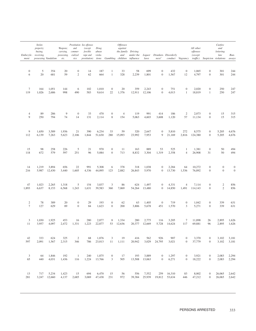| Embezzle- receiving,                | Stolen<br>property;<br>buying,<br>ment possessing Vandalism etc.                      |                | carrying,                                               | Prostitution Sex offenses<br>Weapons; and (except Drug<br>commer- forcible<br>possessing, cialized rape and viola- |            | abuse                            |                                  | <i><b>Offenses</b></i><br>against | the family Driving<br>and under the Liquor Drunken-Disorderly |                        |                |                             |                                           | All other<br>offenses<br>(except<br>vice prostitution) tions Gambling children influence laws ness <sup>3</sup> conduct Vagrancy traffic) Suspicion-violations aways                          |                                  | Curfew<br>and<br>loitering<br>law | Run-       |
|-------------------------------------|---------------------------------------------------------------------------------------|----------------|---------------------------------------------------------|--------------------------------------------------------------------------------------------------------------------|------------|----------------------------------|----------------------------------|-----------------------------------|---------------------------------------------------------------|------------------------|----------------|-----------------------------|-------------------------------------------|-----------------------------------------------------------------------------------------------------------------------------------------------------------------------------------------------|----------------------------------|-----------------------------------|------------|
| $\overline{0}$<br>6                 | $5\overline{)}$<br>20                                                                 | 354<br>681     | 20<br>59                                                | 2                                                                                                                  | 14<br>62   | 187<br>664                       | <sup>1</sup>                     | 33<br>328                         | 58<br>2,239                                                   | 699<br>1,801           | $\overline{0}$ | 432<br>$0 \t 1,567$         | $\overline{0}$<br>12                      | 1,065<br>4,797                                                                                                                                                                                | $\overline{0}$<br>$\overline{0}$ | 301<br>301                        | 244<br>244 |
| $7\phantom{.0}\phantom{.0}7$<br>119 | 164<br>1,026                                                                          | 1,051<br>2,686 | 144<br>998                                              | - 6<br>490                                                                                                         | 102<br>583 | 1,010<br>9,614                   | $\overline{0}$<br>22             | 20<br>1,376                       | 359                                                           | 2,243<br>12,911 12,106 | $\overline{0}$ | 751<br>$0\quad 4,013$       | $\overline{0}$<br>$\mathbf{1}$            | 2,020<br>18,819                                                                                                                                                                               | $\overline{0}$<br>$\overline{1}$ | 250 247<br>250 247                |            |
| 4<br>9                              | 89<br>250                                                                             | 286<br>794     | - 9<br>74                                               | $\overline{0}$<br>14                                                                                               | 33<br>131  | 470<br>2,114                     | $\overline{0}$<br>8              | $\overline{4}$<br>154             | 119<br>5,063                                                  | 991<br>4,603           | 414<br>3,608   | 186<br>1,120                | 2                                         | 2,073<br>57 11,134                                                                                                                                                                            | $\overline{0}$<br>$\overline{0}$ | 15 315<br>15 315                  |            |
| - 9<br>112                          | 1,650<br>6,139                                                                        | 3,589<br>7,263 | 1,936                                                   | 21<br>5,623 2,106                                                                                                  | 390        | 6,234<br>1,844 51,630 280 15,093 | 33                               | 59                                | 320                                                           | 2,647<br>23,992 7,953  |                | $0 \quad 5,810$<br>9 21,169 | 272                                       | 8,575<br>2,816 124,380                                                                                                                                                                        | $\Omega$<br>$\overline{0}$       | 5,205 4,676<br>5,205 4,676        |            |
| 15<br>118                           | 98<br>672                                                                             | 258<br>579     | 226<br>597                                              | $5\overline{)}$<br>251                                                                                             | 21<br>96   | 970<br>5,084                     | $\overline{0}$<br>$\overline{0}$ | 11<br>713                         | 163<br>8,832                                                  | 889<br>3,304           | 53             | 525<br>1,319 2,358          | $\mathbf{1}$<br>4                         | 1,381<br>26,908                                                                                                                                                                               | $\overline{0}$<br>31             | 50 494<br>50                      |            |
| 14<br>216                           | 1,219                                                                                 | 3,894          | 656<br>5,987 12,430 3,440 1,605                         | 22                                                                                                                 | 991        | 5,308<br>4,336 44,095            | - 6                              | 378<br>123 2,882                  | 26,843 5,970                                                  | 318 1,038              |                | $0 \t 2,284$                | 64                                        | 10,272<br>0 13,730 1,536 76,892                                                                                                                                                               | $\overline{0}$<br>$\overline{0}$ | $\overline{0}$<br>$\overline{0}$  |            |
| 47<br>1,893                         | 1,023                                                                                 | 2,265          | 1,318<br>6,637 8,153 6,568 1,243 1,631 39,583 360 7,069 | 5                                                                                                                  | 154        | 3,837                            | $\overline{\mathbf{3}}$          | 86                                | 624                                                           | 1,497<br>54,264 13,480 |                | $0 \t 4,331$                | $\overline{4}$                            | 7,114<br>0 14,850 1,491 114,143                                                                                                                                                               | $\overline{0}$<br>$\overline{0}$ | 2<br>2 856                        |            |
| 2<br>7                              | 78<br>127                                                                             | 389<br>629     | 20<br>89                                                | $\Omega$<br>$\overline{0}$                                                                                         | 29<br>84   | 193<br>1,623                     | $\overline{0}$<br>$\overline{0}$ | 62<br>200                         | 63                                                            | 1,405<br>3,806 5,678   | $\overline{0}$ | 719<br>451 1,570            | $\overline{0}$<br>$\overline{\mathbf{3}}$ | 1,042<br>5,271                                                                                                                                                                                | $\overline{0}$<br>$\overline{0}$ | 339 631<br>339 631                |            |
|                                     | 1,030<br>11 3,957 4,097 2,472 1,331 1,223 22,877 53 12,636 20,377 12,669 5,728 14,624 | 1,925          | 453                                                     | 16                                                                                                                 | 280        | 2,877                            |                                  | 8 1,334                           | 280                                                           | 2,775                  | 116            | 3,205                       | 7                                         | 11,898<br>117 69,881                                                                                                                                                                          | 26<br>96                         | 2,895 1,626<br>2,895 1,626        |            |
| 42                                  | 333                                                                                   |                | 624 325                                                 | 2                                                                                                                  |            |                                  |                                  |                                   | 68 1,876 3 19 416 562 926 907                                 |                        |                |                             |                                           | 0 3,370 0 3,102 3,181<br>597 2,091 1,567 2,315 346 786 23,013 11 1,111 20,942 3,029 24,795 3,021 0 37,779 0 3,102 3,181                                                                       |                                  |                                   |            |
|                                     |                                                                                       |                |                                                         |                                                                                                                    |            |                                  |                                  |                                   |                                                               |                        |                |                             |                                           | 3 64 1,846 192 1 240 1,875 0 17 193 3,889 0 1,297 0 3,921 0 2,083 2,294<br>65 440 4,031 1,436 116 1,224 13,766 3 505 13,508 13,063 0 6,271 0 18,222 0 2,083 2,294                             |                                  |                                   |            |
|                                     |                                                                                       |                |                                                         |                                                                                                                    |            |                                  |                                  |                                   |                                                               |                        |                |                             |                                           | 13 717 5,234 1,423 15 694 6,470 15 56 556 7,552 259 16,310 83 8,002 0 26,065 2,642<br>281 3,247 12,660 4,137 2,685 3,069 47,438 231 972 39,384 25,939 19,812 53,634 446 47,212 0 26,065 2,642 |                                  |                                   |            |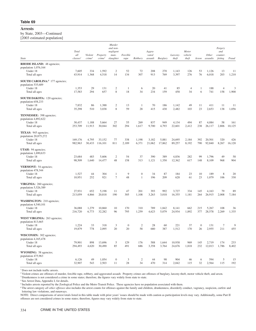by State, 2003—Continued [2003 estimated population]

|                                                                                                       |                                 |                               |                                | Murder                                     |                      |                      |                                     |                 |                   |                           |                |                                  |                                             |                                      |
|-------------------------------------------------------------------------------------------------------|---------------------------------|-------------------------------|--------------------------------|--------------------------------------------|----------------------|----------------------|-------------------------------------|-----------------|-------------------|---------------------------|----------------|----------------------------------|---------------------------------------------|--------------------------------------|
| State                                                                                                 | <b>Total</b><br>all<br>classes' | Violent<br>crime <sup>2</sup> | Property<br>crime <sup>2</sup> | and non-<br>negligent<br>man-<br>slaughter | Forcible<br>rape     | Robbery              | Aggra-<br>vated<br>assault Burglary |                 | Larceny-<br>theft | Motor<br>vehicle<br>theft |                | Other<br>Arson assaults          | Forgery<br>and<br>counter-<br>feiting Fraud |                                      |
| <b>RHODE ISLAND: 48 agencies;</b><br>population 1,076,164<br>Under 18<br>Total all ages               | 7,605<br>43,914                 | 334<br>1,368                  | 1,592<br>4,518                 | $\overline{2}$<br>14                       | 52<br>134            | 72<br>307            | 208<br>913                          | 270<br>769      | 1,143<br>3,397    | 126<br>276                | 53<br>76       | 1,126<br>6,018                   | 13<br>203                                   | 11<br>1,210                          |
| <b>SOUTH CAROLINA:</b> <sup>4</sup> 177 agencies;<br>population 535,689<br>Under 18<br>Total all ages | 1,353<br>17,583                 | 29<br>294                     | 131<br>657                     | $\overline{2}$<br>8                        | 18                   | 34                   | 20<br>234                           | 41<br>159       | 85<br>458         | -4<br>34                  | -1<br>- 6      | 188<br>741                       | $\overline{4}$                              | $\overline{\mathbf{3}}$<br>158 1,900 |
| <b>SOUTH DAKOTA:</b> 120 agencies;<br>population 658,233<br>Under 18<br>Total all ages                | 7,832<br>35,298                 | 86<br>510                     | 1,388<br>3,038                 | $\overline{2}$<br>- 8                      | 13<br>59             | 28                   | 70<br>415                           | 186<br>430      | 1,142<br>2,482    | 49<br>103                 | 11<br>23       | 411<br>2,653                     | - 11                                        | - 11<br>138 1,056                    |
| TENNESSEE: 398 agencies;<br>population 4,892,622<br>Under 18<br>Total all ages                        | 30,437<br>253,709 11,913        | 1,188                         | 5,664<br>30,044                | 27<br>302                                  | 55<br>294            | 269<br>1,617         | 837<br>9,700                        | 949<br>4,793    | 4,134<br>22,601   | 494<br>2,412              | 87             | 4.084<br>238 26,117 2,806 10,125 | 58                                          | 161                                  |
| TEXAS: 945 agencies;<br>population 20,875,272<br>Under 18<br>Total all ages                           | 169,176<br>982,963              | 4,795<br>30,433               | 33,152<br>116,101              | 77<br>811                                  | 338<br>2,189         | 1,198<br>6,371       | 3,182<br>21,062                     | 5,881<br>17,862 | 24,695<br>89,257  | 2,184<br>8,192            | 392            | 20,501<br>790 92,840             | 320<br>8,267 16,120                         | 426                                  |
| UTAH: 94 agencies;<br>population 1,690,633<br>Under 18<br>Total all ages                              | 23,684<br>98,509                | 483<br>1,640                  | 5,606<br>14,477                | $\overline{2}$<br>48                       | 54<br>158            | 37<br>313            | 390<br>1,121                        | 389<br>1,350    | 4,836<br>12,362   | 282<br>617                | 99<br>148      | 1,796<br>8,109                   | 49<br>968                                   | 58<br>904                            |
| <b>VERMONT:</b> 54 agencies;<br>population 478,344<br>Under 18<br>Total all ages                      | 1,527<br>10,951                 | 44<br>252                     | 304<br>921                     | $7\phantom{.0}$                            | -9<br>48             |                      | 34<br>196                           | 87<br>209       | 184<br>628        | 23<br>61                  | 10<br>23       | 189<br>1,079                     | -8<br>106                                   | 20<br>330                            |
| VIRGINIA: 260 agencies;<br>population 5,526,389<br>Under 18<br>Total all ages                         | 27,931<br>213,059               | 652<br>4,866                  | 5,198<br>20,818                | -11<br>190                                 | 47<br>305            | 201<br>1,108         | 393<br>3,263                        | 992<br>3,018    | 3,727<br>16,355   | 334<br>1,181              | 145            | 4.163<br>264 26,915 2,008 7,184  | 79                                          | 89                                   |
| <b>WASHINGTON: 210 agencies;</b><br>population 4,540,101<br>Under 18<br>Total all ages                | 36,088<br>216,720               | 1,279<br>6,773                | 10,860<br>32,282               | 10<br>96                                   | 170<br>795           | 310<br>1,259         | 789<br>4,623                        | 1,842<br>5,079  | 8,141<br>24,934   | 662<br>1,892              | 215            | 5,267<br>377 28,578 2,269 1,335  | 108                                         | 36                                   |
| WEST VIRGINIA: 263 agencies;<br>population 813,665<br>Under 18<br>Total all ages                      | 1,224<br>19,879                 | 33                            | 318<br>778 2,095               | $\overline{\mathbf{3}}$<br>20              | $\overline{0}$<br>20 | -2<br>58             | 28<br>680                           | 60<br>387       | 221<br>1,512      | 37<br>170                 | $\overline{0}$ | 131<br>26 2,955                  | $7\phantom{.0}$<br>211 455                  | - 9                                  |
| WISCONSIN: 302 agencies;<br>population 4,165,478<br>Under 18<br>Total all ages                        | 79,901<br>294,493               | 898<br>4,620                  | 13,696<br>30,490               | 5 <sup>5</sup><br>85                       | 129<br>491           | 176<br>686           | 588<br>3,358                        | 1,644<br>3,764  | 10,938<br>24,676  | 969<br>1,818              | 145            | 2,719<br>232 12,013              | 174<br>1,786 8,402                          | 233                                  |
| <b>WYOMING:</b> 58 agencies;<br>population 475,963<br>Under 18<br>Total all ages                      | 6,126<br>32,907                 | 49<br>543                     | 1,054<br>2,503                 | $\overline{0}$<br>11                       | $\overline{3}$<br>28 | $\overline{2}$<br>34 | 44<br>470                           | 98<br>314       | 904<br>2,042      | 46<br>115                 | 6<br>32        | 594<br>2,564                     | 5                                           | 15<br>115 192                        |

<sup>1</sup> Does not include traffic arrests.

<sup>2</sup> Violent crimes are offenses of murder, forcible rape, robbery, and aggravated assault. Property crimes are offenses of burglary, larceny-theft, motor vehicle theft, and arson.

<sup>3</sup> Drunkenness is not considered a crime in some states; therefore, the figures vary widely from state to state.

<sup>4</sup> See Arrest Data, Appendix I, for details.

<sup>5</sup> Includes arrests reported by the Zoological Police and the Metro Transit Police. These agencies have no population associated with them.

<sup>6</sup> The arrest category *all other offenses* also includes the arrest counts for offenses against the family and children, drunkenness, disorderly conduct, vagrancy, suspicion, curfew and loitering law violations, and runaways.

NOTE: Direct comparisons of arrest totals listed in this table made with prior years' issues should be made with caution as participation levels may vary. Additionally, some Part II offenses are not considered crimes in some states; therefore, figures may vary widely from state to state.